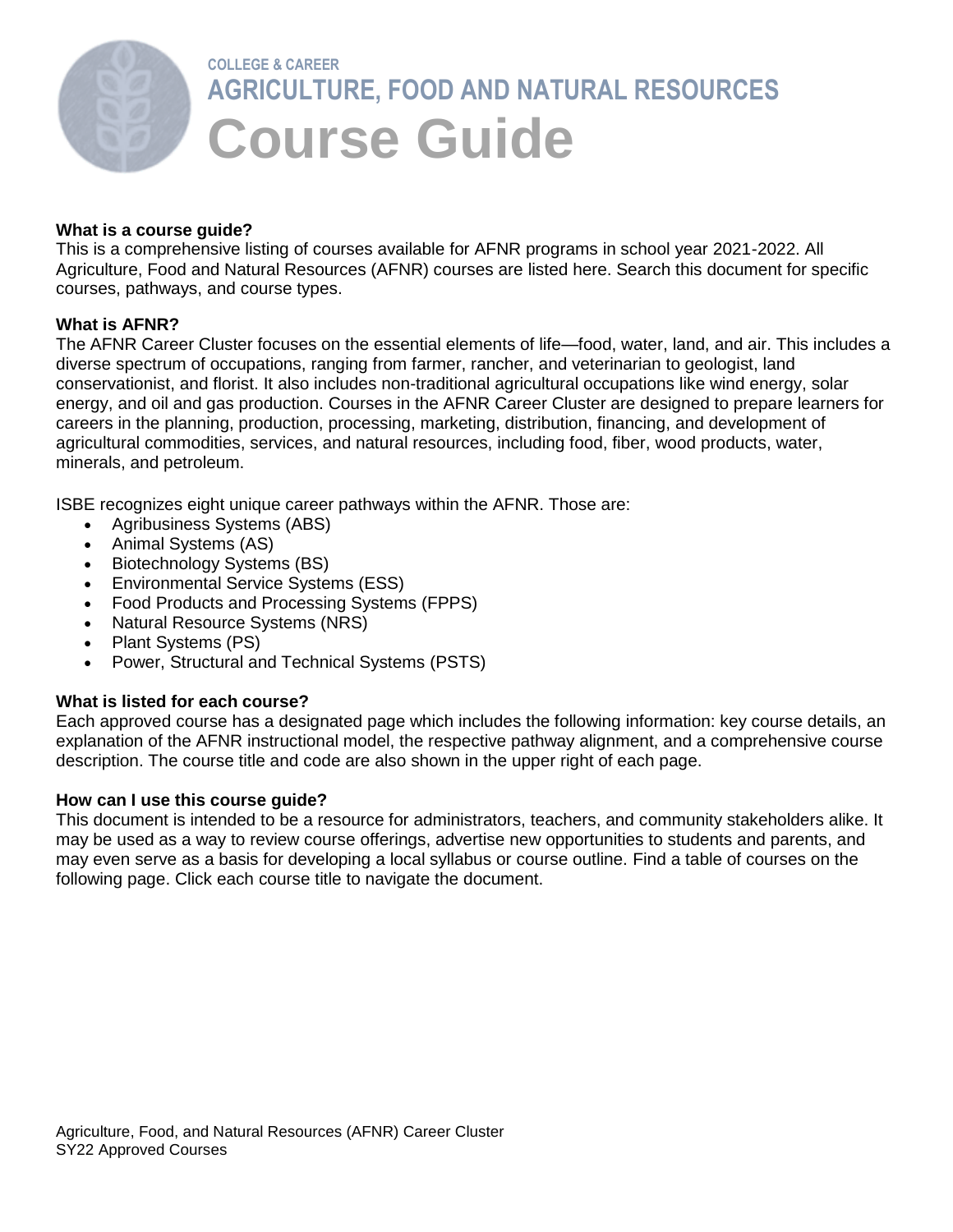

# **COLLEGE & CAREER AGRICULTURE, FOOD AND NATURAL RESOURCES Course Guide**

#### **What is a course guide?**

This is a comprehensive listing of courses available for AFNR programs in school year 2021-2022. All Agriculture, Food and Natural Resources (AFNR) courses are listed here. Search this document for specific courses, pathways, and course types.

#### **What is AFNR?**

The AFNR Career Cluster focuses on the essential elements of life—food, water, land, and air. This includes a diverse spectrum of occupations, ranging from farmer, rancher, and veterinarian to geologist, land conservationist, and florist. It also includes non-traditional agricultural occupations like wind energy, solar energy, and oil and gas production. Courses in the AFNR Career Cluster are designed to prepare learners for careers in the planning, production, processing, marketing, distribution, financing, and development of agricultural commodities, services, and natural resources, including food, fiber, wood products, water, minerals, and petroleum.

ISBE recognizes eight unique career pathways within the AFNR. Those are:

- Agribusiness Systems (ABS)
- Animal Systems (AS)
- Biotechnology Systems (BS)
- Environmental Service Systems (ESS)
- Food Products and Processing Systems (FPPS)
- Natural Resource Systems (NRS)
- Plant Systems (PS)
- Power, Structural and Technical Systems (PSTS)

#### **What is listed for each course?**

Each approved course has a designated page which includes the following information: key course details, an explanation of the AFNR instructional model, the respective pathway alignment, and a comprehensive course description. The course title and code are also shown in the upper right of each page.

#### **How can I use this course guide?**

This document is intended to be a resource for administrators, teachers, and community stakeholders alike. It may be used as a way to review course offerings, advertise new opportunities to students and parents, and may even serve as a basis for developing a local syllabus or course outline. Find a table of courses on the following page. Click each course title to navigate the document.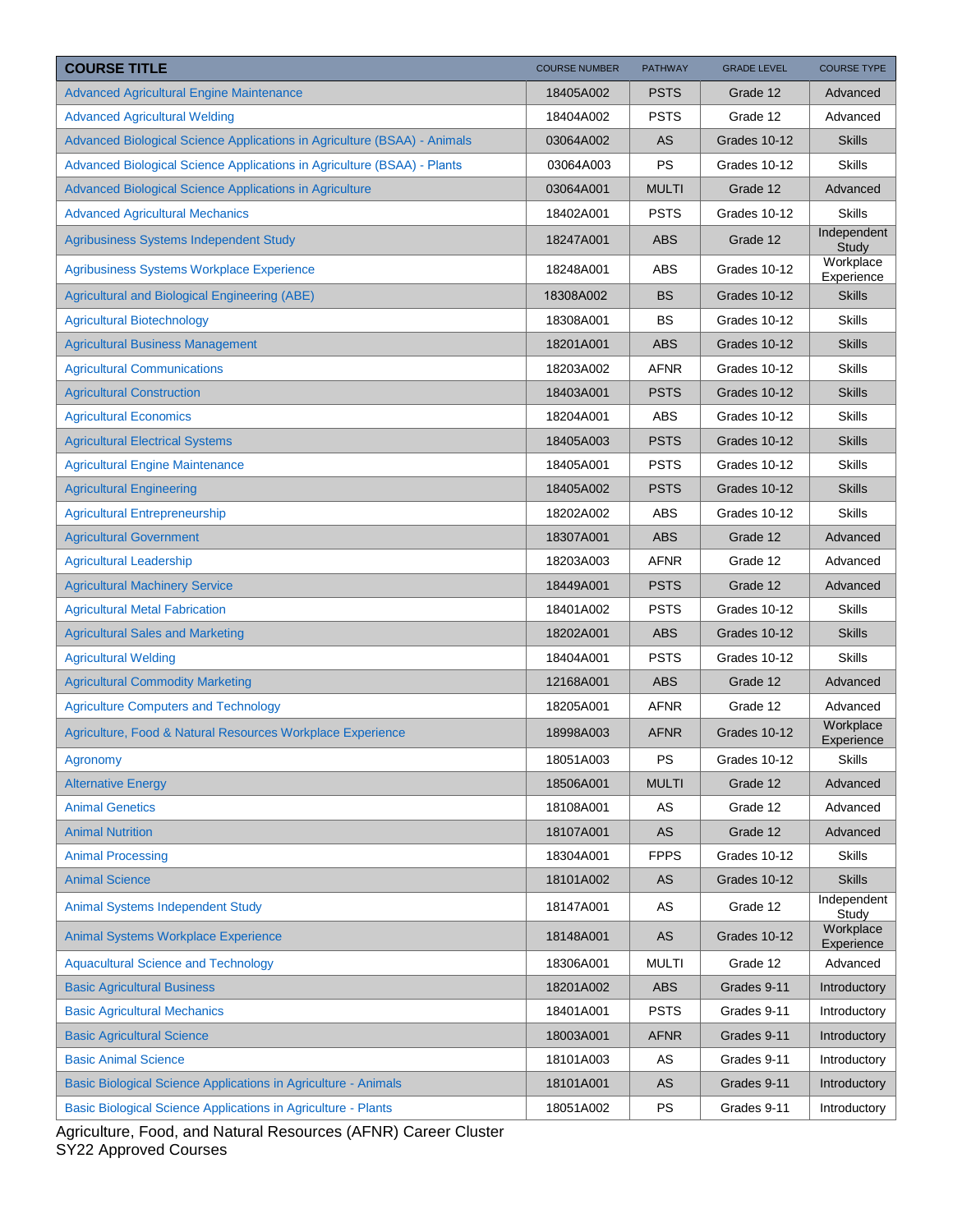| <b>COURSE TITLE</b>                                                      | <b>COURSE NUMBER</b> | <b>PATHWAY</b> | <b>GRADE LEVEL</b> | <b>COURSE TYPE</b>      |
|--------------------------------------------------------------------------|----------------------|----------------|--------------------|-------------------------|
| <b>Advanced Agricultural Engine Maintenance</b>                          | 18405A002            | <b>PSTS</b>    | Grade 12           | Advanced                |
| <b>Advanced Agricultural Welding</b>                                     | 18404A002            | <b>PSTS</b>    | Grade 12           | Advanced                |
| Advanced Biological Science Applications in Agriculture (BSAA) - Animals | 03064A002            | AS             | Grades 10-12       | <b>Skills</b>           |
| Advanced Biological Science Applications in Agriculture (BSAA) - Plants  | 03064A003            | <b>PS</b>      | Grades 10-12       | <b>Skills</b>           |
| Advanced Biological Science Applications in Agriculture                  | 03064A001            | <b>MULTI</b>   | Grade 12           | Advanced                |
| <b>Advanced Agricultural Mechanics</b>                                   | 18402A001            | <b>PSTS</b>    | Grades 10-12       | <b>Skills</b>           |
| Agribusiness Systems Independent Study                                   | 18247A001            | <b>ABS</b>     | Grade 12           | Independent<br>Study    |
| <b>Agribusiness Systems Workplace Experience</b>                         | 18248A001            | ABS            | Grades 10-12       | Workplace<br>Experience |
| <b>Agricultural and Biological Engineering (ABE)</b>                     | 18308A002            | <b>BS</b>      | Grades 10-12       | <b>Skills</b>           |
| <b>Agricultural Biotechnology</b>                                        | 18308A001            | BS             | Grades 10-12       | <b>Skills</b>           |
| <b>Agricultural Business Management</b>                                  | 18201A001            | <b>ABS</b>     | Grades 10-12       | <b>Skills</b>           |
| <b>Agricultural Communications</b>                                       | 18203A002            | <b>AFNR</b>    | Grades 10-12       | <b>Skills</b>           |
| <b>Agricultural Construction</b>                                         | 18403A001            | <b>PSTS</b>    | Grades 10-12       | <b>Skills</b>           |
| <b>Agricultural Economics</b>                                            | 18204A001            | <b>ABS</b>     | Grades 10-12       | <b>Skills</b>           |
| <b>Agricultural Electrical Systems</b>                                   | 18405A003            | <b>PSTS</b>    | Grades 10-12       | <b>Skills</b>           |
| <b>Agricultural Engine Maintenance</b>                                   | 18405A001            | <b>PSTS</b>    | Grades 10-12       | <b>Skills</b>           |
| <b>Agricultural Engineering</b>                                          | 18405A002            | <b>PSTS</b>    | Grades 10-12       | <b>Skills</b>           |
| <b>Agricultural Entrepreneurship</b>                                     | 18202A002            | ABS            | Grades 10-12       | <b>Skills</b>           |
| <b>Agricultural Government</b>                                           | 18307A001            | <b>ABS</b>     | Grade 12           | Advanced                |
| <b>Agricultural Leadership</b>                                           | 18203A003            | <b>AFNR</b>    | Grade 12           | Advanced                |
| <b>Agricultural Machinery Service</b>                                    | 18449A001            | <b>PSTS</b>    | Grade 12           | Advanced                |
| <b>Agricultural Metal Fabrication</b>                                    | 18401A002            | <b>PSTS</b>    | Grades 10-12       | <b>Skills</b>           |
| <b>Agricultural Sales and Marketing</b>                                  | 18202A001            | <b>ABS</b>     | Grades 10-12       | <b>Skills</b>           |
| <b>Agricultural Welding</b>                                              | 18404A001            | <b>PSTS</b>    | Grades 10-12       | <b>Skills</b>           |
| <b>Agricultural Commodity Marketing</b>                                  | 12168A001            | <b>ABS</b>     | Grade 12           | Advanced                |
| <b>Agriculture Computers and Technology</b>                              | 18205A001            | <b>AFNR</b>    | Grade 12           | Advanced                |
| Agriculture, Food & Natural Resources Workplace Experience               | 18998A003            | <b>AFNR</b>    | Grades 10-12       | Workplace<br>Experience |
| Agronomy                                                                 | 18051A003            | PS             | Grades 10-12       | <b>Skills</b>           |
| <b>Alternative Energy</b>                                                | 18506A001            | <b>MULTI</b>   | Grade 12           | Advanced                |
| <b>Animal Genetics</b>                                                   | 18108A001            | AS             | Grade 12           | Advanced                |
| <b>Animal Nutrition</b>                                                  | 18107A001            | AS             | Grade 12           | Advanced                |
| <b>Animal Processing</b>                                                 | 18304A001            | <b>FPPS</b>    | Grades 10-12       | <b>Skills</b>           |
| <b>Animal Science</b>                                                    | 18101A002            | <b>AS</b>      | Grades 10-12       | <b>Skills</b>           |
| <b>Animal Systems Independent Study</b>                                  | 18147A001            | AS             | Grade 12           | Independent<br>Study    |
| <b>Animal Systems Workplace Experience</b>                               | 18148A001            | AS             | Grades 10-12       | Workplace<br>Experience |
| <b>Aquacultural Science and Technology</b>                               | 18306A001            | <b>MULTI</b>   | Grade 12           | Advanced                |
| <b>Basic Agricultural Business</b>                                       | 18201A002            | <b>ABS</b>     | Grades 9-11        | Introductory            |
| <b>Basic Agricultural Mechanics</b>                                      | 18401A001            | <b>PSTS</b>    | Grades 9-11        | Introductory            |
| <b>Basic Agricultural Science</b>                                        | 18003A001            | <b>AFNR</b>    | Grades 9-11        | Introductory            |
| <b>Basic Animal Science</b>                                              | 18101A003            | AS             | Grades 9-11        | Introductory            |
| Basic Biological Science Applications in Agriculture - Animals           | 18101A001            | AS             | Grades 9-11        | Introductory            |
| <b>Basic Biological Science Applications in Agriculture - Plants</b>     | 18051A002            | PS             | Grades 9-11        | Introductory            |

Agriculture, Food, and Natural Resources (AFNR) Career Cluster SY22 Approved Courses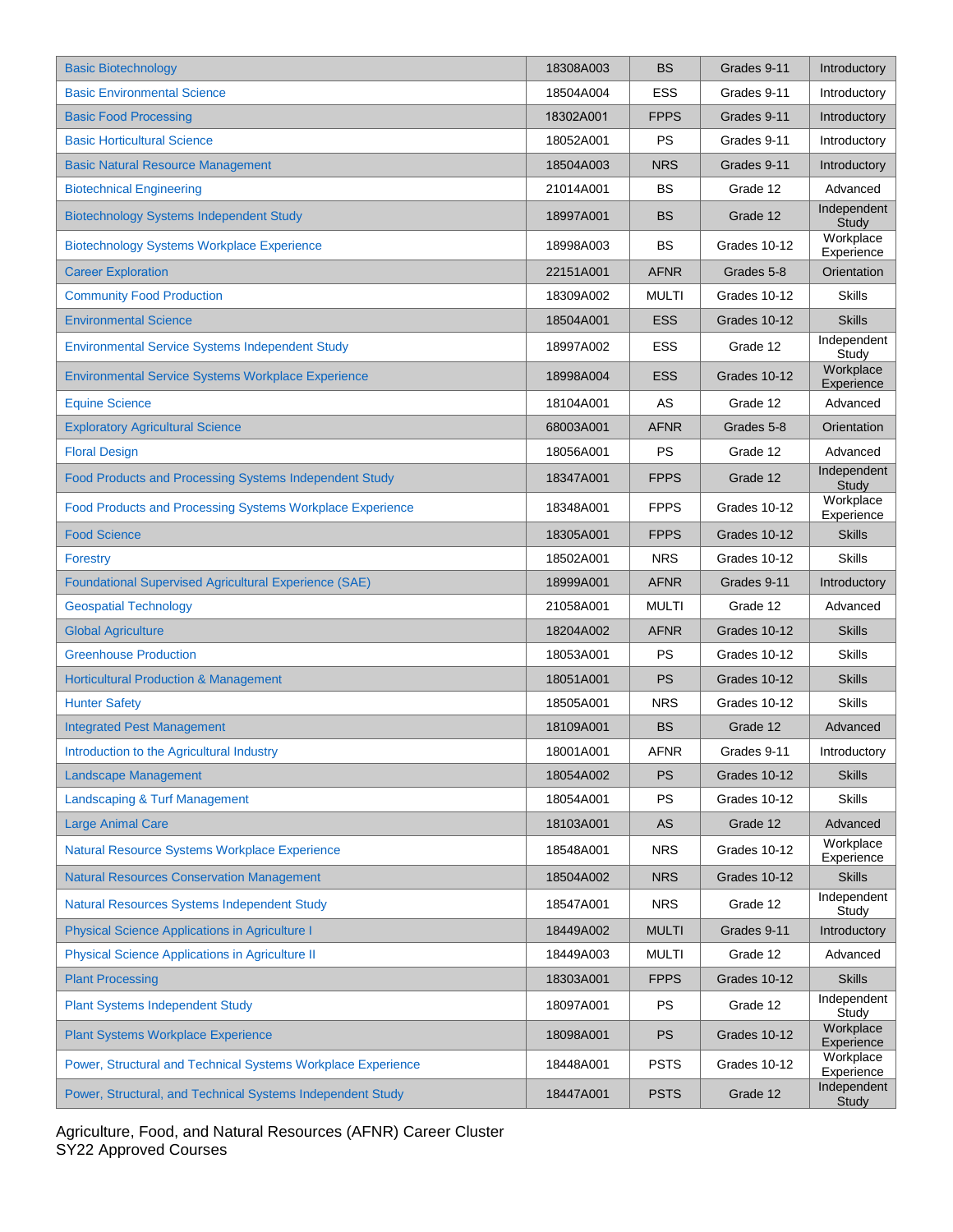| <b>Basic Biotechnology</b>                                   | 18308A003 | <b>BS</b>    | Grades 9-11  | Introductory            |
|--------------------------------------------------------------|-----------|--------------|--------------|-------------------------|
| <b>Basic Environmental Science</b>                           | 18504A004 | <b>ESS</b>   | Grades 9-11  | Introductory            |
| <b>Basic Food Processing</b>                                 | 18302A001 | <b>FPPS</b>  | Grades 9-11  | Introductory            |
| <b>Basic Horticultural Science</b>                           | 18052A001 | PS           | Grades 9-11  | Introductory            |
| <b>Basic Natural Resource Management</b>                     | 18504A003 | <b>NRS</b>   | Grades 9-11  | Introductory            |
| <b>Biotechnical Engineering</b>                              | 21014A001 | <b>BS</b>    | Grade 12     | Advanced                |
| <b>Biotechnology Systems Independent Study</b>               | 18997A001 | <b>BS</b>    | Grade 12     | Independent<br>Study    |
| <b>Biotechnology Systems Workplace Experience</b>            | 18998A003 | <b>BS</b>    | Grades 10-12 | Workplace<br>Experience |
| <b>Career Exploration</b>                                    | 22151A001 | <b>AFNR</b>  | Grades 5-8   | Orientation             |
| <b>Community Food Production</b>                             | 18309A002 | <b>MULTI</b> | Grades 10-12 | <b>Skills</b>           |
| <b>Environmental Science</b>                                 | 18504A001 | <b>ESS</b>   | Grades 10-12 | <b>Skills</b>           |
| <b>Environmental Service Systems Independent Study</b>       | 18997A002 | ESS          | Grade 12     | Independent<br>Study    |
| <b>Environmental Service Systems Workplace Experience</b>    | 18998A004 | <b>ESS</b>   | Grades 10-12 | Workplace<br>Experience |
| <b>Equine Science</b>                                        | 18104A001 | AS           | Grade 12     | Advanced                |
| <b>Exploratory Agricultural Science</b>                      | 68003A001 | <b>AFNR</b>  | Grades 5-8   | Orientation             |
| <b>Floral Design</b>                                         | 18056A001 | <b>PS</b>    | Grade 12     | Advanced                |
| Food Products and Processing Systems Independent Study       | 18347A001 | <b>FPPS</b>  | Grade 12     | Independent<br>Study    |
| Food Products and Processing Systems Workplace Experience    | 18348A001 | <b>FPPS</b>  | Grades 10-12 | Workplace<br>Experience |
| <b>Food Science</b>                                          | 18305A001 | <b>FPPS</b>  | Grades 10-12 | <b>Skills</b>           |
| <b>Forestry</b>                                              | 18502A001 | <b>NRS</b>   | Grades 10-12 | <b>Skills</b>           |
| <b>Foundational Supervised Agricultural Experience (SAE)</b> | 18999A001 | <b>AFNR</b>  | Grades 9-11  | Introductory            |
| <b>Geospatial Technology</b>                                 | 21058A001 | <b>MULTI</b> | Grade 12     | Advanced                |
| <b>Global Agriculture</b>                                    | 18204A002 | <b>AFNR</b>  | Grades 10-12 | <b>Skills</b>           |
| <b>Greenhouse Production</b>                                 | 18053A001 | <b>PS</b>    | Grades 10-12 | <b>Skills</b>           |
| <b>Horticultural Production &amp; Management</b>             | 18051A001 | PS           | Grades 10-12 | <b>Skills</b>           |
| <b>Hunter Safety</b>                                         | 18505A001 | <b>NRS</b>   | Grades 10-12 | <b>Skills</b>           |
| <b>Integrated Pest Management</b>                            | 18109A001 | <b>BS</b>    | Grade 12     | Advanced                |
| Introduction to the Agricultural Industry                    | 18001A001 | <b>AFNR</b>  | Grades 9-11  | Introductory            |
| <b>Landscape Management</b>                                  | 18054A002 | PS           | Grades 10-12 | <b>Skills</b>           |
| Landscaping & Turf Management                                | 18054A001 | <b>PS</b>    | Grades 10-12 | <b>Skills</b>           |
| <b>Large Animal Care</b>                                     | 18103A001 | AS           | Grade 12     | Advanced                |
| Natural Resource Systems Workplace Experience                | 18548A001 | <b>NRS</b>   | Grades 10-12 | Workplace<br>Experience |
| <b>Natural Resources Conservation Management</b>             | 18504A002 | <b>NRS</b>   | Grades 10-12 | <b>Skills</b>           |
| Natural Resources Systems Independent Study                  | 18547A001 | <b>NRS</b>   | Grade 12     | Independent<br>Study    |
| <b>Physical Science Applications in Agriculture I</b>        | 18449A002 | <b>MULTI</b> | Grades 9-11  | Introductory            |
| <b>Physical Science Applications in Agriculture II</b>       | 18449A003 | <b>MULTI</b> | Grade 12     | Advanced                |
| <b>Plant Processing</b>                                      | 18303A001 | <b>FPPS</b>  | Grades 10-12 | <b>Skills</b>           |
| <b>Plant Systems Independent Study</b>                       | 18097A001 | PS           | Grade 12     | Independent<br>Study    |
| <b>Plant Systems Workplace Experience</b>                    | 18098A001 | <b>PS</b>    | Grades 10-12 | Workplace<br>Experience |
| Power, Structural and Technical Systems Workplace Experience | 18448A001 | <b>PSTS</b>  | Grades 10-12 | Workplace<br>Experience |
| Power, Structural, and Technical Systems Independent Study   | 18447A001 | <b>PSTS</b>  | Grade 12     | Independent<br>Study    |

Agriculture, Food, and Natural Resources (AFNR) Career Cluster SY22 Approved Courses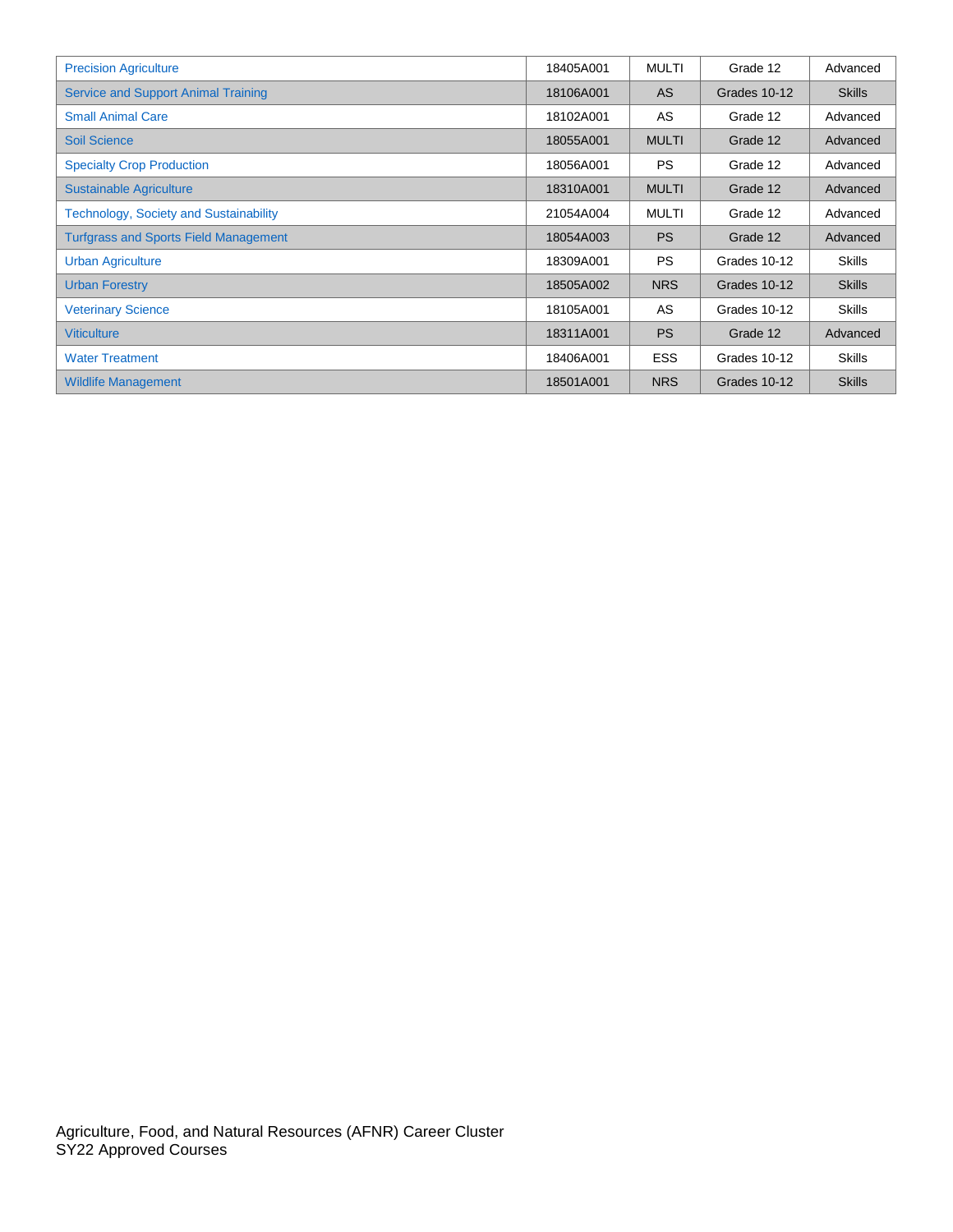| <b>Precision Agriculture</b>                  | 18405A001 | MULTI        | Grade 12     | Advanced      |
|-----------------------------------------------|-----------|--------------|--------------|---------------|
| <b>Service and Support Animal Training</b>    | 18106A001 | <b>AS</b>    | Grades 10-12 | <b>Skills</b> |
| <b>Small Animal Care</b>                      | 18102A001 | AS           | Grade 12     | Advanced      |
| <b>Soil Science</b>                           | 18055A001 | <b>MULTI</b> | Grade 12     | Advanced      |
| <b>Specialty Crop Production</b>              | 18056A001 | <b>PS</b>    | Grade 12     | Advanced      |
| <b>Sustainable Agriculture</b>                | 18310A001 | <b>MULTI</b> | Grade 12     | Advanced      |
| <b>Technology, Society and Sustainability</b> | 21054A004 | MULTI        | Grade 12     | Advanced      |
| <b>Turfgrass and Sports Field Management</b>  | 18054A003 | <b>PS</b>    | Grade 12     | Advanced      |
| <b>Urban Agriculture</b>                      | 18309A001 | <b>PS</b>    | Grades 10-12 | <b>Skills</b> |
| <b>Urban Forestry</b>                         | 18505A002 | <b>NRS</b>   | Grades 10-12 | <b>Skills</b> |
| <b>Veterinary Science</b>                     | 18105A001 | AS           | Grades 10-12 | <b>Skills</b> |
| <b>Viticulture</b>                            | 18311A001 | <b>PS</b>    | Grade 12     | Advanced      |
| <b>Water Treatment</b>                        | 18406A001 | <b>ESS</b>   | Grades 10-12 | <b>Skills</b> |
| <b>Wildlife Management</b>                    | 18501A001 | <b>NRS</b>   | Grades 10-12 | <b>Skills</b> |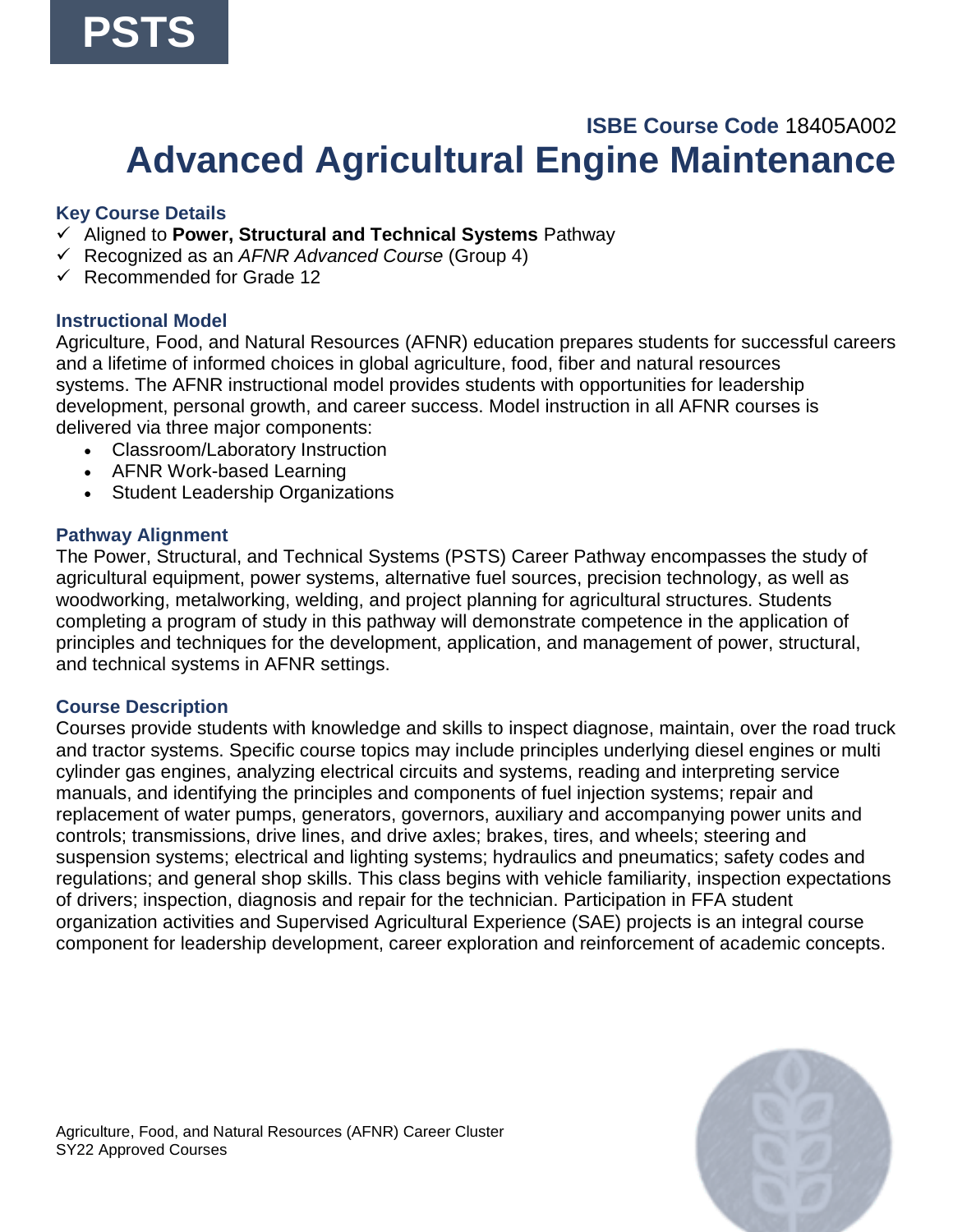### **ISBE Course Code** 18405A002 **Advanced Agricultural Engine Maintenance**

### <span id="page-4-0"></span>**Key Course Details**

- ✓ Aligned to **Power, Structural and Technical Systems** Pathway
- ✓ Recognized as an *AFNR Advanced Course* (Group 4)
- ✓ Recommended for Grade 12

#### **Instructional Model**

Agriculture, Food, and Natural Resources (AFNR) education prepares students for successful careers and a lifetime of informed choices in global agriculture, food, fiber and natural resources systems. The AFNR instructional model provides students with opportunities for leadership development, personal growth, and career success. Model instruction in all AFNR courses is delivered via three major components:

- Classroom/Laboratory Instruction
- AFNR Work-based Learning
- Student Leadership Organizations

#### **Pathway Alignment**

The Power, Structural, and Technical Systems (PSTS) Career Pathway encompasses the study of agricultural equipment, power systems, alternative fuel sources, precision technology, as well as woodworking, metalworking, welding, and project planning for agricultural structures. Students completing a program of study in this pathway will demonstrate competence in the application of principles and techniques for the development, application, and management of power, structural, and technical systems in AFNR settings.

#### **Course Description**

Courses provide students with knowledge and skills to inspect diagnose, maintain, over the road truck and tractor systems. Specific course topics may include principles underlying diesel engines or multi cylinder gas engines, analyzing electrical circuits and systems, reading and interpreting service manuals, and identifying the principles and components of fuel injection systems; repair and replacement of water pumps, generators, governors, auxiliary and accompanying power units and controls; transmissions, drive lines, and drive axles; brakes, tires, and wheels; steering and suspension systems; electrical and lighting systems; hydraulics and pneumatics; safety codes and regulations; and general shop skills. This class begins with vehicle familiarity, inspection expectations of drivers; inspection, diagnosis and repair for the technician. Participation in FFA student organization activities and Supervised Agricultural Experience (SAE) projects is an integral course component for leadership development, career exploration and reinforcement of academic concepts.

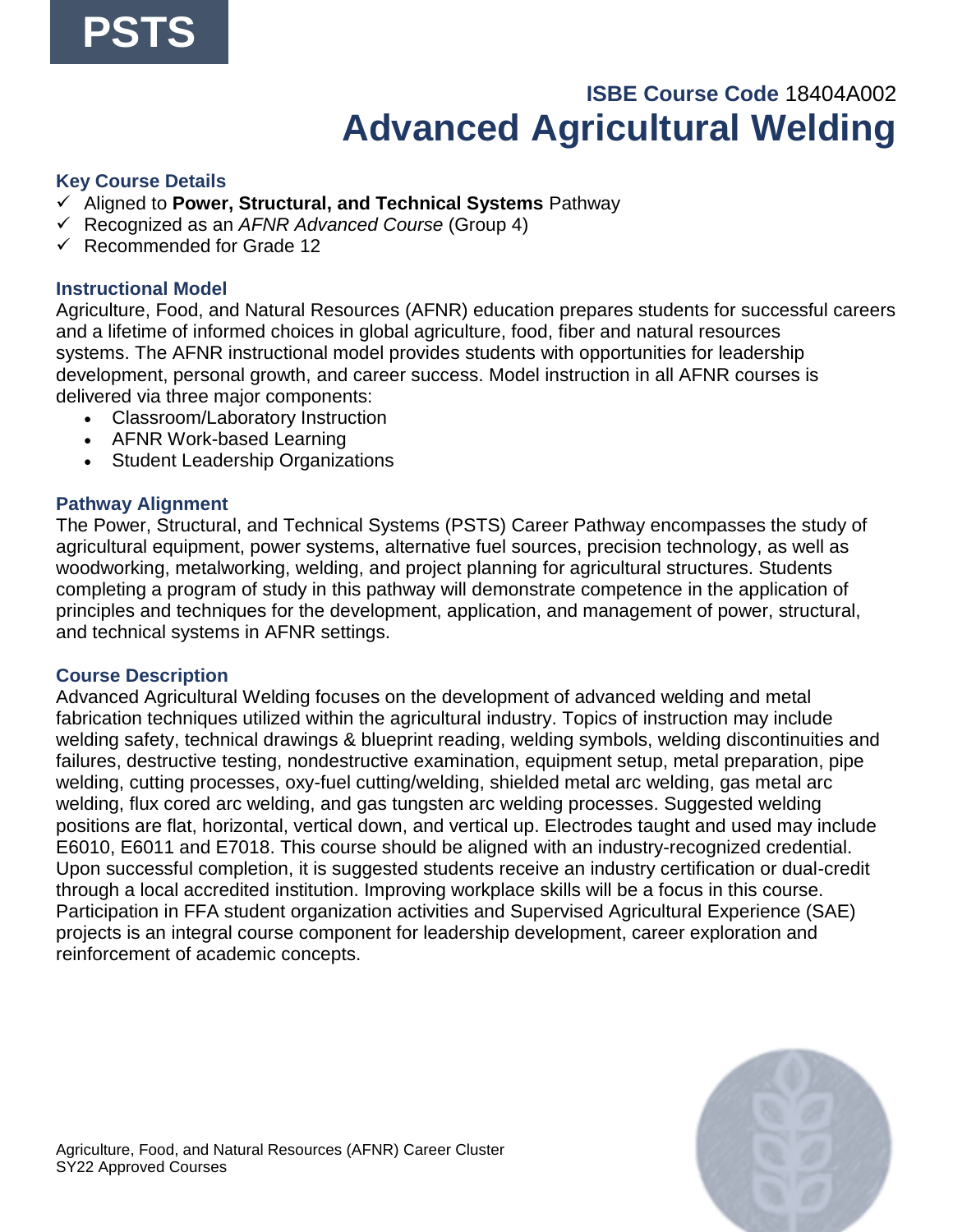## **ISBE Course Code** 18404A002 **Advanced Agricultural Welding**

#### **Key Course Details**

- ✓ Aligned to **Power, Structural, and Technical Systems** Pathway
- ✓ Recognized as an *AFNR Advanced Course* (Group 4)
- ✓ Recommended for Grade 12

#### **Instructional Model**

Agriculture, Food, and Natural Resources (AFNR) education prepares students for successful careers and a lifetime of informed choices in global agriculture, food, fiber and natural resources systems. The AFNR instructional model provides students with opportunities for leadership development, personal growth, and career success. Model instruction in all AFNR courses is delivered via three major components:

- Classroom/Laboratory Instruction
- AFNR Work-based Learning
- Student Leadership Organizations

#### **Pathway Alignment**

The Power, Structural, and Technical Systems (PSTS) Career Pathway encompasses the study of agricultural equipment, power systems, alternative fuel sources, precision technology, as well as woodworking, metalworking, welding, and project planning for agricultural structures. Students completing a program of study in this pathway will demonstrate competence in the application of principles and techniques for the development, application, and management of power, structural, and technical systems in AFNR settings.

#### **Course Description**

Advanced Agricultural Welding focuses on the development of advanced welding and metal fabrication techniques utilized within the agricultural industry. Topics of instruction may include welding safety, technical drawings & blueprint reading, welding symbols, welding discontinuities and failures, destructive testing, nondestructive examination, equipment setup, metal preparation, pipe welding, cutting processes, oxy-fuel cutting/welding, shielded metal arc welding, gas metal arc welding, flux cored arc welding, and gas tungsten arc welding processes. Suggested welding positions are flat, horizontal, vertical down, and vertical up. Electrodes taught and used may include E6010, E6011 and E7018. This course should be aligned with an industry-recognized credential. Upon successful completion, it is suggested students receive an industry certification or dual-credit through a local accredited institution. Improving workplace skills will be a focus in this course. Participation in FFA student organization activities and Supervised Agricultural Experience (SAE) projects is an integral course component for leadership development, career exploration and reinforcement of academic concepts.

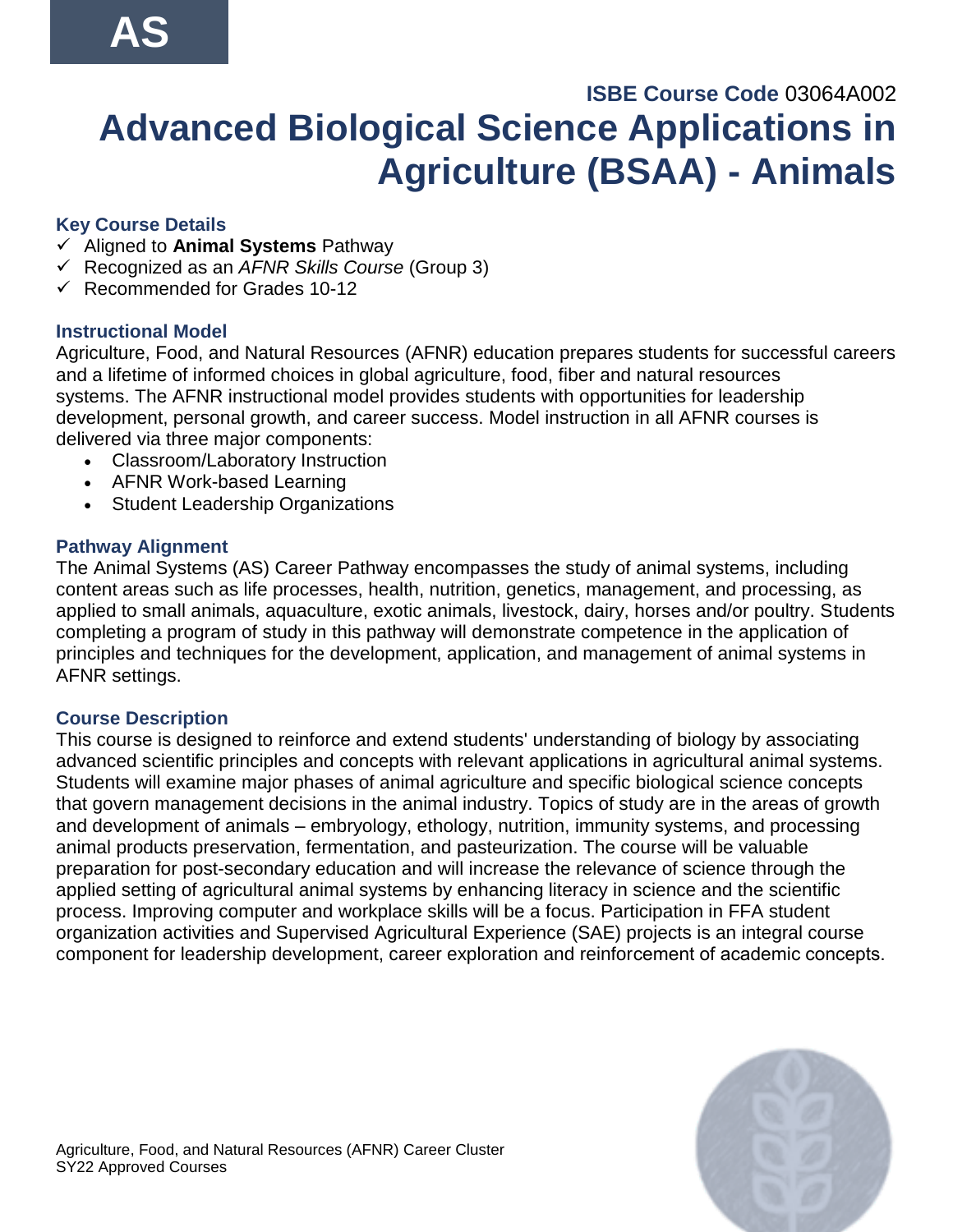# <span id="page-6-0"></span>**ISBE Course Code** 03064A002 **Advanced Biological Science Applications in Agriculture (BSAA) - Animals**

### **Key Course Details**

- ✓ Aligned to **Animal Systems** Pathway
- ✓ Recognized as an *AFNR Skills Course* (Group 3)
- $\checkmark$  Recommended for Grades 10-12

### **Instructional Model**

Agriculture, Food, and Natural Resources (AFNR) education prepares students for successful careers and a lifetime of informed choices in global agriculture, food, fiber and natural resources systems. The AFNR instructional model provides students with opportunities for leadership development, personal growth, and career success. Model instruction in all AFNR courses is delivered via three major components:

- Classroom/Laboratory Instruction
- AFNR Work-based Learning
- Student Leadership Organizations

#### **Pathway Alignment**

The Animal Systems (AS) Career Pathway encompasses the study of animal systems, including content areas such as life processes, health, nutrition, genetics, management, and processing, as applied to small animals, aquaculture, exotic animals, livestock, dairy, horses and/or poultry. Students completing a program of study in this pathway will demonstrate competence in the application of principles and techniques for the development, application, and management of animal systems in AFNR settings.

#### **Course Description**

This course is designed to reinforce and extend students' understanding of biology by associating advanced scientific principles and concepts with relevant applications in agricultural animal systems. Students will examine major phases of animal agriculture and specific biological science concepts that govern management decisions in the animal industry. Topics of study are in the areas of growth and development of animals – embryology, ethology, nutrition, immunity systems, and processing animal products preservation, fermentation, and pasteurization. The course will be valuable preparation for post-secondary education and will increase the relevance of science through the applied setting of agricultural animal systems by enhancing literacy in science and the scientific process. Improving computer and workplace skills will be a focus. Participation in FFA student organization activities and Supervised Agricultural Experience (SAE) projects is an integral course component for leadership development, career exploration and reinforcement of academic concepts. 

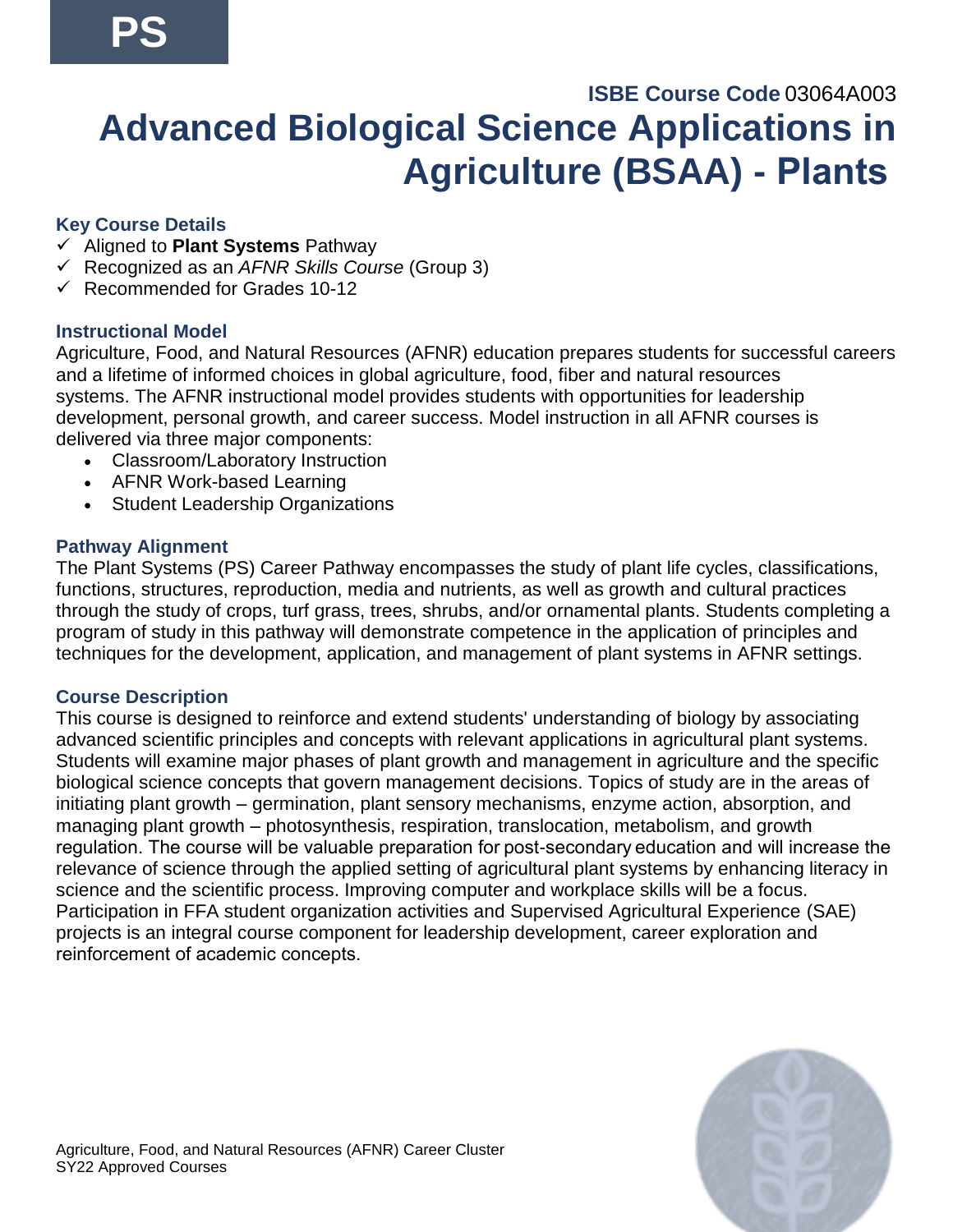# <span id="page-7-0"></span>**ISBE Course Code** 03064A003 **Advanced Biological Science Applications in Agriculture (BSAA) - Plants**

### **Key Course Details**

- ✓ Aligned to **Plant Systems** Pathway
- ✓ Recognized as an *AFNR Skills Course* (Group 3)
- $\checkmark$  Recommended for Grades 10-12

#### **Instructional Model**

Agriculture, Food, and Natural Resources (AFNR) education prepares students for successful careers and a lifetime of informed choices in global agriculture, food, fiber and natural resources systems. The AFNR instructional model provides students with opportunities for leadership development, personal growth, and career success. Model instruction in all AFNR courses is delivered via three major components:

- Classroom/Laboratory Instruction
- AFNR Work-based Learning
- Student Leadership Organizations

#### **Pathway Alignment**

The Plant Systems (PS) Career Pathway encompasses the study of plant life cycles, classifications, functions, structures, reproduction, media and nutrients, as well as growth and cultural practices through the study of crops, turf grass, trees, shrubs, and/or ornamental plants. Students completing a program of study in this pathway will demonstrate competence in the application of principles and techniques for the development, application, and management of plant systems in AFNR settings.

#### **Course Description**

This course is designed to reinforce and extend students' understanding of biology by associating advanced scientific principles and concepts with relevant applications in agricultural plant systems. Students will examine major phases of plant growth and management in agriculture and the specific biological science concepts that govern management decisions. Topics of study are in the areas of initiating plant growth – germination, plant sensory mechanisms, enzyme action, absorption, and managing plant growth – photosynthesis, respiration, translocation, metabolism, and growth regulation. The course will be valuable preparation for post-secondary education and will increase the relevance of science through the applied setting of agricultural plant systems by enhancing literacy in science and the scientific process. Improving computer and workplace skills will be a focus. Participation in FFA student organization activities and Supervised Agricultural Experience (SAE) projects is an integral course component for leadership development, career exploration and reinforcement of academic concepts. 

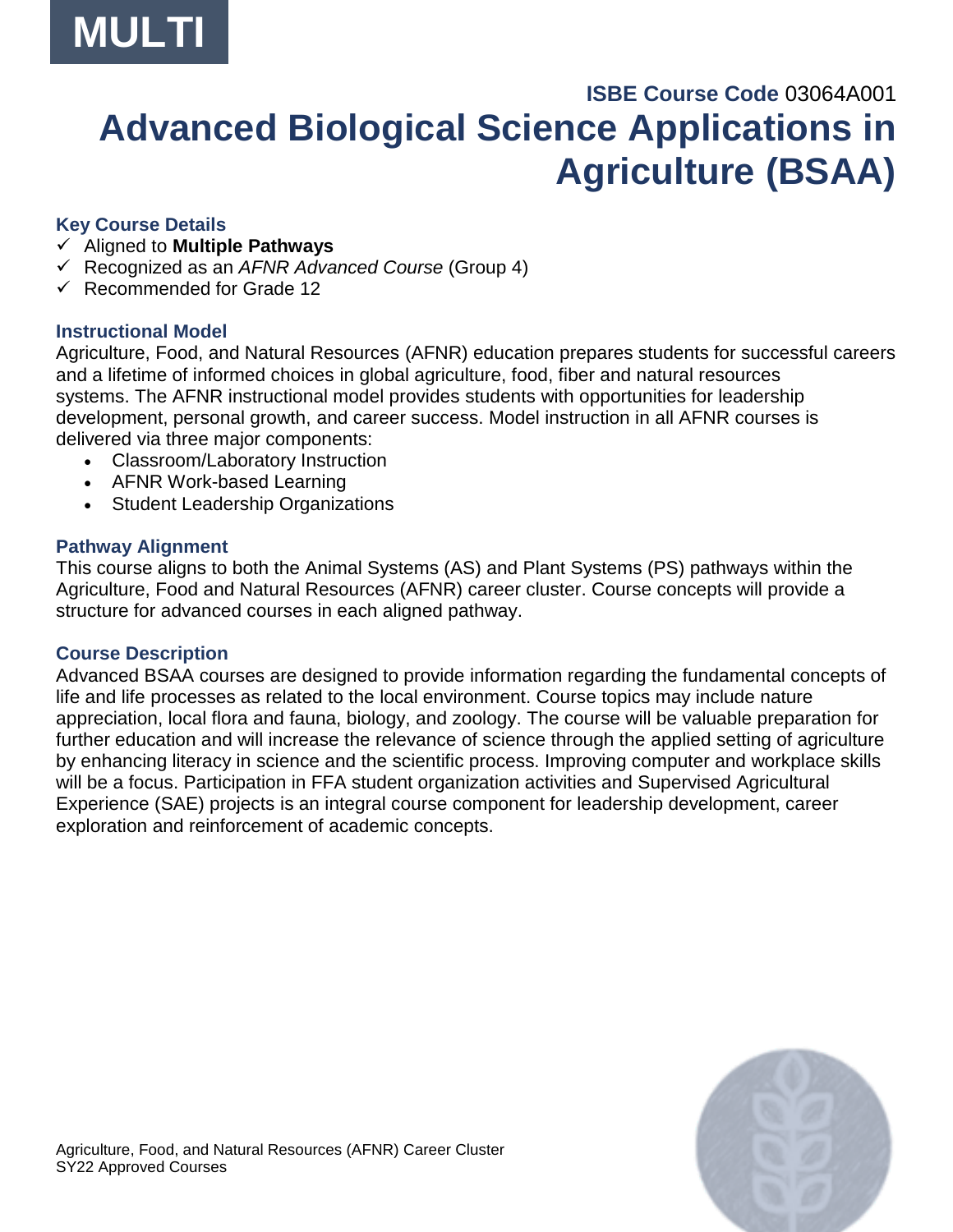

# <span id="page-8-0"></span>**ISBE Course Code** 03064A001 **Advanced Biological Science Applications in Agriculture (BSAA)**

### **Key Course Details**

- ✓ Aligned to **Multiple Pathways**
- ✓ Recognized as an *AFNR Advanced Course* (Group 4)
- ✓ Recommended for Grade 12

### **Instructional Model**

Agriculture, Food, and Natural Resources (AFNR) education prepares students for successful careers and a lifetime of informed choices in global agriculture, food, fiber and natural resources systems. The AFNR instructional model provides students with opportunities for leadership development, personal growth, and career success. Model instruction in all AFNR courses is delivered via three major components:

- Classroom/Laboratory Instruction
- AFNR Work-based Learning
- Student Leadership Organizations

#### **Pathway Alignment**

This course aligns to both the Animal Systems (AS) and Plant Systems (PS) pathways within the Agriculture, Food and Natural Resources (AFNR) career cluster. Course concepts will provide a structure for advanced courses in each aligned pathway.

#### **Course Description**

Advanced BSAA courses are designed to provide information regarding the fundamental concepts of life and life processes as related to the local environment. Course topics may include nature appreciation, local flora and fauna, biology, and zoology. The course will be valuable preparation for further education and will increase the relevance of science through the applied setting of agriculture by enhancing literacy in science and the scientific process. Improving computer and workplace skills will be a focus. Participation in FFA student organization activities and Supervised Agricultural Experience (SAE) projects is an integral course component for leadership development, career exploration and reinforcement of academic concepts.

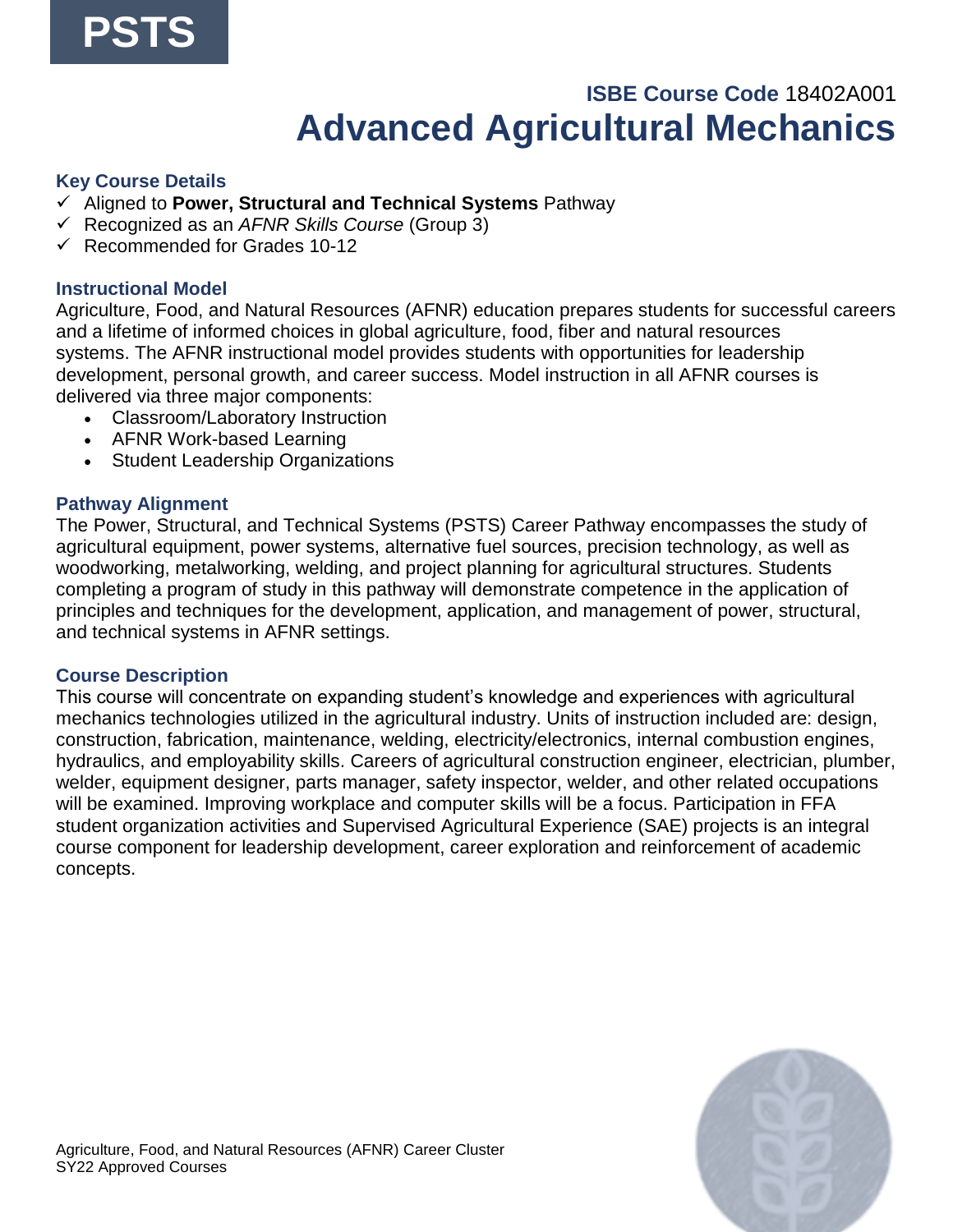### **ISBE Course Code** 18402A001 **Advanced Agricultural Mechanics**

#### <span id="page-9-0"></span>**Key Course Details**

- ✓ Aligned to **Power, Structural and Technical Systems** Pathway
- ✓ Recognized as an *AFNR Skills Course* (Group 3)
- $\checkmark$  Recommended for Grades 10-12

#### **Instructional Model**

Agriculture, Food, and Natural Resources (AFNR) education prepares students for successful careers and a lifetime of informed choices in global agriculture, food, fiber and natural resources systems. The AFNR instructional model provides students with opportunities for leadership development, personal growth, and career success. Model instruction in all AFNR courses is delivered via three major components:

- Classroom/Laboratory Instruction
- AFNR Work-based Learning
- Student Leadership Organizations

#### **Pathway Alignment**

The Power, Structural, and Technical Systems (PSTS) Career Pathway encompasses the study of agricultural equipment, power systems, alternative fuel sources, precision technology, as well as woodworking, metalworking, welding, and project planning for agricultural structures. Students completing a program of study in this pathway will demonstrate competence in the application of principles and techniques for the development, application, and management of power, structural, and technical systems in AFNR settings.

#### **Course Description**

This course will concentrate on expanding student's knowledge and experiences with agricultural mechanics technologies utilized in the agricultural industry. Units of instruction included are: design, construction, fabrication, maintenance, welding, electricity/electronics, internal combustion engines, hydraulics, and employability skills. Careers of agricultural construction engineer, electrician, plumber, welder, equipment designer, parts manager, safety inspector, welder, and other related occupations will be examined. Improving workplace and computer skills will be a focus. Participation in FFA student organization activities and Supervised Agricultural Experience (SAE) projects is an integral course component for leadership development, career exploration and reinforcement of academic concepts.

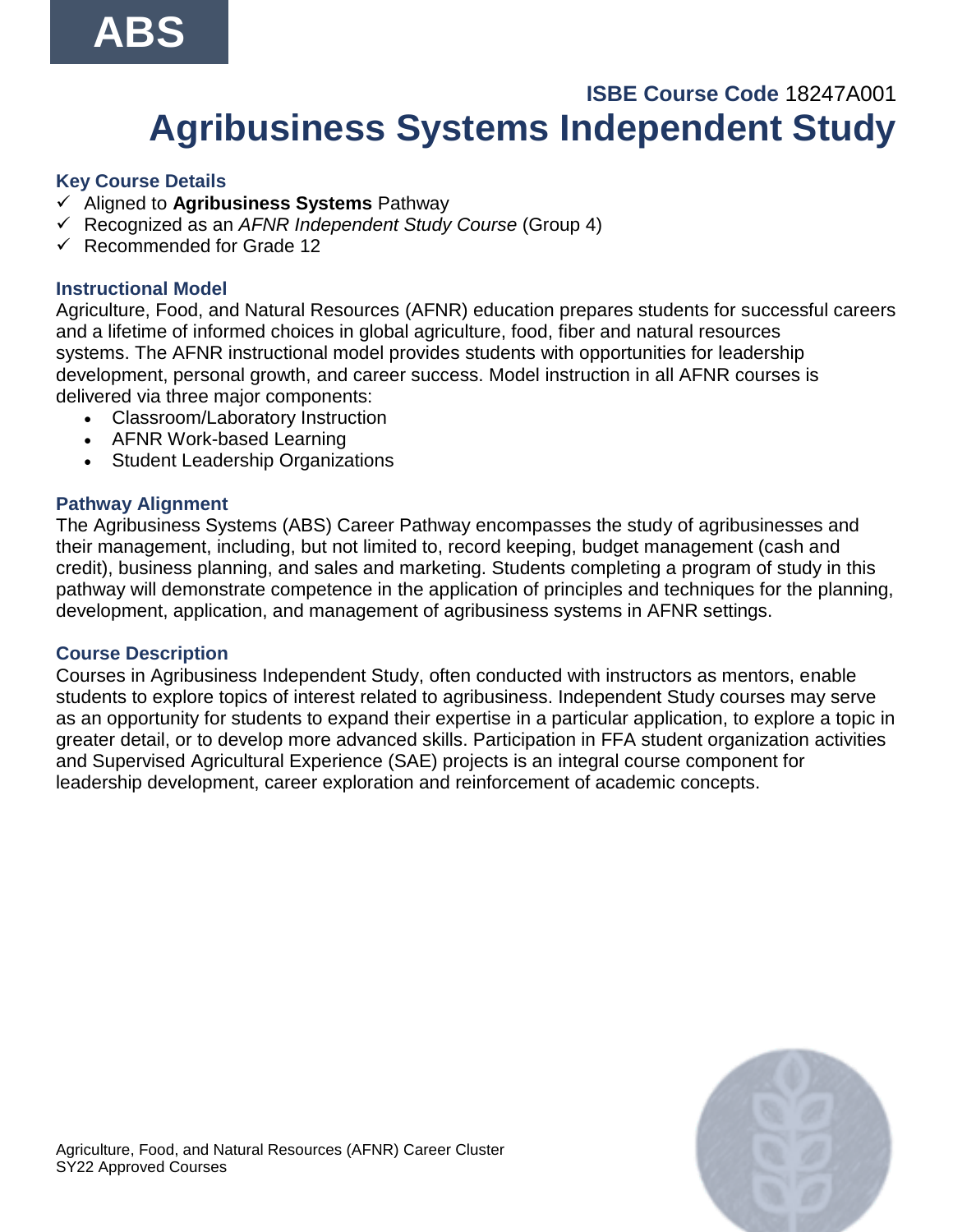# **ABS**

# **ISBE Course Code** 18247A001 **Agribusiness Systems Independent Study**

### <span id="page-10-0"></span>**Key Course Details**

- ✓ Aligned to **Agribusiness Systems** Pathway
- ✓ Recognized as an *AFNR Independent Study Course* (Group 4)
- ✓ Recommended for Grade 12

### **Instructional Model**

Agriculture, Food, and Natural Resources (AFNR) education prepares students for successful careers and a lifetime of informed choices in global agriculture, food, fiber and natural resources systems. The AFNR instructional model provides students with opportunities for leadership development, personal growth, and career success. Model instruction in all AFNR courses is delivered via three major components:

- Classroom/Laboratory Instruction
- AFNR Work-based Learning
- Student Leadership Organizations

### **Pathway Alignment**

The Agribusiness Systems (ABS) Career Pathway encompasses the study of agribusinesses and their management, including, but not limited to, record keeping, budget management (cash and credit), business planning, and sales and marketing. Students completing a program of study in this pathway will demonstrate competence in the application of principles and techniques for the planning, development, application, and management of agribusiness systems in AFNR settings.

#### **Course Description**

Courses in Agribusiness Independent Study, often conducted with instructors as mentors, enable students to explore topics of interest related to agribusiness. Independent Study courses may serve as an opportunity for students to expand their expertise in a particular application, to explore a topic in greater detail, or to develop more advanced skills. Participation in FFA student organization activities and Supervised Agricultural Experience (SAE) projects is an integral course component for leadership development, career exploration and reinforcement of academic concepts.

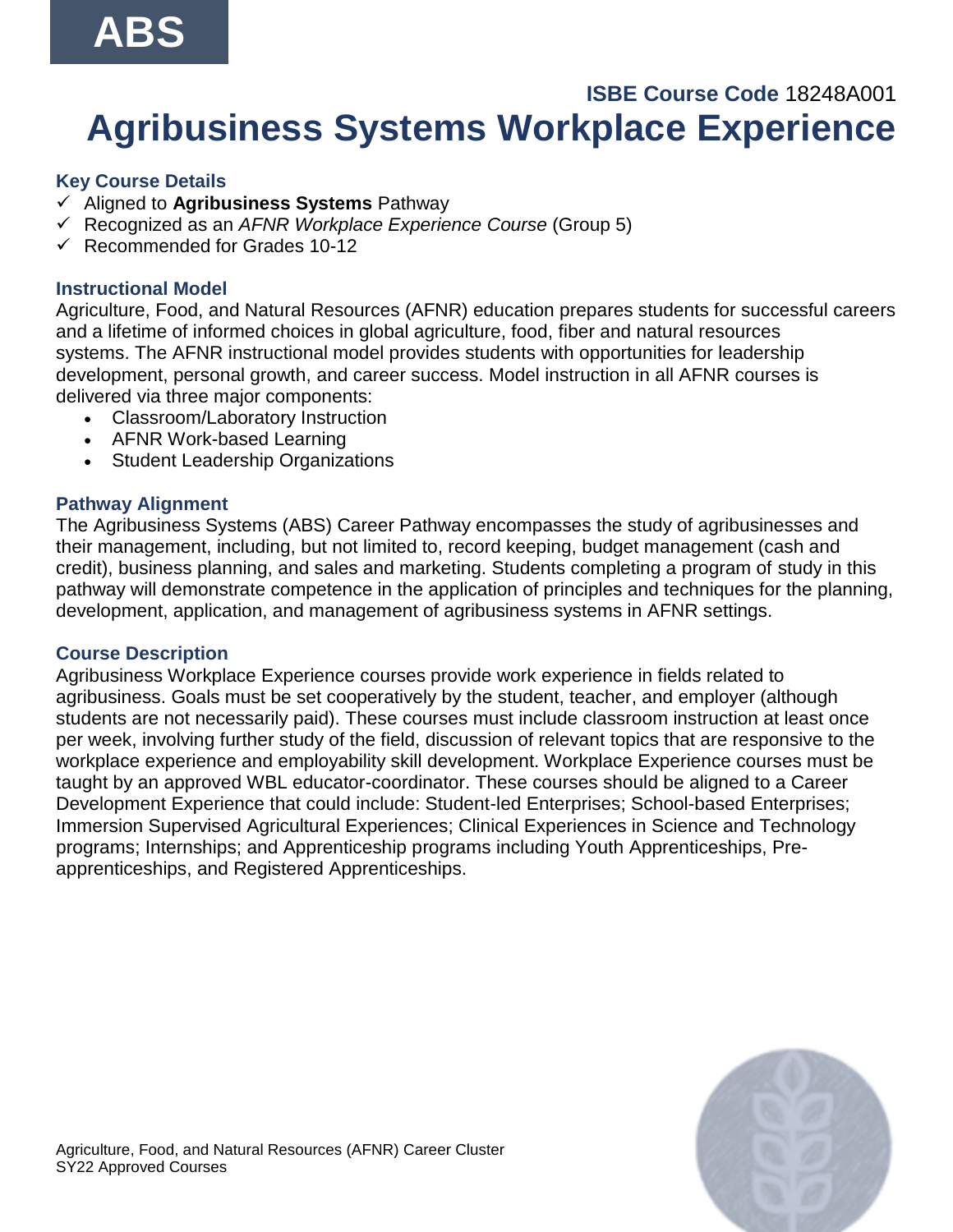# **ABS**

### <span id="page-11-0"></span>**ISBE Course Code** 18248A001 **Agribusiness Systems Workplace Experience**

#### **Key Course Details**

- ✓ Aligned to **Agribusiness Systems** Pathway
- ✓ Recognized as an *AFNR Workplace Experience Course* (Group 5)
- $\checkmark$  Recommended for Grades 10-12

#### **Instructional Model**

Agriculture, Food, and Natural Resources (AFNR) education prepares students for successful careers and a lifetime of informed choices in global agriculture, food, fiber and natural resources systems. The AFNR instructional model provides students with opportunities for leadership development, personal growth, and career success. Model instruction in all AFNR courses is delivered via three major components:

- Classroom/Laboratory Instruction
- AFNR Work-based Learning
- Student Leadership Organizations

#### **Pathway Alignment**

The Agribusiness Systems (ABS) Career Pathway encompasses the study of agribusinesses and their management, including, but not limited to, record keeping, budget management (cash and credit), business planning, and sales and marketing. Students completing a program of study in this pathway will demonstrate competence in the application of principles and techniques for the planning, development, application, and management of agribusiness systems in AFNR settings.

#### **Course Description**

Agribusiness Workplace Experience courses provide work experience in fields related to agribusiness. Goals must be set cooperatively by the student, teacher, and employer (although students are not necessarily paid). These courses must include classroom instruction at least once per week, involving further study of the field, discussion of relevant topics that are responsive to the workplace experience and employability skill development. Workplace Experience courses must be taught by an approved WBL educator-coordinator. These courses should be aligned to a Career Development Experience that could include: Student-led Enterprises; School-based Enterprises; Immersion Supervised Agricultural Experiences; Clinical Experiences in Science and Technology programs; Internships; and Apprenticeship programs including Youth Apprenticeships, Preapprenticeships, and Registered Apprenticeships.

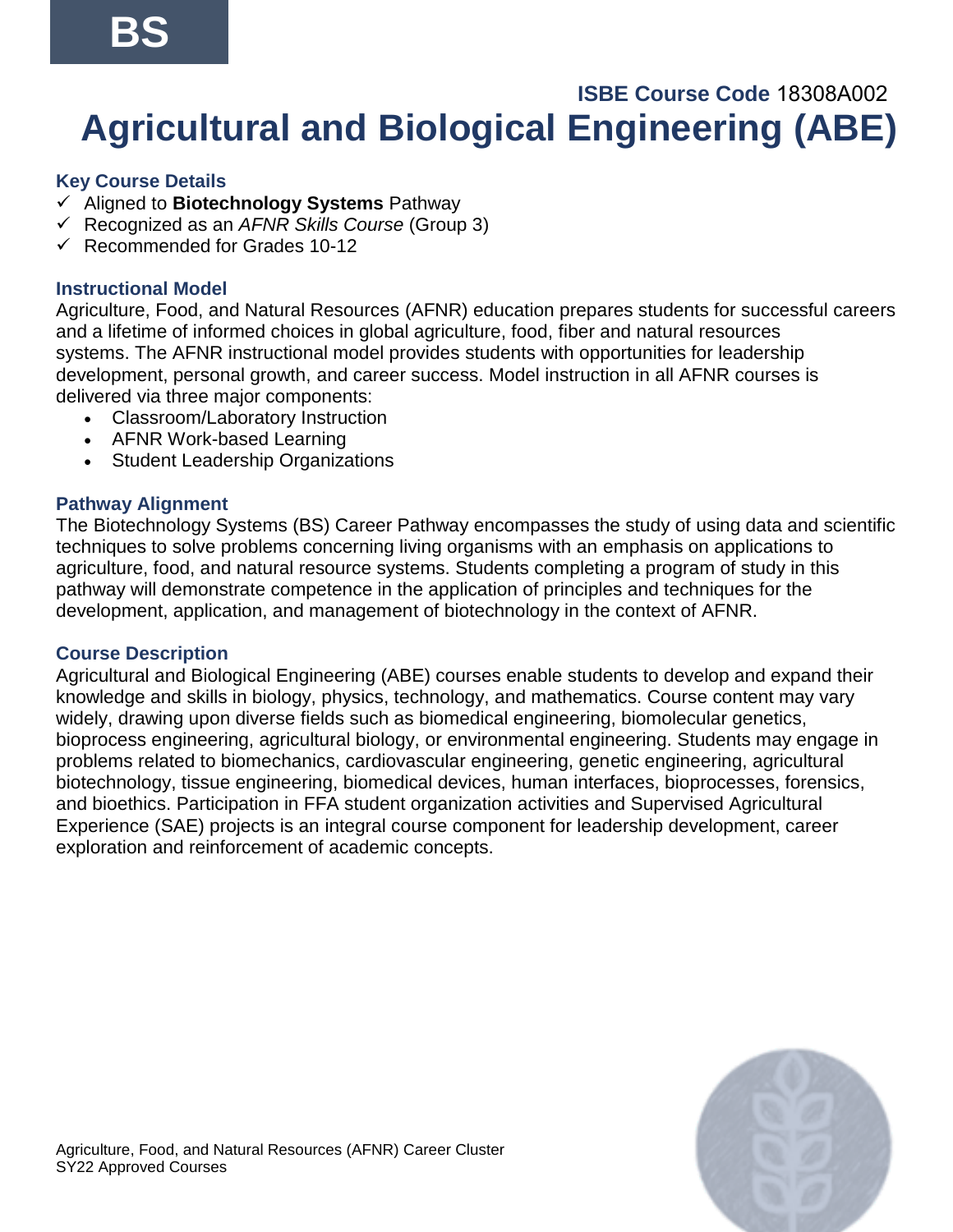# <span id="page-12-0"></span>**ISBE Course Code** 18308A002   **Agricultural and Biological Engineering (ABE)**

### **Key Course Details**

- ✓ Aligned to **Biotechnology Systems** Pathway
- ✓ Recognized as an *AFNR Skills Course* (Group 3)
- $\checkmark$  Recommended for Grades 10-12

### **Instructional Model**

Agriculture, Food, and Natural Resources (AFNR) education prepares students for successful careers and a lifetime of informed choices in global agriculture, food, fiber and natural resources systems. The AFNR instructional model provides students with opportunities for leadership development, personal growth, and career success. Model instruction in all AFNR courses is delivered via three major components:

- Classroom/Laboratory Instruction
- AFNR Work-based Learning
- Student Leadership Organizations

### **Pathway Alignment**

The Biotechnology Systems (BS) Career Pathway encompasses the study of using data and scientific techniques to solve problems concerning living organisms with an emphasis on applications to agriculture, food, and natural resource systems. Students completing a program of study in this pathway will demonstrate competence in the application of principles and techniques for the development, application, and management of biotechnology in the context of AFNR.

#### **Course Description**

Agricultural and Biological Engineering (ABE) courses enable students to develop and expand their knowledge and skills in biology, physics, technology, and mathematics. Course content may vary widely, drawing upon diverse fields such as biomedical engineering, biomolecular genetics, bioprocess engineering, agricultural biology, or environmental engineering. Students may engage in problems related to biomechanics, cardiovascular engineering, genetic engineering, agricultural biotechnology, tissue engineering, biomedical devices, human interfaces, bioprocesses, forensics, and bioethics. Participation in FFA student organization activities and Supervised Agricultural Experience (SAE) projects is an integral course component for leadership development, career exploration and reinforcement of academic concepts.

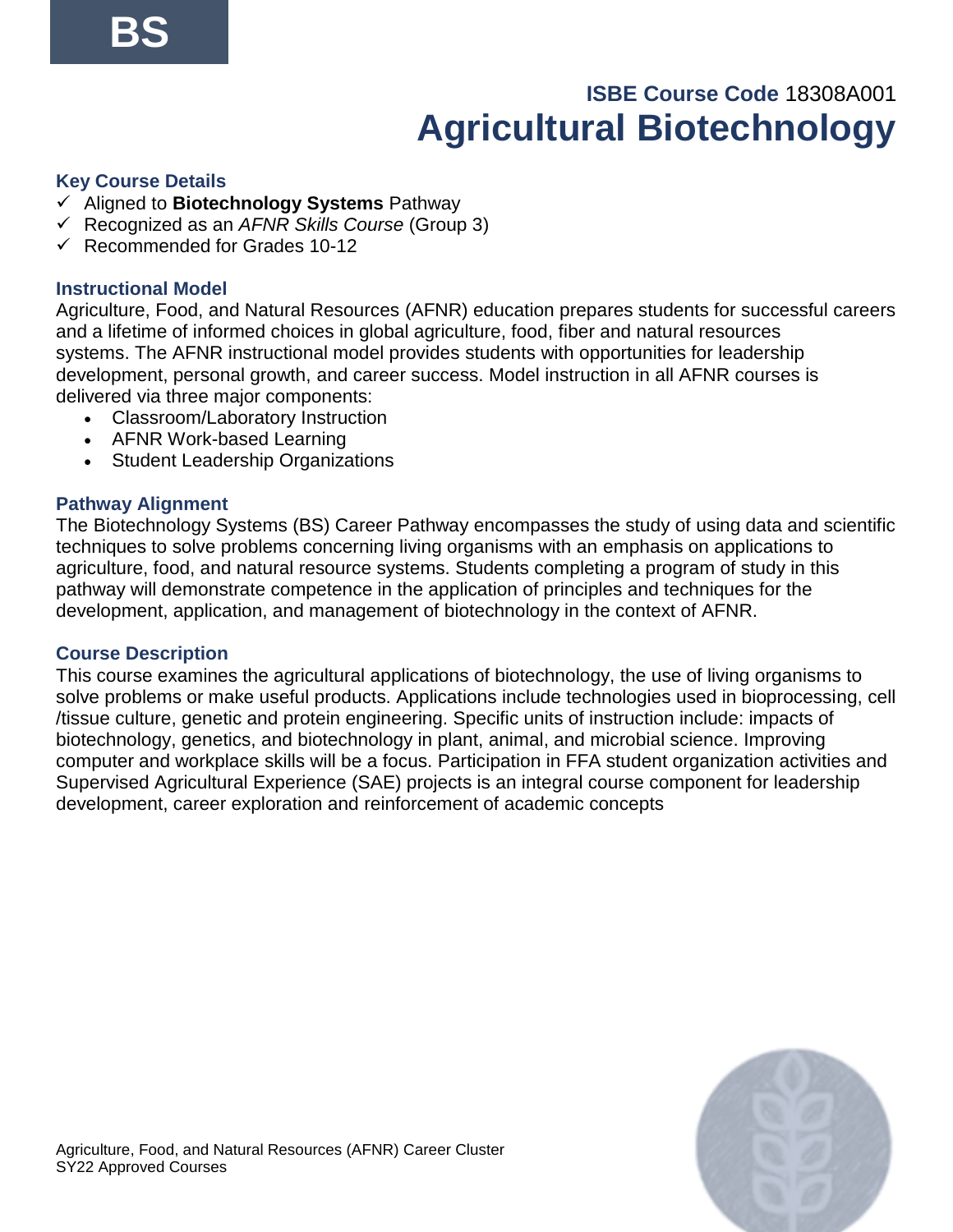# **ISBE Course Code** 18308A001 **Agricultural Biotechnology**

#### <span id="page-13-0"></span>**Key Course Details**

- ✓ Aligned to **Biotechnology Systems** Pathway
- ✓ Recognized as an *AFNR Skills Course* (Group 3)
- $\checkmark$  Recommended for Grades 10-12

#### **Instructional Model**

Agriculture, Food, and Natural Resources (AFNR) education prepares students for successful careers and a lifetime of informed choices in global agriculture, food, fiber and natural resources systems. The AFNR instructional model provides students with opportunities for leadership development, personal growth, and career success. Model instruction in all AFNR courses is delivered via three major components:

- Classroom/Laboratory Instruction
- AFNR Work-based Learning
- Student Leadership Organizations

#### **Pathway Alignment**

The Biotechnology Systems (BS) Career Pathway encompasses the study of using data and scientific techniques to solve problems concerning living organisms with an emphasis on applications to agriculture, food, and natural resource systems. Students completing a program of study in this pathway will demonstrate competence in the application of principles and techniques for the development, application, and management of biotechnology in the context of AFNR.

#### **Course Description**

This course examines the agricultural applications of biotechnology, the use of living organisms to solve problems or make useful products. Applications include technologies used in bioprocessing, cell /tissue culture, genetic and protein engineering. Specific units of instruction include: impacts of biotechnology, genetics, and biotechnology in plant, animal, and microbial science. Improving computer and workplace skills will be a focus. Participation in FFA student organization activities and Supervised Agricultural Experience (SAE) projects is an integral course component for leadership development, career exploration and reinforcement of academic concepts

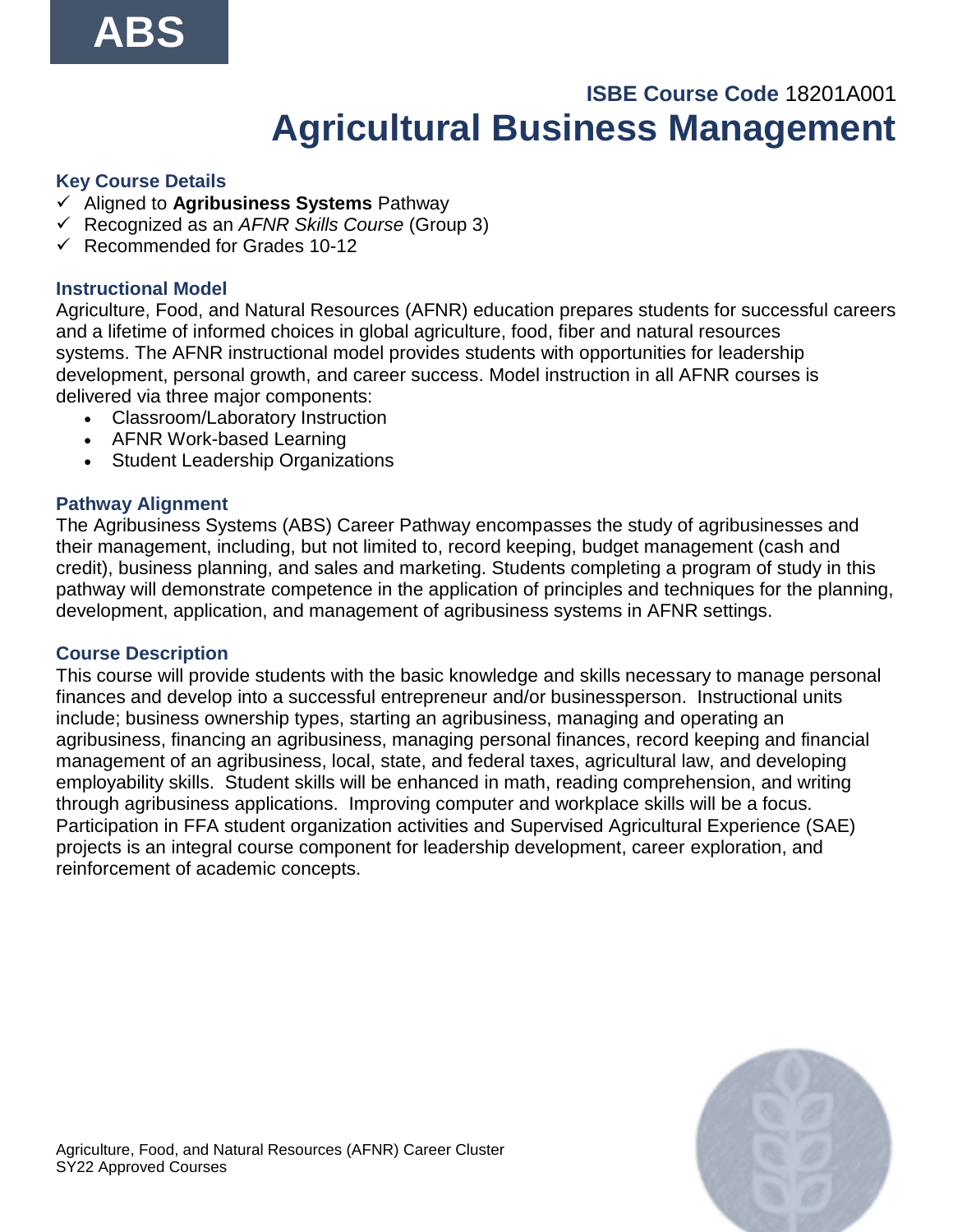## **ISBE Course Code** 18201A001 **Agricultural Business Management**

### <span id="page-14-0"></span>**Key Course Details**

- ✓ Aligned to **Agribusiness Systems** Pathway
- ✓ Recognized as an *AFNR Skills Course* (Group 3)
- $\checkmark$  Recommended for Grades 10-12

### **Instructional Model**

Agriculture, Food, and Natural Resources (AFNR) education prepares students for successful careers and a lifetime of informed choices in global agriculture, food, fiber and natural resources systems. The AFNR instructional model provides students with opportunities for leadership development, personal growth, and career success. Model instruction in all AFNR courses is delivered via three major components:

- Classroom/Laboratory Instruction
- AFNR Work-based Learning
- Student Leadership Organizations

### **Pathway Alignment**

The Agribusiness Systems (ABS) Career Pathway encompasses the study of agribusinesses and their management, including, but not limited to, record keeping, budget management (cash and credit), business planning, and sales and marketing. Students completing a program of study in this pathway will demonstrate competence in the application of principles and techniques for the planning, development, application, and management of agribusiness systems in AFNR settings.

#### **Course Description**

This course will provide students with the basic knowledge and skills necessary to manage personal finances and develop into a successful entrepreneur and/or businessperson. Instructional units include; business ownership types, starting an agribusiness, managing and operating an agribusiness, financing an agribusiness, managing personal finances, record keeping and financial management of an agribusiness, local, state, and federal taxes, agricultural law, and developing employability skills. Student skills will be enhanced in math, reading comprehension, and writing through agribusiness applications. Improving computer and workplace skills will be a focus. Participation in FFA student organization activities and Supervised Agricultural Experience (SAE) projects is an integral course component for leadership development, career exploration, and reinforcement of academic concepts.

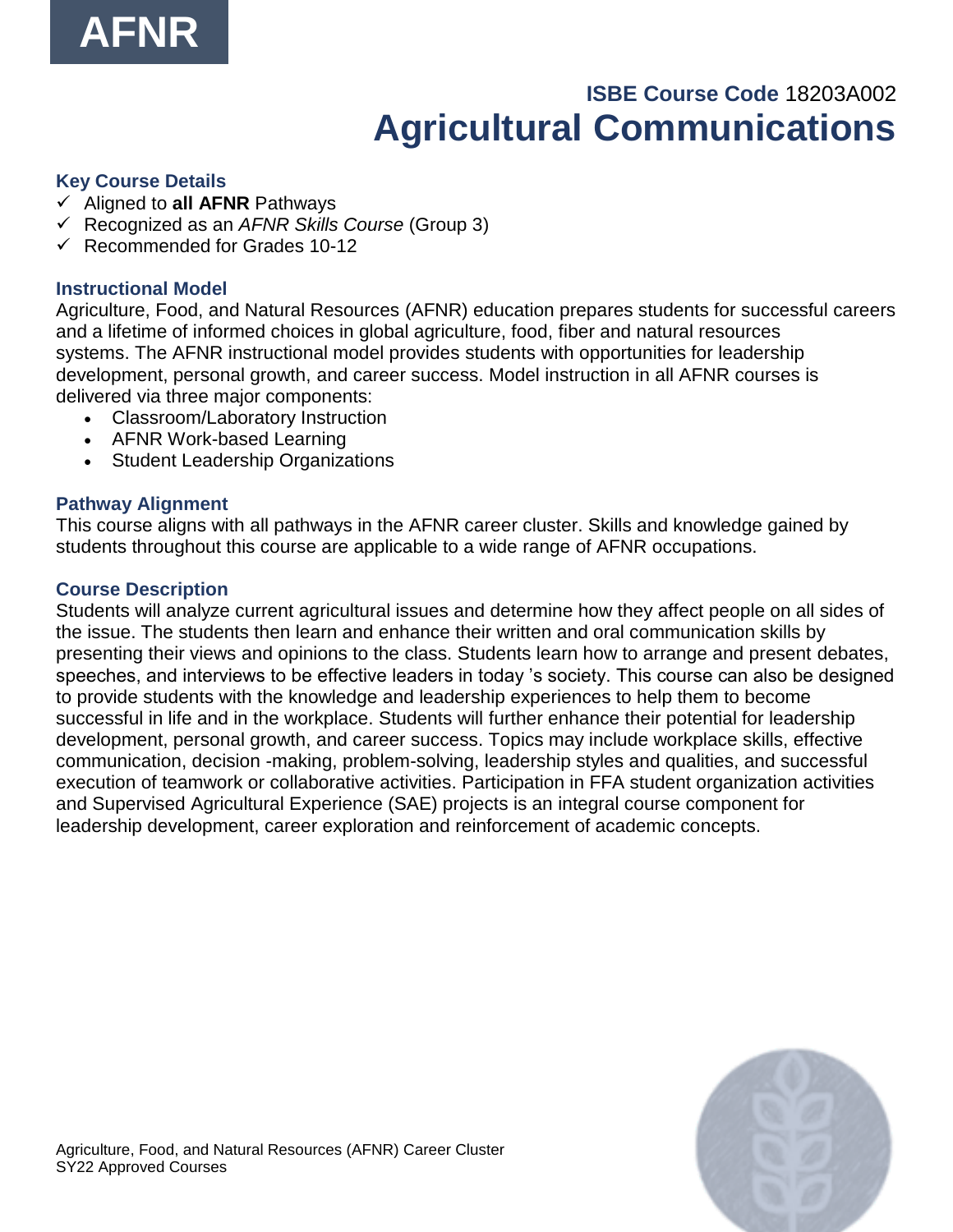

# **ISBE Course Code** 18203A002 **Agricultural Communications**

#### <span id="page-15-0"></span>**Key Course Details**

- ✓ Aligned to **all AFNR** Pathways
- ✓ Recognized as an *AFNR Skills Course* (Group 3)
- $\checkmark$  Recommended for Grades 10-12

#### **Instructional Model**

Agriculture, Food, and Natural Resources (AFNR) education prepares students for successful careers and a lifetime of informed choices in global agriculture, food, fiber and natural resources systems. The AFNR instructional model provides students with opportunities for leadership development, personal growth, and career success. Model instruction in all AFNR courses is delivered via three major components:

- Classroom/Laboratory Instruction
- AFNR Work-based Learning
- Student Leadership Organizations

#### **Pathway Alignment**

This course aligns with all pathways in the AFNR career cluster. Skills and knowledge gained by students throughout this course are applicable to a wide range of AFNR occupations.

#### **Course Description**

Students will analyze current agricultural issues and determine how they affect people on all sides of the issue. The students then learn and enhance their written and oral communication skills by presenting their views and opinions to the class. Students learn how to arrange and present debates, speeches, and interviews to be effective leaders in today 's society. This course can also be designed to provide students with the knowledge and leadership experiences to help them to become successful in life and in the workplace. Students will further enhance their potential for leadership development, personal growth, and career success. Topics may include workplace skills, effective communication, decision -making, problem-solving, leadership styles and qualities, and successful execution of teamwork or collaborative activities. Participation in FFA student organization activities and Supervised Agricultural Experience (SAE) projects is an integral course component for leadership development, career exploration and reinforcement of academic concepts.

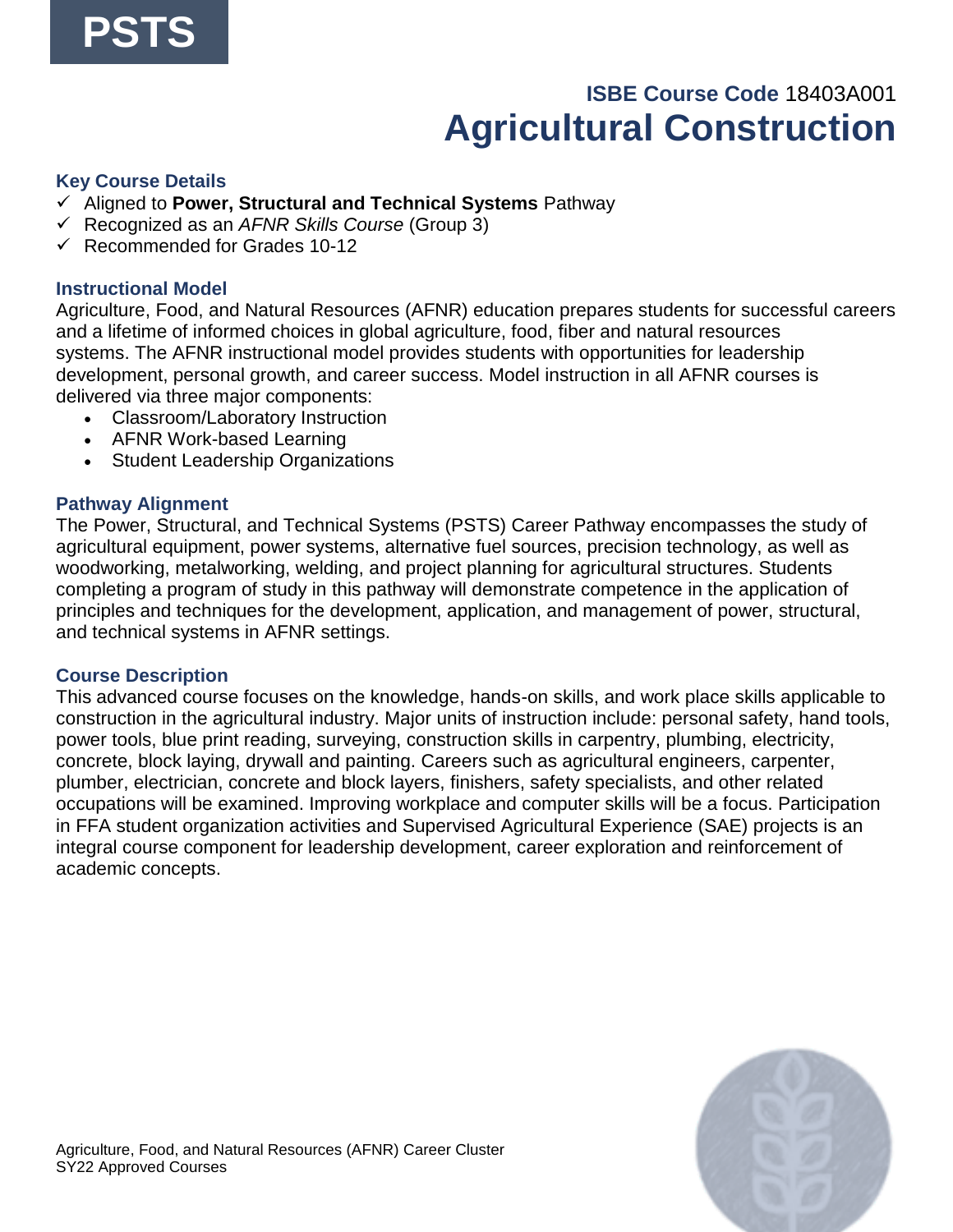# **ISBE Course Code** 18403A001 **Agricultural Construction**

#### <span id="page-16-0"></span>**Key Course Details**

- ✓ Aligned to **Power, Structural and Technical Systems** Pathway
- ✓ Recognized as an *AFNR Skills Course* (Group 3)
- $\checkmark$  Recommended for Grades 10-12

#### **Instructional Model**

Agriculture, Food, and Natural Resources (AFNR) education prepares students for successful careers and a lifetime of informed choices in global agriculture, food, fiber and natural resources systems. The AFNR instructional model provides students with opportunities for leadership development, personal growth, and career success. Model instruction in all AFNR courses is delivered via three major components:

- Classroom/Laboratory Instruction
- AFNR Work-based Learning
- Student Leadership Organizations

#### **Pathway Alignment**

The Power, Structural, and Technical Systems (PSTS) Career Pathway encompasses the study of agricultural equipment, power systems, alternative fuel sources, precision technology, as well as woodworking, metalworking, welding, and project planning for agricultural structures. Students completing a program of study in this pathway will demonstrate competence in the application of principles and techniques for the development, application, and management of power, structural, and technical systems in AFNR settings.

#### **Course Description**

This advanced course focuses on the knowledge, hands-on skills, and work place skills applicable to construction in the agricultural industry. Major units of instruction include: personal safety, hand tools, power tools, blue print reading, surveying, construction skills in carpentry, plumbing, electricity, concrete, block laying, drywall and painting. Careers such as agricultural engineers, carpenter, plumber, electrician, concrete and block layers, finishers, safety specialists, and other related occupations will be examined. Improving workplace and computer skills will be a focus. Participation in FFA student organization activities and Supervised Agricultural Experience (SAE) projects is an integral course component for leadership development, career exploration and reinforcement of academic concepts.

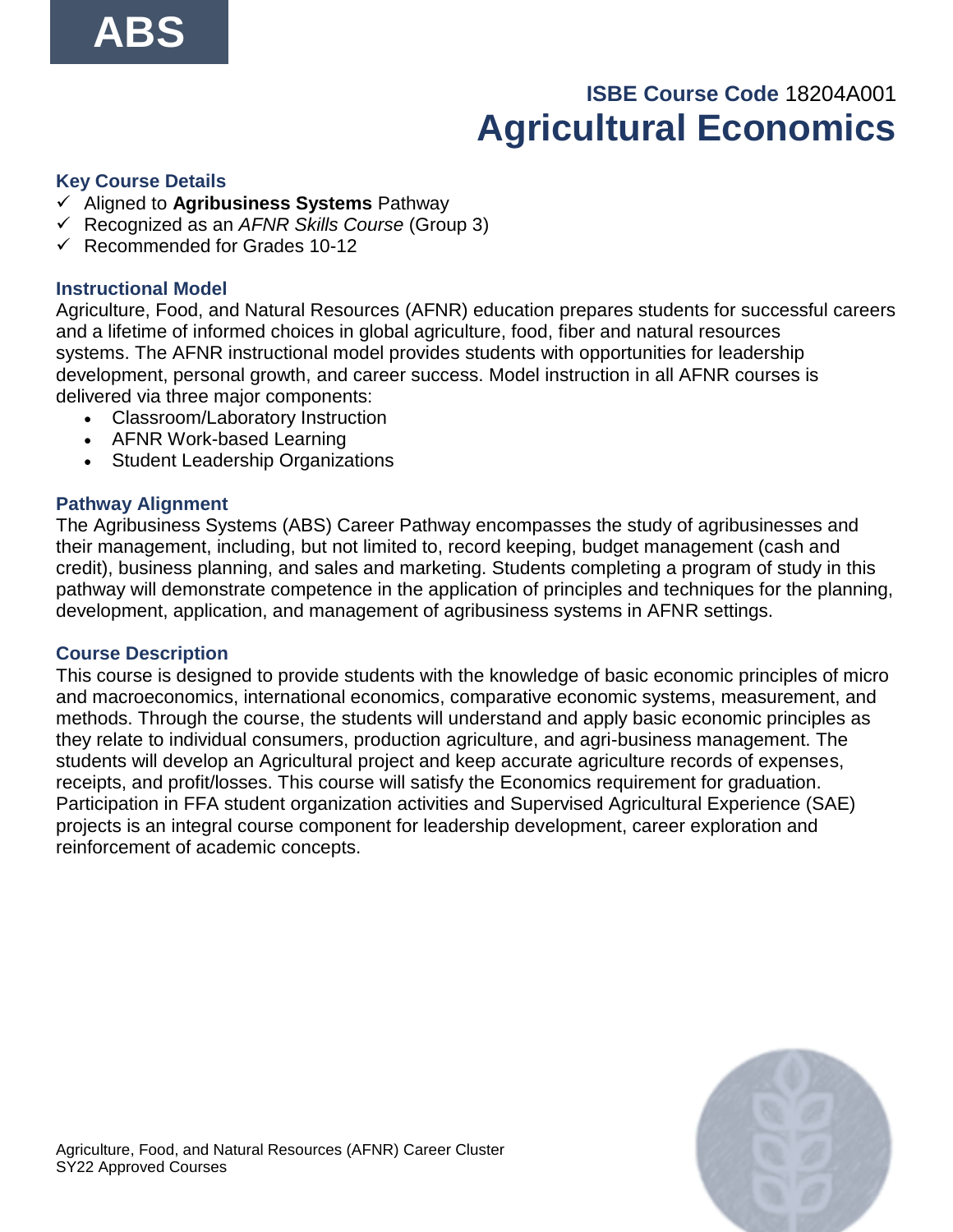# **ISBE Course Code** 18204A001 **Agricultural Economics**

#### <span id="page-17-0"></span>**Key Course Details**

- ✓ Aligned to **Agribusiness Systems** Pathway
- ✓ Recognized as an *AFNR Skills Course* (Group 3)
- $\checkmark$  Recommended for Grades 10-12

#### **Instructional Model**

Agriculture, Food, and Natural Resources (AFNR) education prepares students for successful careers and a lifetime of informed choices in global agriculture, food, fiber and natural resources systems. The AFNR instructional model provides students with opportunities for leadership development, personal growth, and career success. Model instruction in all AFNR courses is delivered via three major components:

- Classroom/Laboratory Instruction
- AFNR Work-based Learning
- Student Leadership Organizations

#### **Pathway Alignment**

The Agribusiness Systems (ABS) Career Pathway encompasses the study of agribusinesses and their management, including, but not limited to, record keeping, budget management (cash and credit), business planning, and sales and marketing. Students completing a program of study in this pathway will demonstrate competence in the application of principles and techniques for the planning, development, application, and management of agribusiness systems in AFNR settings.

#### **Course Description**

This course is designed to provide students with the knowledge of basic economic principles of micro and macroeconomics, international economics, comparative economic systems, measurement, and methods. Through the course, the students will understand and apply basic economic principles as they relate to individual consumers, production agriculture, and agri-business management. The students will develop an Agricultural project and keep accurate agriculture records of expenses, receipts, and profit/losses. This course will satisfy the Economics requirement for graduation. Participation in FFA student organization activities and Supervised Agricultural Experience (SAE) projects is an integral course component for leadership development, career exploration and reinforcement of academic concepts.

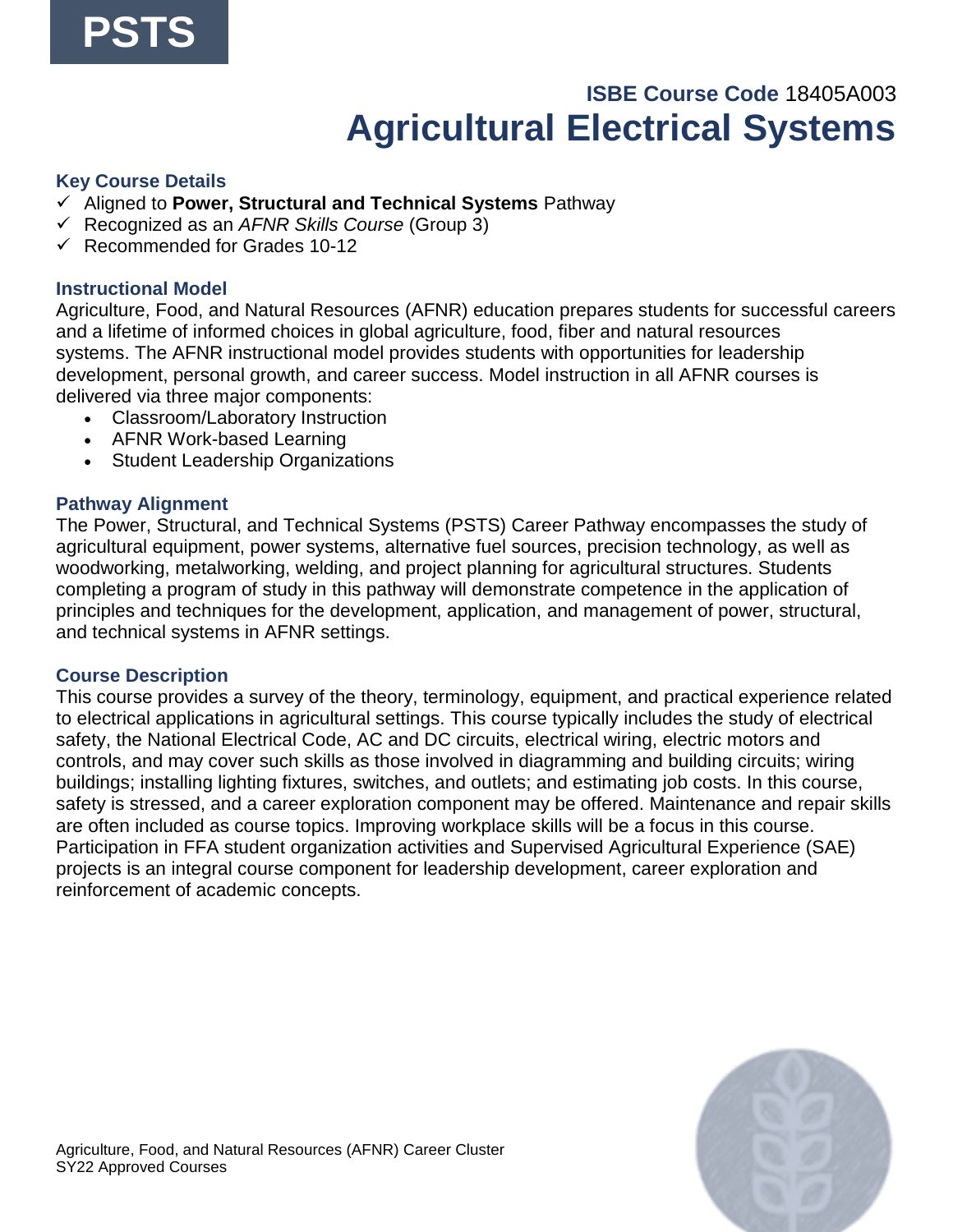### **ISBE Course Code** 18405A003 **Agricultural Electrical Systems**

#### <span id="page-18-0"></span>**Key Course Details**

- ✓ Aligned to **Power, Structural and Technical Systems** Pathway
- ✓ Recognized as an *AFNR Skills Course* (Group 3)
- $\checkmark$  Recommended for Grades 10-12

#### **Instructional Model**

Agriculture, Food, and Natural Resources (AFNR) education prepares students for successful careers and a lifetime of informed choices in global agriculture, food, fiber and natural resources systems. The AFNR instructional model provides students with opportunities for leadership development, personal growth, and career success. Model instruction in all AFNR courses is delivered via three major components:

- Classroom/Laboratory Instruction
- AFNR Work-based Learning
- Student Leadership Organizations

#### **Pathway Alignment**

The Power, Structural, and Technical Systems (PSTS) Career Pathway encompasses the study of agricultural equipment, power systems, alternative fuel sources, precision technology, as well as woodworking, metalworking, welding, and project planning for agricultural structures. Students completing a program of study in this pathway will demonstrate competence in the application of principles and techniques for the development, application, and management of power, structural, and technical systems in AFNR settings.

#### **Course Description**

This course provides a survey of the theory, terminology, equipment, and practical experience related to electrical applications in agricultural settings. This course typically includes the study of electrical safety, the National Electrical Code, AC and DC circuits, electrical wiring, electric motors and controls, and may cover such skills as those involved in diagramming and building circuits; wiring buildings; installing lighting fixtures, switches, and outlets; and estimating job costs. In this course, safety is stressed, and a career exploration component may be offered. Maintenance and repair skills are often included as course topics. Improving workplace skills will be a focus in this course. Participation in FFA student organization activities and Supervised Agricultural Experience (SAE) projects is an integral course component for leadership development, career exploration and reinforcement of academic concepts.

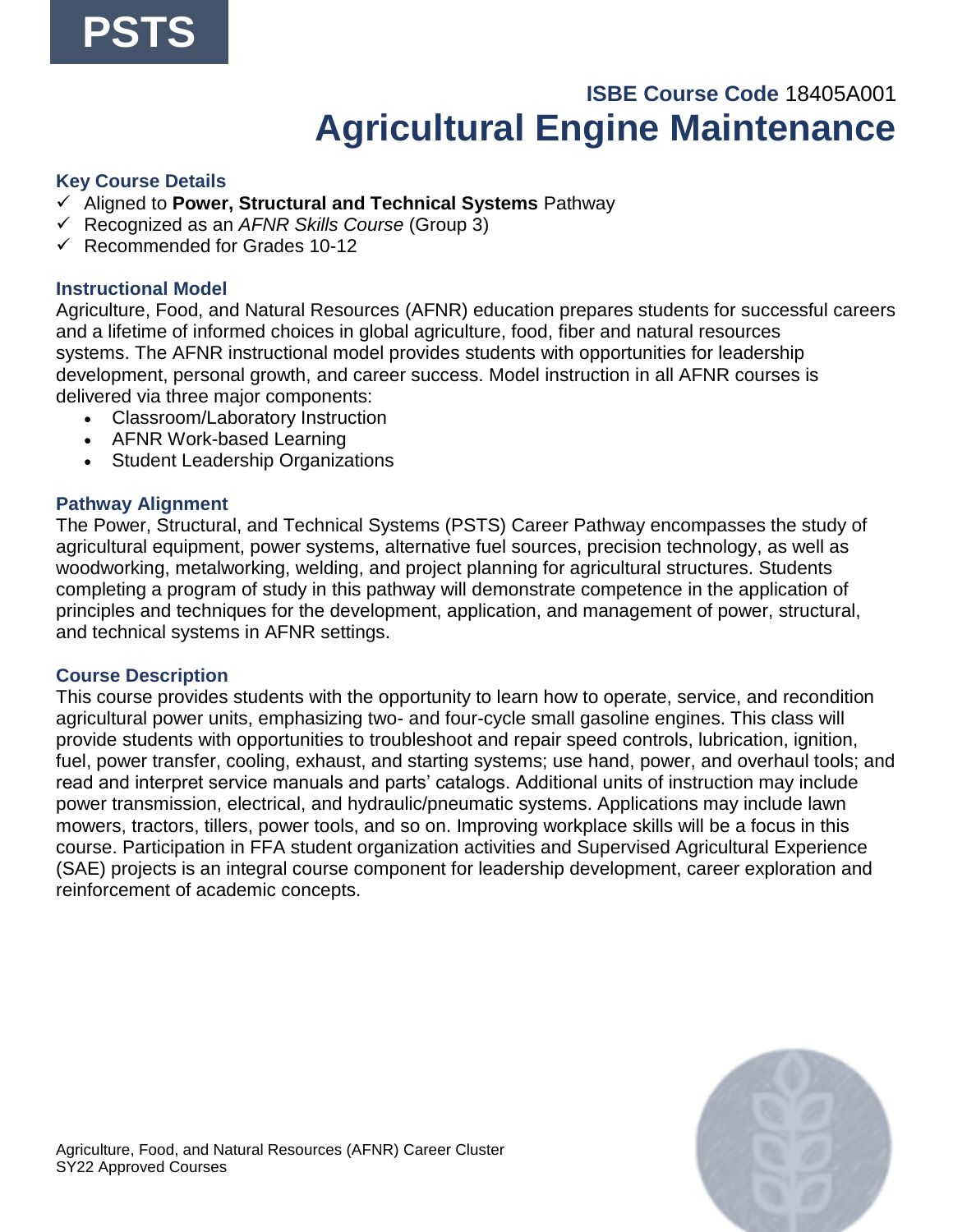### **ISBE Course Code** 18405A001 **Agricultural Engine Maintenance**

#### <span id="page-19-0"></span>**Key Course Details**

- ✓ Aligned to **Power, Structural and Technical Systems** Pathway
- ✓ Recognized as an *AFNR Skills Course* (Group 3)
- $\checkmark$  Recommended for Grades 10-12

#### **Instructional Model**

Agriculture, Food, and Natural Resources (AFNR) education prepares students for successful careers and a lifetime of informed choices in global agriculture, food, fiber and natural resources systems. The AFNR instructional model provides students with opportunities for leadership development, personal growth, and career success. Model instruction in all AFNR courses is delivered via three major components:

- Classroom/Laboratory Instruction
- AFNR Work-based Learning
- Student Leadership Organizations

#### **Pathway Alignment**

The Power, Structural, and Technical Systems (PSTS) Career Pathway encompasses the study of agricultural equipment, power systems, alternative fuel sources, precision technology, as well as woodworking, metalworking, welding, and project planning for agricultural structures. Students completing a program of study in this pathway will demonstrate competence in the application of principles and techniques for the development, application, and management of power, structural, and technical systems in AFNR settings.

#### **Course Description**

This course provides students with the opportunity to learn how to operate, service, and recondition agricultural power units, emphasizing two- and four-cycle small gasoline engines. This class will provide students with opportunities to troubleshoot and repair speed controls, lubrication, ignition, fuel, power transfer, cooling, exhaust, and starting systems; use hand, power, and overhaul tools; and read and interpret service manuals and parts' catalogs. Additional units of instruction may include power transmission, electrical, and hydraulic/pneumatic systems. Applications may include lawn mowers, tractors, tillers, power tools, and so on. Improving workplace skills will be a focus in this course. Participation in FFA student organization activities and Supervised Agricultural Experience (SAE) projects is an integral course component for leadership development, career exploration and reinforcement of academic concepts.

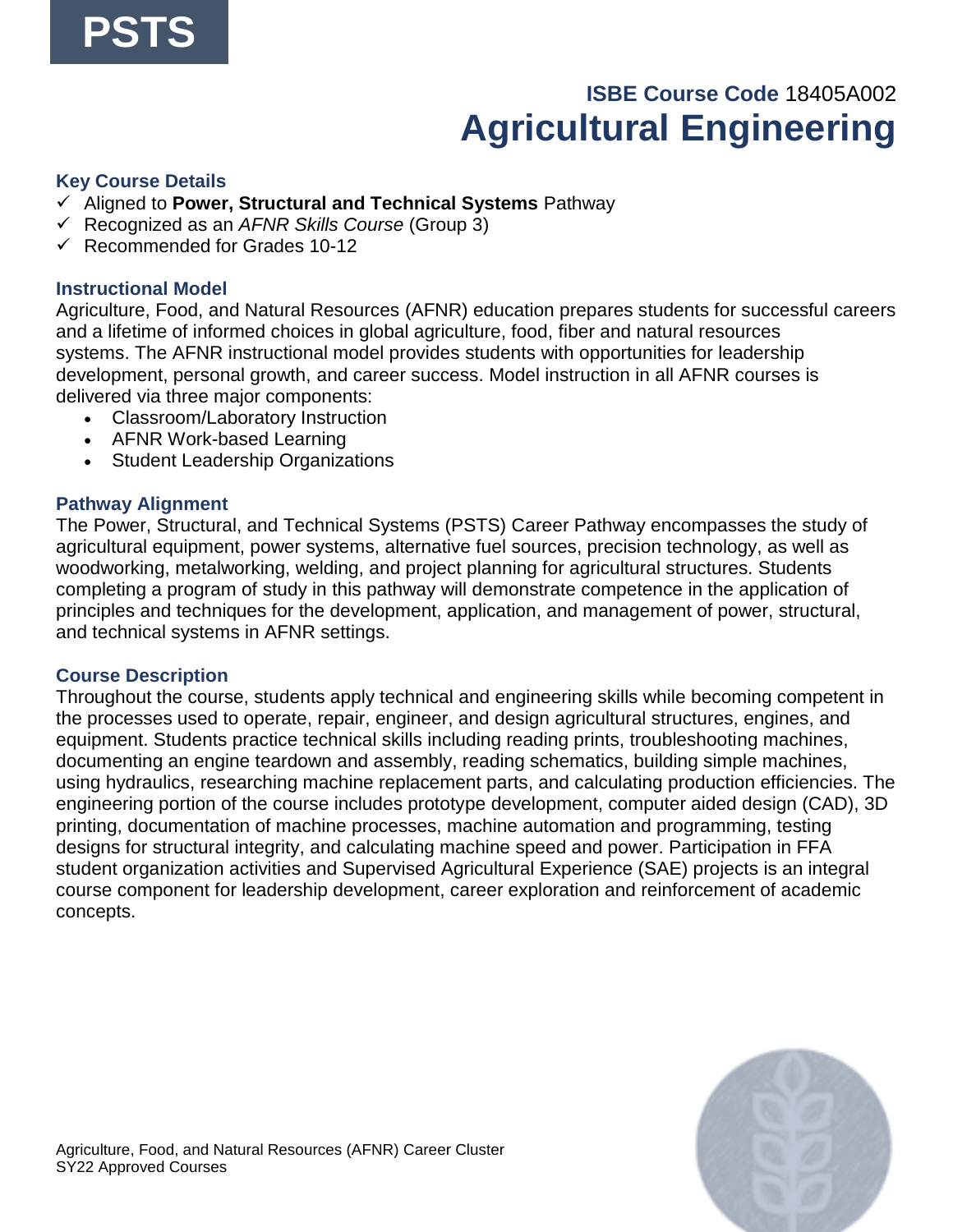# **ISBE Course Code** 18405A002 **Agricultural Engineering**

#### <span id="page-20-0"></span>**Key Course Details**

- ✓ Aligned to **Power, Structural and Technical Systems** Pathway
- ✓ Recognized as an *AFNR Skills Course* (Group 3)
- $\checkmark$  Recommended for Grades 10-12

#### **Instructional Model**

Agriculture, Food, and Natural Resources (AFNR) education prepares students for successful careers and a lifetime of informed choices in global agriculture, food, fiber and natural resources systems. The AFNR instructional model provides students with opportunities for leadership development, personal growth, and career success. Model instruction in all AFNR courses is delivered via three major components:

- Classroom/Laboratory Instruction
- AFNR Work-based Learning
- Student Leadership Organizations

#### **Pathway Alignment**

The Power, Structural, and Technical Systems (PSTS) Career Pathway encompasses the study of agricultural equipment, power systems, alternative fuel sources, precision technology, as well as woodworking, metalworking, welding, and project planning for agricultural structures. Students completing a program of study in this pathway will demonstrate competence in the application of principles and techniques for the development, application, and management of power, structural, and technical systems in AFNR settings.

#### **Course Description**

Throughout the course, students apply technical and engineering skills while becoming competent in the processes used to operate, repair, engineer, and design agricultural structures, engines, and equipment. Students practice technical skills including reading prints, troubleshooting machines, documenting an engine teardown and assembly, reading schematics, building simple machines, using hydraulics, researching machine replacement parts, and calculating production efficiencies. The engineering portion of the course includes prototype development, computer aided design (CAD), 3D printing, documentation of machine processes, machine automation and programming, testing designs for structural integrity, and calculating machine speed and power. Participation in FFA student organization activities and Supervised Agricultural Experience (SAE) projects is an integral course component for leadership development, career exploration and reinforcement of academic concepts.

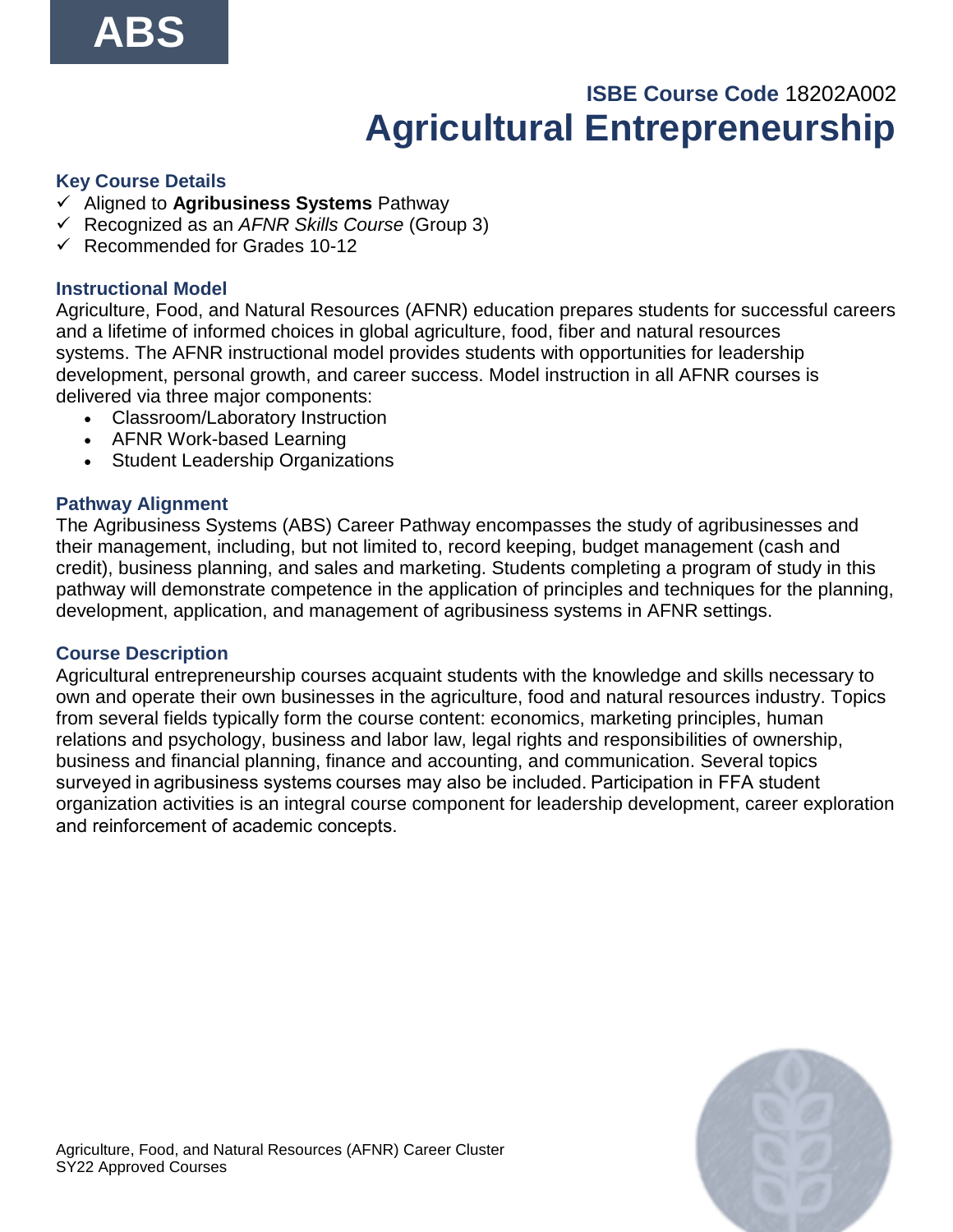# **ISBE Course Code** 18202A002 **Agricultural Entrepreneurship**

#### <span id="page-21-0"></span>**Key Course Details**

- ✓ Aligned to **Agribusiness Systems** Pathway
- ✓ Recognized as an *AFNR Skills Course* (Group 3)
- $\checkmark$  Recommended for Grades 10-12

#### **Instructional Model**

Agriculture, Food, and Natural Resources (AFNR) education prepares students for successful careers and a lifetime of informed choices in global agriculture, food, fiber and natural resources systems. The AFNR instructional model provides students with opportunities for leadership development, personal growth, and career success. Model instruction in all AFNR courses is delivered via three major components:

- Classroom/Laboratory Instruction
- AFNR Work-based Learning
- Student Leadership Organizations

#### **Pathway Alignment**

The Agribusiness Systems (ABS) Career Pathway encompasses the study of agribusinesses and their management, including, but not limited to, record keeping, budget management (cash and credit), business planning, and sales and marketing. Students completing a program of study in this pathway will demonstrate competence in the application of principles and techniques for the planning, development, application, and management of agribusiness systems in AFNR settings.

#### **Course Description**

Agricultural entrepreneurship courses acquaint students with the knowledge and skills necessary to own and operate their own businesses in the agriculture, food and natural resources industry. Topics from several fields typically form the course content: economics, marketing principles, human relations and psychology, business and labor law, legal rights and responsibilities of ownership, business and financial planning, finance and accounting, and communication. Several topics surveyed in agribusiness systems courses may also be included. Participation in FFA student organization activities is an integral course component for leadership development, career exploration and reinforcement of academic concepts.  

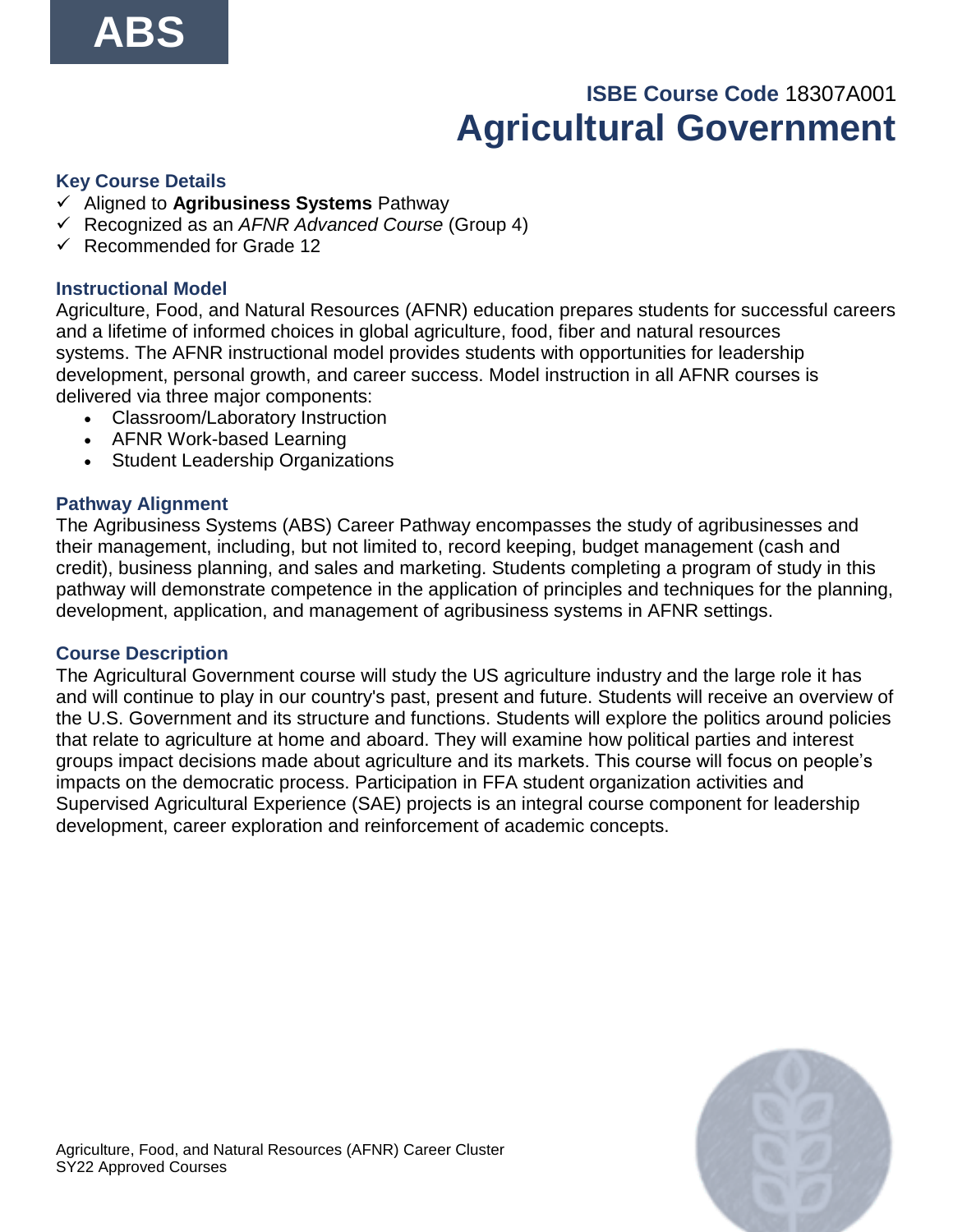# **ISBE Course Code** 18307A001 **Agricultural Government**

#### <span id="page-22-0"></span>**Key Course Details**

- ✓ Aligned to **Agribusiness Systems** Pathway
- ✓ Recognized as an *AFNR Advanced Course* (Group 4)
- ✓ Recommended for Grade 12

#### **Instructional Model**

Agriculture, Food, and Natural Resources (AFNR) education prepares students for successful careers and a lifetime of informed choices in global agriculture, food, fiber and natural resources systems. The AFNR instructional model provides students with opportunities for leadership development, personal growth, and career success. Model instruction in all AFNR courses is delivered via three major components:

- Classroom/Laboratory Instruction
- AFNR Work-based Learning
- Student Leadership Organizations

#### **Pathway Alignment**

The Agribusiness Systems (ABS) Career Pathway encompasses the study of agribusinesses and their management, including, but not limited to, record keeping, budget management (cash and credit), business planning, and sales and marketing. Students completing a program of study in this pathway will demonstrate competence in the application of principles and techniques for the planning, development, application, and management of agribusiness systems in AFNR settings.

#### **Course Description**

The Agricultural Government course will study the US agriculture industry and the large role it has and will continue to play in our country's past, present and future. Students will receive an overview of the U.S. Government and its structure and functions. Students will explore the politics around policies that relate to agriculture at home and aboard. They will examine how political parties and interest groups impact decisions made about agriculture and its markets. This course will focus on people's impacts on the democratic process. Participation in FFA student organization activities and Supervised Agricultural Experience (SAE) projects is an integral course component for leadership development, career exploration and reinforcement of academic concepts.

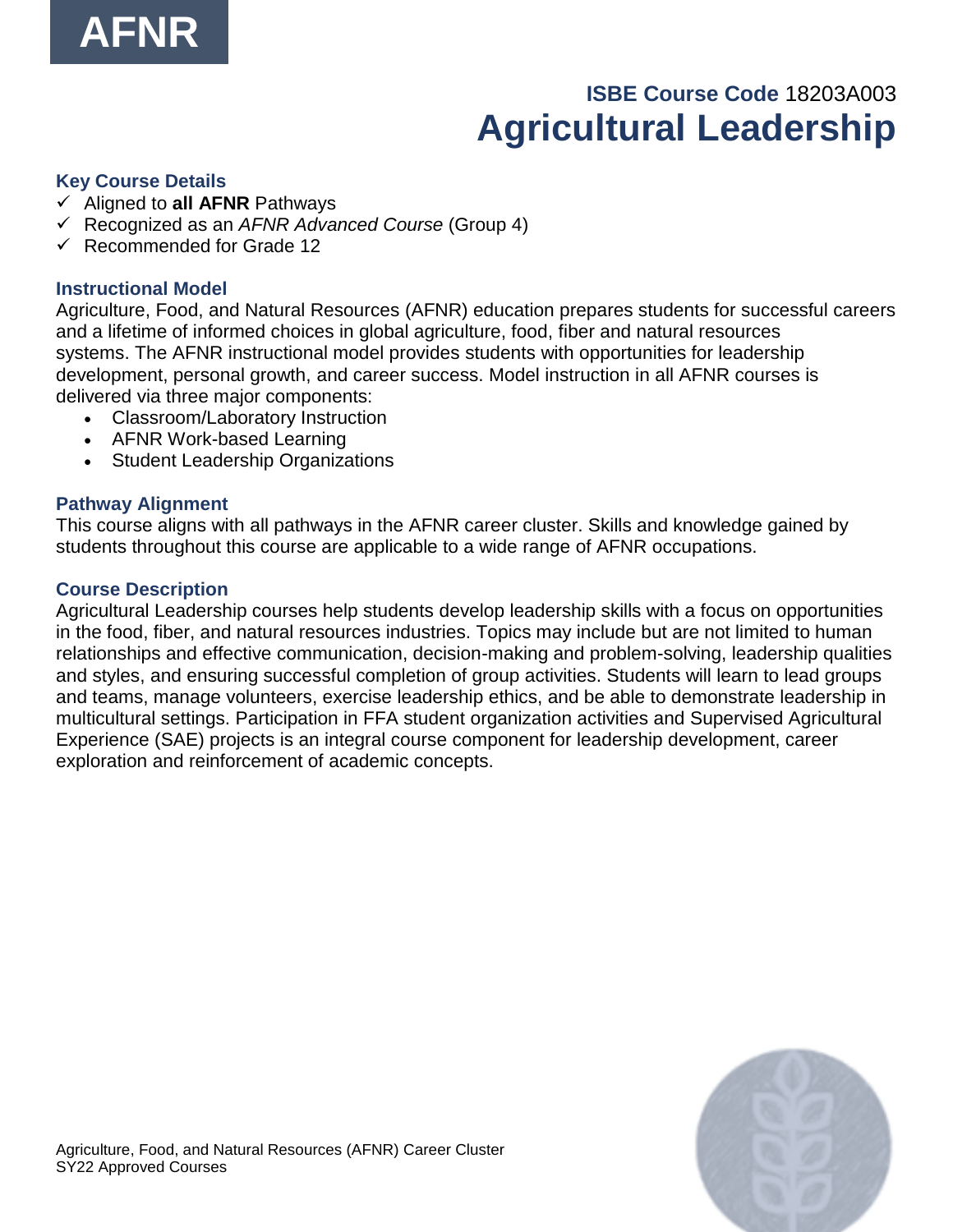

# **ISBE Course Code** 18203A003 **Agricultural Leadership**

#### <span id="page-23-0"></span>**Key Course Details**

- ✓ Aligned to **all AFNR** Pathways
- ✓ Recognized as an *AFNR Advanced Course* (Group 4)
- ✓ Recommended for Grade 12

#### **Instructional Model**

Agriculture, Food, and Natural Resources (AFNR) education prepares students for successful careers and a lifetime of informed choices in global agriculture, food, fiber and natural resources systems. The AFNR instructional model provides students with opportunities for leadership development, personal growth, and career success. Model instruction in all AFNR courses is delivered via three major components:

- Classroom/Laboratory Instruction
- AFNR Work-based Learning
- Student Leadership Organizations

#### **Pathway Alignment**

This course aligns with all pathways in the AFNR career cluster. Skills and knowledge gained by students throughout this course are applicable to a wide range of AFNR occupations.

#### **Course Description**

Agricultural Leadership courses help students develop leadership skills with a focus on opportunities in the food, fiber, and natural resources industries. Topics may include but are not limited to human relationships and effective communication, decision-making and problem-solving, leadership qualities and styles, and ensuring successful completion of group activities. Students will learn to lead groups and teams, manage volunteers, exercise leadership ethics, and be able to demonstrate leadership in multicultural settings. Participation in FFA student organization activities and Supervised Agricultural Experience (SAE) projects is an integral course component for leadership development, career exploration and reinforcement of academic concepts.

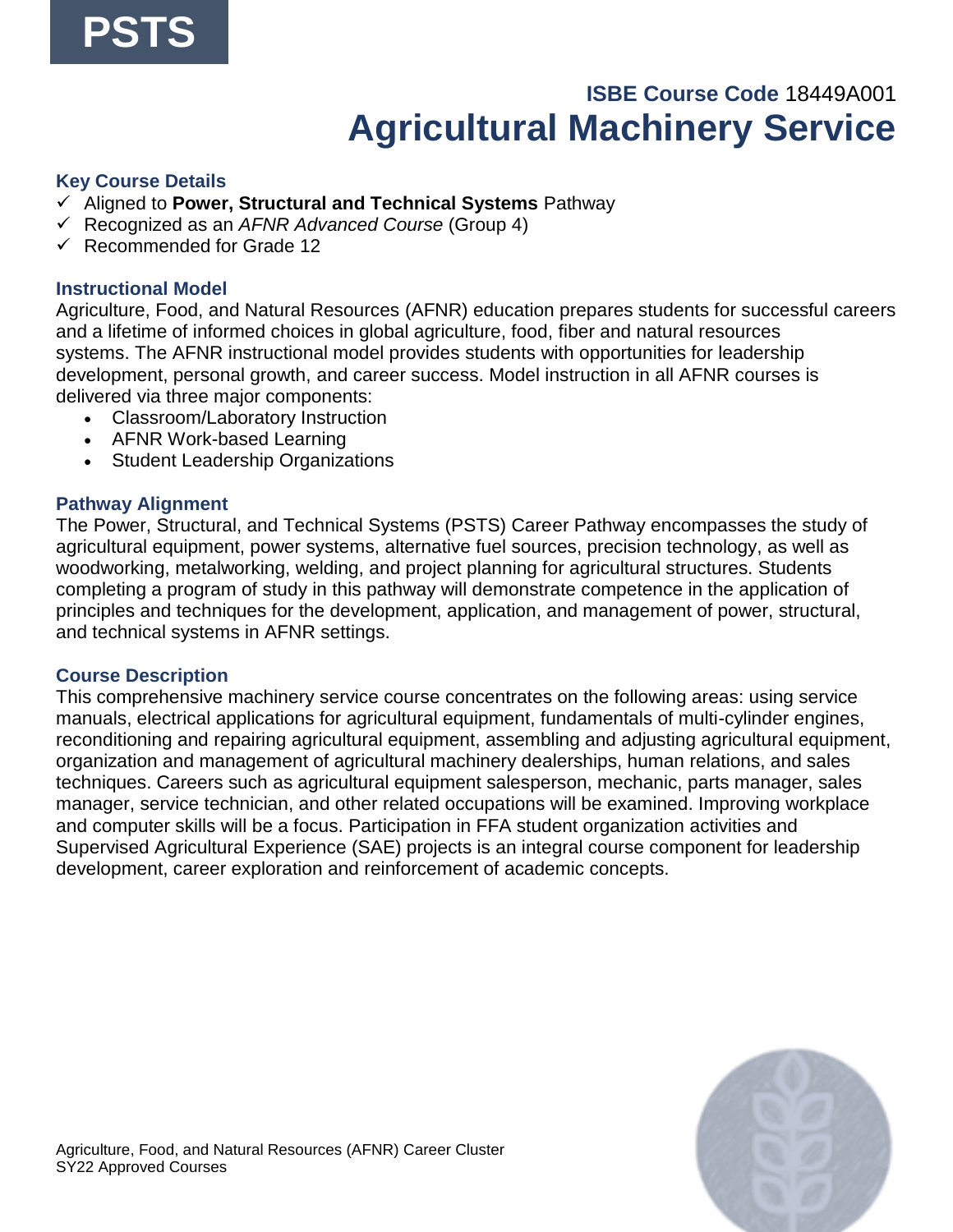### **ISBE Course Code** 18449A001 **Agricultural Machinery Service**

#### <span id="page-24-0"></span>**Key Course Details**

- ✓ Aligned to **Power, Structural and Technical Systems** Pathway
- ✓ Recognized as an *AFNR Advanced Course* (Group 4)
- ✓ Recommended for Grade 12

#### **Instructional Model**

Agriculture, Food, and Natural Resources (AFNR) education prepares students for successful careers and a lifetime of informed choices in global agriculture, food, fiber and natural resources systems. The AFNR instructional model provides students with opportunities for leadership development, personal growth, and career success. Model instruction in all AFNR courses is delivered via three major components:

- Classroom/Laboratory Instruction
- AFNR Work-based Learning
- Student Leadership Organizations

#### **Pathway Alignment**

The Power, Structural, and Technical Systems (PSTS) Career Pathway encompasses the study of agricultural equipment, power systems, alternative fuel sources, precision technology, as well as woodworking, metalworking, welding, and project planning for agricultural structures. Students completing a program of study in this pathway will demonstrate competence in the application of principles and techniques for the development, application, and management of power, structural, and technical systems in AFNR settings.

#### **Course Description**

This comprehensive machinery service course concentrates on the following areas: using service manuals, electrical applications for agricultural equipment, fundamentals of multi-cylinder engines, reconditioning and repairing agricultural equipment, assembling and adjusting agricultural equipment, organization and management of agricultural machinery dealerships, human relations, and sales techniques. Careers such as agricultural equipment salesperson, mechanic, parts manager, sales manager, service technician, and other related occupations will be examined. Improving workplace and computer skills will be a focus. Participation in FFA student organization activities and Supervised Agricultural Experience (SAE) projects is an integral course component for leadership development, career exploration and reinforcement of academic concepts.

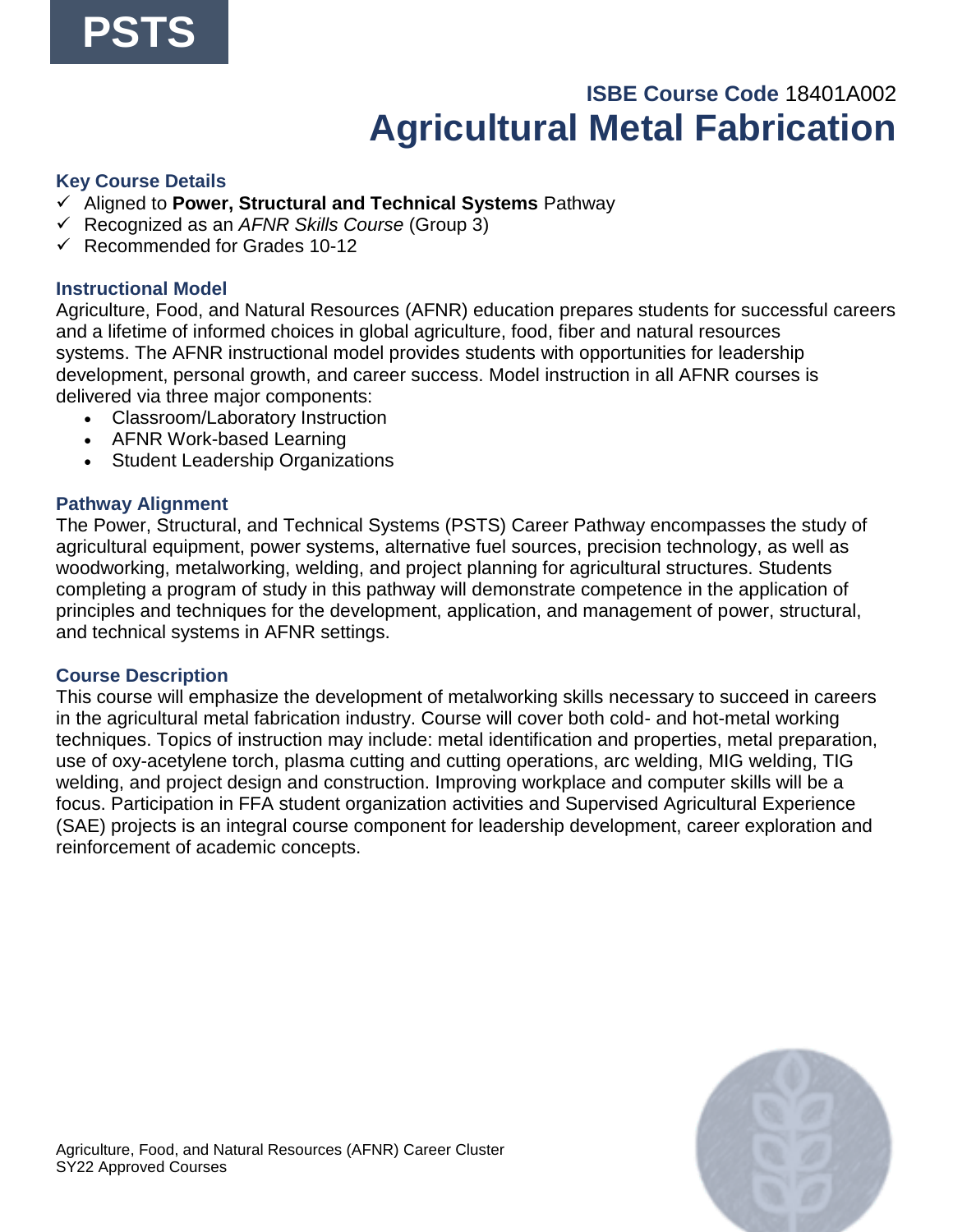## **ISBE Course Code** 18401A002 **Agricultural Metal Fabrication**

#### <span id="page-25-0"></span>**Key Course Details**

- ✓ Aligned to **Power, Structural and Technical Systems** Pathway
- ✓ Recognized as an *AFNR Skills Course* (Group 3)
- $\checkmark$  Recommended for Grades 10-12

#### **Instructional Model**

Agriculture, Food, and Natural Resources (AFNR) education prepares students for successful careers and a lifetime of informed choices in global agriculture, food, fiber and natural resources systems. The AFNR instructional model provides students with opportunities for leadership development, personal growth, and career success. Model instruction in all AFNR courses is delivered via three major components:

- Classroom/Laboratory Instruction
- AFNR Work-based Learning
- Student Leadership Organizations

#### **Pathway Alignment**

The Power, Structural, and Technical Systems (PSTS) Career Pathway encompasses the study of agricultural equipment, power systems, alternative fuel sources, precision technology, as well as woodworking, metalworking, welding, and project planning for agricultural structures. Students completing a program of study in this pathway will demonstrate competence in the application of principles and techniques for the development, application, and management of power, structural, and technical systems in AFNR settings.

#### **Course Description**

This course will emphasize the development of metalworking skills necessary to succeed in careers in the agricultural metal fabrication industry. Course will cover both cold- and hot-metal working techniques. Topics of instruction may include: metal identification and properties, metal preparation, use of oxy-acetylene torch, plasma cutting and cutting operations, arc welding, MIG welding, TIG welding, and project design and construction. Improving workplace and computer skills will be a focus. Participation in FFA student organization activities and Supervised Agricultural Experience (SAE) projects is an integral course component for leadership development, career exploration and reinforcement of academic concepts.

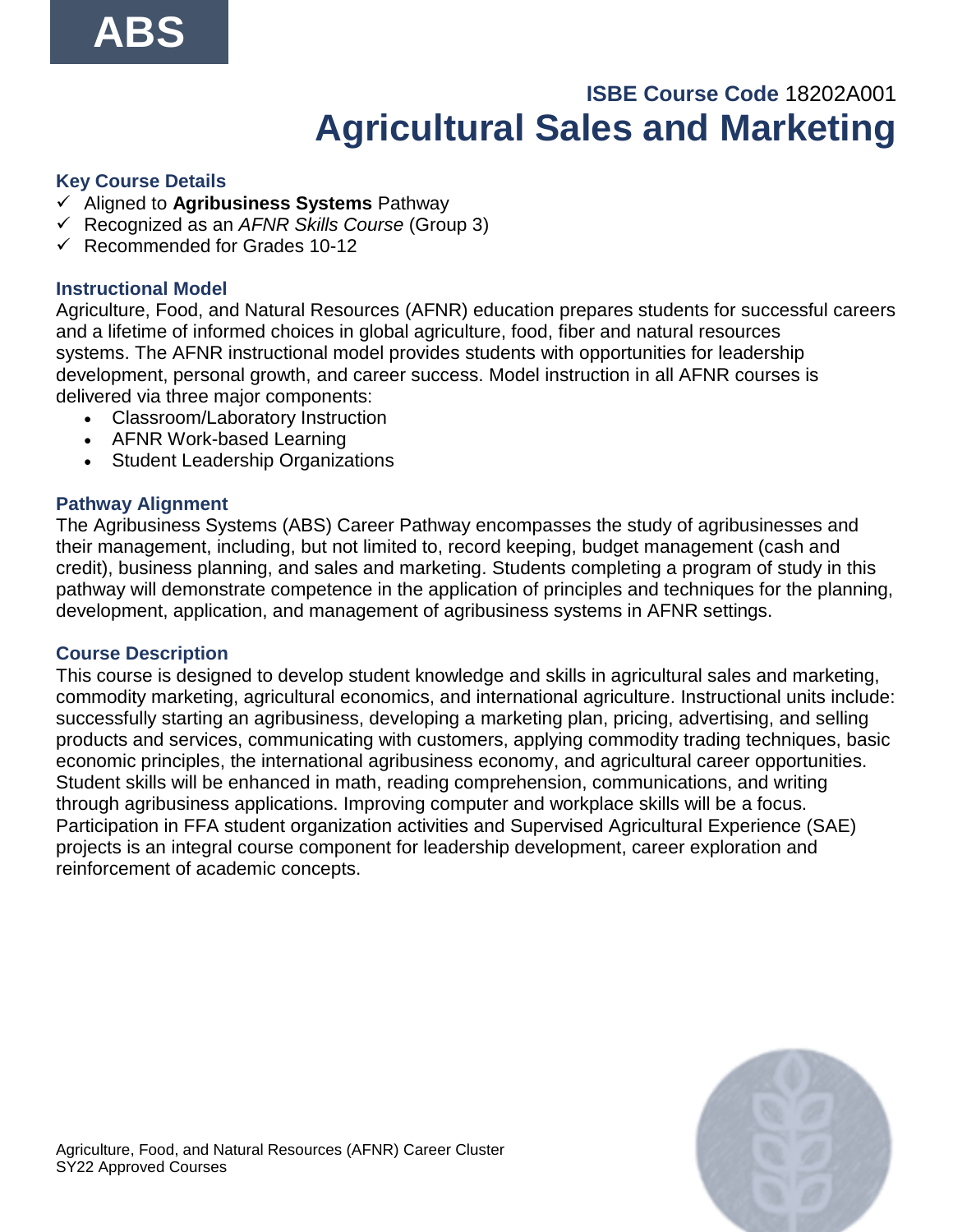# **ISBE Course Code** 18202A001 **Agricultural Sales and Marketing**

### <span id="page-26-0"></span>**Key Course Details**

- ✓ Aligned to **Agribusiness Systems** Pathway
- ✓ Recognized as an *AFNR Skills Course* (Group 3)
- $\checkmark$  Recommended for Grades 10-12

### **Instructional Model**

Agriculture, Food, and Natural Resources (AFNR) education prepares students for successful careers and a lifetime of informed choices in global agriculture, food, fiber and natural resources systems. The AFNR instructional model provides students with opportunities for leadership development, personal growth, and career success. Model instruction in all AFNR courses is delivered via three major components:

- Classroom/Laboratory Instruction
- AFNR Work-based Learning
- Student Leadership Organizations

### **Pathway Alignment**

The Agribusiness Systems (ABS) Career Pathway encompasses the study of agribusinesses and their management, including, but not limited to, record keeping, budget management (cash and credit), business planning, and sales and marketing. Students completing a program of study in this pathway will demonstrate competence in the application of principles and techniques for the planning, development, application, and management of agribusiness systems in AFNR settings.

#### **Course Description**

This course is designed to develop student knowledge and skills in agricultural sales and marketing, commodity marketing, agricultural economics, and international agriculture. Instructional units include: successfully starting an agribusiness, developing a marketing plan, pricing, advertising, and selling products and services, communicating with customers, applying commodity trading techniques, basic economic principles, the international agribusiness economy, and agricultural career opportunities. Student skills will be enhanced in math, reading comprehension, communications, and writing through agribusiness applications. Improving computer and workplace skills will be a focus. Participation in FFA student organization activities and Supervised Agricultural Experience (SAE) projects is an integral course component for leadership development, career exploration and reinforcement of academic concepts.

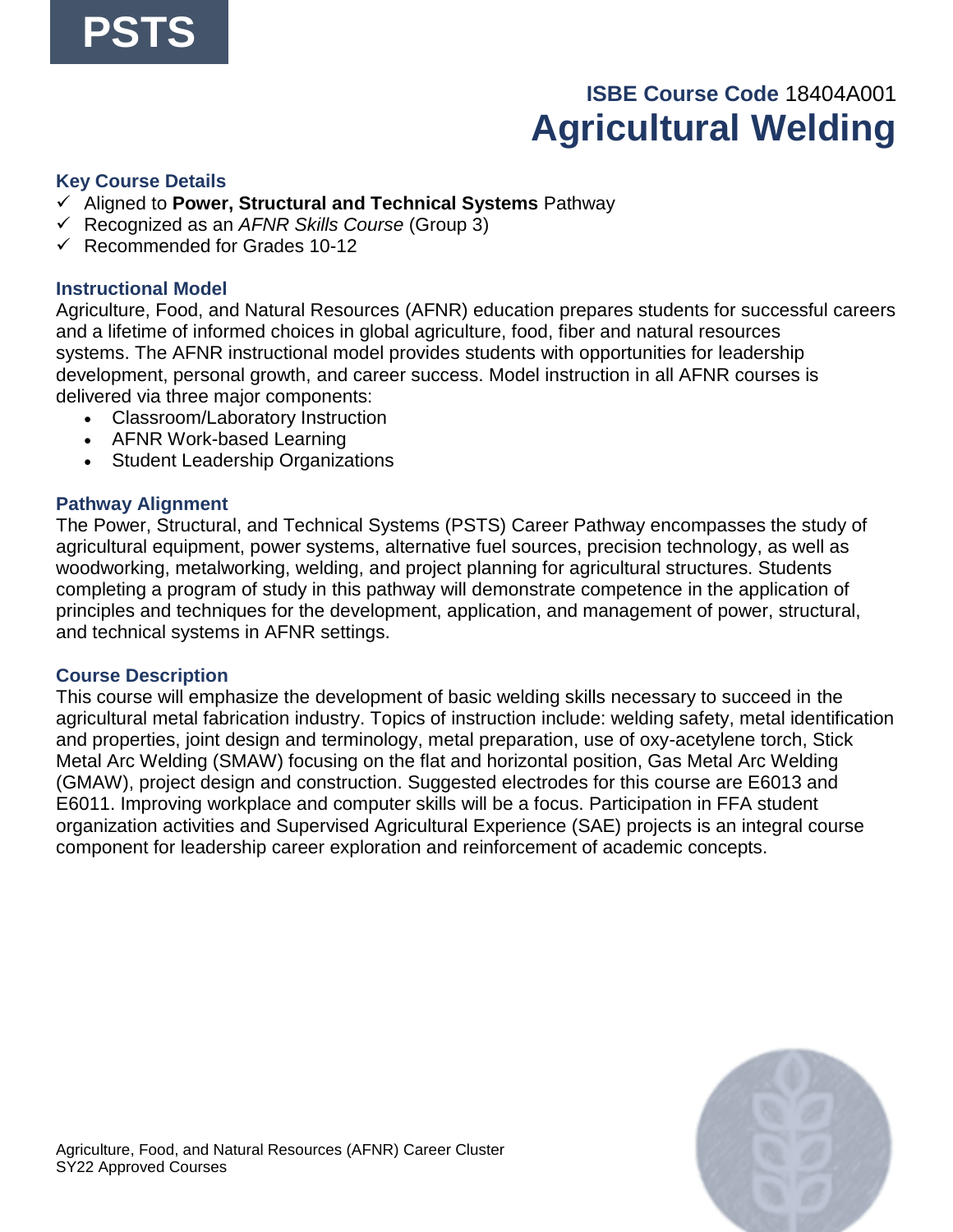# **ISBE Course Code** 18404A001 **Agricultural Welding**

#### <span id="page-27-0"></span>**Key Course Details**

- ✓ Aligned to **Power, Structural and Technical Systems** Pathway
- ✓ Recognized as an *AFNR Skills Course* (Group 3)
- $\checkmark$  Recommended for Grades 10-12

#### **Instructional Model**

Agriculture, Food, and Natural Resources (AFNR) education prepares students for successful careers and a lifetime of informed choices in global agriculture, food, fiber and natural resources systems. The AFNR instructional model provides students with opportunities for leadership development, personal growth, and career success. Model instruction in all AFNR courses is delivered via three major components:

- Classroom/Laboratory Instruction
- AFNR Work-based Learning
- Student Leadership Organizations

#### **Pathway Alignment**

The Power, Structural, and Technical Systems (PSTS) Career Pathway encompasses the study of agricultural equipment, power systems, alternative fuel sources, precision technology, as well as woodworking, metalworking, welding, and project planning for agricultural structures. Students completing a program of study in this pathway will demonstrate competence in the application of principles and techniques for the development, application, and management of power, structural, and technical systems in AFNR settings.

#### **Course Description**

This course will emphasize the development of basic welding skills necessary to succeed in the agricultural metal fabrication industry. Topics of instruction include: welding safety, metal identification and properties, joint design and terminology, metal preparation, use of oxy-acetylene torch, Stick Metal Arc Welding (SMAW) focusing on the flat and horizontal position, Gas Metal Arc Welding (GMAW), project design and construction. Suggested electrodes for this course are E6013 and E6011. Improving workplace and computer skills will be a focus. Participation in FFA student organization activities and Supervised Agricultural Experience (SAE) projects is an integral course component for leadership career exploration and reinforcement of academic concepts.

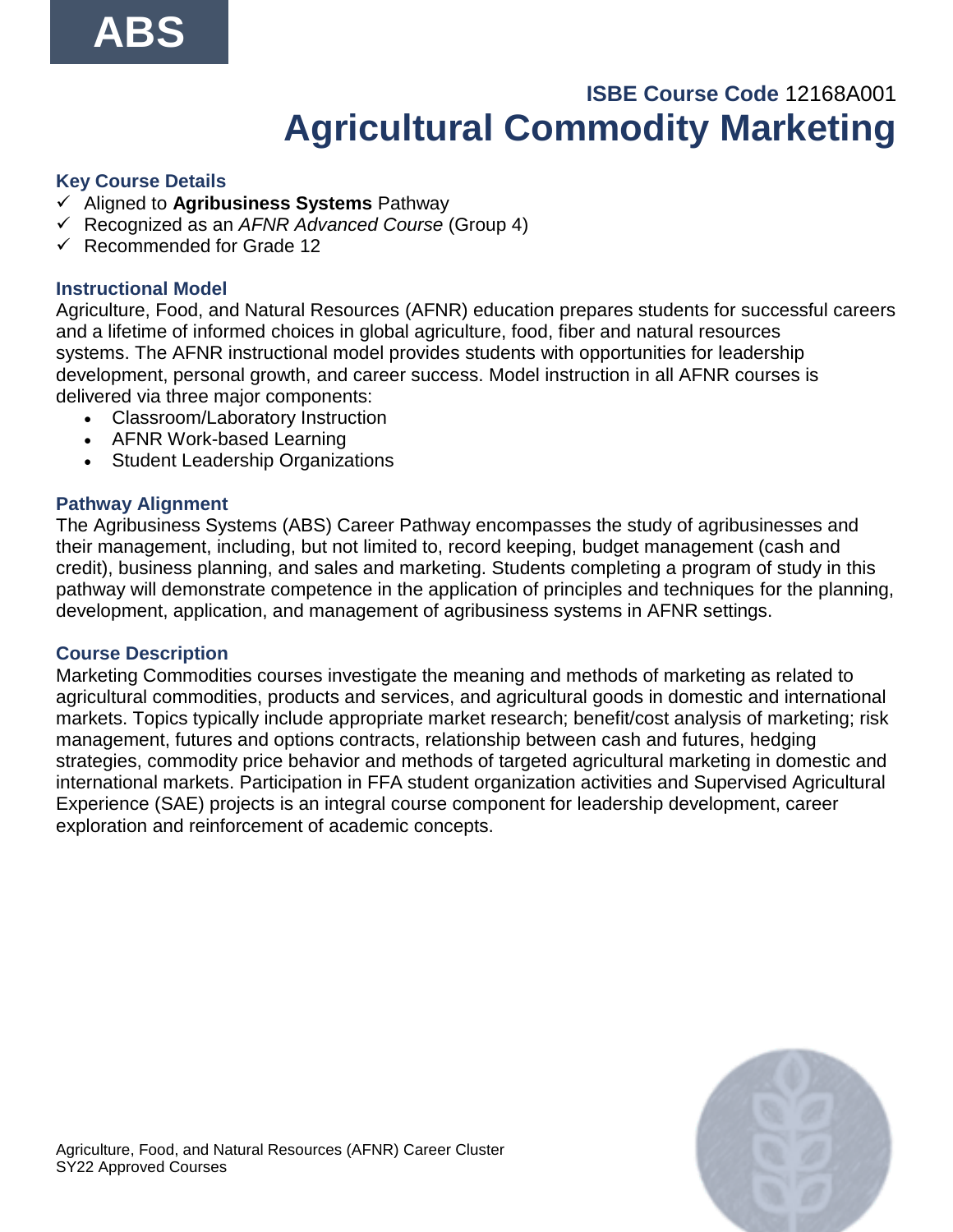### **ISBE Course Code** 12168A001 **Agricultural Commodity Marketing**

#### <span id="page-28-0"></span>**Key Course Details**

- ✓ Aligned to **Agribusiness Systems** Pathway
- ✓ Recognized as an *AFNR Advanced Course* (Group 4)
- ✓ Recommended for Grade 12

#### **Instructional Model**

Agriculture, Food, and Natural Resources (AFNR) education prepares students for successful careers and a lifetime of informed choices in global agriculture, food, fiber and natural resources systems. The AFNR instructional model provides students with opportunities for leadership development, personal growth, and career success. Model instruction in all AFNR courses is delivered via three major components:

- Classroom/Laboratory Instruction
- AFNR Work-based Learning
- Student Leadership Organizations

#### **Pathway Alignment**

The Agribusiness Systems (ABS) Career Pathway encompasses the study of agribusinesses and their management, including, but not limited to, record keeping, budget management (cash and credit), business planning, and sales and marketing. Students completing a program of study in this pathway will demonstrate competence in the application of principles and techniques for the planning, development, application, and management of agribusiness systems in AFNR settings.

#### **Course Description**

Marketing Commodities courses investigate the meaning and methods of marketing as related to agricultural commodities, products and services, and agricultural goods in domestic and international markets. Topics typically include appropriate market research; benefit/cost analysis of marketing; risk management, futures and options contracts, relationship between cash and futures, hedging strategies, commodity price behavior and methods of targeted agricultural marketing in domestic and international markets. Participation in FFA student organization activities and Supervised Agricultural Experience (SAE) projects is an integral course component for leadership development, career exploration and reinforcement of academic concepts.

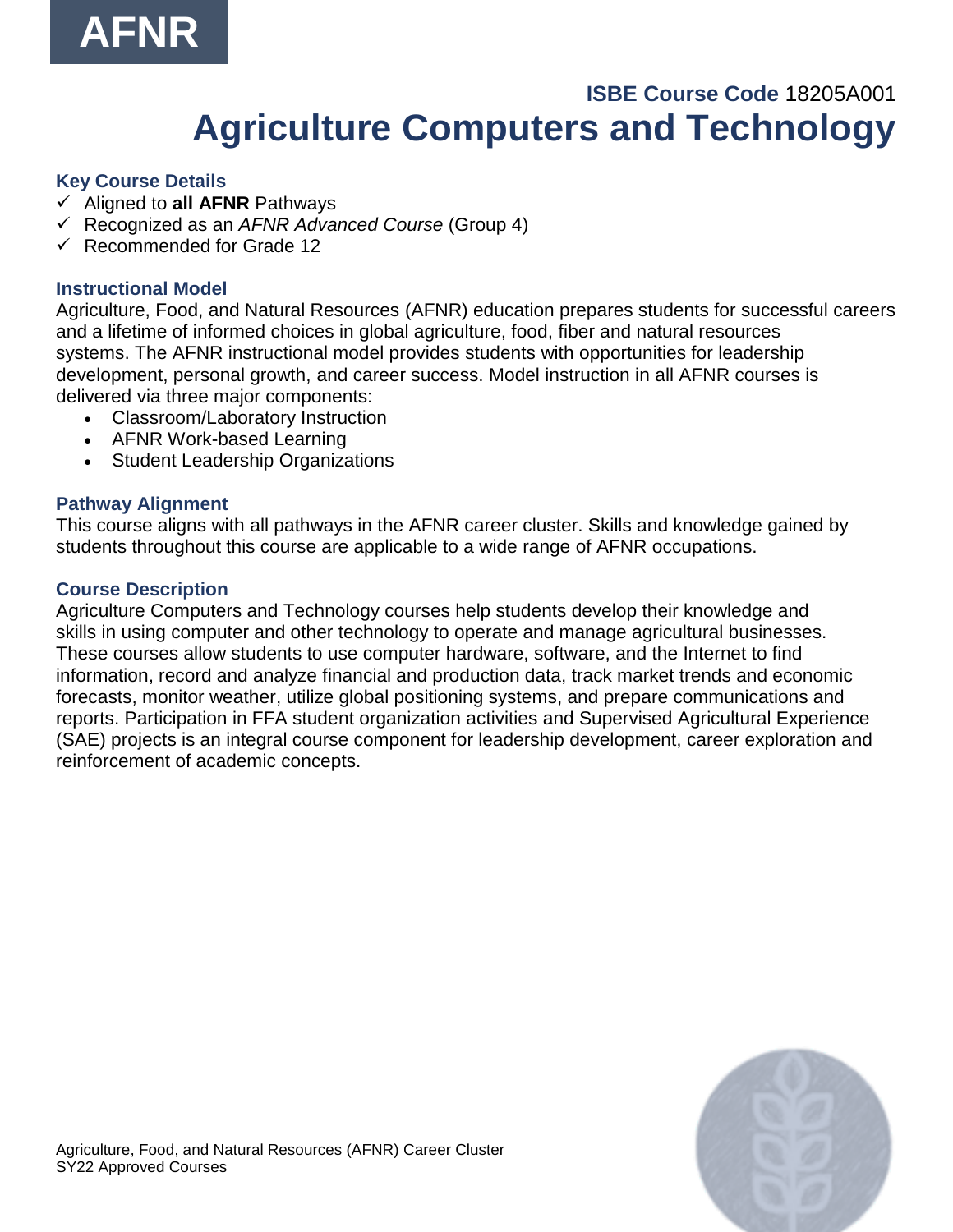

### **ISBE Course Code** 18205A001 **Agriculture Computers and Technology**

#### <span id="page-29-0"></span>**Key Course Details**

- ✓ Aligned to **all AFNR** Pathways
- ✓ Recognized as an *AFNR Advanced Course* (Group 4)
- ✓ Recommended for Grade 12

#### **Instructional Model**

Agriculture, Food, and Natural Resources (AFNR) education prepares students for successful careers and a lifetime of informed choices in global agriculture, food, fiber and natural resources systems. The AFNR instructional model provides students with opportunities for leadership development, personal growth, and career success. Model instruction in all AFNR courses is delivered via three major components:

- Classroom/Laboratory Instruction
- AFNR Work-based Learning
- Student Leadership Organizations

#### **Pathway Alignment**

This course aligns with all pathways in the AFNR career cluster. Skills and knowledge gained by students throughout this course are applicable to a wide range of AFNR occupations.

#### **Course Description**

Agriculture Computers and Technology courses help students develop their knowledge and skills in using computer and other technology to operate and manage agricultural businesses. These courses allow students to use computer hardware, software, and the Internet to find information, record and analyze financial and production data, track market trends and economic forecasts, monitor weather, utilize global positioning systems, and prepare communications and reports. Participation in FFA student organization activities and Supervised Agricultural Experience (SAE) projects is an integral course component for leadership development, career exploration and reinforcement of academic concepts.

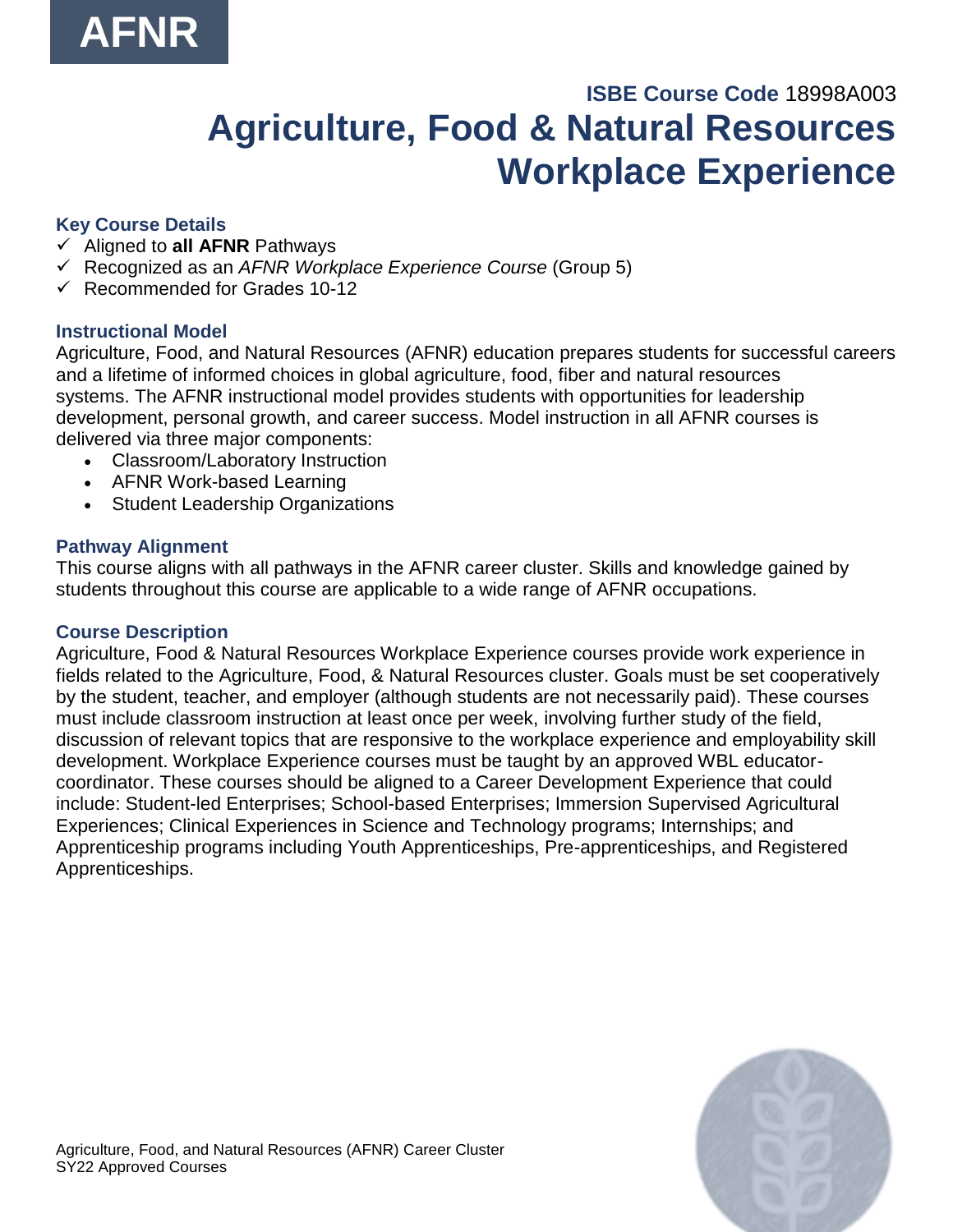# **ISBE Course Code** 18998A003 **Agriculture, Food & Natural Resources Workplace Experience**

### <span id="page-30-0"></span>**Key Course Details**

- ✓ Aligned to **all AFNR** Pathways
- ✓ Recognized as an *AFNR Workplace Experience Course* (Group 5)
- $\checkmark$  Recommended for Grades 10-12

### **Instructional Model**

Agriculture, Food, and Natural Resources (AFNR) education prepares students for successful careers and a lifetime of informed choices in global agriculture, food, fiber and natural resources systems. The AFNR instructional model provides students with opportunities for leadership development, personal growth, and career success. Model instruction in all AFNR courses is delivered via three major components:

- Classroom/Laboratory Instruction
- AFNR Work-based Learning
- Student Leadership Organizations

#### **Pathway Alignment**

This course aligns with all pathways in the AFNR career cluster. Skills and knowledge gained by students throughout this course are applicable to a wide range of AFNR occupations.

#### **Course Description**

Agriculture, Food & Natural Resources Workplace Experience courses provide work experience in fields related to the Agriculture, Food, & Natural Resources cluster. Goals must be set cooperatively by the student, teacher, and employer (although students are not necessarily paid). These courses must include classroom instruction at least once per week, involving further study of the field, discussion of relevant topics that are responsive to the workplace experience and employability skill development. Workplace Experience courses must be taught by an approved WBL educatorcoordinator. These courses should be aligned to a Career Development Experience that could include: Student-led Enterprises; School-based Enterprises; Immersion Supervised Agricultural Experiences; Clinical Experiences in Science and Technology programs; Internships; and Apprenticeship programs including Youth Apprenticeships, Pre-apprenticeships, and Registered Apprenticeships.

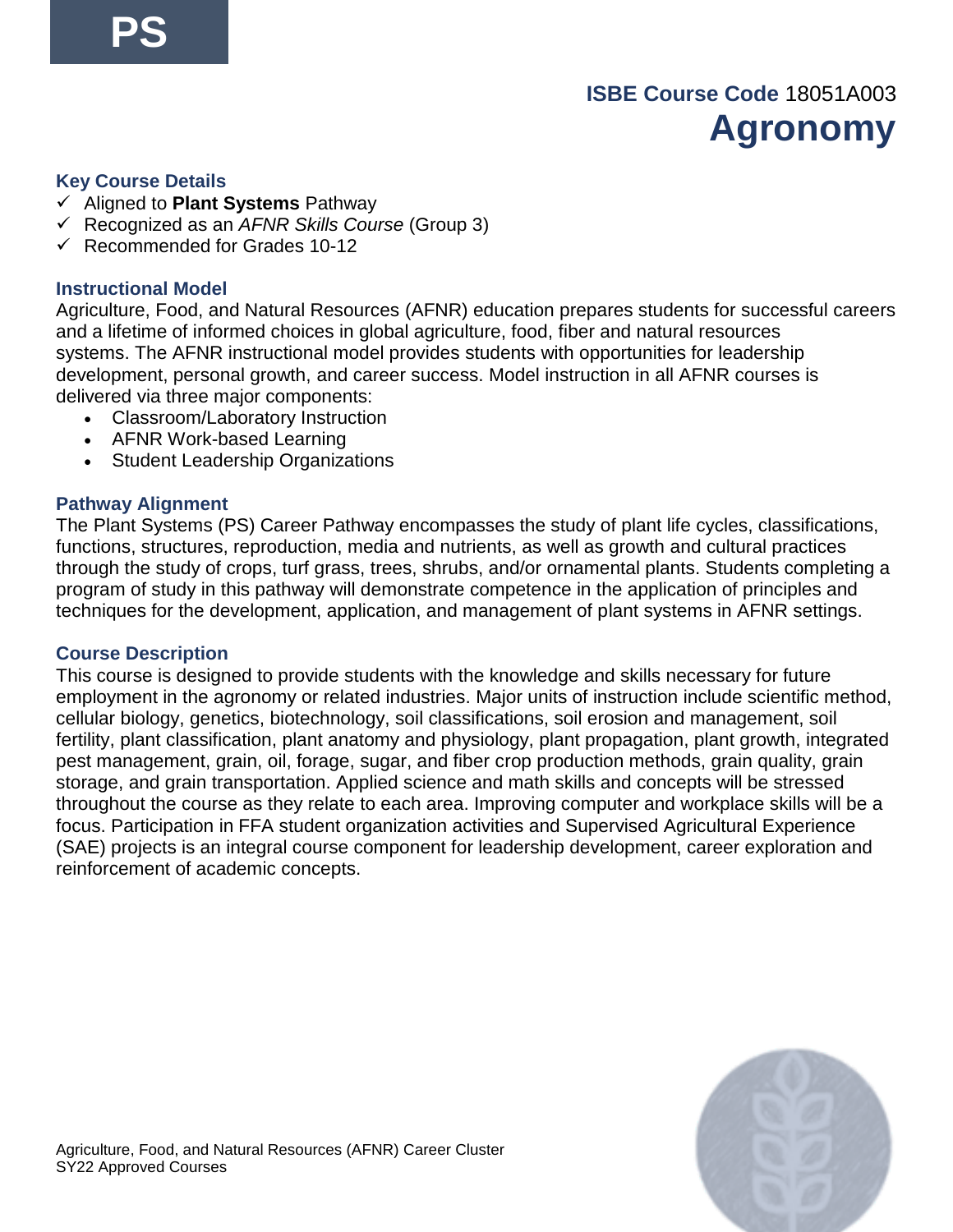### **ISBE Course Code** 18051A003 **Agronomy**

#### <span id="page-31-0"></span>**Key Course Details**

- ✓ Aligned to **Plant Systems** Pathway
- ✓ Recognized as an *AFNR Skills Course* (Group 3)
- $\checkmark$  Recommended for Grades 10-12

#### **Instructional Model**

Agriculture, Food, and Natural Resources (AFNR) education prepares students for successful careers and a lifetime of informed choices in global agriculture, food, fiber and natural resources systems. The AFNR instructional model provides students with opportunities for leadership development, personal growth, and career success. Model instruction in all AFNR courses is delivered via three major components:

- Classroom/Laboratory Instruction
- AFNR Work-based Learning
- Student Leadership Organizations

#### **Pathway Alignment**

The Plant Systems (PS) Career Pathway encompasses the study of plant life cycles, classifications, functions, structures, reproduction, media and nutrients, as well as growth and cultural practices through the study of crops, turf grass, trees, shrubs, and/or ornamental plants. Students completing a program of study in this pathway will demonstrate competence in the application of principles and techniques for the development, application, and management of plant systems in AFNR settings.

#### **Course Description**

This course is designed to provide students with the knowledge and skills necessary for future employment in the agronomy or related industries. Major units of instruction include scientific method, cellular biology, genetics, biotechnology, soil classifications, soil erosion and management, soil fertility, plant classification, plant anatomy and physiology, plant propagation, plant growth, integrated pest management, grain, oil, forage, sugar, and fiber crop production methods, grain quality, grain storage, and grain transportation. Applied science and math skills and concepts will be stressed throughout the course as they relate to each area. Improving computer and workplace skills will be a focus. Participation in FFA student organization activities and Supervised Agricultural Experience (SAE) projects is an integral course component for leadership development, career exploration and reinforcement of academic concepts.

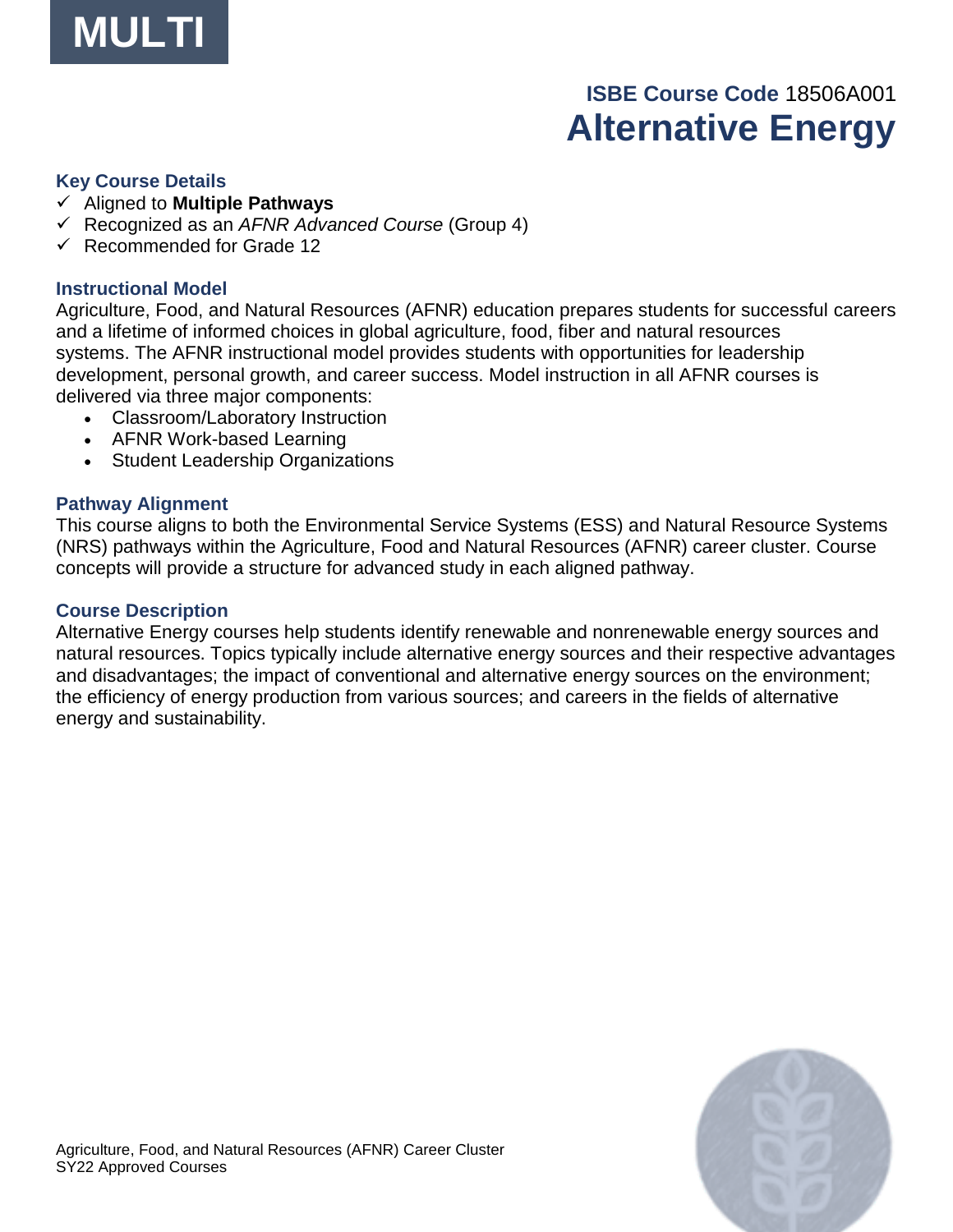

# **ISBE Course Code** 18506A001 **Alternative Energy**

#### <span id="page-32-0"></span>**Key Course Details**

- ✓ Aligned to **Multiple Pathways**
- ✓ Recognized as an *AFNR Advanced Course* (Group 4)
- ✓ Recommended for Grade 12

#### **Instructional Model**

Agriculture, Food, and Natural Resources (AFNR) education prepares students for successful careers and a lifetime of informed choices in global agriculture, food, fiber and natural resources systems. The AFNR instructional model provides students with opportunities for leadership development, personal growth, and career success. Model instruction in all AFNR courses is delivered via three major components:

- Classroom/Laboratory Instruction
- AFNR Work-based Learning
- Student Leadership Organizations

#### **Pathway Alignment**

This course aligns to both the Environmental Service Systems (ESS) and Natural Resource Systems (NRS) pathways within the Agriculture, Food and Natural Resources (AFNR) career cluster. Course concepts will provide a structure for advanced study in each aligned pathway.

#### **Course Description**

Alternative Energy courses help students identify renewable and nonrenewable energy sources and natural resources. Topics typically include alternative energy sources and their respective advantages and disadvantages; the impact of conventional and alternative energy sources on the environment; the efficiency of energy production from various sources; and careers in the fields of alternative energy and sustainability.

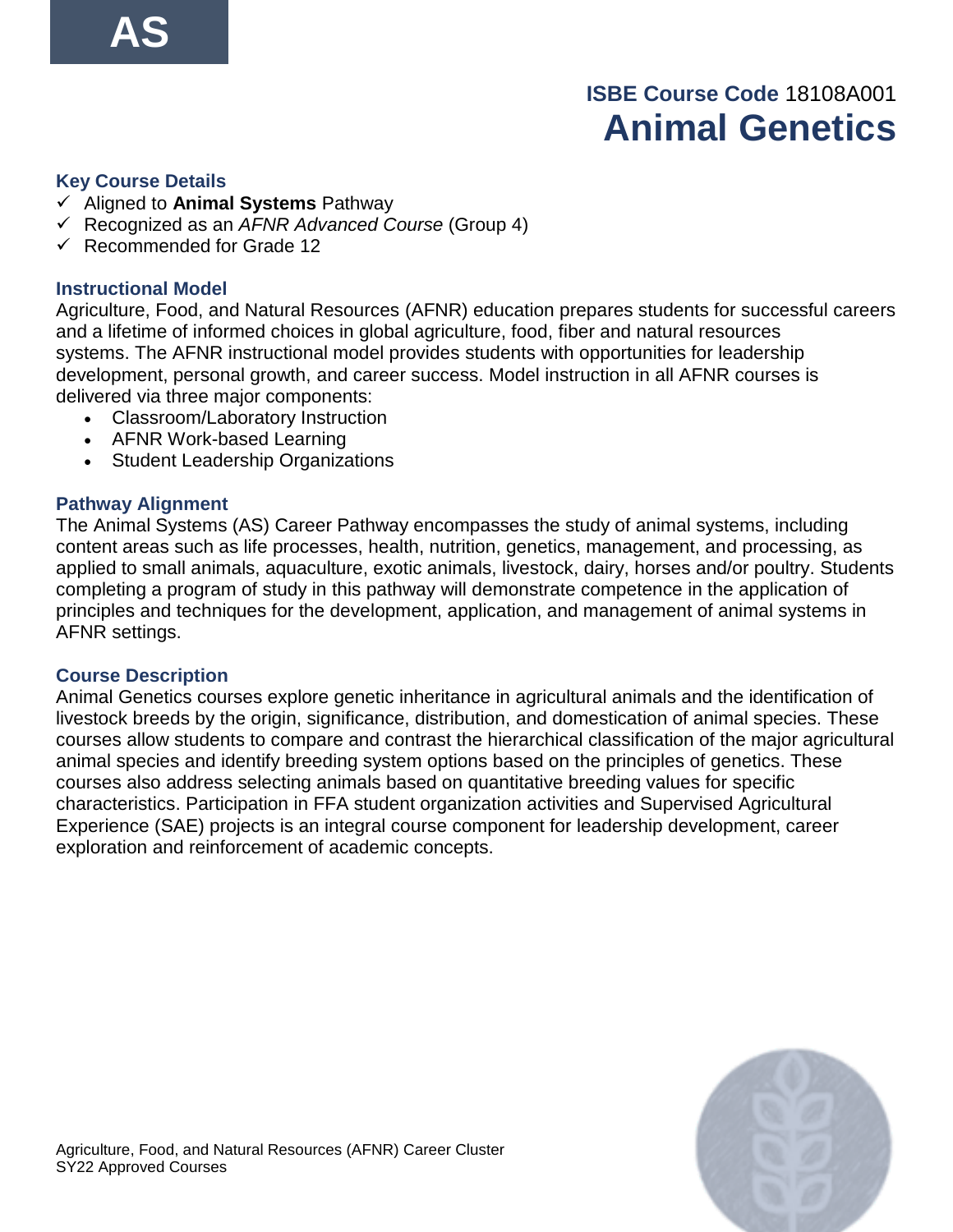# **ISBE Course Code** 18108A001 **Animal Genetics**

#### <span id="page-33-0"></span>**Key Course Details**

- ✓ Aligned to **Animal Systems** Pathway
- ✓ Recognized as an *AFNR Advanced Course* (Group 4)
- ✓ Recommended for Grade 12

#### **Instructional Model**

Agriculture, Food, and Natural Resources (AFNR) education prepares students for successful careers and a lifetime of informed choices in global agriculture, food, fiber and natural resources systems. The AFNR instructional model provides students with opportunities for leadership development, personal growth, and career success. Model instruction in all AFNR courses is delivered via three major components:

- Classroom/Laboratory Instruction
- AFNR Work-based Learning
- Student Leadership Organizations

#### **Pathway Alignment**

The Animal Systems (AS) Career Pathway encompasses the study of animal systems, including content areas such as life processes, health, nutrition, genetics, management, and processing, as applied to small animals, aquaculture, exotic animals, livestock, dairy, horses and/or poultry. Students completing a program of study in this pathway will demonstrate competence in the application of principles and techniques for the development, application, and management of animal systems in AFNR settings.

#### **Course Description**

Animal Genetics courses explore genetic inheritance in agricultural animals and the identification of livestock breeds by the origin, significance, distribution, and domestication of animal species. These courses allow students to compare and contrast the hierarchical classification of the major agricultural animal species and identify breeding system options based on the principles of genetics. These courses also address selecting animals based on quantitative breeding values for specific characteristics. Participation in FFA student organization activities and Supervised Agricultural Experience (SAE) projects is an integral course component for leadership development, career exploration and reinforcement of academic concepts.

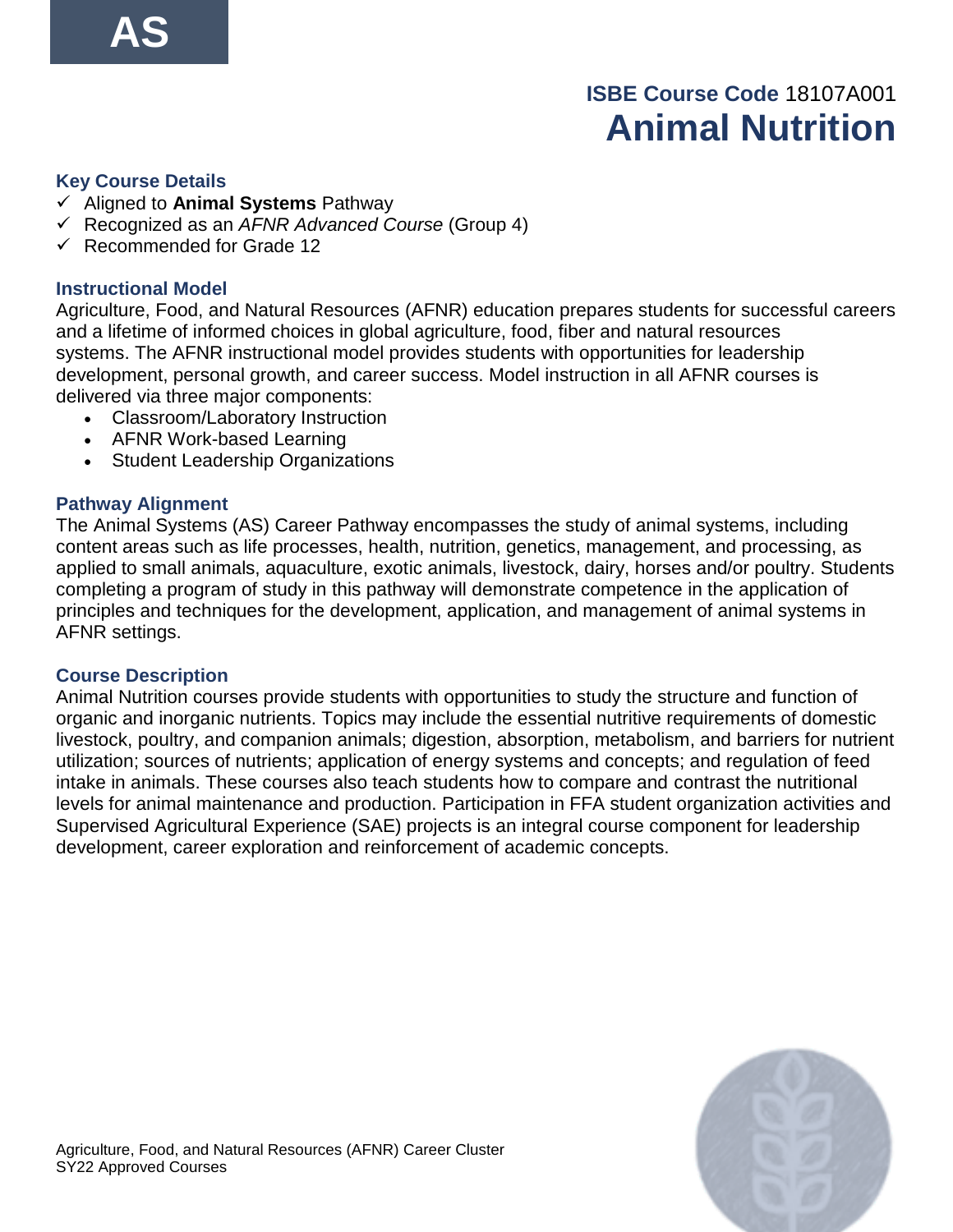# **ISBE Course Code** 18107A001 **Animal Nutrition**

#### <span id="page-34-0"></span>**Key Course Details**

- ✓ Aligned to **Animal Systems** Pathway
- ✓ Recognized as an *AFNR Advanced Course* (Group 4)
- ✓ Recommended for Grade 12

#### **Instructional Model**

Agriculture, Food, and Natural Resources (AFNR) education prepares students for successful careers and a lifetime of informed choices in global agriculture, food, fiber and natural resources systems. The AFNR instructional model provides students with opportunities for leadership development, personal growth, and career success. Model instruction in all AFNR courses is delivered via three major components:

- Classroom/Laboratory Instruction
- AFNR Work-based Learning
- Student Leadership Organizations

#### **Pathway Alignment**

The Animal Systems (AS) Career Pathway encompasses the study of animal systems, including content areas such as life processes, health, nutrition, genetics, management, and processing, as applied to small animals, aquaculture, exotic animals, livestock, dairy, horses and/or poultry. Students completing a program of study in this pathway will demonstrate competence in the application of principles and techniques for the development, application, and management of animal systems in AFNR settings.

#### **Course Description**

Animal Nutrition courses provide students with opportunities to study the structure and function of organic and inorganic nutrients. Topics may include the essential nutritive requirements of domestic livestock, poultry, and companion animals; digestion, absorption, metabolism, and barriers for nutrient utilization; sources of nutrients; application of energy systems and concepts; and regulation of feed intake in animals. These courses also teach students how to compare and contrast the nutritional levels for animal maintenance and production. Participation in FFA student organization activities and Supervised Agricultural Experience (SAE) projects is an integral course component for leadership development, career exploration and reinforcement of academic concepts.

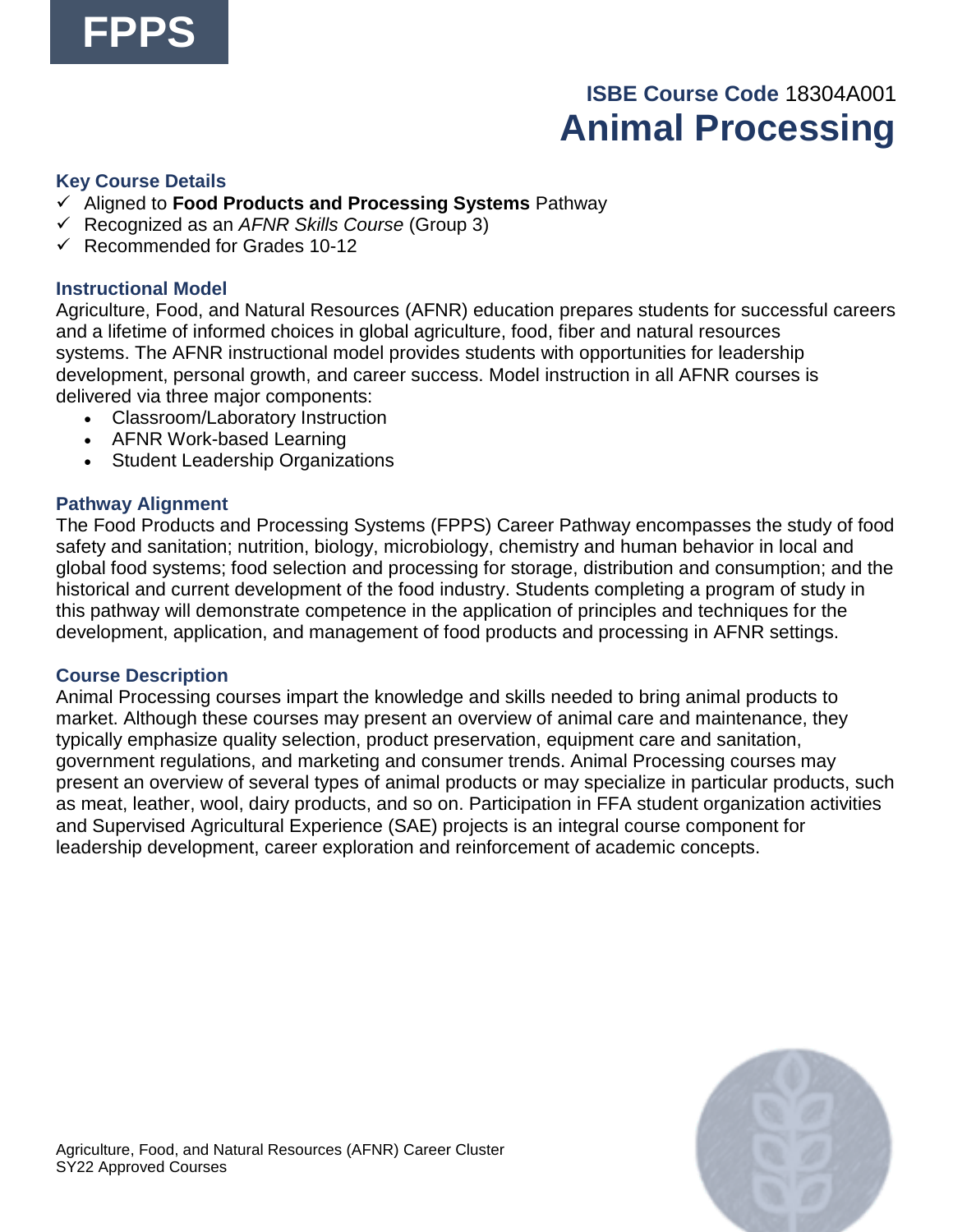# **ISBE Course Code** 18304A001 **Animal Processing**

#### <span id="page-35-0"></span>**Key Course Details**

- ✓ Aligned to **Food Products and Processing Systems** Pathway
- ✓ Recognized as an *AFNR Skills Course* (Group 3)
- $\checkmark$  Recommended for Grades 10-12

#### **Instructional Model**

Agriculture, Food, and Natural Resources (AFNR) education prepares students for successful careers and a lifetime of informed choices in global agriculture, food, fiber and natural resources systems. The AFNR instructional model provides students with opportunities for leadership development, personal growth, and career success. Model instruction in all AFNR courses is delivered via three major components:

- Classroom/Laboratory Instruction
- AFNR Work-based Learning
- Student Leadership Organizations

#### **Pathway Alignment**

The Food Products and Processing Systems (FPPS) Career Pathway encompasses the study of food safety and sanitation; nutrition, biology, microbiology, chemistry and human behavior in local and global food systems; food selection and processing for storage, distribution and consumption; and the historical and current development of the food industry. Students completing a program of study in this pathway will demonstrate competence in the application of principles and techniques for the development, application, and management of food products and processing in AFNR settings.

#### **Course Description**

Animal Processing courses impart the knowledge and skills needed to bring animal products to market. Although these courses may present an overview of animal care and maintenance, they typically emphasize quality selection, product preservation, equipment care and sanitation, government regulations, and marketing and consumer trends. Animal Processing courses may present an overview of several types of animal products or may specialize in particular products, such as meat, leather, wool, dairy products, and so on. Participation in FFA student organization activities and Supervised Agricultural Experience (SAE) projects is an integral course component for leadership development, career exploration and reinforcement of academic concepts.

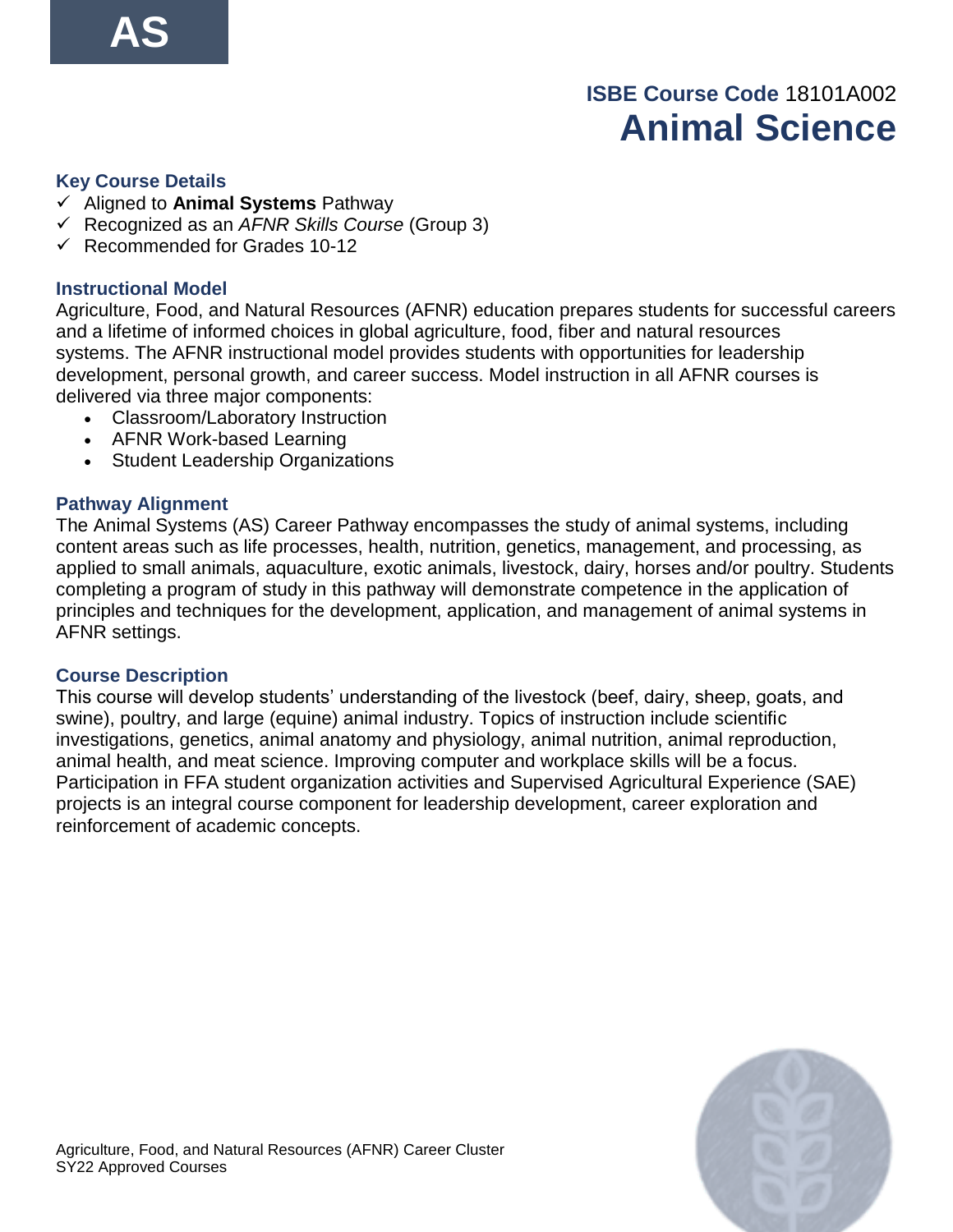# **ISBE Course Code** 18101A002 **Animal Science**

#### **Key Course Details**

- ✓ Aligned to **Animal Systems** Pathway
- ✓ Recognized as an *AFNR Skills Course* (Group 3)
- $\checkmark$  Recommended for Grades 10-12

#### **Instructional Model**

Agriculture, Food, and Natural Resources (AFNR) education prepares students for successful careers and a lifetime of informed choices in global agriculture, food, fiber and natural resources systems. The AFNR instructional model provides students with opportunities for leadership development, personal growth, and career success. Model instruction in all AFNR courses is delivered via three major components:

- Classroom/Laboratory Instruction
- AFNR Work-based Learning
- Student Leadership Organizations

#### **Pathway Alignment**

The Animal Systems (AS) Career Pathway encompasses the study of animal systems, including content areas such as life processes, health, nutrition, genetics, management, and processing, as applied to small animals, aquaculture, exotic animals, livestock, dairy, horses and/or poultry. Students completing a program of study in this pathway will demonstrate competence in the application of principles and techniques for the development, application, and management of animal systems in AFNR settings.

#### **Course Description**

This course will develop students' understanding of the livestock (beef, dairy, sheep, goats, and swine), poultry, and large (equine) animal industry. Topics of instruction include scientific investigations, genetics, animal anatomy and physiology, animal nutrition, animal reproduction, animal health, and meat science. Improving computer and workplace skills will be a focus. Participation in FFA student organization activities and Supervised Agricultural Experience (SAE) projects is an integral course component for leadership development, career exploration and reinforcement of academic concepts.

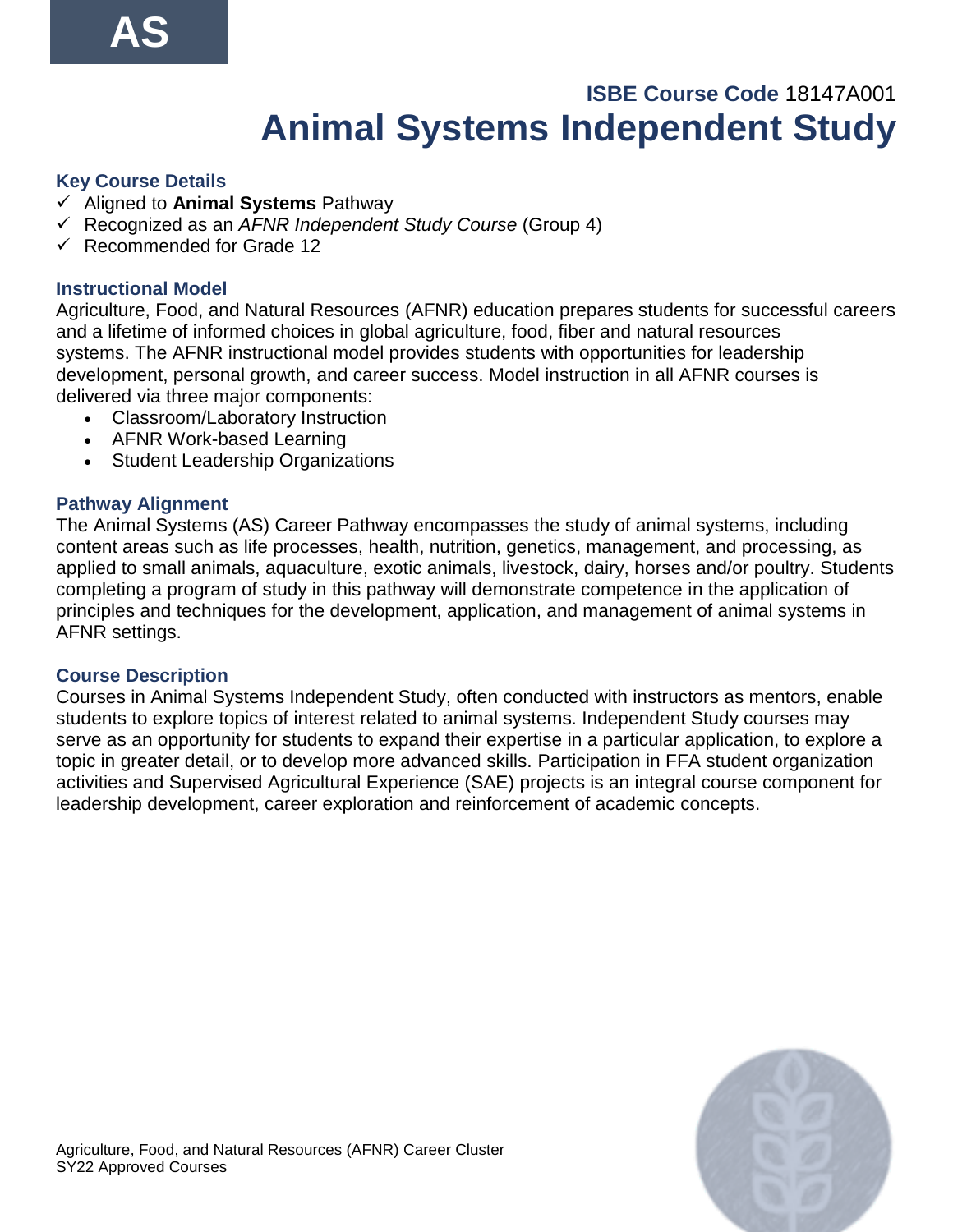# **ISBE Course Code** 18147A001 **Animal Systems Independent Study**

#### **Key Course Details**

- ✓ Aligned to **Animal Systems** Pathway
- ✓ Recognized as an *AFNR Independent Study Course* (Group 4)
- ✓ Recommended for Grade 12

#### **Instructional Model**

Agriculture, Food, and Natural Resources (AFNR) education prepares students for successful careers and a lifetime of informed choices in global agriculture, food, fiber and natural resources systems. The AFNR instructional model provides students with opportunities for leadership development, personal growth, and career success. Model instruction in all AFNR courses is delivered via three major components:

- Classroom/Laboratory Instruction
- AFNR Work-based Learning
- Student Leadership Organizations

#### **Pathway Alignment**

The Animal Systems (AS) Career Pathway encompasses the study of animal systems, including content areas such as life processes, health, nutrition, genetics, management, and processing, as applied to small animals, aquaculture, exotic animals, livestock, dairy, horses and/or poultry. Students completing a program of study in this pathway will demonstrate competence in the application of principles and techniques for the development, application, and management of animal systems in AFNR settings.

#### **Course Description**

Courses in Animal Systems Independent Study, often conducted with instructors as mentors, enable students to explore topics of interest related to animal systems. Independent Study courses may serve as an opportunity for students to expand their expertise in a particular application, to explore a topic in greater detail, or to develop more advanced skills. Participation in FFA student organization activities and Supervised Agricultural Experience (SAE) projects is an integral course component for leadership development, career exploration and reinforcement of academic concepts.

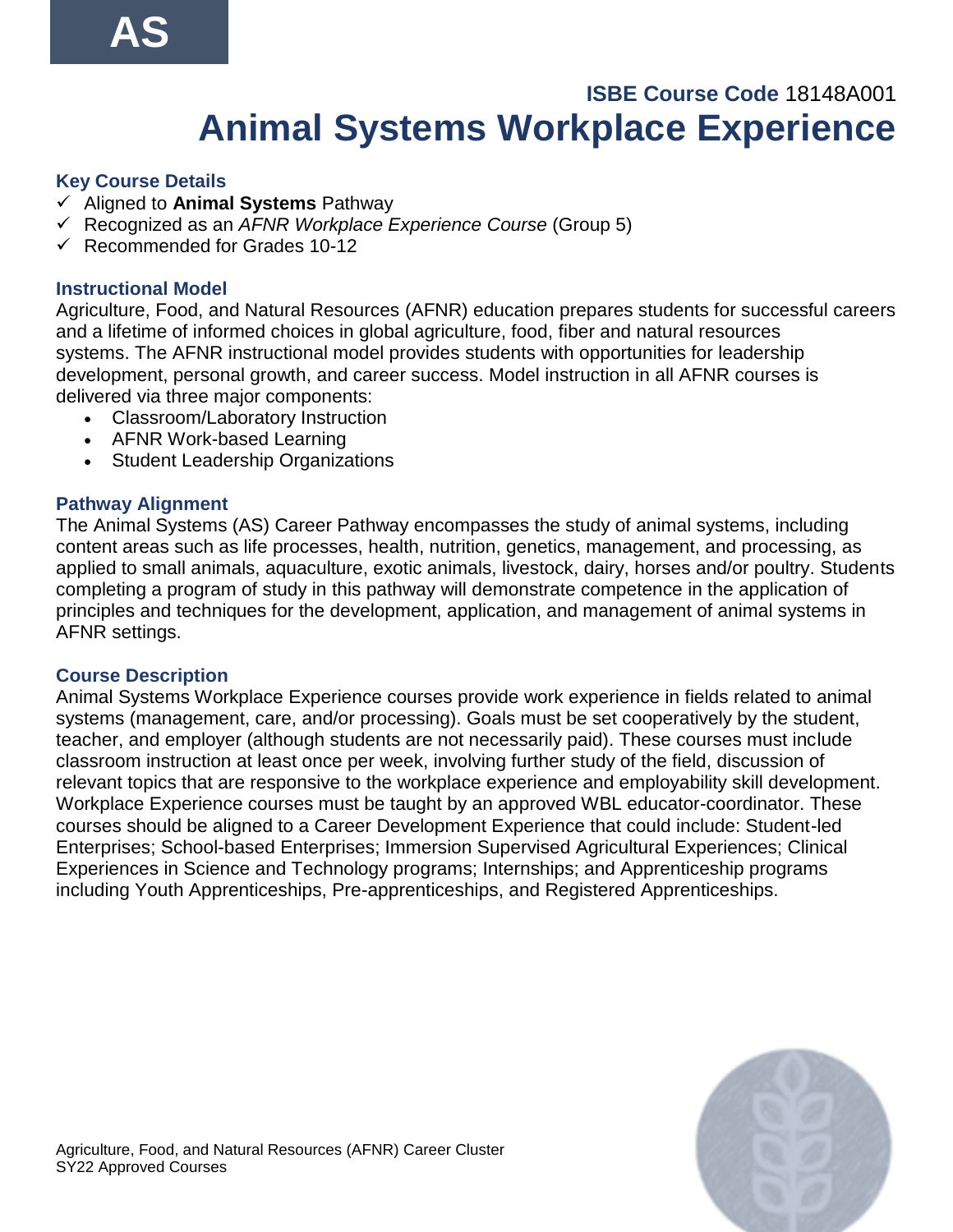# **ISBE Course Code** 18148A001 **Animal Systems Workplace Experience**

## **Key Course Details**

- ✓ Aligned to **Animal Systems** Pathway
- ✓ Recognized as an *AFNR Workplace Experience Course* (Group 5)
- $\checkmark$  Recommended for Grades 10-12

## **Instructional Model**

Agriculture, Food, and Natural Resources (AFNR) education prepares students for successful careers and a lifetime of informed choices in global agriculture, food, fiber and natural resources systems. The AFNR instructional model provides students with opportunities for leadership development, personal growth, and career success. Model instruction in all AFNR courses is delivered via three major components:

- Classroom/Laboratory Instruction
- AFNR Work-based Learning
- Student Leadership Organizations

### **Pathway Alignment**

The Animal Systems (AS) Career Pathway encompasses the study of animal systems, including content areas such as life processes, health, nutrition, genetics, management, and processing, as applied to small animals, aquaculture, exotic animals, livestock, dairy, horses and/or poultry. Students completing a program of study in this pathway will demonstrate competence in the application of principles and techniques for the development, application, and management of animal systems in AFNR settings.

#### **Course Description**

Animal Systems Workplace Experience courses provide work experience in fields related to animal systems (management, care, and/or processing). Goals must be set cooperatively by the student, teacher, and employer (although students are not necessarily paid). These courses must include classroom instruction at least once per week, involving further study of the field, discussion of relevant topics that are responsive to the workplace experience and employability skill development. Workplace Experience courses must be taught by an approved WBL educator-coordinator. These courses should be aligned to a Career Development Experience that could include: Student-led Enterprises; School-based Enterprises; Immersion Supervised Agricultural Experiences; Clinical Experiences in Science and Technology programs; Internships; and Apprenticeship programs including Youth Apprenticeships, Pre-apprenticeships, and Registered Apprenticeships.

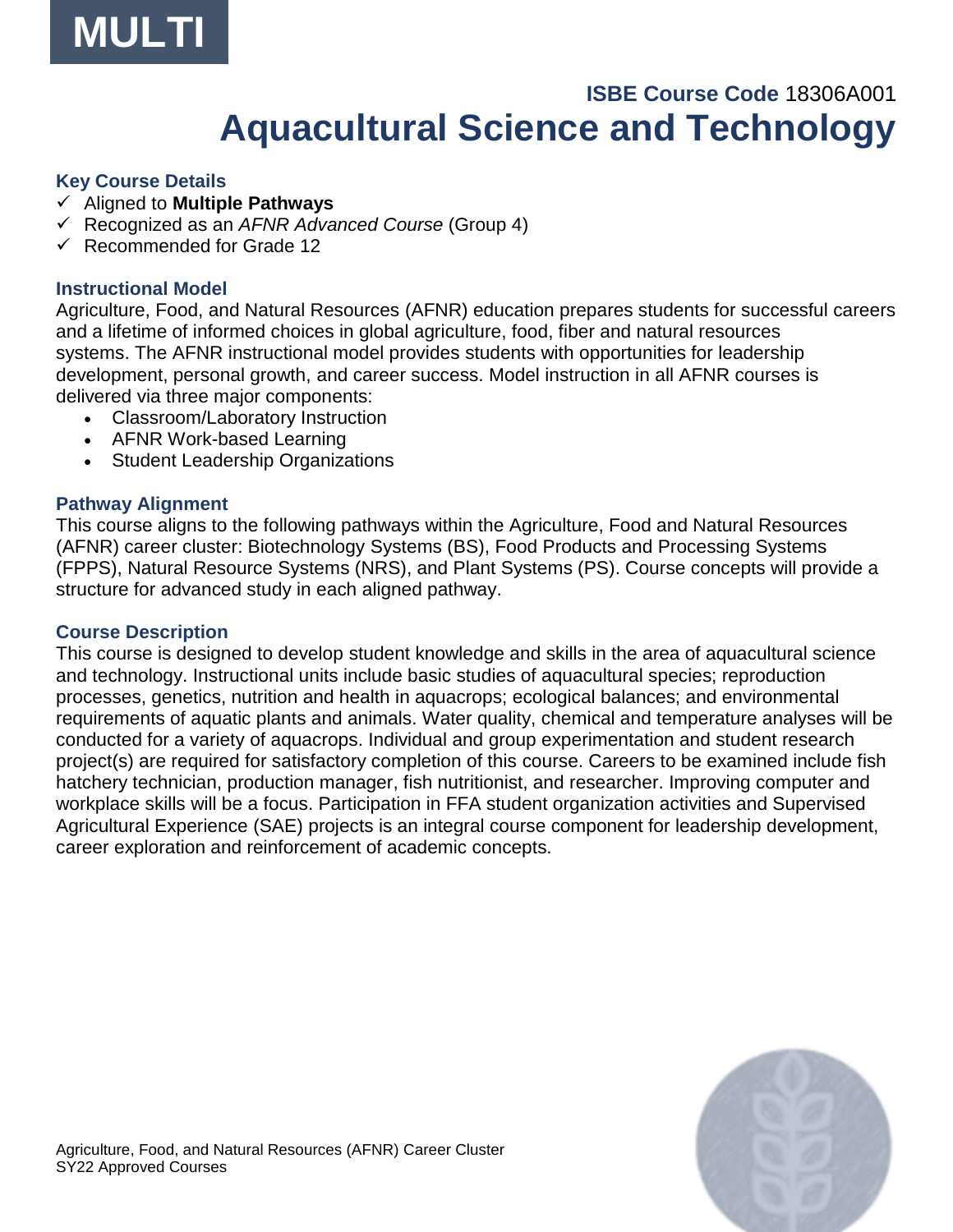

## **ISBE Course Code** 18306A001 **Aquacultural Science and Technology**

#### **Key Course Details**

- ✓ Aligned to **Multiple Pathways**
- ✓ Recognized as an *AFNR Advanced Course* (Group 4)
- ✓ Recommended for Grade 12

#### **Instructional Model**

Agriculture, Food, and Natural Resources (AFNR) education prepares students for successful careers and a lifetime of informed choices in global agriculture, food, fiber and natural resources systems. The AFNR instructional model provides students with opportunities for leadership development, personal growth, and career success. Model instruction in all AFNR courses is delivered via three major components:

- Classroom/Laboratory Instruction
- AFNR Work-based Learning
- Student Leadership Organizations

#### **Pathway Alignment**

This course aligns to the following pathways within the Agriculture, Food and Natural Resources (AFNR) career cluster: Biotechnology Systems (BS), Food Products and Processing Systems (FPPS), Natural Resource Systems (NRS), and Plant Systems (PS). Course concepts will provide a structure for advanced study in each aligned pathway.

#### **Course Description**

This course is designed to develop student knowledge and skills in the area of aquacultural science and technology. Instructional units include basic studies of aquacultural species; reproduction processes, genetics, nutrition and health in aquacrops; ecological balances; and environmental requirements of aquatic plants and animals. Water quality, chemical and temperature analyses will be conducted for a variety of aquacrops. Individual and group experimentation and student research project(s) are required for satisfactory completion of this course. Careers to be examined include fish hatchery technician, production manager, fish nutritionist, and researcher. Improving computer and workplace skills will be a focus. Participation in FFA student organization activities and Supervised Agricultural Experience (SAE) projects is an integral course component for leadership development, career exploration and reinforcement of academic concepts.

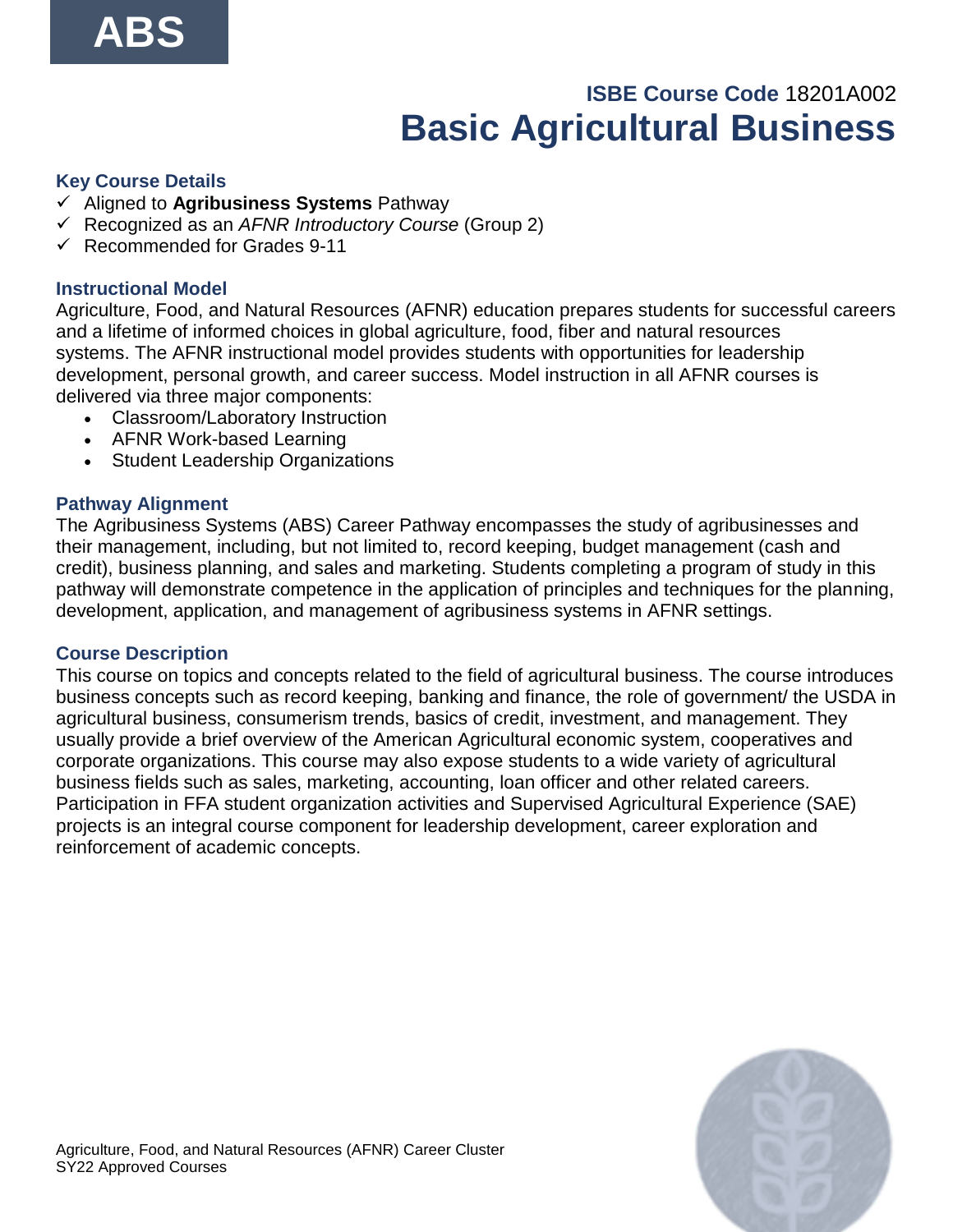# **ISBE Course Code** 18201A002 **Basic Agricultural Business**

#### **Key Course Details**

- ✓ Aligned to **Agribusiness Systems** Pathway
- ✓ Recognized as an *AFNR Introductory Course* (Group 2)
- $\checkmark$  Recommended for Grades 9-11

#### **Instructional Model**

Agriculture, Food, and Natural Resources (AFNR) education prepares students for successful careers and a lifetime of informed choices in global agriculture, food, fiber and natural resources systems. The AFNR instructional model provides students with opportunities for leadership development, personal growth, and career success. Model instruction in all AFNR courses is delivered via three major components:

- Classroom/Laboratory Instruction
- AFNR Work-based Learning
- Student Leadership Organizations

#### **Pathway Alignment**

The Agribusiness Systems (ABS) Career Pathway encompasses the study of agribusinesses and their management, including, but not limited to, record keeping, budget management (cash and credit), business planning, and sales and marketing. Students completing a program of study in this pathway will demonstrate competence in the application of principles and techniques for the planning, development, application, and management of agribusiness systems in AFNR settings.

#### **Course Description**

This course on topics and concepts related to the field of agricultural business. The course introduces business concepts such as record keeping, banking and finance, the role of government/ the USDA in agricultural business, consumerism trends, basics of credit, investment, and management. They usually provide a brief overview of the American Agricultural economic system, cooperatives and corporate organizations. This course may also expose students to a wide variety of agricultural business fields such as sales, marketing, accounting, loan officer and other related careers. Participation in FFA student organization activities and Supervised Agricultural Experience (SAE) projects is an integral course component for leadership development, career exploration and reinforcement of academic concepts.

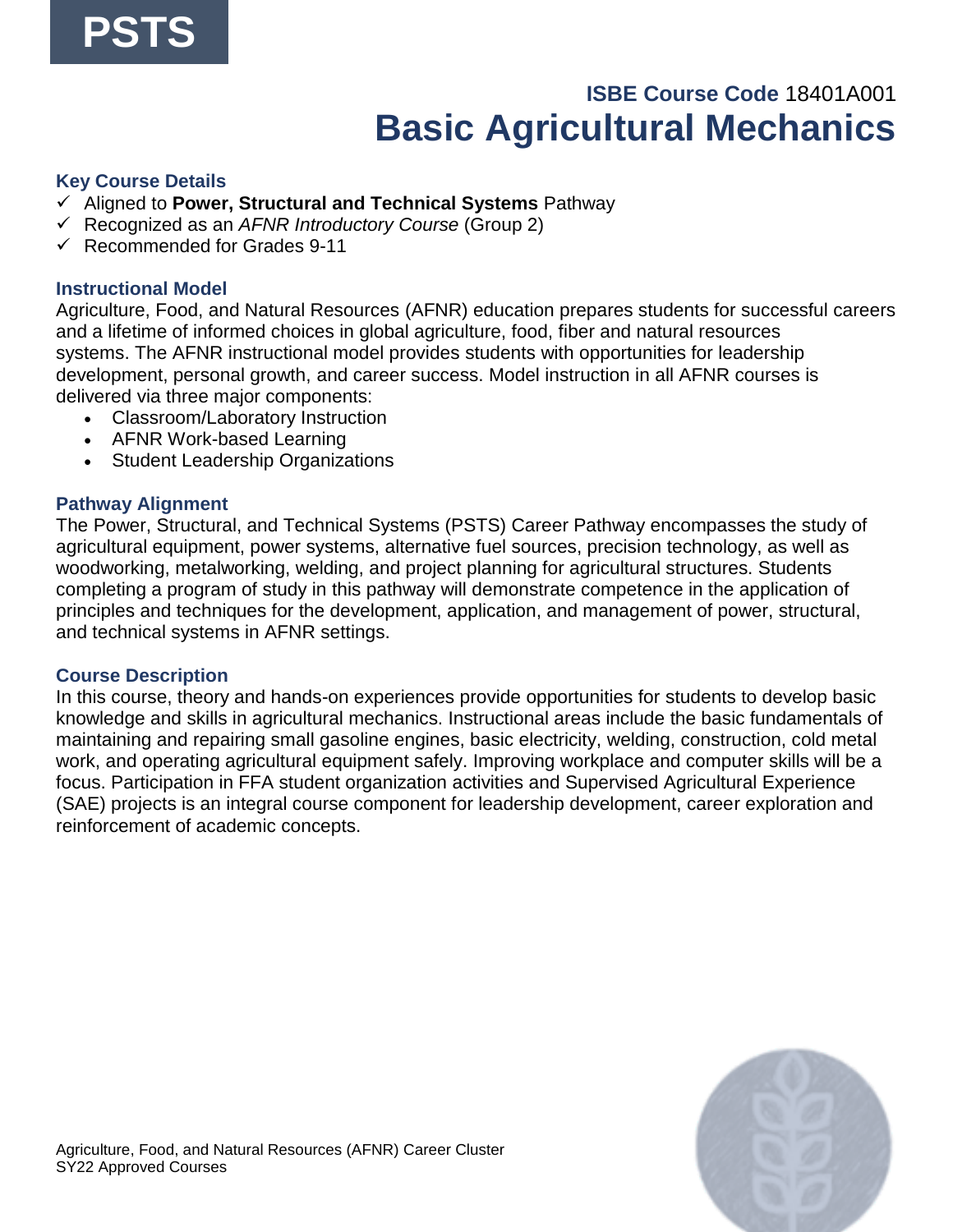# **ISBE Course Code** 18401A001 **Basic Agricultural Mechanics**

#### **Key Course Details**

- ✓ Aligned to **Power, Structural and Technical Systems** Pathway
- ✓ Recognized as an *AFNR Introductory Course* (Group 2)
- $\checkmark$  Recommended for Grades 9-11

#### **Instructional Model**

Agriculture, Food, and Natural Resources (AFNR) education prepares students for successful careers and a lifetime of informed choices in global agriculture, food, fiber and natural resources systems. The AFNR instructional model provides students with opportunities for leadership development, personal growth, and career success. Model instruction in all AFNR courses is delivered via three major components:

- Classroom/Laboratory Instruction
- AFNR Work-based Learning
- Student Leadership Organizations

#### **Pathway Alignment**

The Power, Structural, and Technical Systems (PSTS) Career Pathway encompasses the study of agricultural equipment, power systems, alternative fuel sources, precision technology, as well as woodworking, metalworking, welding, and project planning for agricultural structures. Students completing a program of study in this pathway will demonstrate competence in the application of principles and techniques for the development, application, and management of power, structural, and technical systems in AFNR settings.

#### **Course Description**

In this course, theory and hands-on experiences provide opportunities for students to develop basic knowledge and skills in agricultural mechanics. Instructional areas include the basic fundamentals of maintaining and repairing small gasoline engines, basic electricity, welding, construction, cold metal work, and operating agricultural equipment safely. Improving workplace and computer skills will be a focus. Participation in FFA student organization activities and Supervised Agricultural Experience (SAE) projects is an integral course component for leadership development, career exploration and reinforcement of academic concepts.

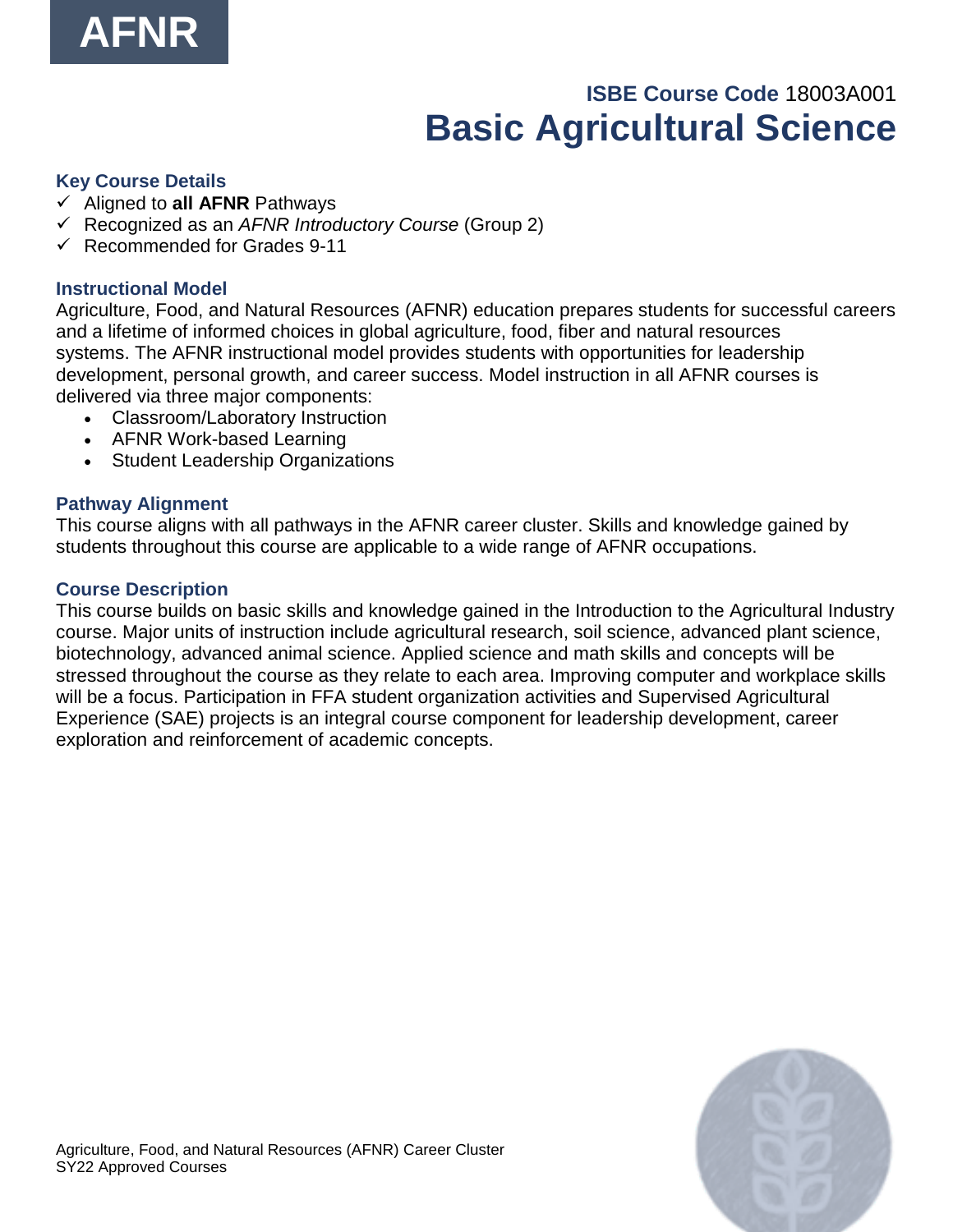

# **ISBE Course Code** 18003A001 **Basic Agricultural Science**

#### **Key Course Details**

- ✓ Aligned to **all AFNR** Pathways
- ✓ Recognized as an *AFNR Introductory Course* (Group 2)
- $\checkmark$  Recommended for Grades 9-11

#### **Instructional Model**

Agriculture, Food, and Natural Resources (AFNR) education prepares students for successful careers and a lifetime of informed choices in global agriculture, food, fiber and natural resources systems. The AFNR instructional model provides students with opportunities for leadership development, personal growth, and career success. Model instruction in all AFNR courses is delivered via three major components:

- Classroom/Laboratory Instruction
- AFNR Work-based Learning
- Student Leadership Organizations

#### **Pathway Alignment**

This course aligns with all pathways in the AFNR career cluster. Skills and knowledge gained by students throughout this course are applicable to a wide range of AFNR occupations.

#### **Course Description**

This course builds on basic skills and knowledge gained in the Introduction to the Agricultural Industry course. Major units of instruction include agricultural research, soil science, advanced plant science, biotechnology, advanced animal science. Applied science and math skills and concepts will be stressed throughout the course as they relate to each area. Improving computer and workplace skills will be a focus. Participation in FFA student organization activities and Supervised Agricultural Experience (SAE) projects is an integral course component for leadership development, career exploration and reinforcement of academic concepts.

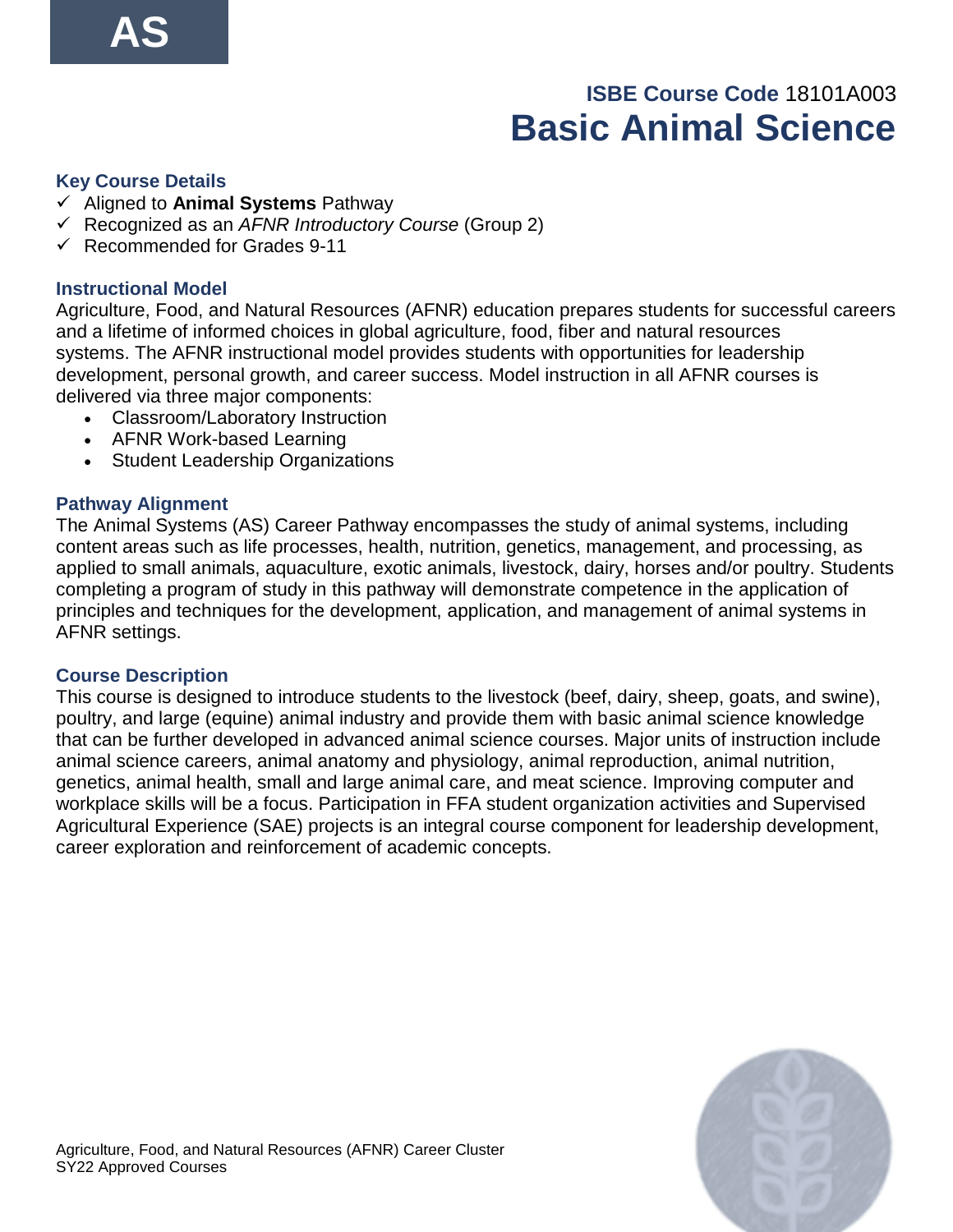# **ISBE Course Code** 18101A003 **Basic Animal Science**

#### **Key Course Details**

- ✓ Aligned to **Animal Systems** Pathway
- ✓ Recognized as an *AFNR Introductory Course* (Group 2)
- $\checkmark$  Recommended for Grades 9-11

#### **Instructional Model**

Agriculture, Food, and Natural Resources (AFNR) education prepares students for successful careers and a lifetime of informed choices in global agriculture, food, fiber and natural resources systems. The AFNR instructional model provides students with opportunities for leadership development, personal growth, and career success. Model instruction in all AFNR courses is delivered via three major components:

- Classroom/Laboratory Instruction
- AFNR Work-based Learning
- Student Leadership Organizations

#### **Pathway Alignment**

The Animal Systems (AS) Career Pathway encompasses the study of animal systems, including content areas such as life processes, health, nutrition, genetics, management, and processing, as applied to small animals, aquaculture, exotic animals, livestock, dairy, horses and/or poultry. Students completing a program of study in this pathway will demonstrate competence in the application of principles and techniques for the development, application, and management of animal systems in AFNR settings.

#### **Course Description**

This course is designed to introduce students to the livestock (beef, dairy, sheep, goats, and swine), poultry, and large (equine) animal industry and provide them with basic animal science knowledge that can be further developed in advanced animal science courses. Major units of instruction include animal science careers, animal anatomy and physiology, animal reproduction, animal nutrition, genetics, animal health, small and large animal care, and meat science. Improving computer and workplace skills will be a focus. Participation in FFA student organization activities and Supervised Agricultural Experience (SAE) projects is an integral course component for leadership development, career exploration and reinforcement of academic concepts.

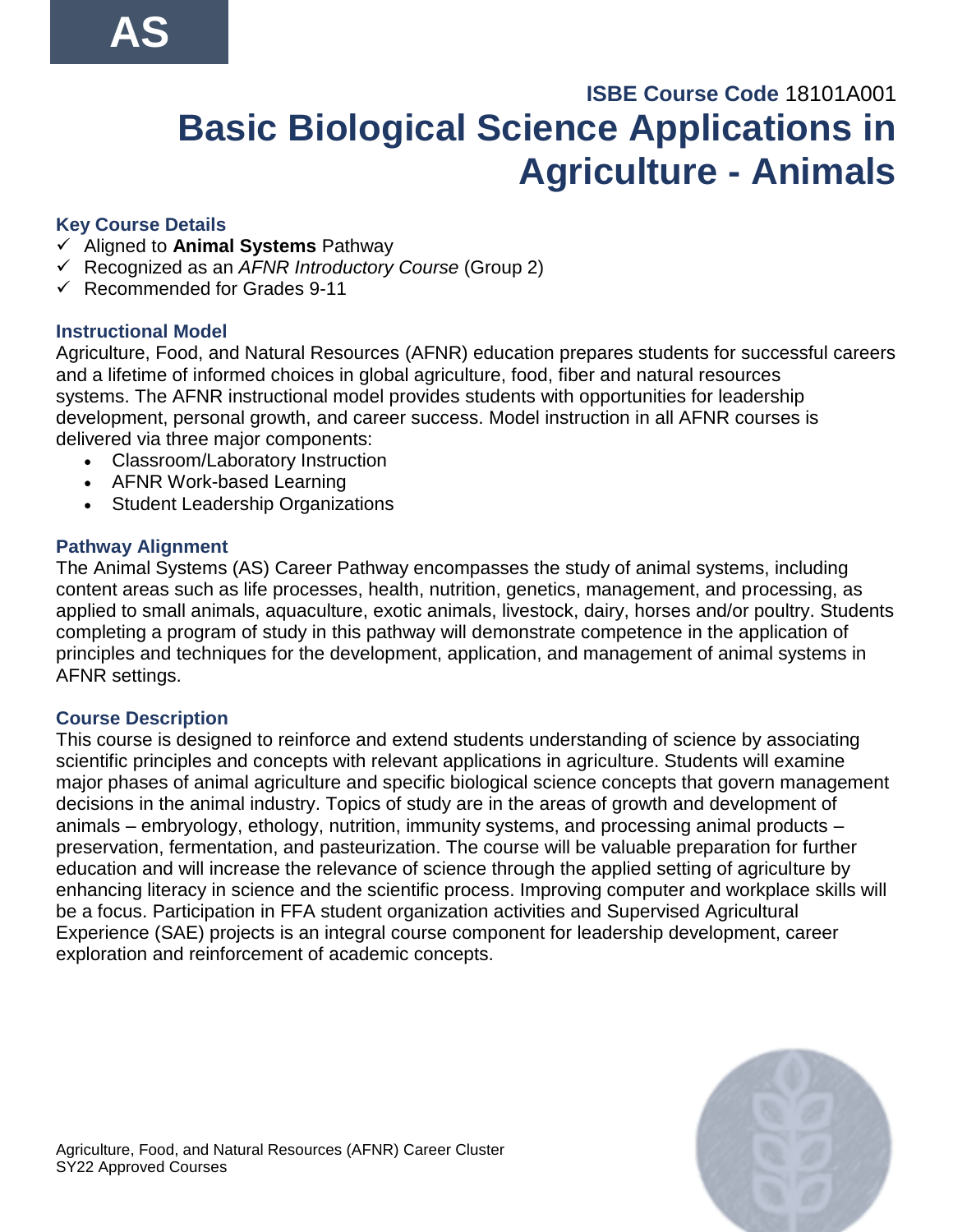# **ISBE Course Code** 18101A001 **Basic Biological Science Applications in Agriculture - Animals**

## **Key Course Details**

- ✓ Aligned to **Animal Systems** Pathway
- ✓ Recognized as an *AFNR Introductory Course* (Group 2)
- $\checkmark$  Recommended for Grades 9-11

## **Instructional Model**

Agriculture, Food, and Natural Resources (AFNR) education prepares students for successful careers and a lifetime of informed choices in global agriculture, food, fiber and natural resources systems. The AFNR instructional model provides students with opportunities for leadership development, personal growth, and career success. Model instruction in all AFNR courses is delivered via three major components:

- Classroom/Laboratory Instruction
- AFNR Work-based Learning
- Student Leadership Organizations

### **Pathway Alignment**

The Animal Systems (AS) Career Pathway encompasses the study of animal systems, including content areas such as life processes, health, nutrition, genetics, management, and processing, as applied to small animals, aquaculture, exotic animals, livestock, dairy, horses and/or poultry. Students completing a program of study in this pathway will demonstrate competence in the application of principles and techniques for the development, application, and management of animal systems in AFNR settings.

## **Course Description**

This course is designed to reinforce and extend students understanding of science by associating scientific principles and concepts with relevant applications in agriculture. Students will examine major phases of animal agriculture and specific biological science concepts that govern management decisions in the animal industry. Topics of study are in the areas of growth and development of animals – embryology, ethology, nutrition, immunity systems, and processing animal products – preservation, fermentation, and pasteurization. The course will be valuable preparation for further education and will increase the relevance of science through the applied setting of agriculture by enhancing literacy in science and the scientific process. Improving computer and workplace skills will be a focus. Participation in FFA student organization activities and Supervised Agricultural Experience (SAE) projects is an integral course component for leadership development, career exploration and reinforcement of academic concepts.

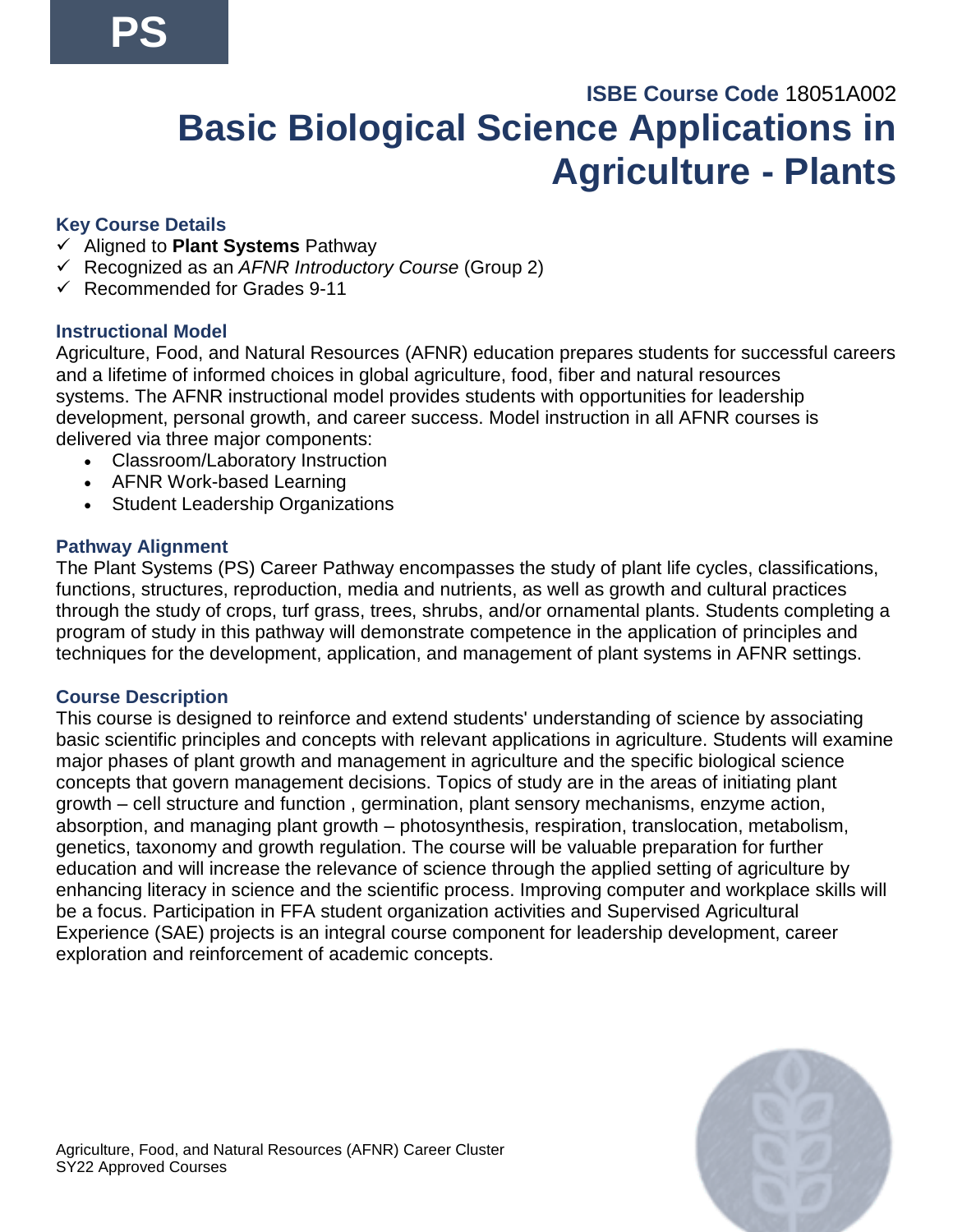# **ISBE Course Code** 18051A002 **Basic Biological Science Applications in Agriculture - Plants**

## **Key Course Details**

- ✓ Aligned to **Plant Systems** Pathway
- ✓ Recognized as an *AFNR Introductory Course* (Group 2)
- $\checkmark$  Recommended for Grades 9-11

## **Instructional Model**

Agriculture, Food, and Natural Resources (AFNR) education prepares students for successful careers and a lifetime of informed choices in global agriculture, food, fiber and natural resources systems. The AFNR instructional model provides students with opportunities for leadership development, personal growth, and career success. Model instruction in all AFNR courses is delivered via three major components:

- Classroom/Laboratory Instruction
- AFNR Work-based Learning
- Student Leadership Organizations

### **Pathway Alignment**

The Plant Systems (PS) Career Pathway encompasses the study of plant life cycles, classifications, functions, structures, reproduction, media and nutrients, as well as growth and cultural practices through the study of crops, turf grass, trees, shrubs, and/or ornamental plants. Students completing a program of study in this pathway will demonstrate competence in the application of principles and techniques for the development, application, and management of plant systems in AFNR settings.

## **Course Description**

This course is designed to reinforce and extend students' understanding of science by associating basic scientific principles and concepts with relevant applications in agriculture. Students will examine major phases of plant growth and management in agriculture and the specific biological science concepts that govern management decisions. Topics of study are in the areas of initiating plant growth – cell structure and function , germination, plant sensory mechanisms, enzyme action, absorption, and managing plant growth – photosynthesis, respiration, translocation, metabolism, genetics, taxonomy and growth regulation. The course will be valuable preparation for further education and will increase the relevance of science through the applied setting of agriculture by enhancing literacy in science and the scientific process. Improving computer and workplace skills will be a focus. Participation in FFA student organization activities and Supervised Agricultural Experience (SAE) projects is an integral course component for leadership development, career exploration and reinforcement of academic concepts.

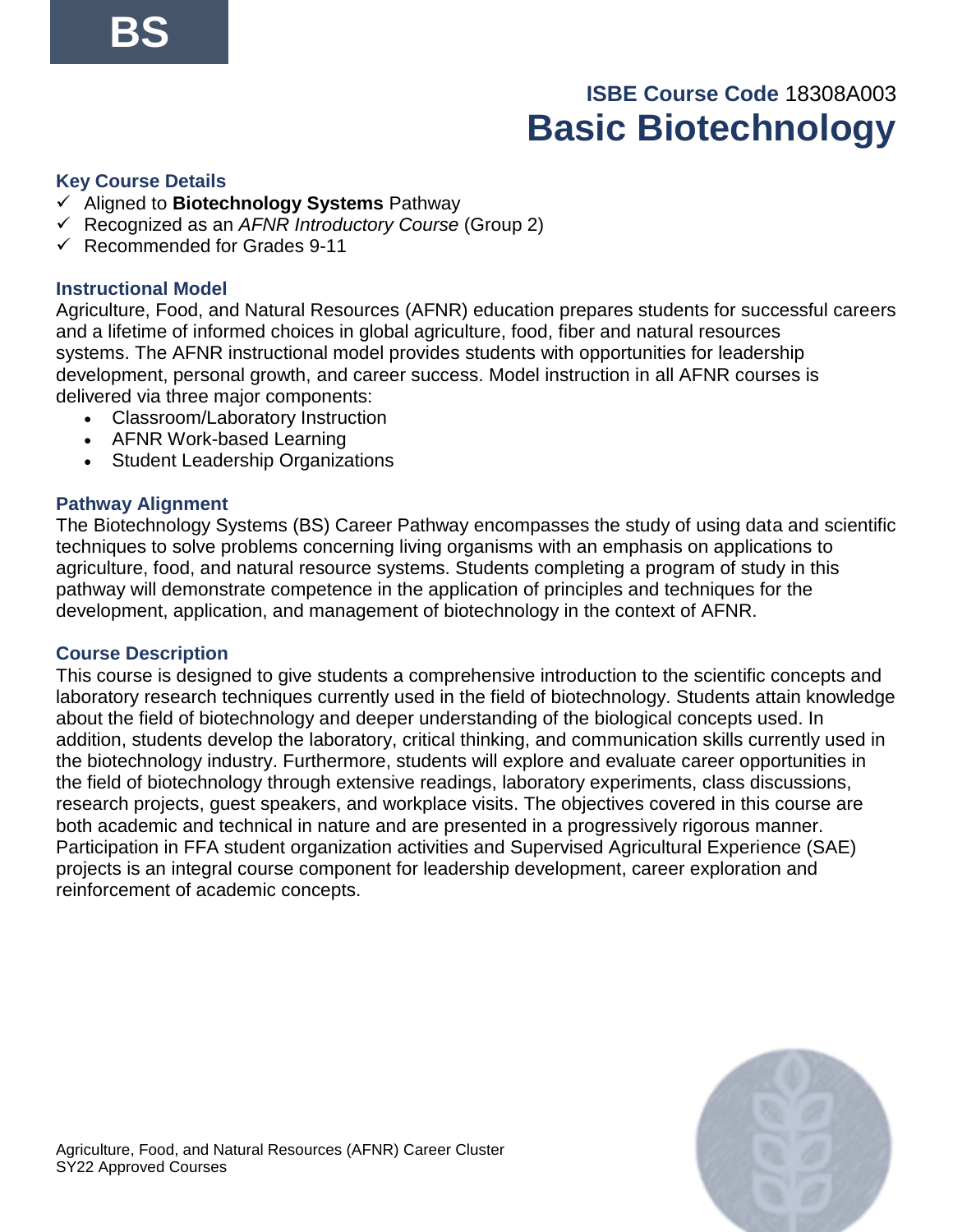# **ISBE Course Code** 18308A003 **Basic Biotechnology**

#### **Key Course Details**

- ✓ Aligned to **Biotechnology Systems** Pathway
- ✓ Recognized as an *AFNR Introductory Course* (Group 2)
- $\checkmark$  Recommended for Grades 9-11

#### **Instructional Model**

Agriculture, Food, and Natural Resources (AFNR) education prepares students for successful careers and a lifetime of informed choices in global agriculture, food, fiber and natural resources systems. The AFNR instructional model provides students with opportunities for leadership development, personal growth, and career success. Model instruction in all AFNR courses is delivered via three major components:

- Classroom/Laboratory Instruction
- AFNR Work-based Learning
- Student Leadership Organizations

#### **Pathway Alignment**

The Biotechnology Systems (BS) Career Pathway encompasses the study of using data and scientific techniques to solve problems concerning living organisms with an emphasis on applications to agriculture, food, and natural resource systems. Students completing a program of study in this pathway will demonstrate competence in the application of principles and techniques for the development, application, and management of biotechnology in the context of AFNR.

#### **Course Description**

This course is designed to give students a comprehensive introduction to the scientific concepts and laboratory research techniques currently used in the field of biotechnology. Students attain knowledge about the field of biotechnology and deeper understanding of the biological concepts used. In addition, students develop the laboratory, critical thinking, and communication skills currently used in the biotechnology industry. Furthermore, students will explore and evaluate career opportunities in the field of biotechnology through extensive readings, laboratory experiments, class discussions, research projects, guest speakers, and workplace visits. The objectives covered in this course are both academic and technical in nature and are presented in a progressively rigorous manner. Participation in FFA student organization activities and Supervised Agricultural Experience (SAE) projects is an integral course component for leadership development, career exploration and reinforcement of academic concepts.

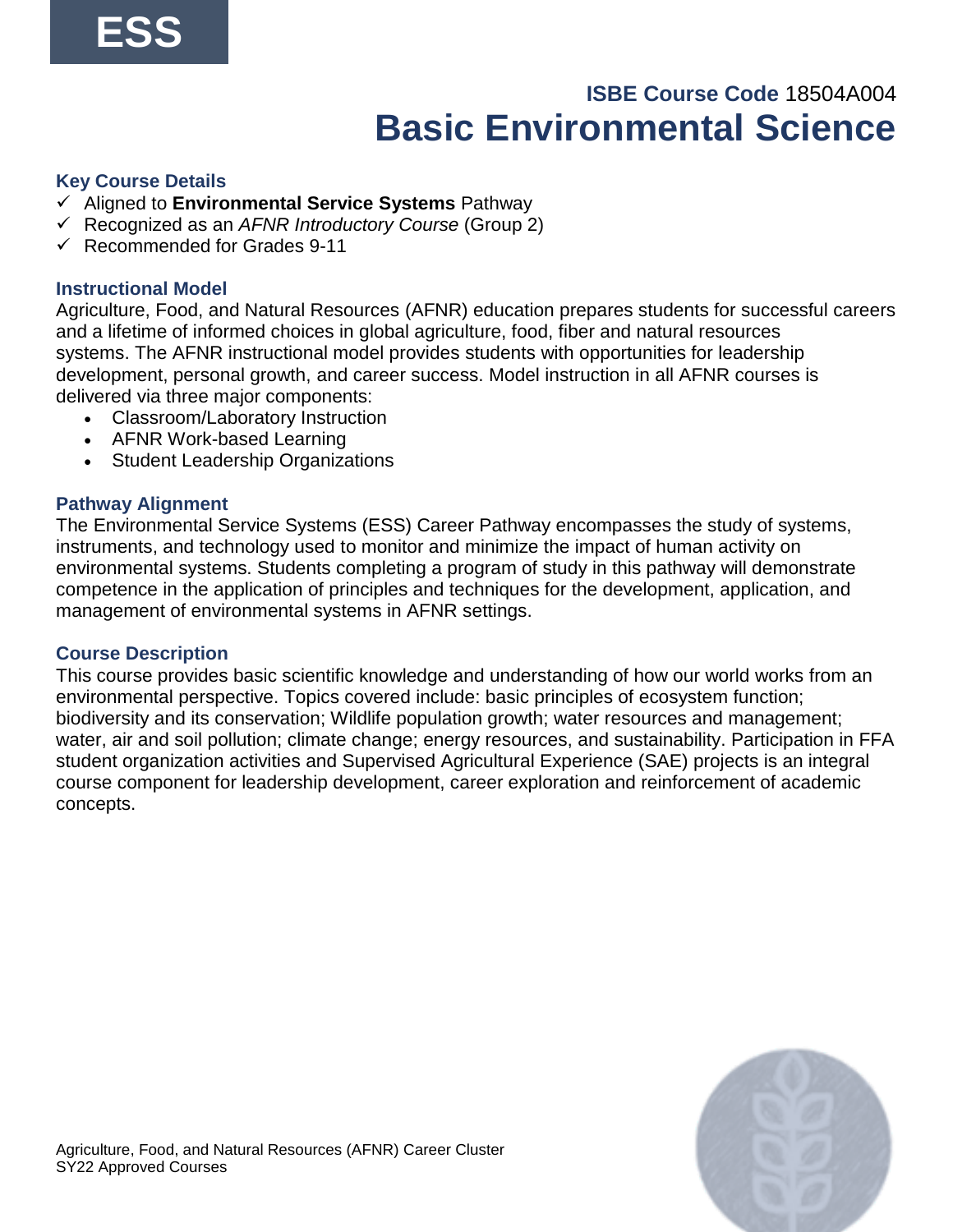# **ISBE Course Code** 18504A004 **Basic Environmental Science**

#### **Key Course Details**

- ✓ Aligned to **Environmental Service Systems** Pathway
- ✓ Recognized as an *AFNR Introductory Course* (Group 2)
- $\checkmark$  Recommended for Grades 9-11

#### **Instructional Model**

Agriculture, Food, and Natural Resources (AFNR) education prepares students for successful careers and a lifetime of informed choices in global agriculture, food, fiber and natural resources systems. The AFNR instructional model provides students with opportunities for leadership development, personal growth, and career success. Model instruction in all AFNR courses is delivered via three major components:

- Classroom/Laboratory Instruction
- AFNR Work-based Learning
- Student Leadership Organizations

#### **Pathway Alignment**

The Environmental Service Systems (ESS) Career Pathway encompasses the study of systems, instruments, and technology used to monitor and minimize the impact of human activity on environmental systems. Students completing a program of study in this pathway will demonstrate competence in the application of principles and techniques for the development, application, and management of environmental systems in AFNR settings.

#### **Course Description**

This course provides basic scientific knowledge and understanding of how our world works from an environmental perspective. Topics covered include: basic principles of ecosystem function; biodiversity and its conservation; Wildlife population growth; water resources and management; water, air and soil pollution; climate change; energy resources, and sustainability. Participation in FFA student organization activities and Supervised Agricultural Experience (SAE) projects is an integral course component for leadership development, career exploration and reinforcement of academic concepts.

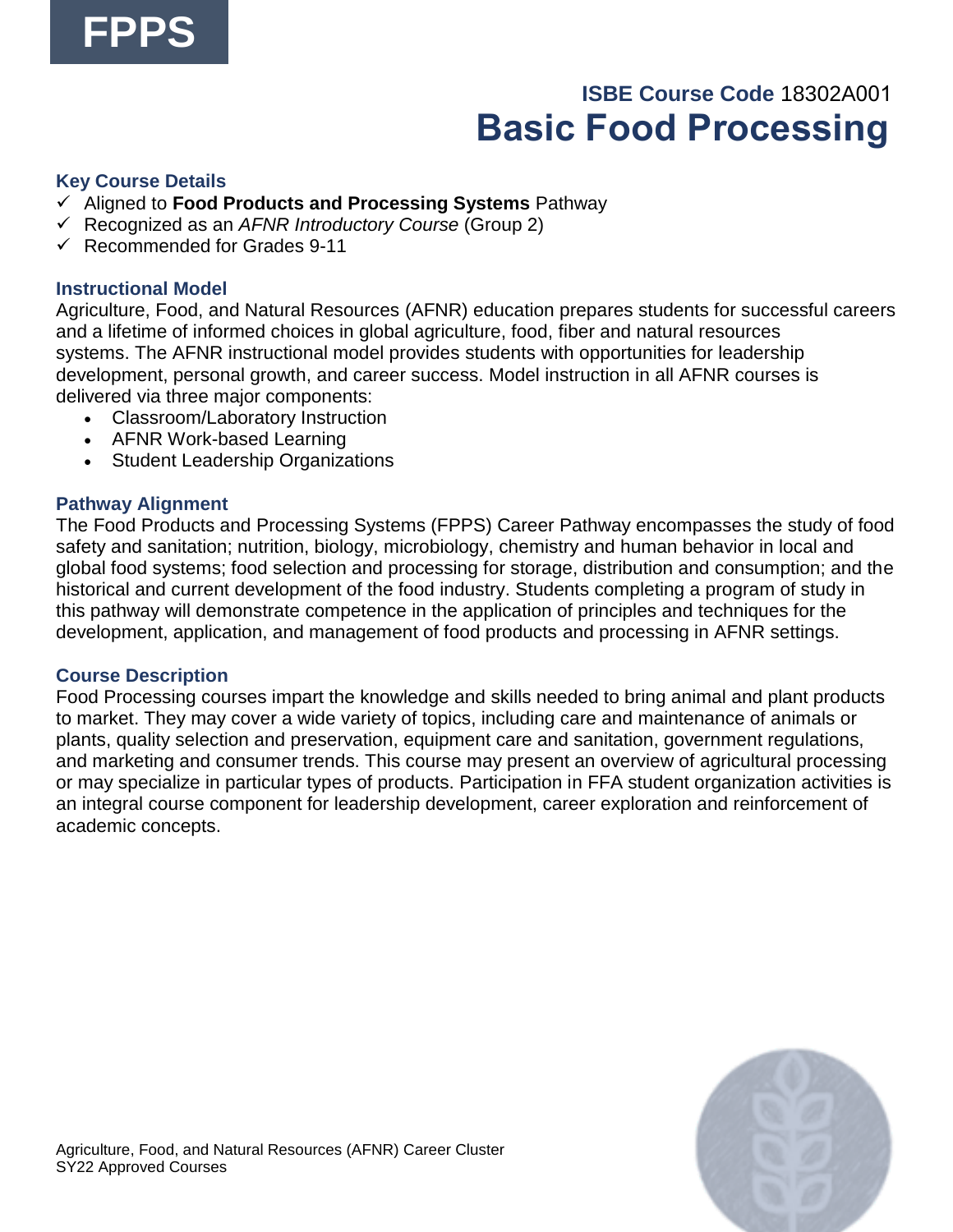

# **ISBE Course Code** 18302A001  **Basic Food Processing**

#### **Key Course Details**

- ✓ Aligned to **Food Products and Processing Systems** Pathway
- ✓ Recognized as an *AFNR Introductory Course* (Group 2)
- $\checkmark$  Recommended for Grades 9-11

#### **Instructional Model**

Agriculture, Food, and Natural Resources (AFNR) education prepares students for successful careers and a lifetime of informed choices in global agriculture, food, fiber and natural resources systems. The AFNR instructional model provides students with opportunities for leadership development, personal growth, and career success. Model instruction in all AFNR courses is delivered via three major components:

- Classroom/Laboratory Instruction
- AFNR Work-based Learning
- Student Leadership Organizations

#### **Pathway Alignment**

The Food Products and Processing Systems (FPPS) Career Pathway encompasses the study of food safety and sanitation; nutrition, biology, microbiology, chemistry and human behavior in local and global food systems; food selection and processing for storage, distribution and consumption; and the historical and current development of the food industry. Students completing a program of study in this pathway will demonstrate competence in the application of principles and techniques for the development, application, and management of food products and processing in AFNR settings.

#### **Course Description**

Food Processing courses impart the knowledge and skills needed to bring animal and plant products to market. They may cover a wide variety of topics, including care and maintenance of animals or plants, quality selection and preservation, equipment care and sanitation, government regulations, and marketing and consumer trends. This course may present an overview of agricultural processing or may specialize in particular types of products. Participation in FFA student organization activities is an integral course component for leadership development, career exploration and reinforcement of academic concepts.

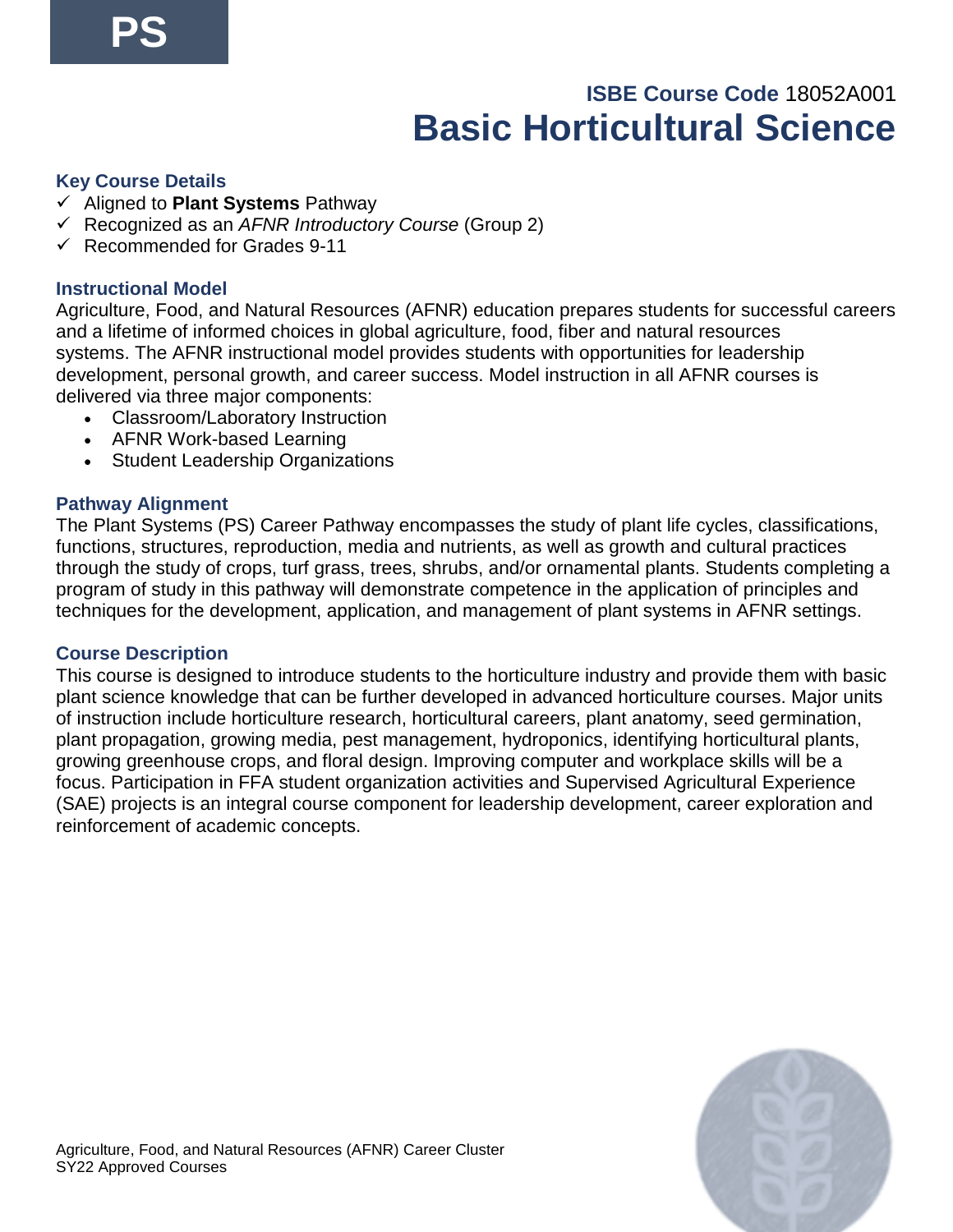# **ISBE Course Code** 18052A001 **Basic Horticultural Science**

#### **Key Course Details**

- ✓ Aligned to **Plant Systems** Pathway
- ✓ Recognized as an *AFNR Introductory Course* (Group 2)
- $\checkmark$  Recommended for Grades 9-11

#### **Instructional Model**

Agriculture, Food, and Natural Resources (AFNR) education prepares students for successful careers and a lifetime of informed choices in global agriculture, food, fiber and natural resources systems. The AFNR instructional model provides students with opportunities for leadership development, personal growth, and career success. Model instruction in all AFNR courses is delivered via three major components:

- Classroom/Laboratory Instruction
- AFNR Work-based Learning
- Student Leadership Organizations

#### **Pathway Alignment**

The Plant Systems (PS) Career Pathway encompasses the study of plant life cycles, classifications, functions, structures, reproduction, media and nutrients, as well as growth and cultural practices through the study of crops, turf grass, trees, shrubs, and/or ornamental plants. Students completing a program of study in this pathway will demonstrate competence in the application of principles and techniques for the development, application, and management of plant systems in AFNR settings.

#### **Course Description**

This course is designed to introduce students to the horticulture industry and provide them with basic plant science knowledge that can be further developed in advanced horticulture courses. Major units of instruction include horticulture research, horticultural careers, plant anatomy, seed germination, plant propagation, growing media, pest management, hydroponics, identifying horticultural plants, growing greenhouse crops, and floral design. Improving computer and workplace skills will be a focus. Participation in FFA student organization activities and Supervised Agricultural Experience (SAE) projects is an integral course component for leadership development, career exploration and reinforcement of academic concepts.

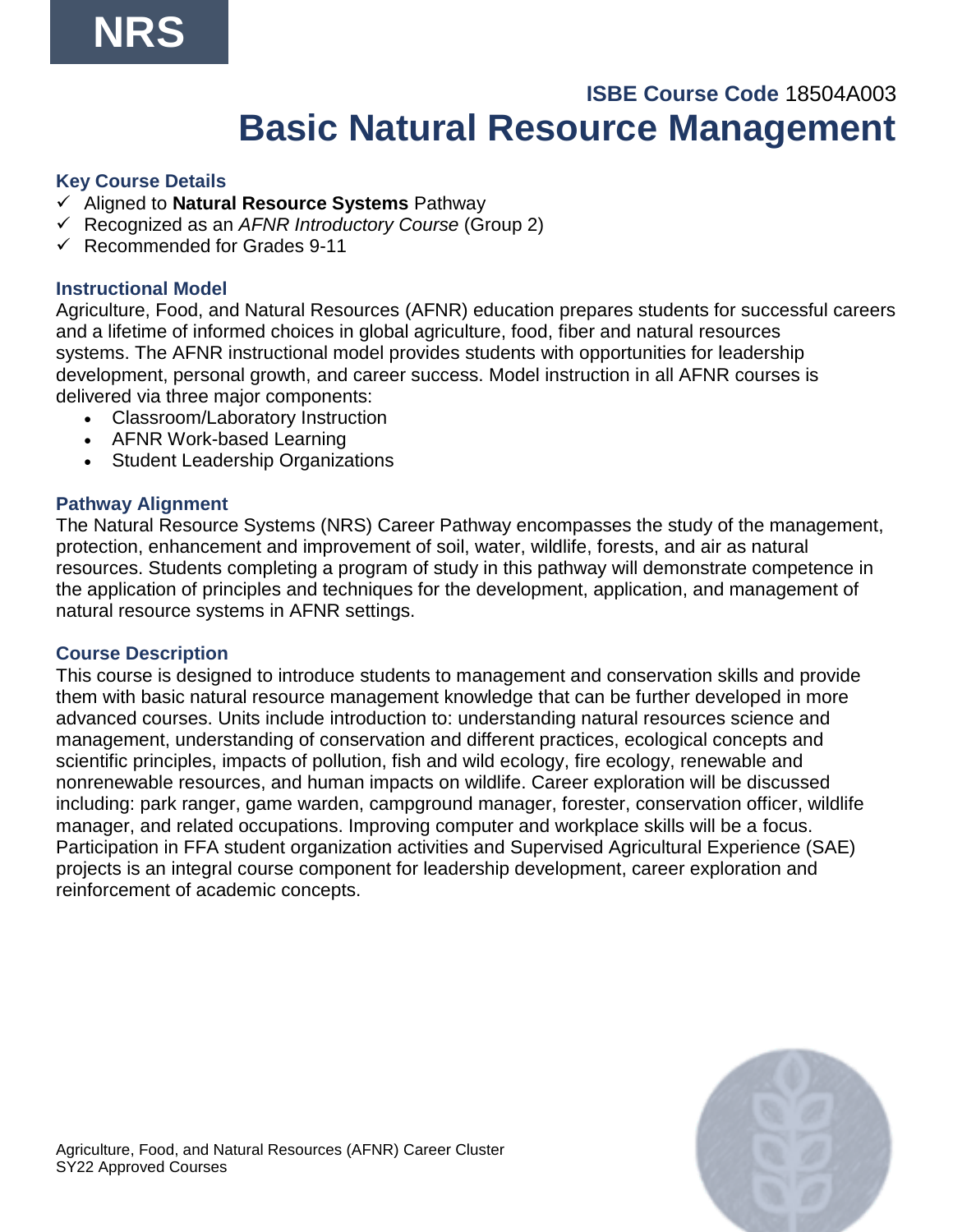## **ISBE Course Code** 18504A003 **Basic Natural Resource Management**

#### **Key Course Details**

- ✓ Aligned to **Natural Resource Systems** Pathway
- ✓ Recognized as an *AFNR Introductory Course* (Group 2)
- $\checkmark$  Recommended for Grades 9-11

#### **Instructional Model**

Agriculture, Food, and Natural Resources (AFNR) education prepares students for successful careers and a lifetime of informed choices in global agriculture, food, fiber and natural resources systems. The AFNR instructional model provides students with opportunities for leadership development, personal growth, and career success. Model instruction in all AFNR courses is delivered via three major components:

- Classroom/Laboratory Instruction
- AFNR Work-based Learning
- Student Leadership Organizations

#### **Pathway Alignment**

The Natural Resource Systems (NRS) Career Pathway encompasses the study of the management, protection, enhancement and improvement of soil, water, wildlife, forests, and air as natural resources. Students completing a program of study in this pathway will demonstrate competence in the application of principles and techniques for the development, application, and management of natural resource systems in AFNR settings.

#### **Course Description**

This course is designed to introduce students to management and conservation skills and provide them with basic natural resource management knowledge that can be further developed in more advanced courses. Units include introduction to: understanding natural resources science and management, understanding of conservation and different practices, ecological concepts and scientific principles, impacts of pollution, fish and wild ecology, fire ecology, renewable and nonrenewable resources, and human impacts on wildlife. Career exploration will be discussed including: park ranger, game warden, campground manager, forester, conservation officer, wildlife manager, and related occupations. Improving computer and workplace skills will be a focus. Participation in FFA student organization activities and Supervised Agricultural Experience (SAE) projects is an integral course component for leadership development, career exploration and reinforcement of academic concepts.

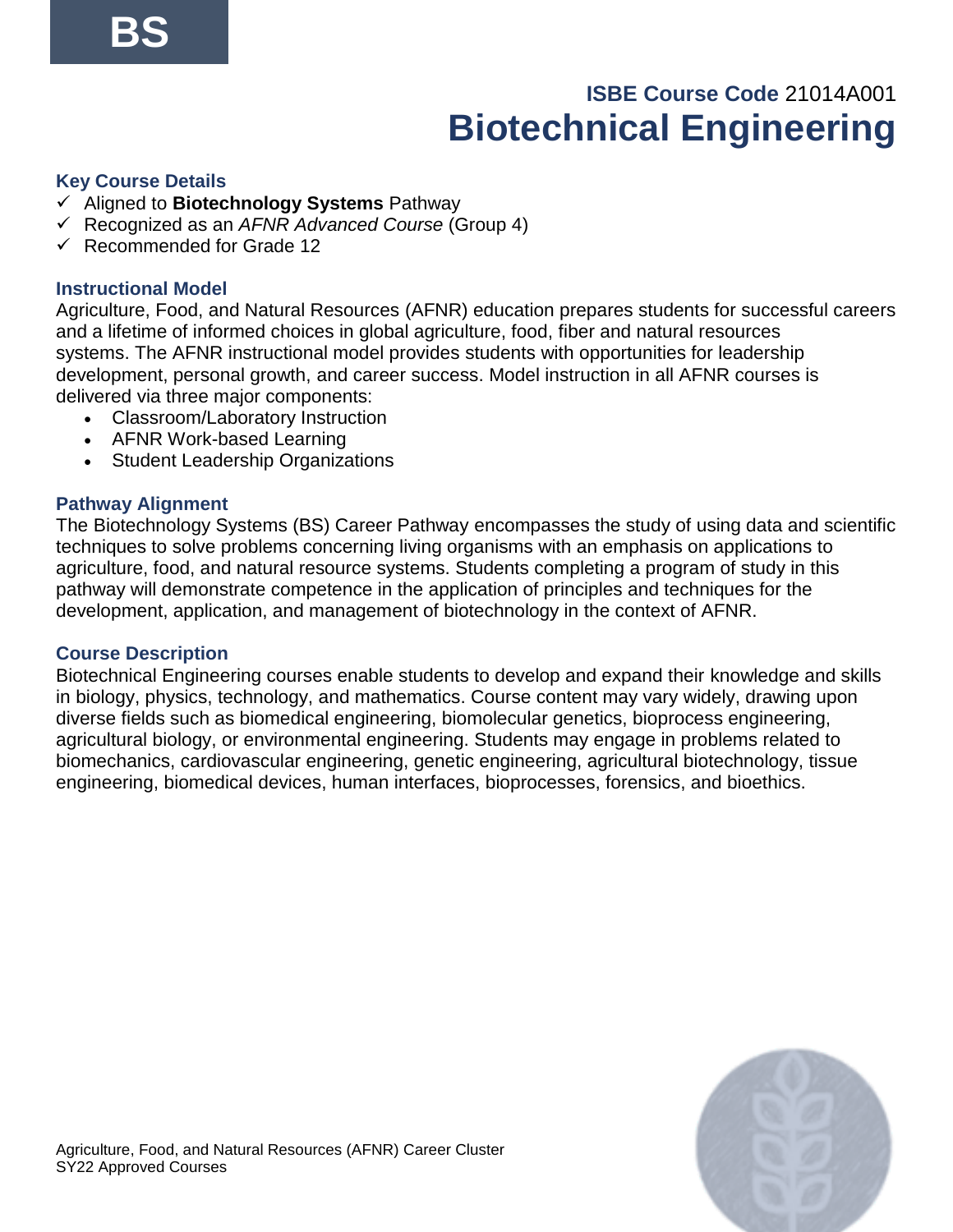# **ISBE Course Code** 21014A001 **Biotechnical Engineering**

#### **Key Course Details**

- ✓ Aligned to **Biotechnology Systems** Pathway
- ✓ Recognized as an *AFNR Advanced Course* (Group 4)
- ✓ Recommended for Grade 12

#### **Instructional Model**

Agriculture, Food, and Natural Resources (AFNR) education prepares students for successful careers and a lifetime of informed choices in global agriculture, food, fiber and natural resources systems. The AFNR instructional model provides students with opportunities for leadership development, personal growth, and career success. Model instruction in all AFNR courses is delivered via three major components:

- Classroom/Laboratory Instruction
- AFNR Work-based Learning
- Student Leadership Organizations

#### **Pathway Alignment**

The Biotechnology Systems (BS) Career Pathway encompasses the study of using data and scientific techniques to solve problems concerning living organisms with an emphasis on applications to agriculture, food, and natural resource systems. Students completing a program of study in this pathway will demonstrate competence in the application of principles and techniques for the development, application, and management of biotechnology in the context of AFNR.

#### **Course Description**

Biotechnical Engineering courses enable students to develop and expand their knowledge and skills in biology, physics, technology, and mathematics. Course content may vary widely, drawing upon diverse fields such as biomedical engineering, biomolecular genetics, bioprocess engineering, agricultural biology, or environmental engineering. Students may engage in problems related to biomechanics, cardiovascular engineering, genetic engineering, agricultural biotechnology, tissue engineering, biomedical devices, human interfaces, bioprocesses, forensics, and bioethics.

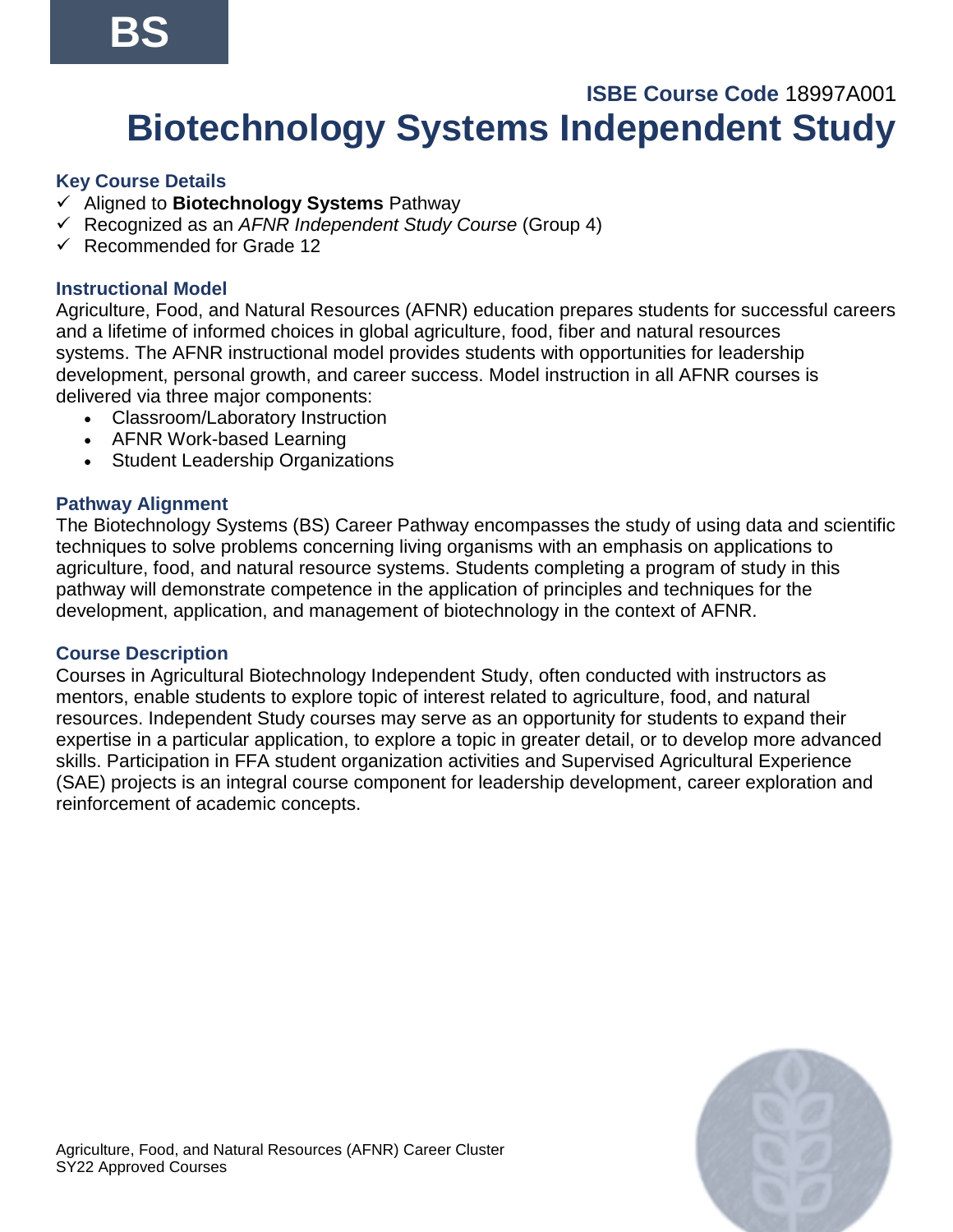# **ISBE Course Code** 18997A001 **Biotechnology Systems Independent Study**

#### **Key Course Details**

- ✓ Aligned to **Biotechnology Systems** Pathway
- ✓ Recognized as an *AFNR Independent Study Course* (Group 4)
- ✓ Recommended for Grade 12

#### **Instructional Model**

Agriculture, Food, and Natural Resources (AFNR) education prepares students for successful careers and a lifetime of informed choices in global agriculture, food, fiber and natural resources systems. The AFNR instructional model provides students with opportunities for leadership development, personal growth, and career success. Model instruction in all AFNR courses is delivered via three major components:

- Classroom/Laboratory Instruction
- AFNR Work-based Learning
- Student Leadership Organizations

#### **Pathway Alignment**

The Biotechnology Systems (BS) Career Pathway encompasses the study of using data and scientific techniques to solve problems concerning living organisms with an emphasis on applications to agriculture, food, and natural resource systems. Students completing a program of study in this pathway will demonstrate competence in the application of principles and techniques for the development, application, and management of biotechnology in the context of AFNR.

#### **Course Description**

Courses in Agricultural Biotechnology Independent Study, often conducted with instructors as mentors, enable students to explore topic of interest related to agriculture, food, and natural resources. Independent Study courses may serve as an opportunity for students to expand their expertise in a particular application, to explore a topic in greater detail, or to develop more advanced skills. Participation in FFA student organization activities and Supervised Agricultural Experience (SAE) projects is an integral course component for leadership development, career exploration and reinforcement of academic concepts.

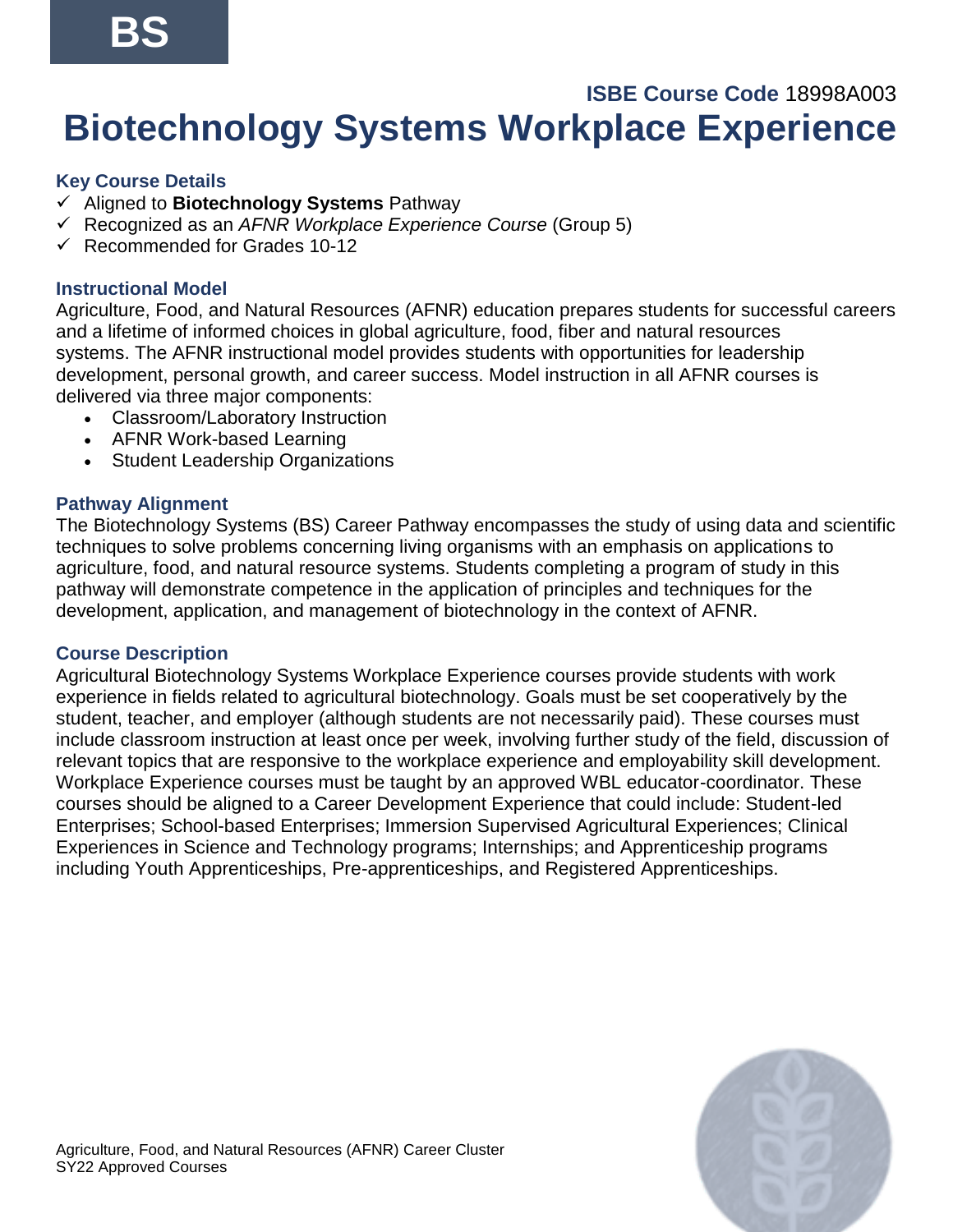# **ISBE Course Code** 18998A003 **Biotechnology Systems Workplace Experience**

## **Key Course Details**

- ✓ Aligned to **Biotechnology Systems** Pathway
- ✓ Recognized as an *AFNR Workplace Experience Course* (Group 5)
- $\checkmark$  Recommended for Grades 10-12

## **Instructional Model**

Agriculture, Food, and Natural Resources (AFNR) education prepares students for successful careers and a lifetime of informed choices in global agriculture, food, fiber and natural resources systems. The AFNR instructional model provides students with opportunities for leadership development, personal growth, and career success. Model instruction in all AFNR courses is delivered via three major components:

- Classroom/Laboratory Instruction
- AFNR Work-based Learning
- Student Leadership Organizations

### **Pathway Alignment**

The Biotechnology Systems (BS) Career Pathway encompasses the study of using data and scientific techniques to solve problems concerning living organisms with an emphasis on applications to agriculture, food, and natural resource systems. Students completing a program of study in this pathway will demonstrate competence in the application of principles and techniques for the development, application, and management of biotechnology in the context of AFNR.

#### **Course Description**

Agricultural Biotechnology Systems Workplace Experience courses provide students with work experience in fields related to agricultural biotechnology. Goals must be set cooperatively by the student, teacher, and employer (although students are not necessarily paid). These courses must include classroom instruction at least once per week, involving further study of the field, discussion of relevant topics that are responsive to the workplace experience and employability skill development. Workplace Experience courses must be taught by an approved WBL educator-coordinator. These courses should be aligned to a Career Development Experience that could include: Student-led Enterprises; School-based Enterprises; Immersion Supervised Agricultural Experiences; Clinical Experiences in Science and Technology programs; Internships; and Apprenticeship programs including Youth Apprenticeships, Pre-apprenticeships, and Registered Apprenticeships.

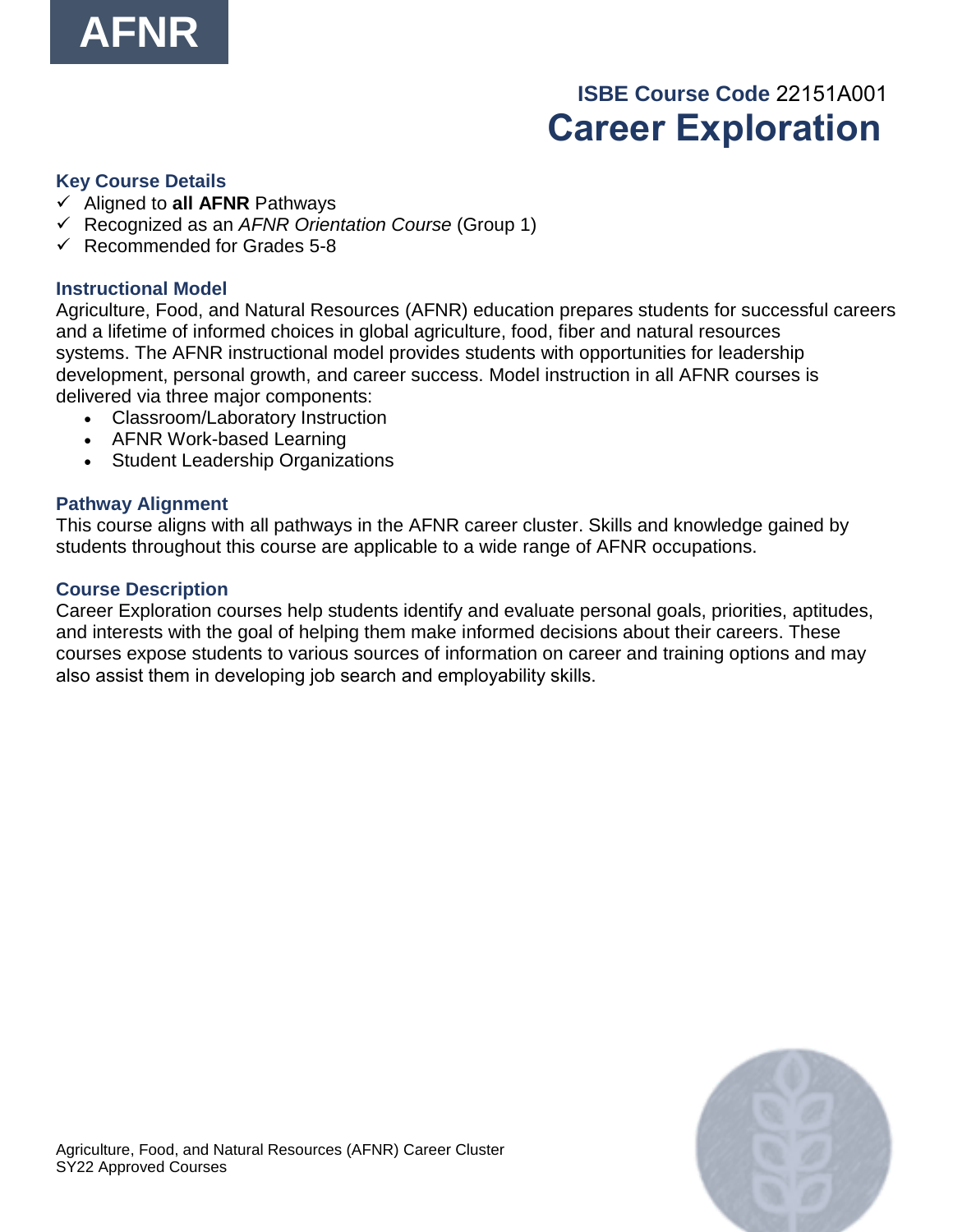

# **ISBE Course Code** 22151A001   **Career Exploration**

#### **Key Course Details**

- ✓ Aligned to **all AFNR** Pathways
- ✓ Recognized as an *AFNR Orientation Course* (Group 1)
- $\checkmark$  Recommended for Grades 5-8

#### **Instructional Model**

Agriculture, Food, and Natural Resources (AFNR) education prepares students for successful careers and a lifetime of informed choices in global agriculture, food, fiber and natural resources systems. The AFNR instructional model provides students with opportunities for leadership development, personal growth, and career success. Model instruction in all AFNR courses is delivered via three major components:

- Classroom/Laboratory Instruction
- AFNR Work-based Learning
- Student Leadership Organizations

#### **Pathway Alignment**

This course aligns with all pathways in the AFNR career cluster. Skills and knowledge gained by students throughout this course are applicable to a wide range of AFNR occupations.

#### **Course Description**

Career Exploration courses help students identify and evaluate personal goals, priorities, aptitudes, and interests with the goal of helping them make informed decisions about their careers. These courses expose students to various sources of information on career and training options and may also assist them in developing job search and employability skills.  

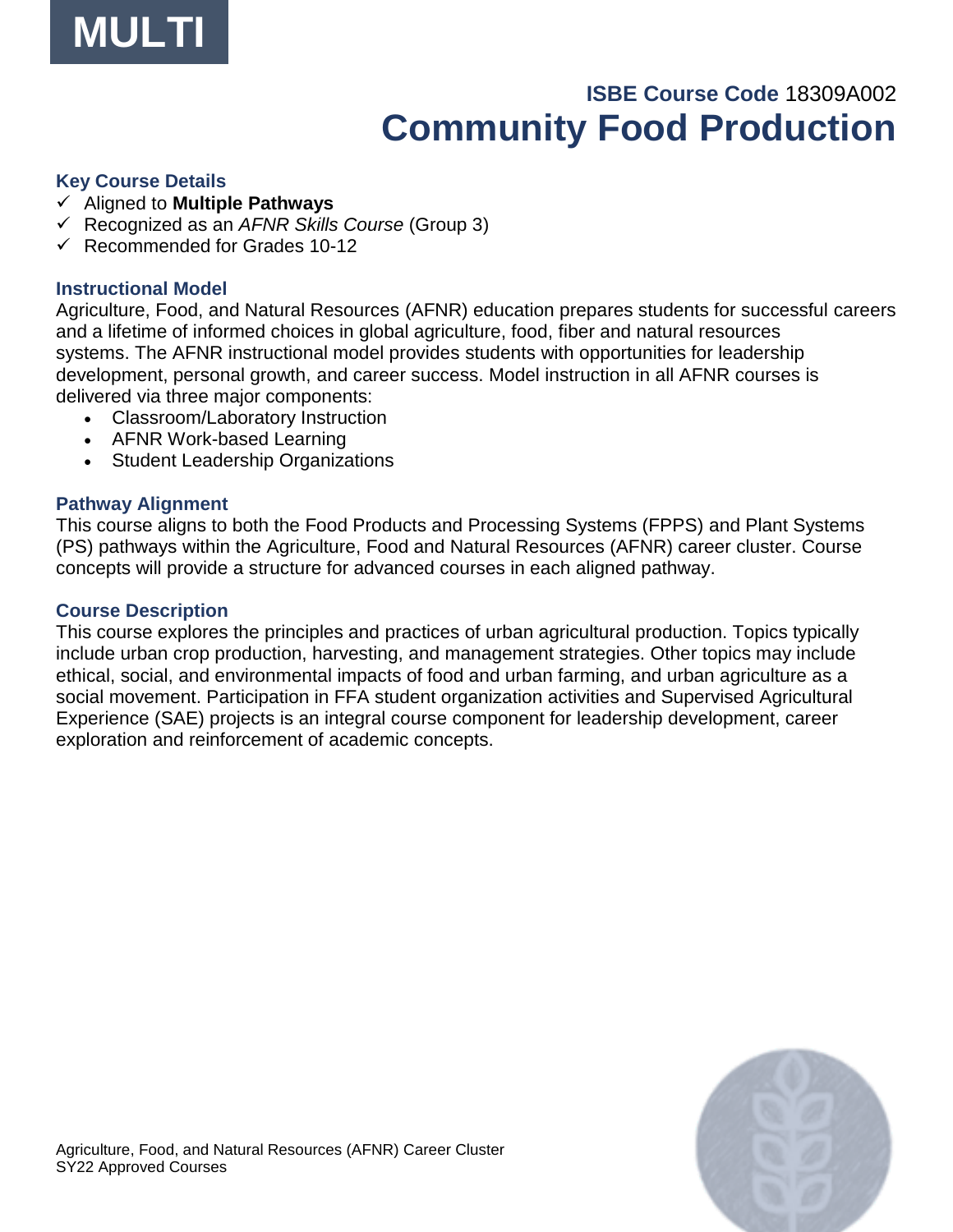

# **ISBE Course Code** 18309A002 **Community Food Production**

#### **Key Course Details**

- ✓ Aligned to **Multiple Pathways**
- ✓ Recognized as an *AFNR Skills Course* (Group 3)
- $\checkmark$  Recommended for Grades 10-12

#### **Instructional Model**

Agriculture, Food, and Natural Resources (AFNR) education prepares students for successful careers and a lifetime of informed choices in global agriculture, food, fiber and natural resources systems. The AFNR instructional model provides students with opportunities for leadership development, personal growth, and career success. Model instruction in all AFNR courses is delivered via three major components:

- Classroom/Laboratory Instruction
- AFNR Work-based Learning
- Student Leadership Organizations

#### **Pathway Alignment**

This course aligns to both the Food Products and Processing Systems (FPPS) and Plant Systems (PS) pathways within the Agriculture, Food and Natural Resources (AFNR) career cluster. Course concepts will provide a structure for advanced courses in each aligned pathway.

#### **Course Description**

This course explores the principles and practices of urban agricultural production. Topics typically include urban crop production, harvesting, and management strategies. Other topics may include ethical, social, and environmental impacts of food and urban farming, and urban agriculture as a social movement. Participation in FFA student organization activities and Supervised Agricultural Experience (SAE) projects is an integral course component for leadership development, career exploration and reinforcement of academic concepts.

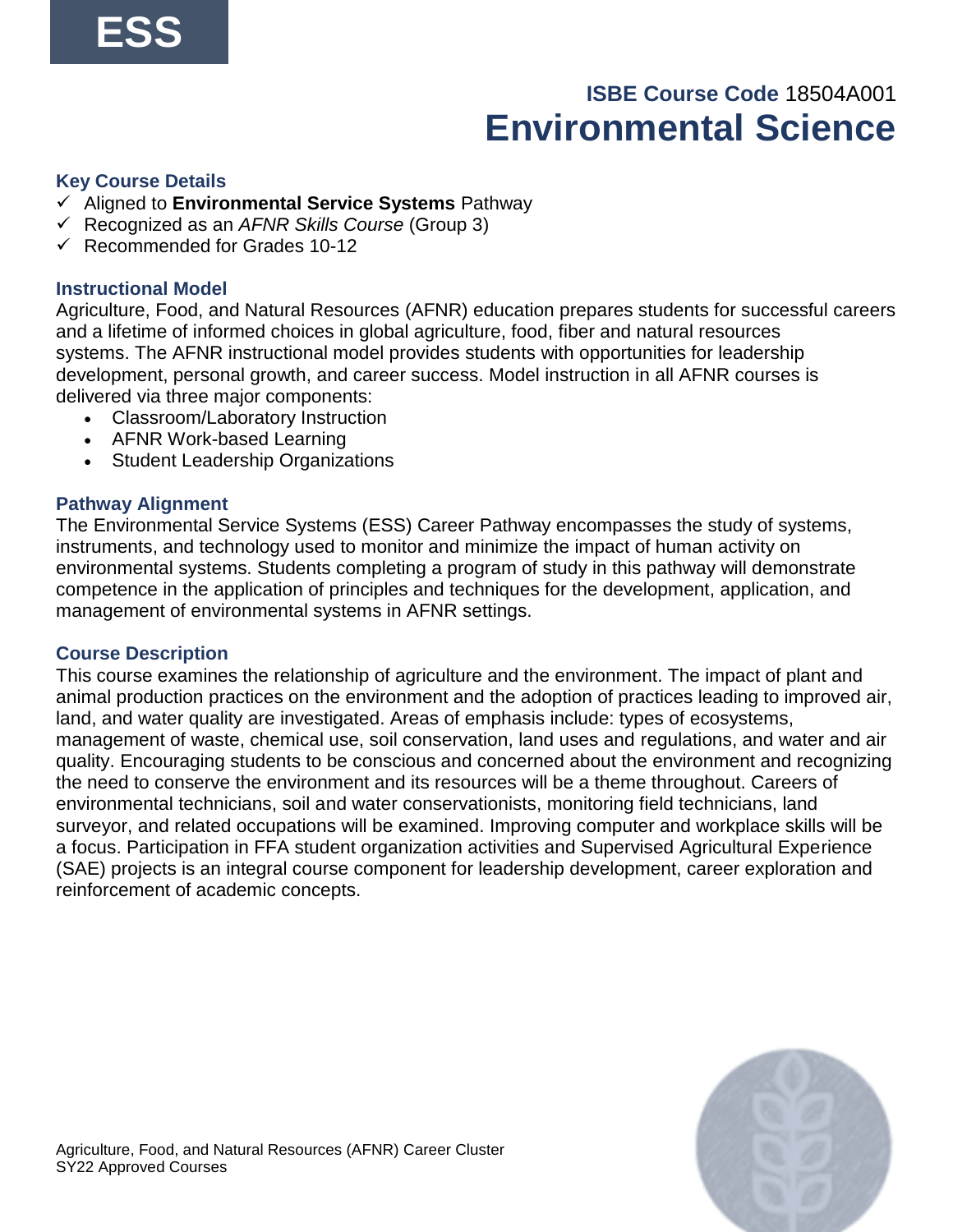# **ISBE Course Code** 18504A001 **Environmental Science**

#### **Key Course Details**

- ✓ Aligned to **Environmental Service Systems** Pathway
- ✓ Recognized as an *AFNR Skills Course* (Group 3)
- $\checkmark$  Recommended for Grades 10-12

#### **Instructional Model**

Agriculture, Food, and Natural Resources (AFNR) education prepares students for successful careers and a lifetime of informed choices in global agriculture, food, fiber and natural resources systems. The AFNR instructional model provides students with opportunities for leadership development, personal growth, and career success. Model instruction in all AFNR courses is delivered via three major components:

- Classroom/Laboratory Instruction
- AFNR Work-based Learning
- Student Leadership Organizations

#### **Pathway Alignment**

The Environmental Service Systems (ESS) Career Pathway encompasses the study of systems, instruments, and technology used to monitor and minimize the impact of human activity on environmental systems. Students completing a program of study in this pathway will demonstrate competence in the application of principles and techniques for the development, application, and management of environmental systems in AFNR settings.

#### **Course Description**

This course examines the relationship of agriculture and the environment. The impact of plant and animal production practices on the environment and the adoption of practices leading to improved air, land, and water quality are investigated. Areas of emphasis include: types of ecosystems, management of waste, chemical use, soil conservation, land uses and regulations, and water and air quality. Encouraging students to be conscious and concerned about the environment and recognizing the need to conserve the environment and its resources will be a theme throughout. Careers of environmental technicians, soil and water conservationists, monitoring field technicians, land surveyor, and related occupations will be examined. Improving computer and workplace skills will be a focus. Participation in FFA student organization activities and Supervised Agricultural Experience (SAE) projects is an integral course component for leadership development, career exploration and reinforcement of academic concepts.

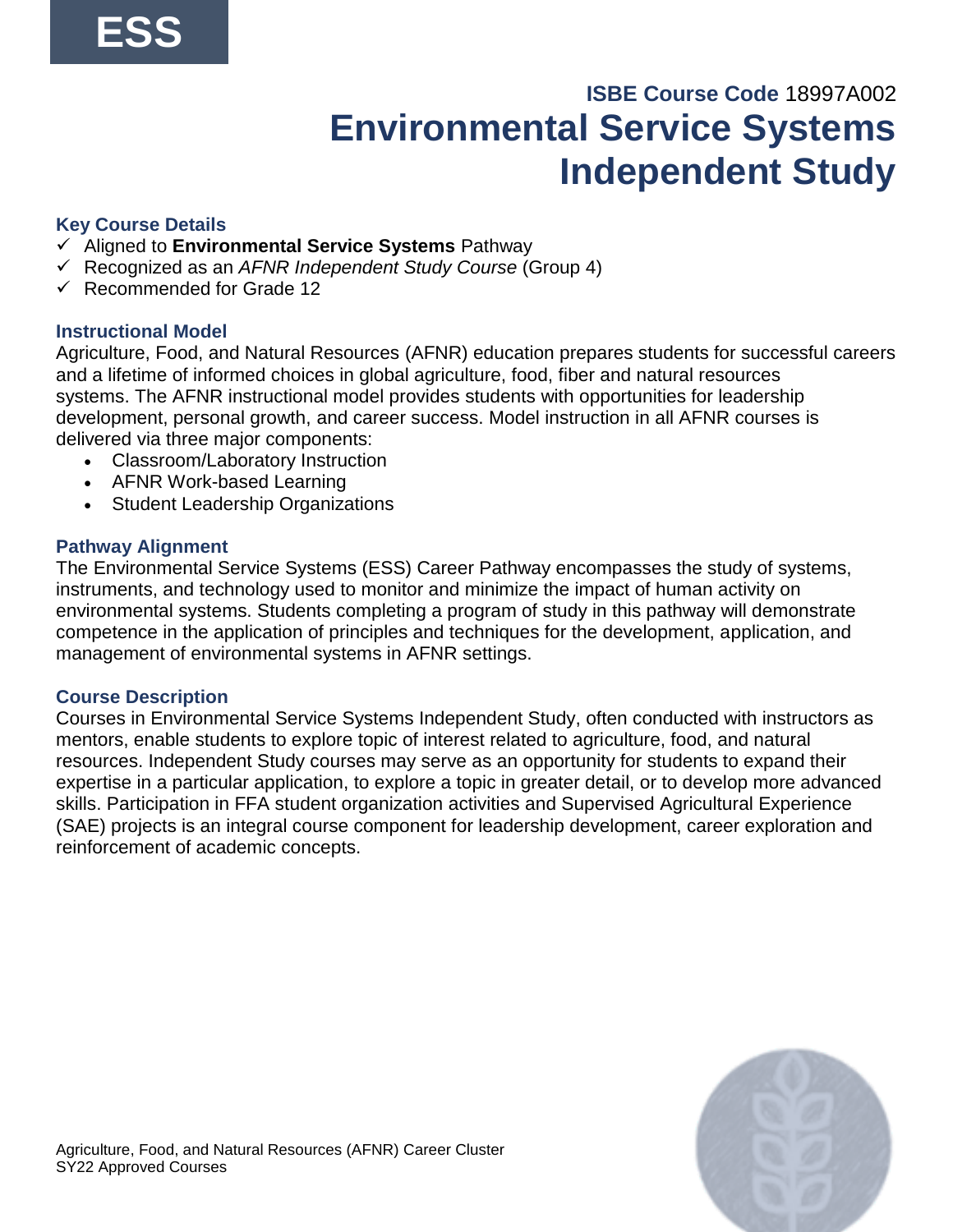# **ISBE Course Code** 18997A002 **Environmental Service Systems Independent Study**

## **Key Course Details**

- ✓ Aligned to **Environmental Service Systems** Pathway
- ✓ Recognized as an *AFNR Independent Study Course* (Group 4)
- ✓ Recommended for Grade 12

#### **Instructional Model**

Agriculture, Food, and Natural Resources (AFNR) education prepares students for successful careers and a lifetime of informed choices in global agriculture, food, fiber and natural resources systems. The AFNR instructional model provides students with opportunities for leadership development, personal growth, and career success. Model instruction in all AFNR courses is delivered via three major components:

- Classroom/Laboratory Instruction
- AFNR Work-based Learning
- Student Leadership Organizations

#### **Pathway Alignment**

The Environmental Service Systems (ESS) Career Pathway encompasses the study of systems, instruments, and technology used to monitor and minimize the impact of human activity on environmental systems. Students completing a program of study in this pathway will demonstrate competence in the application of principles and techniques for the development, application, and management of environmental systems in AFNR settings.

#### **Course Description**

Courses in Environmental Service Systems Independent Study, often conducted with instructors as mentors, enable students to explore topic of interest related to agriculture, food, and natural resources. Independent Study courses may serve as an opportunity for students to expand their expertise in a particular application, to explore a topic in greater detail, or to develop more advanced skills. Participation in FFA student organization activities and Supervised Agricultural Experience (SAE) projects is an integral course component for leadership development, career exploration and reinforcement of academic concepts.

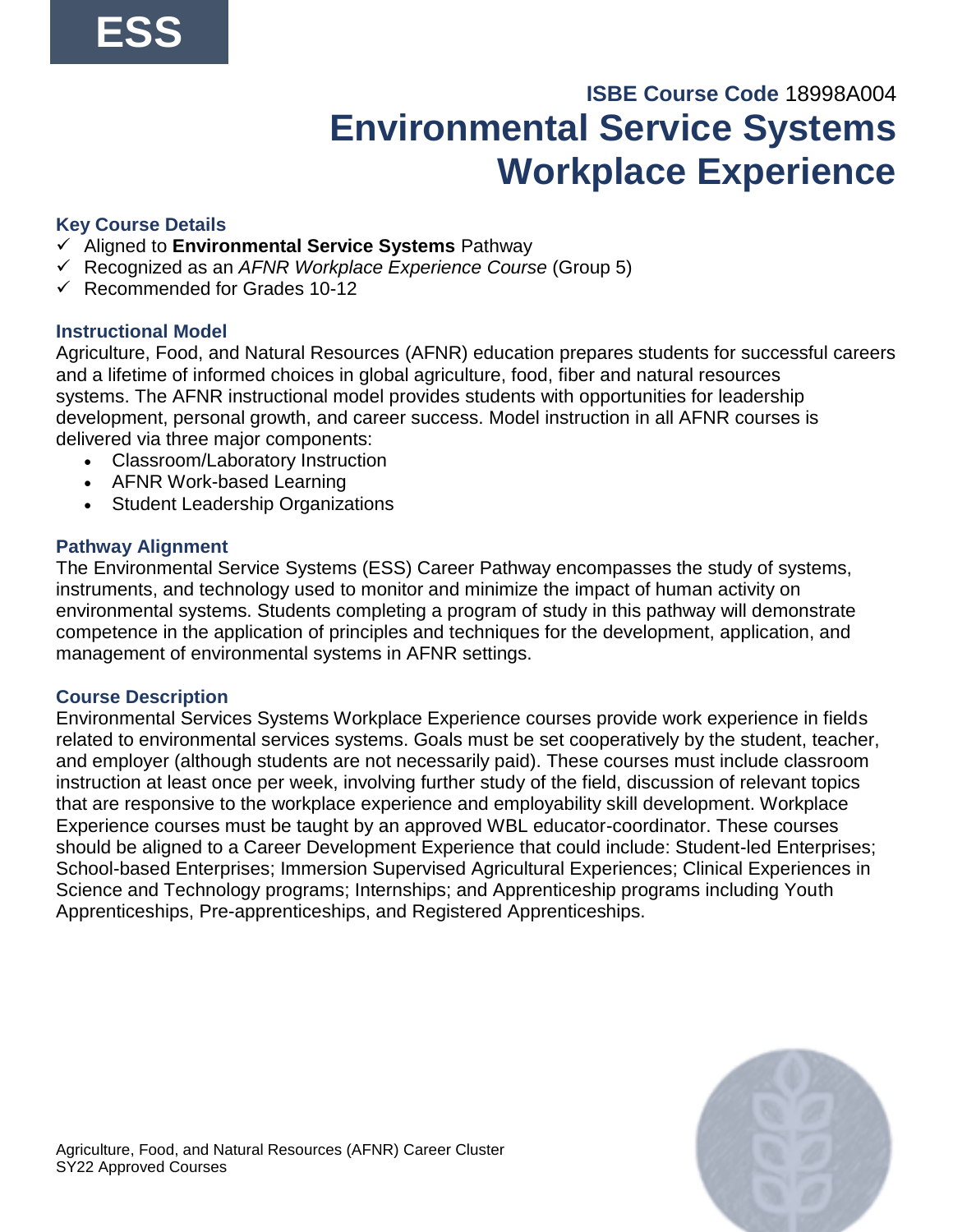# **ISBE Course Code** 18998A004 **Environmental Service Systems Workplace Experience**

## **Key Course Details**

- ✓ Aligned to **Environmental Service Systems** Pathway
- ✓ Recognized as an *AFNR Workplace Experience Course* (Group 5)
- $\checkmark$  Recommended for Grades 10-12

#### **Instructional Model**

Agriculture, Food, and Natural Resources (AFNR) education prepares students for successful careers and a lifetime of informed choices in global agriculture, food, fiber and natural resources systems. The AFNR instructional model provides students with opportunities for leadership development, personal growth, and career success. Model instruction in all AFNR courses is delivered via three major components:

- Classroom/Laboratory Instruction
- AFNR Work-based Learning
- Student Leadership Organizations

#### **Pathway Alignment**

The Environmental Service Systems (ESS) Career Pathway encompasses the study of systems, instruments, and technology used to monitor and minimize the impact of human activity on environmental systems. Students completing a program of study in this pathway will demonstrate competence in the application of principles and techniques for the development, application, and management of environmental systems in AFNR settings.

#### **Course Description**

Environmental Services Systems Workplace Experience courses provide work experience in fields related to environmental services systems. Goals must be set cooperatively by the student, teacher, and employer (although students are not necessarily paid). These courses must include classroom instruction at least once per week, involving further study of the field, discussion of relevant topics that are responsive to the workplace experience and employability skill development. Workplace Experience courses must be taught by an approved WBL educator-coordinator. These courses should be aligned to a Career Development Experience that could include: Student-led Enterprises; School-based Enterprises; Immersion Supervised Agricultural Experiences; Clinical Experiences in Science and Technology programs; Internships; and Apprenticeship programs including Youth Apprenticeships, Pre-apprenticeships, and Registered Apprenticeships.

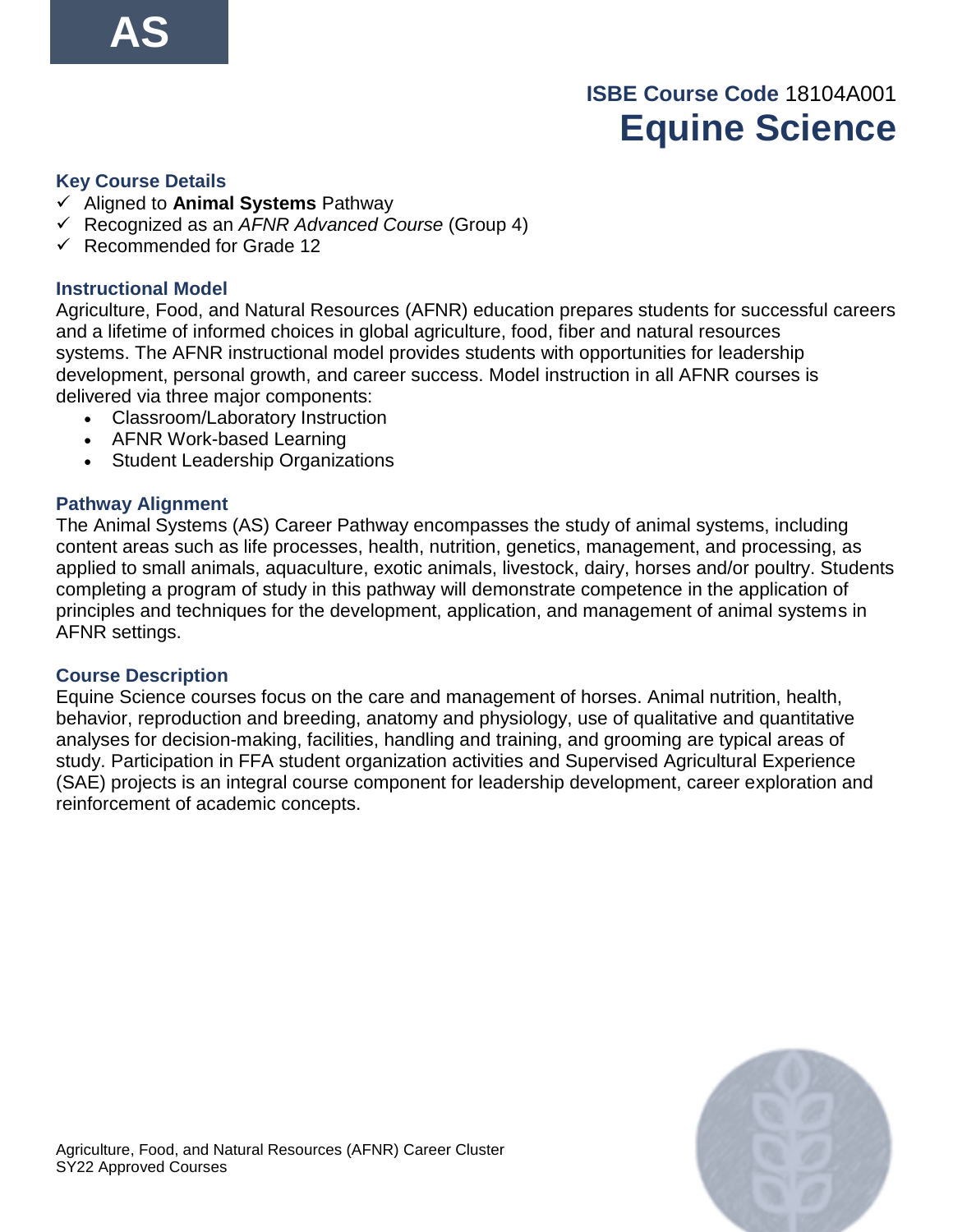# **ISBE Course Code** 18104A001 **Equine Science**

#### **Key Course Details**

- ✓ Aligned to **Animal Systems** Pathway
- ✓ Recognized as an *AFNR Advanced Course* (Group 4)
- ✓ Recommended for Grade 12

#### **Instructional Model**

Agriculture, Food, and Natural Resources (AFNR) education prepares students for successful careers and a lifetime of informed choices in global agriculture, food, fiber and natural resources systems. The AFNR instructional model provides students with opportunities for leadership development, personal growth, and career success. Model instruction in all AFNR courses is delivered via three major components:

- Classroom/Laboratory Instruction
- AFNR Work-based Learning
- Student Leadership Organizations

#### **Pathway Alignment**

The Animal Systems (AS) Career Pathway encompasses the study of animal systems, including content areas such as life processes, health, nutrition, genetics, management, and processing, as applied to small animals, aquaculture, exotic animals, livestock, dairy, horses and/or poultry. Students completing a program of study in this pathway will demonstrate competence in the application of principles and techniques for the development, application, and management of animal systems in AFNR settings.

#### **Course Description**

Equine Science courses focus on the care and management of horses. Animal nutrition, health, behavior, reproduction and breeding, anatomy and physiology, use of qualitative and quantitative analyses for decision-making, facilities, handling and training, and grooming are typical areas of study. Participation in FFA student organization activities and Supervised Agricultural Experience (SAE) projects is an integral course component for leadership development, career exploration and reinforcement of academic concepts.

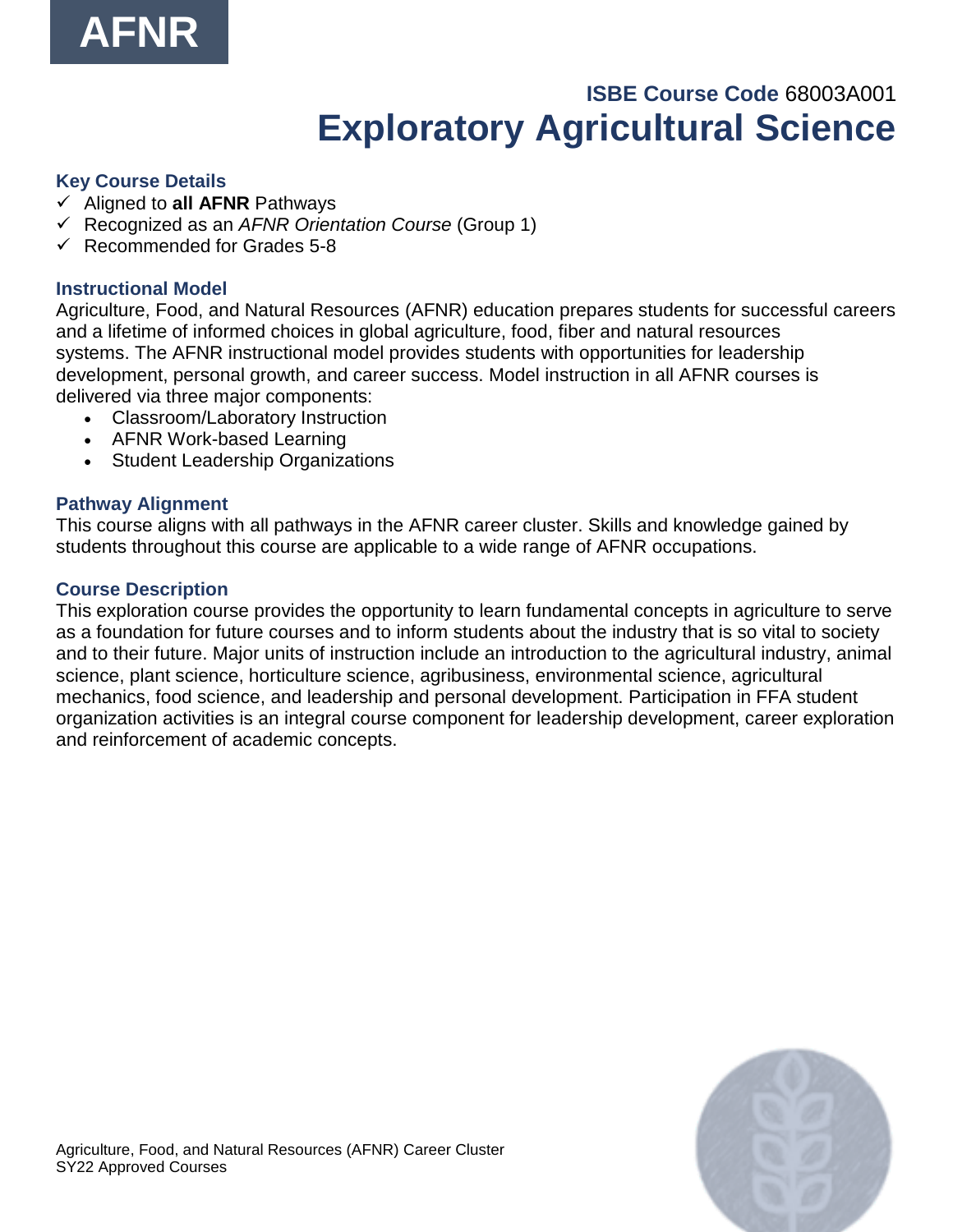

# **ISBE Course Code** 68003A001 **Exploratory Agricultural Science**

#### **Key Course Details**

- ✓ Aligned to **all AFNR** Pathways
- ✓ Recognized as an *AFNR Orientation Course* (Group 1)
- $\checkmark$  Recommended for Grades 5-8

#### **Instructional Model**

Agriculture, Food, and Natural Resources (AFNR) education prepares students for successful careers and a lifetime of informed choices in global agriculture, food, fiber and natural resources systems. The AFNR instructional model provides students with opportunities for leadership development, personal growth, and career success. Model instruction in all AFNR courses is delivered via three major components:

- Classroom/Laboratory Instruction
- AFNR Work-based Learning
- Student Leadership Organizations

#### **Pathway Alignment**

This course aligns with all pathways in the AFNR career cluster. Skills and knowledge gained by students throughout this course are applicable to a wide range of AFNR occupations.

#### **Course Description**

This exploration course provides the opportunity to learn fundamental concepts in agriculture to serve as a foundation for future courses and to inform students about the industry that is so vital to society and to their future. Major units of instruction include an introduction to the agricultural industry, animal science, plant science, horticulture science, agribusiness, environmental science, agricultural mechanics, food science, and leadership and personal development. Participation in FFA student organization activities is an integral course component for leadership development, career exploration and reinforcement of academic concepts.

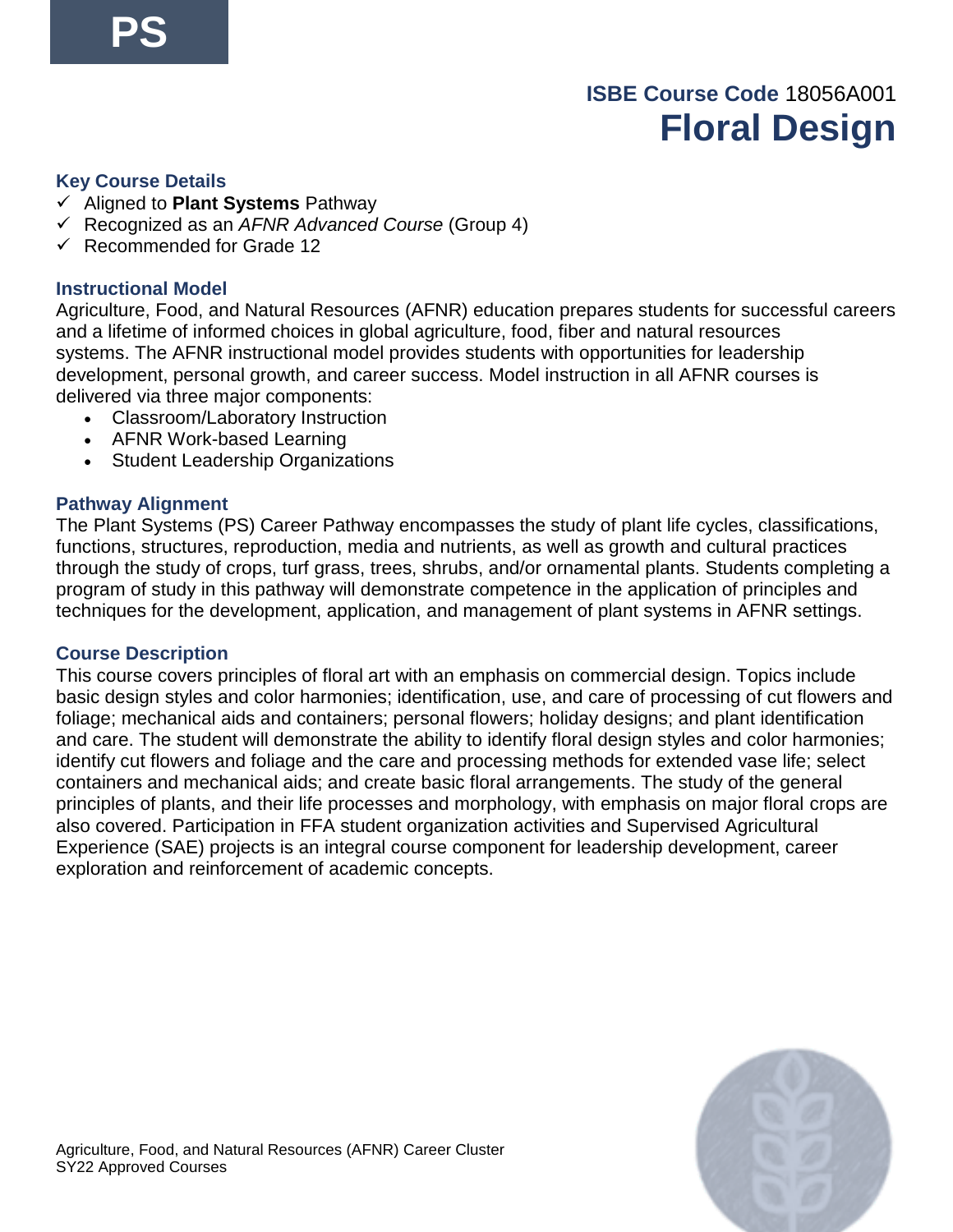# **ISBE Course Code** 18056A001 **Floral Design**

#### **Key Course Details**

- ✓ Aligned to **Plant Systems** Pathway
- ✓ Recognized as an *AFNR Advanced Course* (Group 4)
- ✓ Recommended for Grade 12

#### **Instructional Model**

Agriculture, Food, and Natural Resources (AFNR) education prepares students for successful careers and a lifetime of informed choices in global agriculture, food, fiber and natural resources systems. The AFNR instructional model provides students with opportunities for leadership development, personal growth, and career success. Model instruction in all AFNR courses is delivered via three major components:

- Classroom/Laboratory Instruction
- AFNR Work-based Learning
- Student Leadership Organizations

#### **Pathway Alignment**

The Plant Systems (PS) Career Pathway encompasses the study of plant life cycles, classifications, functions, structures, reproduction, media and nutrients, as well as growth and cultural practices through the study of crops, turf grass, trees, shrubs, and/or ornamental plants. Students completing a program of study in this pathway will demonstrate competence in the application of principles and techniques for the development, application, and management of plant systems in AFNR settings.

#### **Course Description**

This course covers principles of floral art with an emphasis on commercial design. Topics include basic design styles and color harmonies; identification, use, and care of processing of cut flowers and foliage; mechanical aids and containers; personal flowers; holiday designs; and plant identification and care. The student will demonstrate the ability to identify floral design styles and color harmonies; identify cut flowers and foliage and the care and processing methods for extended vase life; select containers and mechanical aids; and create basic floral arrangements. The study of the general principles of plants, and their life processes and morphology, with emphasis on major floral crops are also covered. Participation in FFA student organization activities and Supervised Agricultural Experience (SAE) projects is an integral course component for leadership development, career exploration and reinforcement of academic concepts.

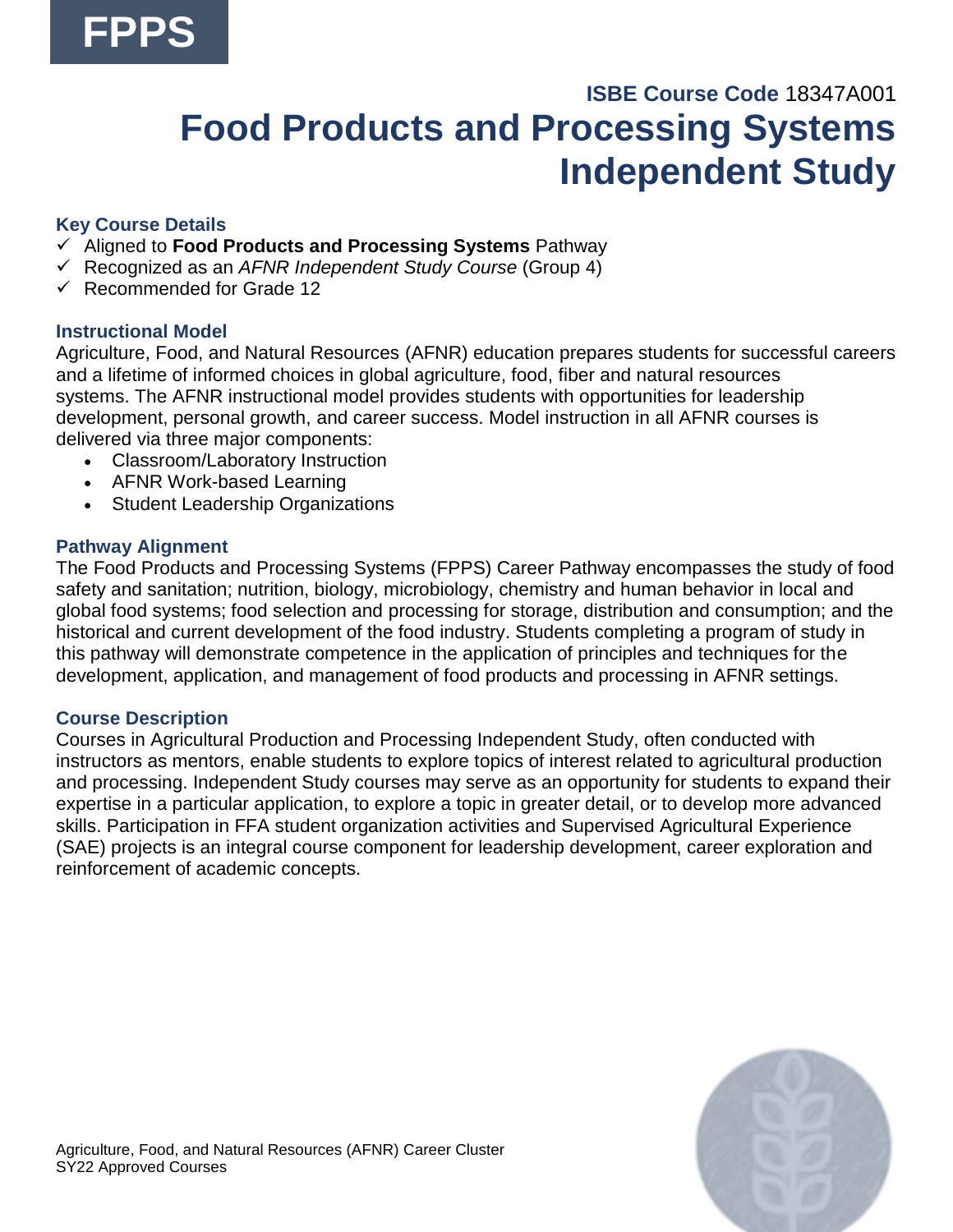# **ISBE Course Code** 18347A001 **Food Products and Processing Systems Independent Study**

## **Key Course Details**

- ✓ Aligned to **Food Products and Processing Systems** Pathway
- ✓ Recognized as an *AFNR Independent Study Course* (Group 4)
- ✓ Recommended for Grade 12

#### **Instructional Model**

Agriculture, Food, and Natural Resources (AFNR) education prepares students for successful careers and a lifetime of informed choices in global agriculture, food, fiber and natural resources systems. The AFNR instructional model provides students with opportunities for leadership development, personal growth, and career success. Model instruction in all AFNR courses is delivered via three major components:

- Classroom/Laboratory Instruction
- AFNR Work-based Learning
- Student Leadership Organizations

#### **Pathway Alignment**

The Food Products and Processing Systems (FPPS) Career Pathway encompasses the study of food safety and sanitation; nutrition, biology, microbiology, chemistry and human behavior in local and global food systems; food selection and processing for storage, distribution and consumption; and the historical and current development of the food industry. Students completing a program of study in this pathway will demonstrate competence in the application of principles and techniques for the development, application, and management of food products and processing in AFNR settings.

#### **Course Description**

Courses in Agricultural Production and Processing Independent Study, often conducted with instructors as mentors, enable students to explore topics of interest related to agricultural production and processing. Independent Study courses may serve as an opportunity for students to expand their expertise in a particular application, to explore a topic in greater detail, or to develop more advanced skills. Participation in FFA student organization activities and Supervised Agricultural Experience (SAE) projects is an integral course component for leadership development, career exploration and reinforcement of academic concepts.

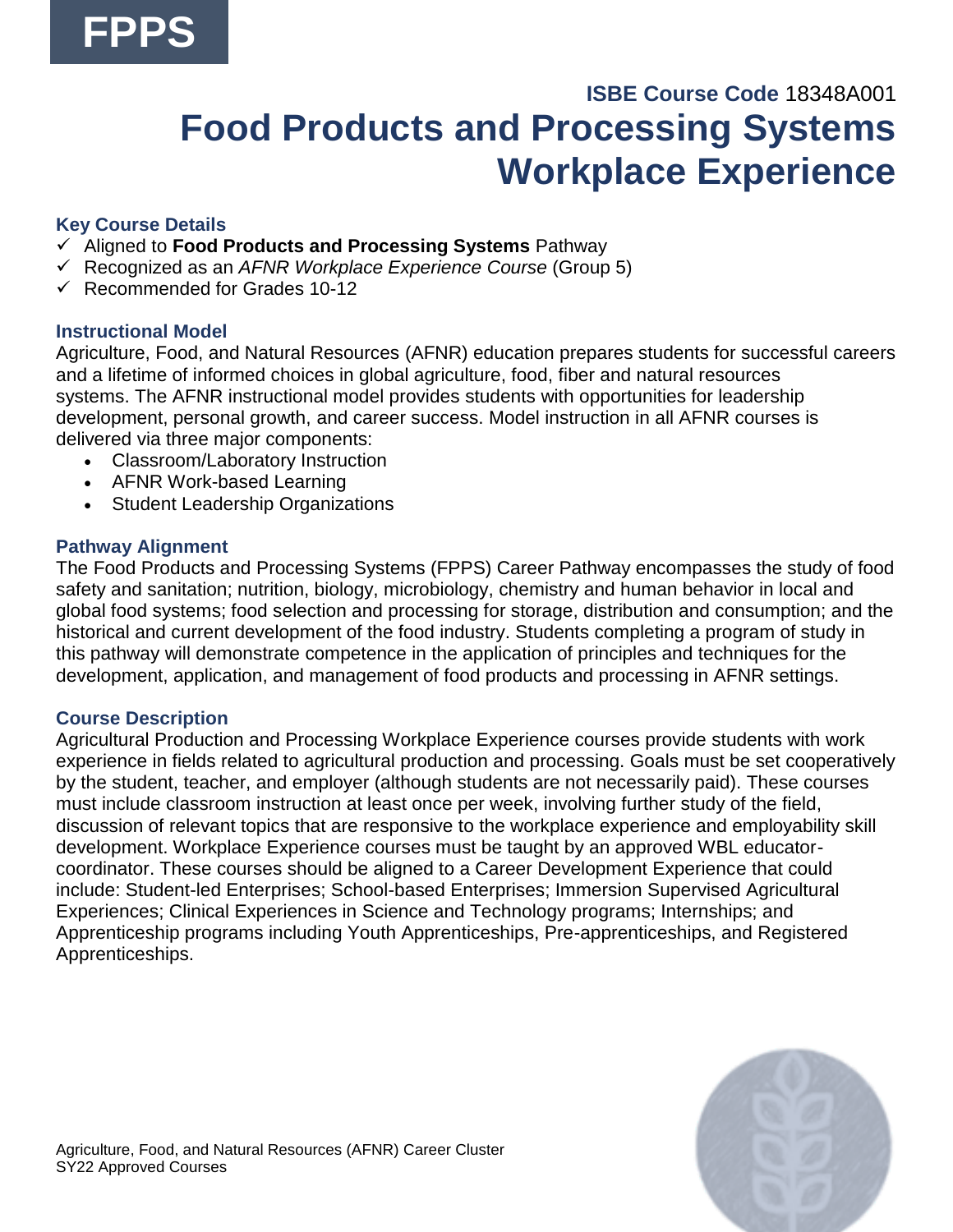# **ISBE Course Code** 18348A001 **Food Products and Processing Systems Workplace Experience**

## **Key Course Details**

- ✓ Aligned to **Food Products and Processing Systems** Pathway
- ✓ Recognized as an *AFNR Workplace Experience Course* (Group 5)
- $\checkmark$  Recommended for Grades 10-12

## **Instructional Model**

Agriculture, Food, and Natural Resources (AFNR) education prepares students for successful careers and a lifetime of informed choices in global agriculture, food, fiber and natural resources systems. The AFNR instructional model provides students with opportunities for leadership development, personal growth, and career success. Model instruction in all AFNR courses is delivered via three major components:

- Classroom/Laboratory Instruction
- AFNR Work-based Learning
- Student Leadership Organizations

### **Pathway Alignment**

The Food Products and Processing Systems (FPPS) Career Pathway encompasses the study of food safety and sanitation; nutrition, biology, microbiology, chemistry and human behavior in local and global food systems; food selection and processing for storage, distribution and consumption; and the historical and current development of the food industry. Students completing a program of study in this pathway will demonstrate competence in the application of principles and techniques for the development, application, and management of food products and processing in AFNR settings.

## **Course Description**

Agricultural Production and Processing Workplace Experience courses provide students with work experience in fields related to agricultural production and processing. Goals must be set cooperatively by the student, teacher, and employer (although students are not necessarily paid). These courses must include classroom instruction at least once per week, involving further study of the field, discussion of relevant topics that are responsive to the workplace experience and employability skill development. Workplace Experience courses must be taught by an approved WBL educatorcoordinator. These courses should be aligned to a Career Development Experience that could include: Student-led Enterprises; School-based Enterprises; Immersion Supervised Agricultural Experiences; Clinical Experiences in Science and Technology programs; Internships; and Apprenticeship programs including Youth Apprenticeships, Pre-apprenticeships, and Registered Apprenticeships.

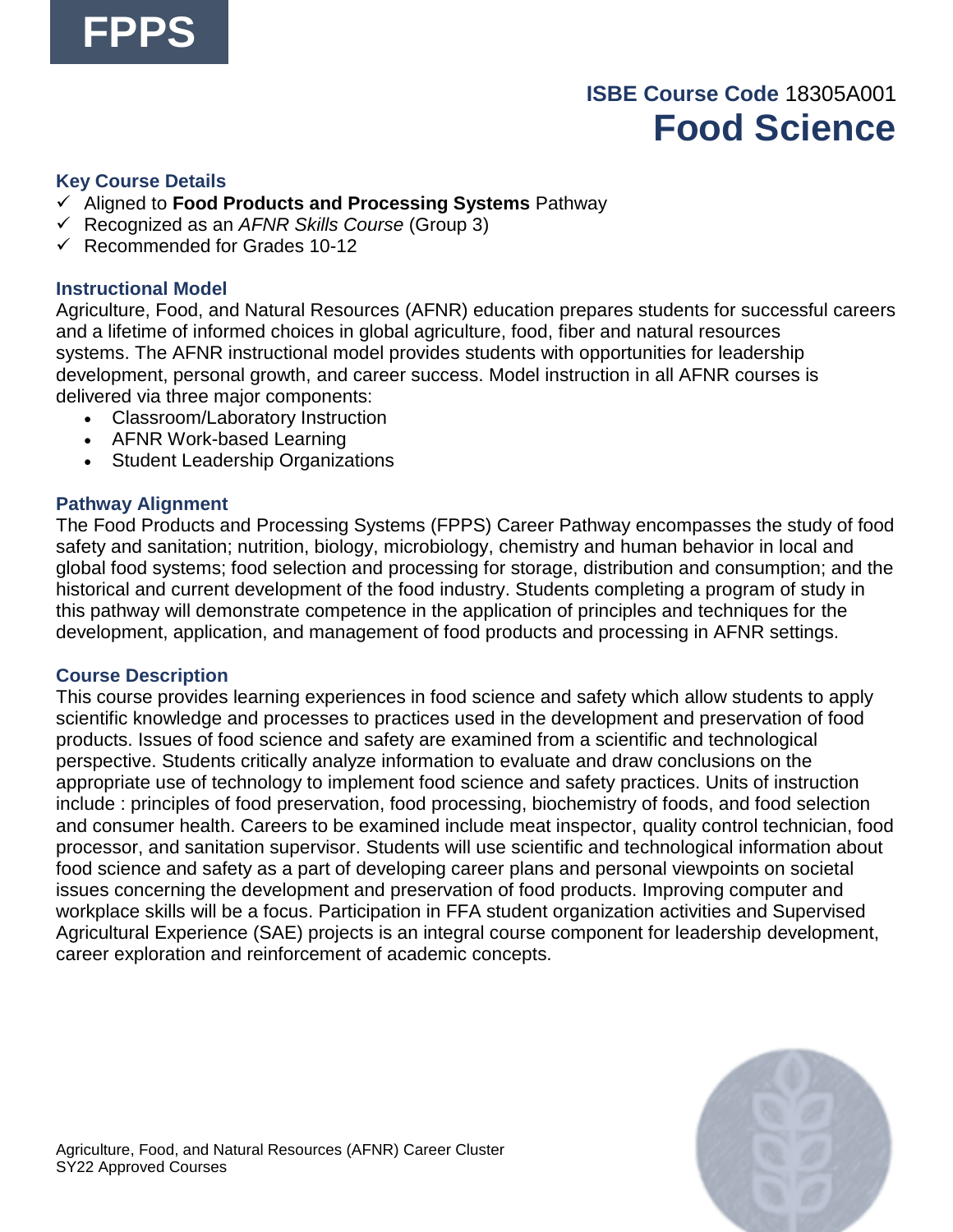

## **ISBE Course Code** 18305A001 **Food Science**

#### **Key Course Details**

- ✓ Aligned to **Food Products and Processing Systems** Pathway
- ✓ Recognized as an *AFNR Skills Course* (Group 3)
- $\checkmark$  Recommended for Grades 10-12

#### **Instructional Model**

Agriculture, Food, and Natural Resources (AFNR) education prepares students for successful careers and a lifetime of informed choices in global agriculture, food, fiber and natural resources systems. The AFNR instructional model provides students with opportunities for leadership development, personal growth, and career success. Model instruction in all AFNR courses is delivered via three major components:

- Classroom/Laboratory Instruction
- AFNR Work-based Learning
- Student Leadership Organizations

#### **Pathway Alignment**

The Food Products and Processing Systems (FPPS) Career Pathway encompasses the study of food safety and sanitation; nutrition, biology, microbiology, chemistry and human behavior in local and global food systems; food selection and processing for storage, distribution and consumption; and the historical and current development of the food industry. Students completing a program of study in this pathway will demonstrate competence in the application of principles and techniques for the development, application, and management of food products and processing in AFNR settings.

#### **Course Description**

This course provides learning experiences in food science and safety which allow students to apply scientific knowledge and processes to practices used in the development and preservation of food products. Issues of food science and safety are examined from a scientific and technological perspective. Students critically analyze information to evaluate and draw conclusions on the appropriate use of technology to implement food science and safety practices. Units of instruction include : principles of food preservation, food processing, biochemistry of foods, and food selection and consumer health. Careers to be examined include meat inspector, quality control technician, food processor, and sanitation supervisor. Students will use scientific and technological information about food science and safety as a part of developing career plans and personal viewpoints on societal issues concerning the development and preservation of food products. Improving computer and workplace skills will be a focus. Participation in FFA student organization activities and Supervised Agricultural Experience (SAE) projects is an integral course component for leadership development, career exploration and reinforcement of academic concepts.

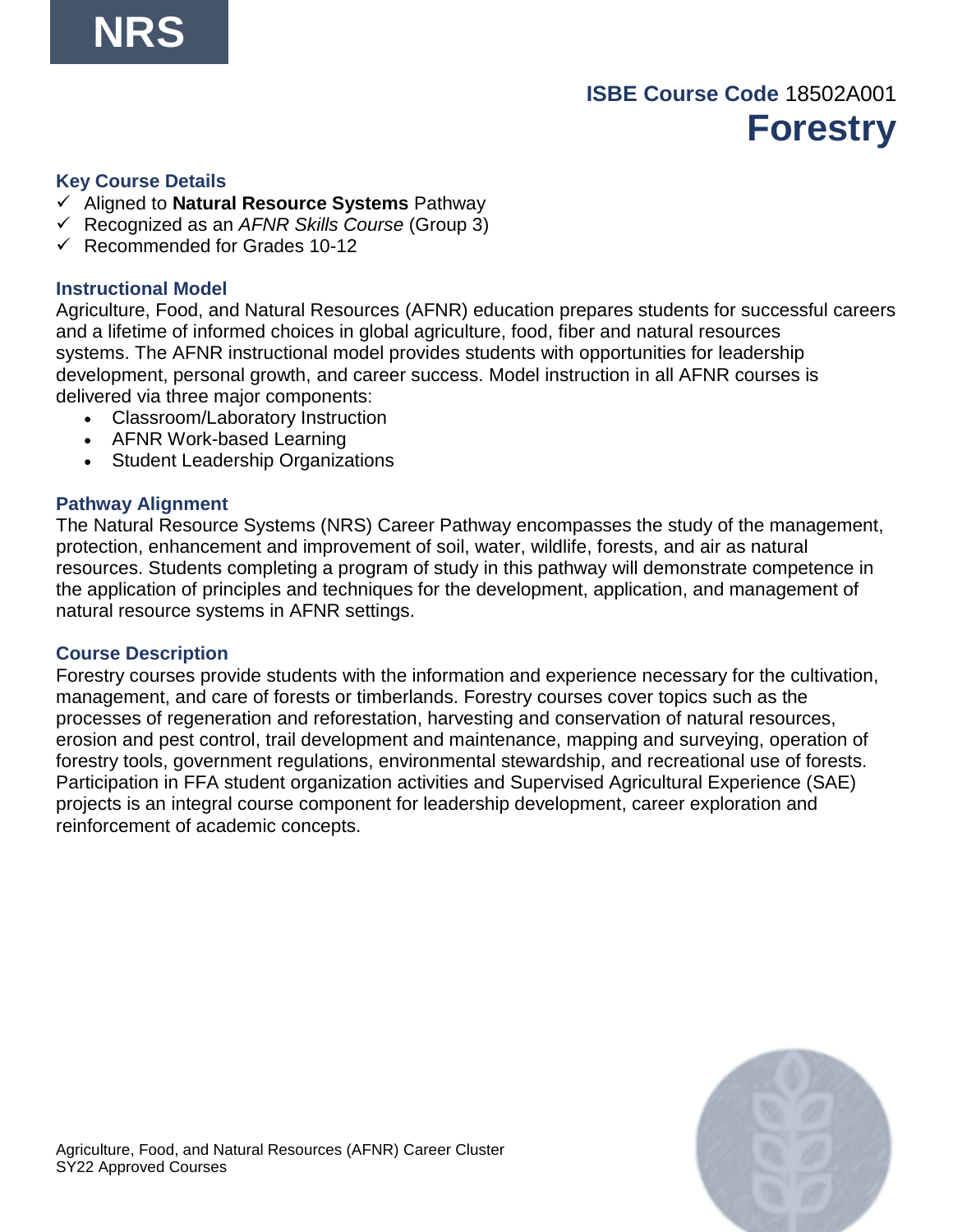## **ISBE Course Code** 18502A001 **Forestry**

#### **Key Course Details**

- ✓ Aligned to **Natural Resource Systems** Pathway
- ✓ Recognized as an *AFNR Skills Course* (Group 3)
- $\checkmark$  Recommended for Grades 10-12

#### **Instructional Model**

Agriculture, Food, and Natural Resources (AFNR) education prepares students for successful careers and a lifetime of informed choices in global agriculture, food, fiber and natural resources systems. The AFNR instructional model provides students with opportunities for leadership development, personal growth, and career success. Model instruction in all AFNR courses is delivered via three major components:

- Classroom/Laboratory Instruction
- AFNR Work-based Learning
- Student Leadership Organizations

#### **Pathway Alignment**

The Natural Resource Systems (NRS) Career Pathway encompasses the study of the management, protection, enhancement and improvement of soil, water, wildlife, forests, and air as natural resources. Students completing a program of study in this pathway will demonstrate competence in the application of principles and techniques for the development, application, and management of natural resource systems in AFNR settings.

#### **Course Description**

Forestry courses provide students with the information and experience necessary for the cultivation, management, and care of forests or timberlands. Forestry courses cover topics such as the processes of regeneration and reforestation, harvesting and conservation of natural resources, erosion and pest control, trail development and maintenance, mapping and surveying, operation of forestry tools, government regulations, environmental stewardship, and recreational use of forests. Participation in FFA student organization activities and Supervised Agricultural Experience (SAE) projects is an integral course component for leadership development, career exploration and reinforcement of academic concepts.

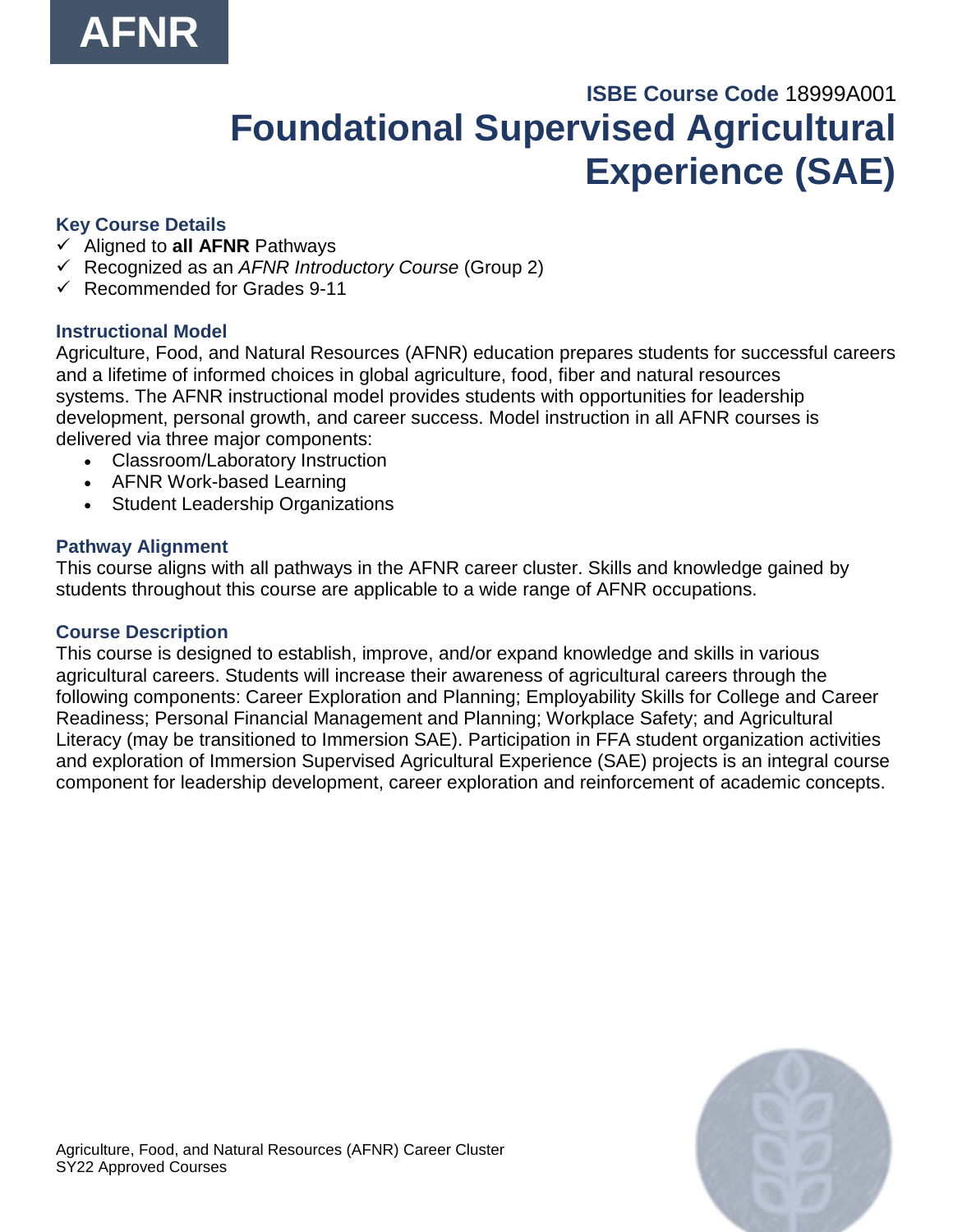# **ISBE Course Code** 18999A001 **Foundational Supervised Agricultural Experience (SAE)**

## **Key Course Details**

- ✓ Aligned to **all AFNR** Pathways
- ✓ Recognized as an *AFNR Introductory Course* (Group 2)
- $\checkmark$  Recommended for Grades 9-11

### **Instructional Model**

Agriculture, Food, and Natural Resources (AFNR) education prepares students for successful careers and a lifetime of informed choices in global agriculture, food, fiber and natural resources systems. The AFNR instructional model provides students with opportunities for leadership development, personal growth, and career success. Model instruction in all AFNR courses is delivered via three major components:

- Classroom/Laboratory Instruction
- AFNR Work-based Learning
- Student Leadership Organizations

#### **Pathway Alignment**

This course aligns with all pathways in the AFNR career cluster. Skills and knowledge gained by students throughout this course are applicable to a wide range of AFNR occupations.

#### **Course Description**

This course is designed to establish, improve, and/or expand knowledge and skills in various agricultural careers. Students will increase their awareness of agricultural careers through the following components: Career Exploration and Planning; Employability Skills for College and Career Readiness; Personal Financial Management and Planning; Workplace Safety; and Agricultural Literacy (may be transitioned to Immersion SAE). Participation in FFA student organization activities and exploration of Immersion Supervised Agricultural Experience (SAE) projects is an integral course component for leadership development, career exploration and reinforcement of academic concepts.

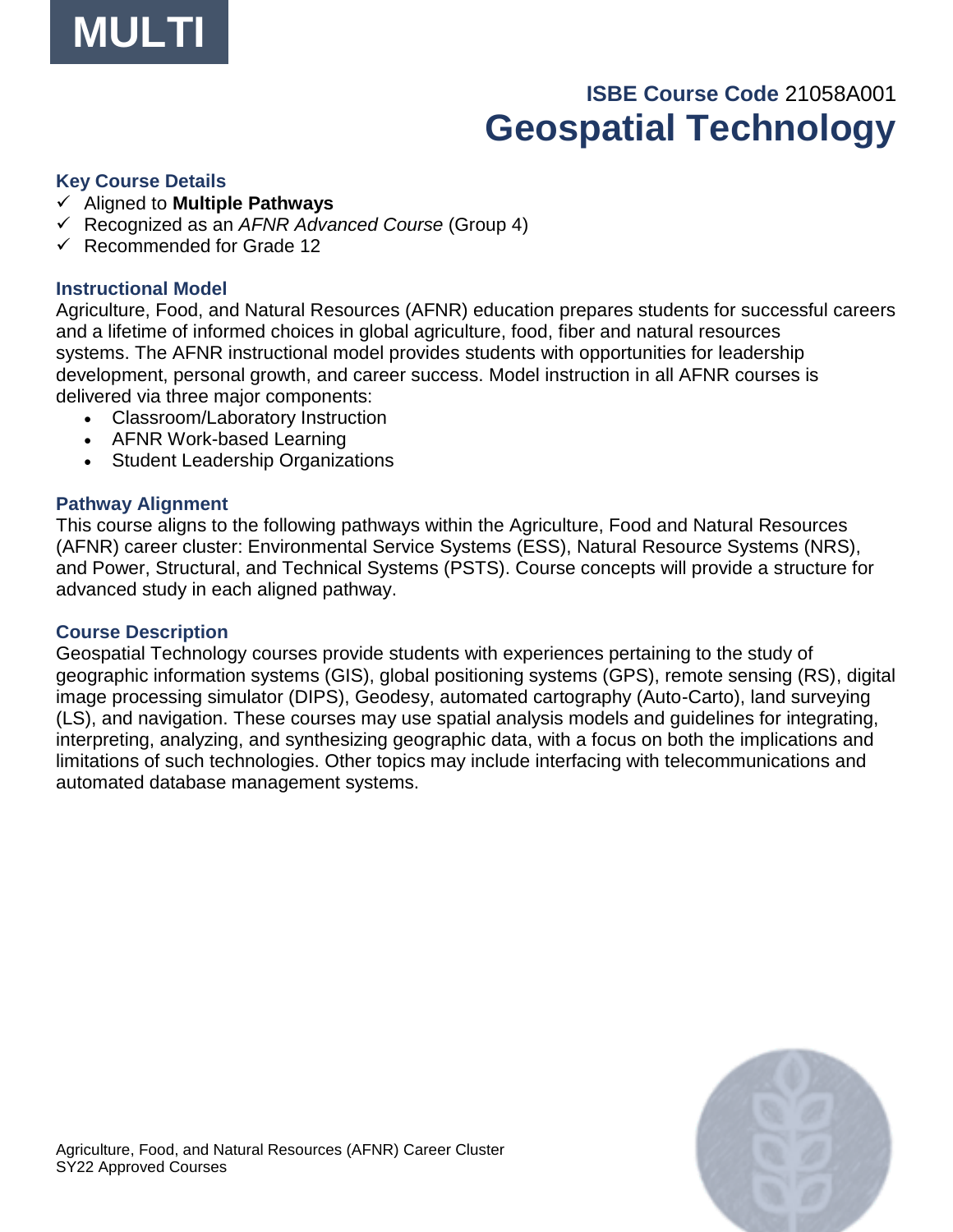

# **ISBE Course Code** 21058A001 **Geospatial Technology**

#### **Key Course Details**

- ✓ Aligned to **Multiple Pathways**
- ✓ Recognized as an *AFNR Advanced Course* (Group 4)
- ✓ Recommended for Grade 12

#### **Instructional Model**

Agriculture, Food, and Natural Resources (AFNR) education prepares students for successful careers and a lifetime of informed choices in global agriculture, food, fiber and natural resources systems. The AFNR instructional model provides students with opportunities for leadership development, personal growth, and career success. Model instruction in all AFNR courses is delivered via three major components:

- Classroom/Laboratory Instruction
- AFNR Work-based Learning
- Student Leadership Organizations

#### **Pathway Alignment**

This course aligns to the following pathways within the Agriculture, Food and Natural Resources (AFNR) career cluster: Environmental Service Systems (ESS), Natural Resource Systems (NRS), and Power, Structural, and Technical Systems (PSTS). Course concepts will provide a structure for advanced study in each aligned pathway.

#### **Course Description**

Geospatial Technology courses provide students with experiences pertaining to the study of geographic information systems (GIS), global positioning systems (GPS), remote sensing (RS), digital image processing simulator (DIPS), Geodesy, automated cartography (Auto-Carto), land surveying (LS), and navigation. These courses may use spatial analysis models and guidelines for integrating, interpreting, analyzing, and synthesizing geographic data, with a focus on both the implications and limitations of such technologies. Other topics may include interfacing with telecommunications and automated database management systems.

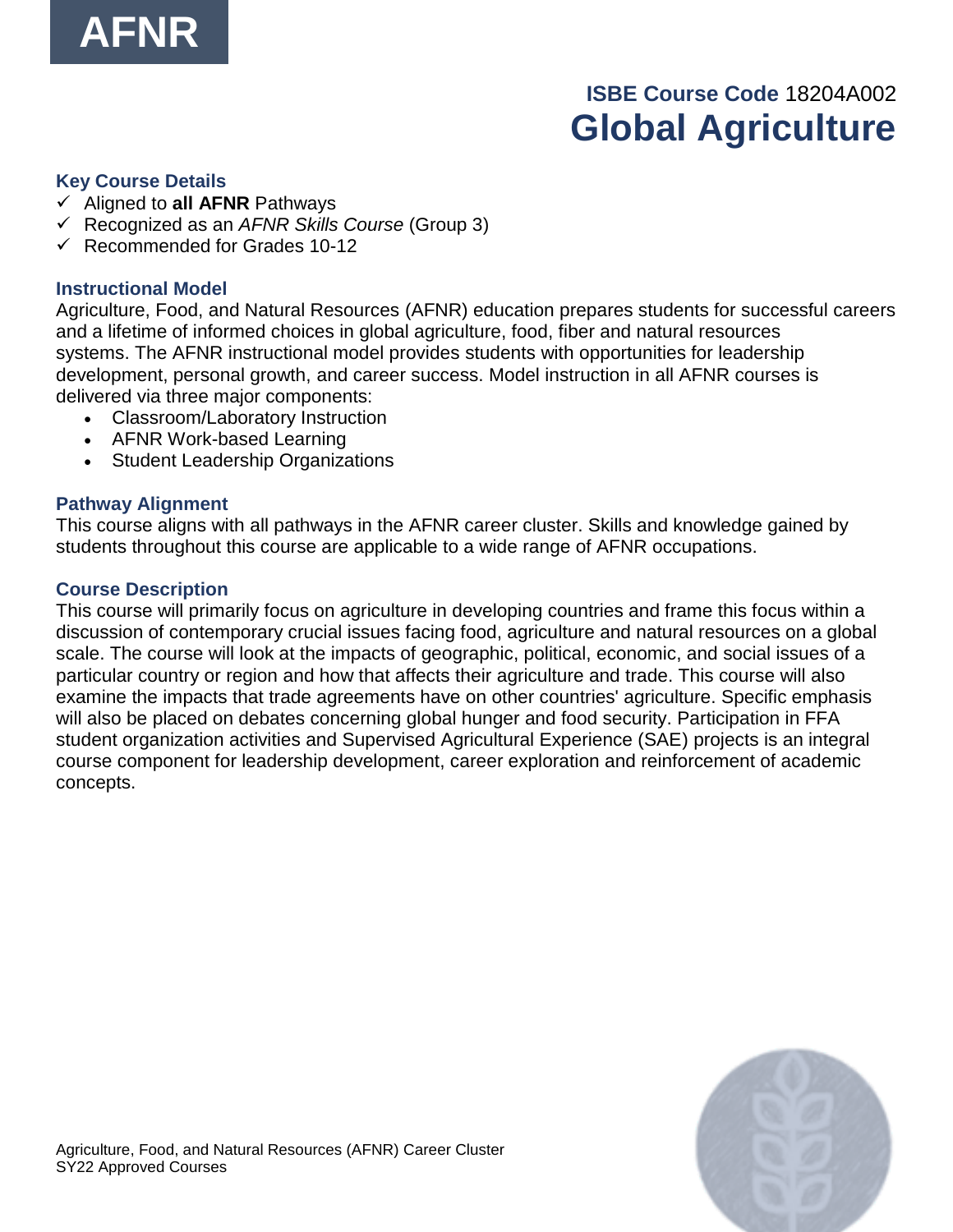

# **ISBE Course Code** 18204A002 **Global Agriculture**

#### **Key Course Details**

- ✓ Aligned to **all AFNR** Pathways
- ✓ Recognized as an *AFNR Skills Course* (Group 3)
- $\checkmark$  Recommended for Grades 10-12

#### **Instructional Model**

Agriculture, Food, and Natural Resources (AFNR) education prepares students for successful careers and a lifetime of informed choices in global agriculture, food, fiber and natural resources systems. The AFNR instructional model provides students with opportunities for leadership development, personal growth, and career success. Model instruction in all AFNR courses is delivered via three major components:

- Classroom/Laboratory Instruction
- AFNR Work-based Learning
- Student Leadership Organizations

#### **Pathway Alignment**

This course aligns with all pathways in the AFNR career cluster. Skills and knowledge gained by students throughout this course are applicable to a wide range of AFNR occupations.

#### **Course Description**

This course will primarily focus on agriculture in developing countries and frame this focus within a discussion of contemporary crucial issues facing food, agriculture and natural resources on a global scale. The course will look at the impacts of geographic, political, economic, and social issues of a particular country or region and how that affects their agriculture and trade. This course will also examine the impacts that trade agreements have on other countries' agriculture. Specific emphasis will also be placed on debates concerning global hunger and food security. Participation in FFA student organization activities and Supervised Agricultural Experience (SAE) projects is an integral course component for leadership development, career exploration and reinforcement of academic concepts.

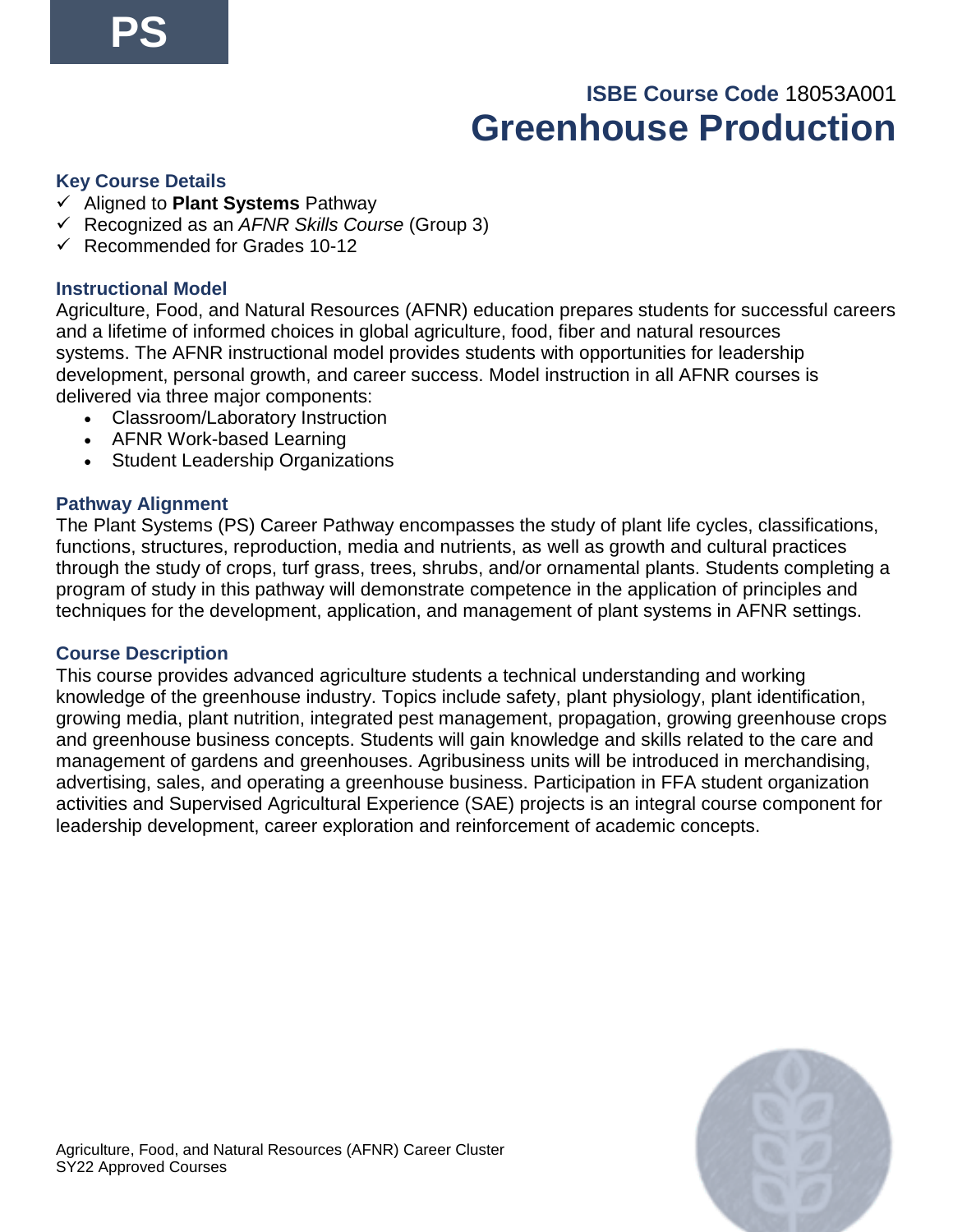# **ISBE Course Code** 18053A001 **Greenhouse Production**

#### **Key Course Details**

- ✓ Aligned to **Plant Systems** Pathway
- ✓ Recognized as an *AFNR Skills Course* (Group 3)
- $\checkmark$  Recommended for Grades 10-12

#### **Instructional Model**

Agriculture, Food, and Natural Resources (AFNR) education prepares students for successful careers and a lifetime of informed choices in global agriculture, food, fiber and natural resources systems. The AFNR instructional model provides students with opportunities for leadership development, personal growth, and career success. Model instruction in all AFNR courses is delivered via three major components:

- Classroom/Laboratory Instruction
- AFNR Work-based Learning
- Student Leadership Organizations

#### **Pathway Alignment**

The Plant Systems (PS) Career Pathway encompasses the study of plant life cycles, classifications, functions, structures, reproduction, media and nutrients, as well as growth and cultural practices through the study of crops, turf grass, trees, shrubs, and/or ornamental plants. Students completing a program of study in this pathway will demonstrate competence in the application of principles and techniques for the development, application, and management of plant systems in AFNR settings.

#### **Course Description**

This course provides advanced agriculture students a technical understanding and working knowledge of the greenhouse industry. Topics include safety, plant physiology, plant identification, growing media, plant nutrition, integrated pest management, propagation, growing greenhouse crops and greenhouse business concepts. Students will gain knowledge and skills related to the care and management of gardens and greenhouses. Agribusiness units will be introduced in merchandising, advertising, sales, and operating a greenhouse business. Participation in FFA student organization activities and Supervised Agricultural Experience (SAE) projects is an integral course component for leadership development, career exploration and reinforcement of academic concepts.

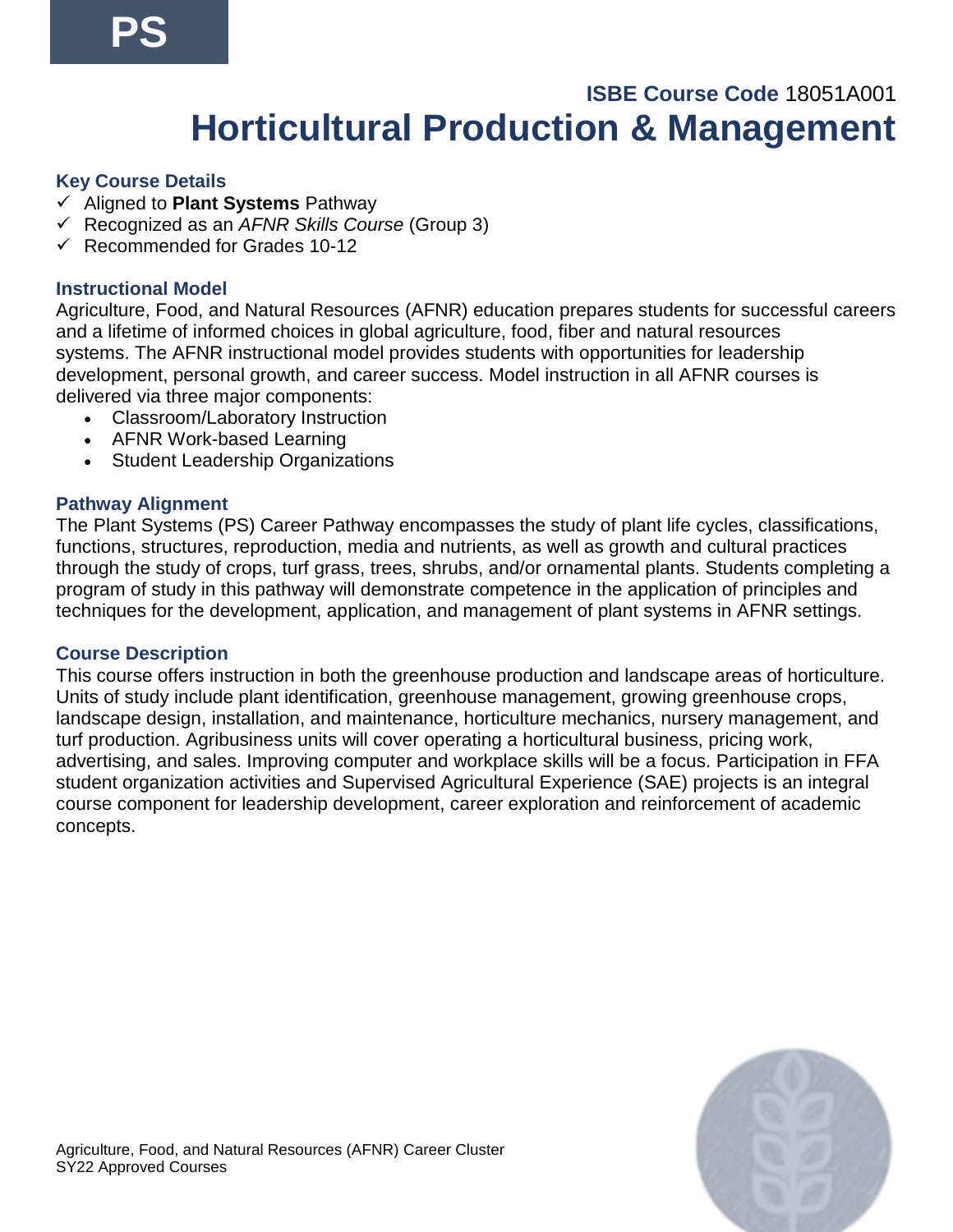# **ISBE Course Code** 18051A001 **Horticultural Production & Management**

#### **Key Course Details**

- ✓ Aligned to **Plant Systems** Pathway
- ✓ Recognized as an *AFNR Skills Course* (Group 3)
- $\checkmark$  Recommended for Grades 10-12

#### **Instructional Model**

Agriculture, Food, and Natural Resources (AFNR) education prepares students for successful careers and a lifetime of informed choices in global agriculture, food, fiber and natural resources systems. The AFNR instructional model provides students with opportunities for leadership development, personal growth, and career success. Model instruction in all AFNR courses is delivered via three major components:

- Classroom/Laboratory Instruction
- AFNR Work-based Learning
- Student Leadership Organizations

#### **Pathway Alignment**

The Plant Systems (PS) Career Pathway encompasses the study of plant life cycles, classifications, functions, structures, reproduction, media and nutrients, as well as growth and cultural practices through the study of crops, turf grass, trees, shrubs, and/or ornamental plants. Students completing a program of study in this pathway will demonstrate competence in the application of principles and techniques for the development, application, and management of plant systems in AFNR settings.

#### **Course Description**

This course offers instruction in both the greenhouse production and landscape areas of horticulture. Units of study include plant identification, greenhouse management, growing greenhouse crops, landscape design, installation, and maintenance, horticulture mechanics, nursery management, and turf production. Agribusiness units will cover operating a horticultural business, pricing work, advertising, and sales. Improving computer and workplace skills will be a focus. Participation in FFA student organization activities and Supervised Agricultural Experience (SAE) projects is an integral course component for leadership development, career exploration and reinforcement of academic concepts.

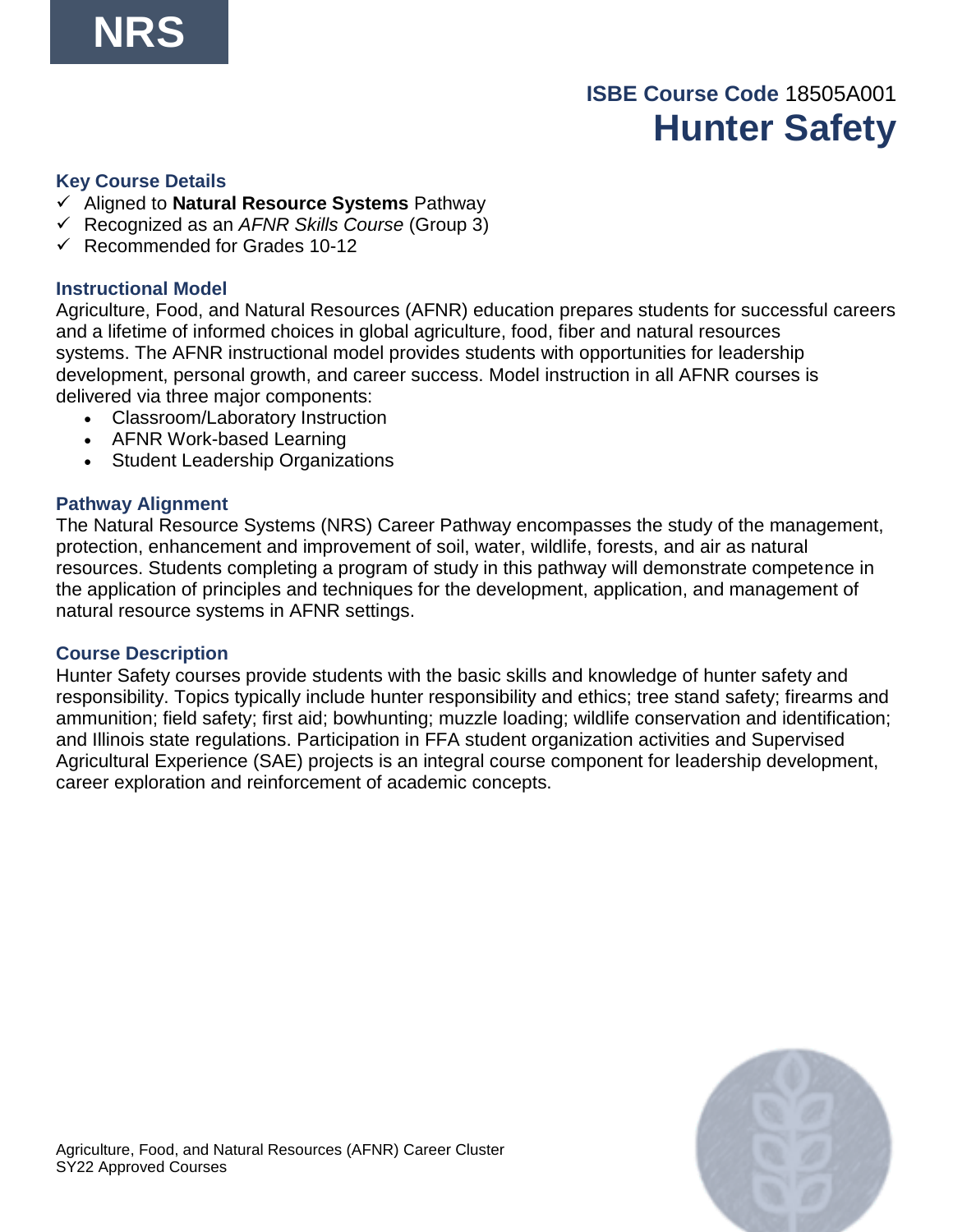# **ISBE Course Code** 18505A001 **Hunter Safety**

#### **Key Course Details**

- ✓ Aligned to **Natural Resource Systems** Pathway
- ✓ Recognized as an *AFNR Skills Course* (Group 3)
- $\checkmark$  Recommended for Grades 10-12

#### **Instructional Model**

Agriculture, Food, and Natural Resources (AFNR) education prepares students for successful careers and a lifetime of informed choices in global agriculture, food, fiber and natural resources systems. The AFNR instructional model provides students with opportunities for leadership development, personal growth, and career success. Model instruction in all AFNR courses is delivered via three major components:

- Classroom/Laboratory Instruction
- AFNR Work-based Learning
- Student Leadership Organizations

#### **Pathway Alignment**

The Natural Resource Systems (NRS) Career Pathway encompasses the study of the management, protection, enhancement and improvement of soil, water, wildlife, forests, and air as natural resources. Students completing a program of study in this pathway will demonstrate competence in the application of principles and techniques for the development, application, and management of natural resource systems in AFNR settings.

#### **Course Description**

Hunter Safety courses provide students with the basic skills and knowledge of hunter safety and responsibility. Topics typically include hunter responsibility and ethics; tree stand safety; firearms and ammunition; field safety; first aid; bowhunting; muzzle loading; wildlife conservation and identification; and Illinois state regulations. Participation in FFA student organization activities and Supervised Agricultural Experience (SAE) projects is an integral course component for leadership development, career exploration and reinforcement of academic concepts.

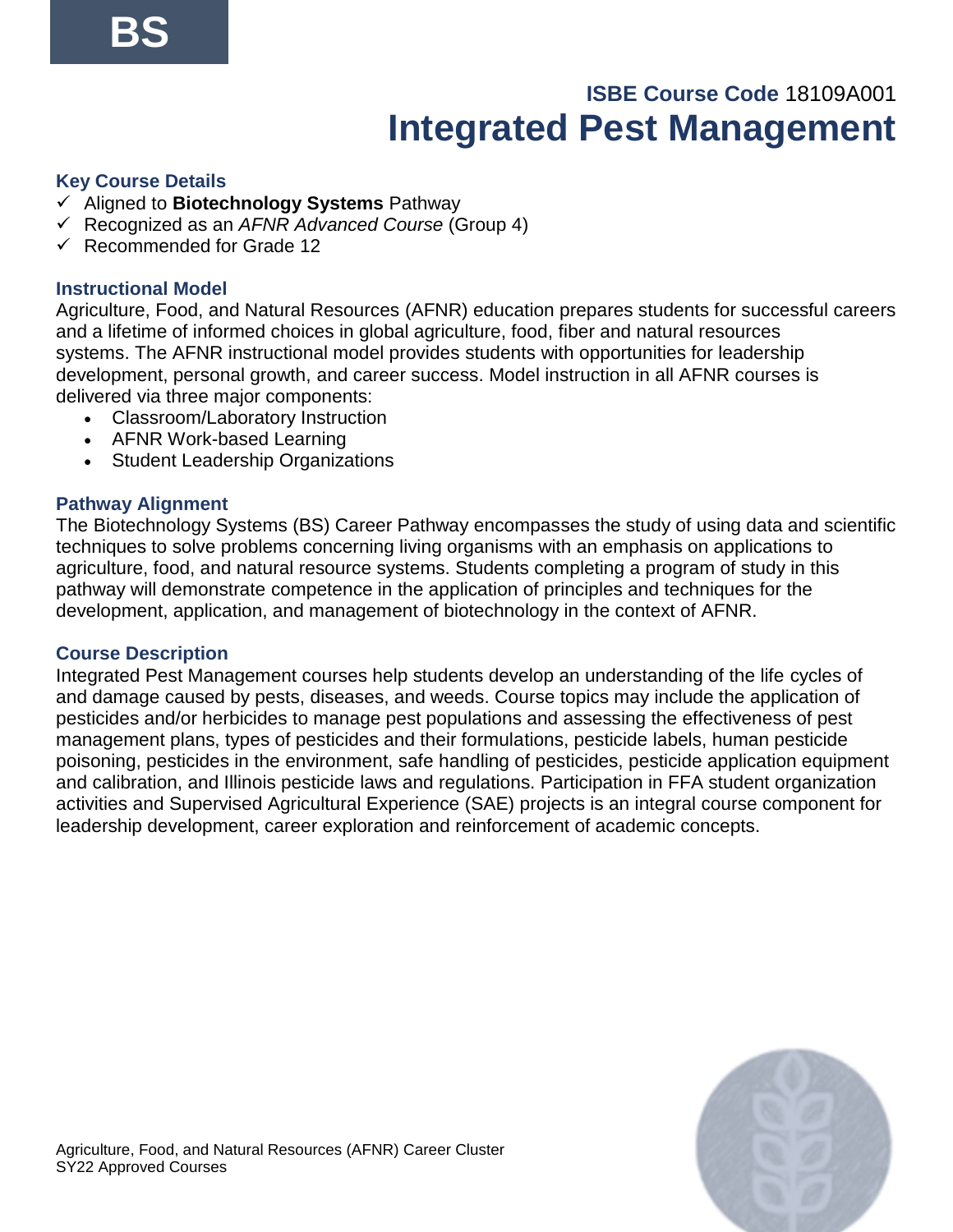## **ISBE Course Code** 18109A001 **Integrated Pest Management**

## **Key Course Details**

- ✓ Aligned to **Biotechnology Systems** Pathway
- ✓ Recognized as an *AFNR Advanced Course* (Group 4)
- ✓ Recommended for Grade 12

## **Instructional Model**

Agriculture, Food, and Natural Resources (AFNR) education prepares students for successful careers and a lifetime of informed choices in global agriculture, food, fiber and natural resources systems. The AFNR instructional model provides students with opportunities for leadership development, personal growth, and career success. Model instruction in all AFNR courses is delivered via three major components:

- Classroom/Laboratory Instruction
- AFNR Work-based Learning
- Student Leadership Organizations

## **Pathway Alignment**

The Biotechnology Systems (BS) Career Pathway encompasses the study of using data and scientific techniques to solve problems concerning living organisms with an emphasis on applications to agriculture, food, and natural resource systems. Students completing a program of study in this pathway will demonstrate competence in the application of principles and techniques for the development, application, and management of biotechnology in the context of AFNR.

#### **Course Description**

Integrated Pest Management courses help students develop an understanding of the life cycles of and damage caused by pests, diseases, and weeds. Course topics may include the application of pesticides and/or herbicides to manage pest populations and assessing the effectiveness of pest management plans, types of pesticides and their formulations, pesticide labels, human pesticide poisoning, pesticides in the environment, safe handling of pesticides, pesticide application equipment and calibration, and Illinois pesticide laws and regulations. Participation in FFA student organization activities and Supervised Agricultural Experience (SAE) projects is an integral course component for leadership development, career exploration and reinforcement of academic concepts.

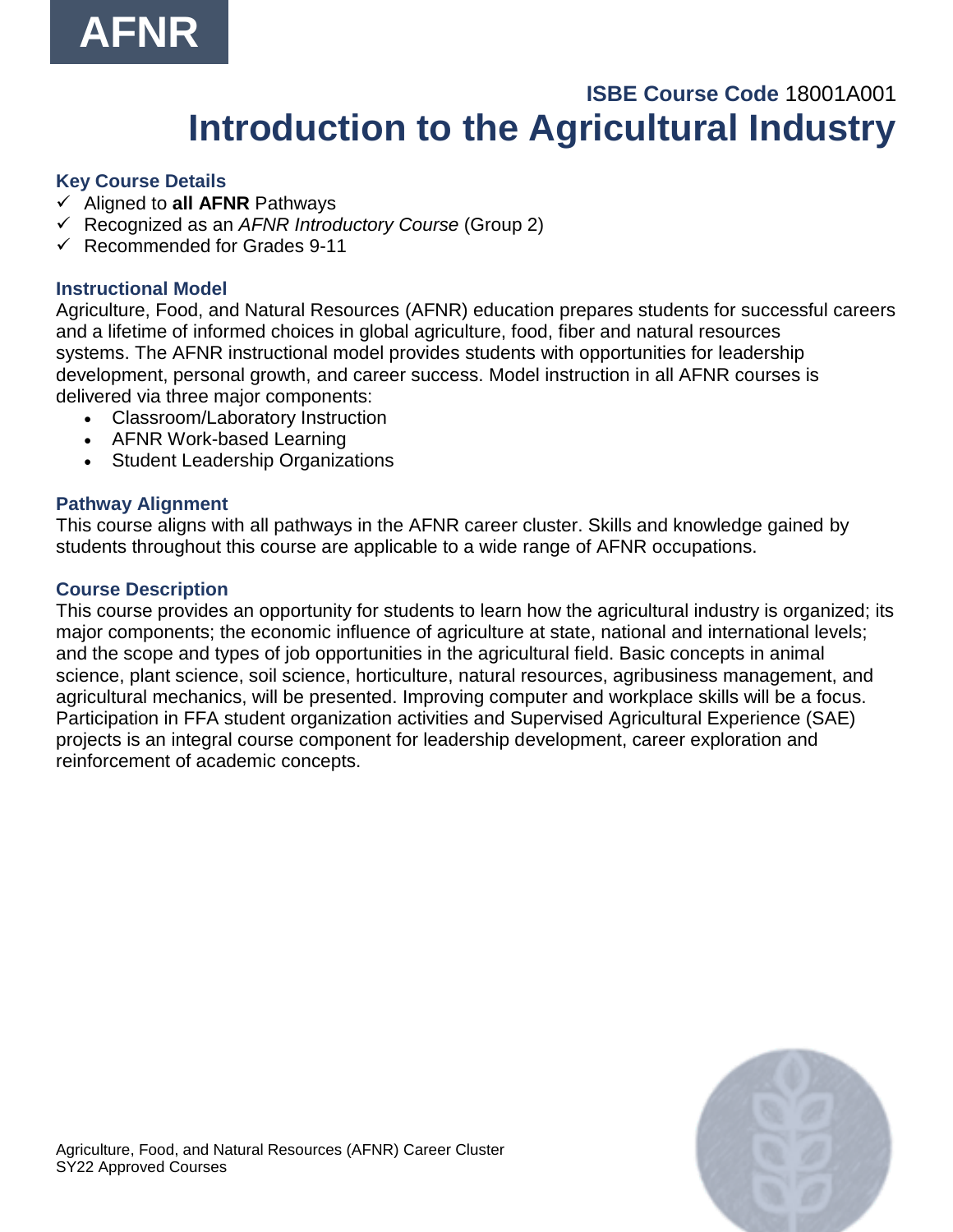

## **ISBE Course Code** 18001A001 **Introduction to the Agricultural Industry**

#### **Key Course Details**

- ✓ Aligned to **all AFNR** Pathways
- ✓ Recognized as an *AFNR Introductory Course* (Group 2)
- $\checkmark$  Recommended for Grades 9-11

## **Instructional Model**

Agriculture, Food, and Natural Resources (AFNR) education prepares students for successful careers and a lifetime of informed choices in global agriculture, food, fiber and natural resources systems. The AFNR instructional model provides students with opportunities for leadership development, personal growth, and career success. Model instruction in all AFNR courses is delivered via three major components:

- Classroom/Laboratory Instruction
- AFNR Work-based Learning
- Student Leadership Organizations

## **Pathway Alignment**

This course aligns with all pathways in the AFNR career cluster. Skills and knowledge gained by students throughout this course are applicable to a wide range of AFNR occupations.

## **Course Description**

This course provides an opportunity for students to learn how the agricultural industry is organized; its major components; the economic influence of agriculture at state, national and international levels; and the scope and types of job opportunities in the agricultural field. Basic concepts in animal science, plant science, soil science, horticulture, natural resources, agribusiness management, and agricultural mechanics, will be presented. Improving computer and workplace skills will be a focus. Participation in FFA student organization activities and Supervised Agricultural Experience (SAE) projects is an integral course component for leadership development, career exploration and reinforcement of academic concepts.

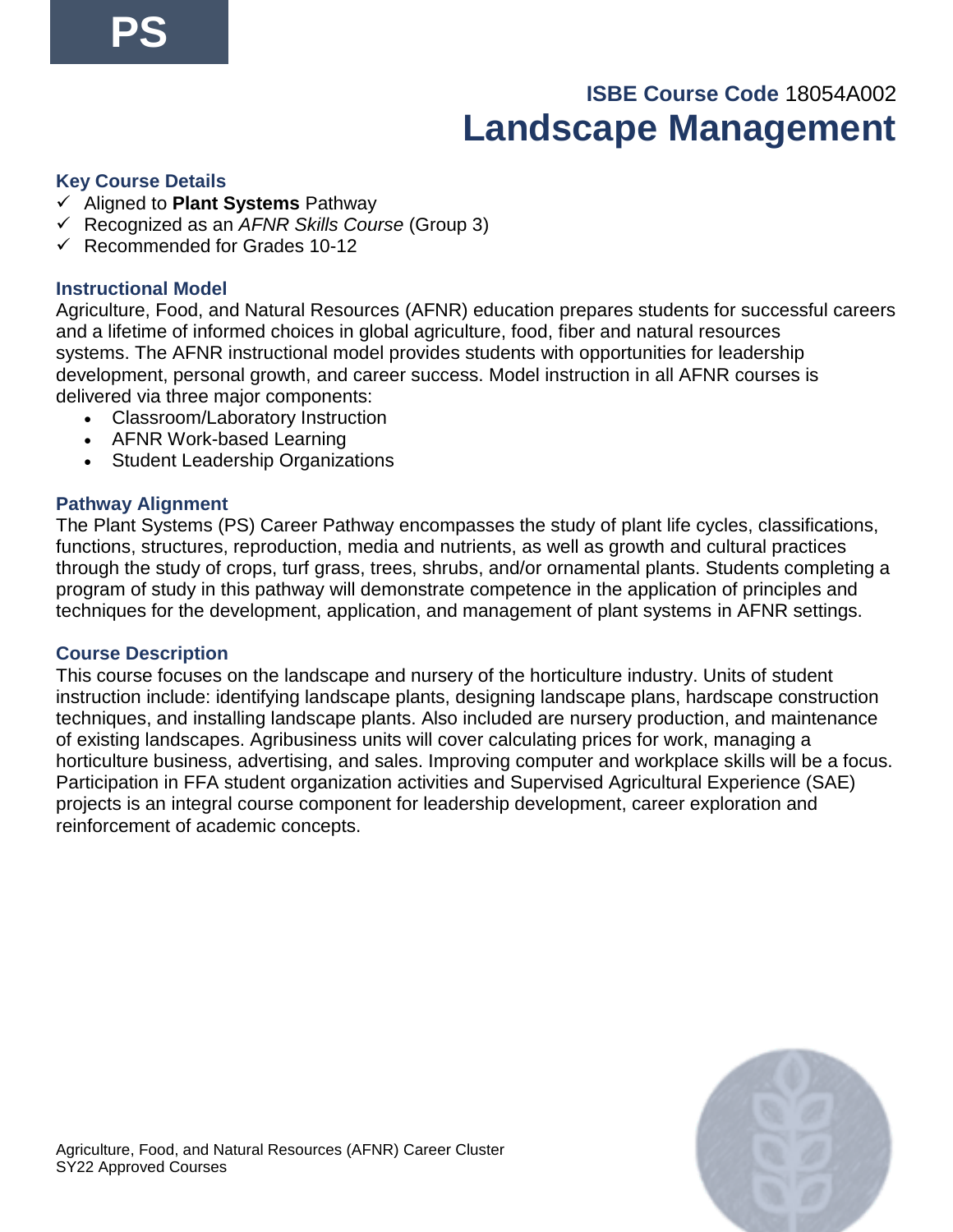## **ISBE Course Code** 18054A002 **Landscape Management**

#### **Key Course Details**

- ✓ Aligned to **Plant Systems** Pathway
- ✓ Recognized as an *AFNR Skills Course* (Group 3)
- $\checkmark$  Recommended for Grades 10-12

## **Instructional Model**

Agriculture, Food, and Natural Resources (AFNR) education prepares students for successful careers and a lifetime of informed choices in global agriculture, food, fiber and natural resources systems. The AFNR instructional model provides students with opportunities for leadership development, personal growth, and career success. Model instruction in all AFNR courses is delivered via three major components:

- Classroom/Laboratory Instruction
- AFNR Work-based Learning
- Student Leadership Organizations

## **Pathway Alignment**

The Plant Systems (PS) Career Pathway encompasses the study of plant life cycles, classifications, functions, structures, reproduction, media and nutrients, as well as growth and cultural practices through the study of crops, turf grass, trees, shrubs, and/or ornamental plants. Students completing a program of study in this pathway will demonstrate competence in the application of principles and techniques for the development, application, and management of plant systems in AFNR settings.

#### **Course Description**

This course focuses on the landscape and nursery of the horticulture industry. Units of student instruction include: identifying landscape plants, designing landscape plans, hardscape construction techniques, and installing landscape plants. Also included are nursery production, and maintenance of existing landscapes. Agribusiness units will cover calculating prices for work, managing a horticulture business, advertising, and sales. Improving computer and workplace skills will be a focus. Participation in FFA student organization activities and Supervised Agricultural Experience (SAE) projects is an integral course component for leadership development, career exploration and reinforcement of academic concepts.

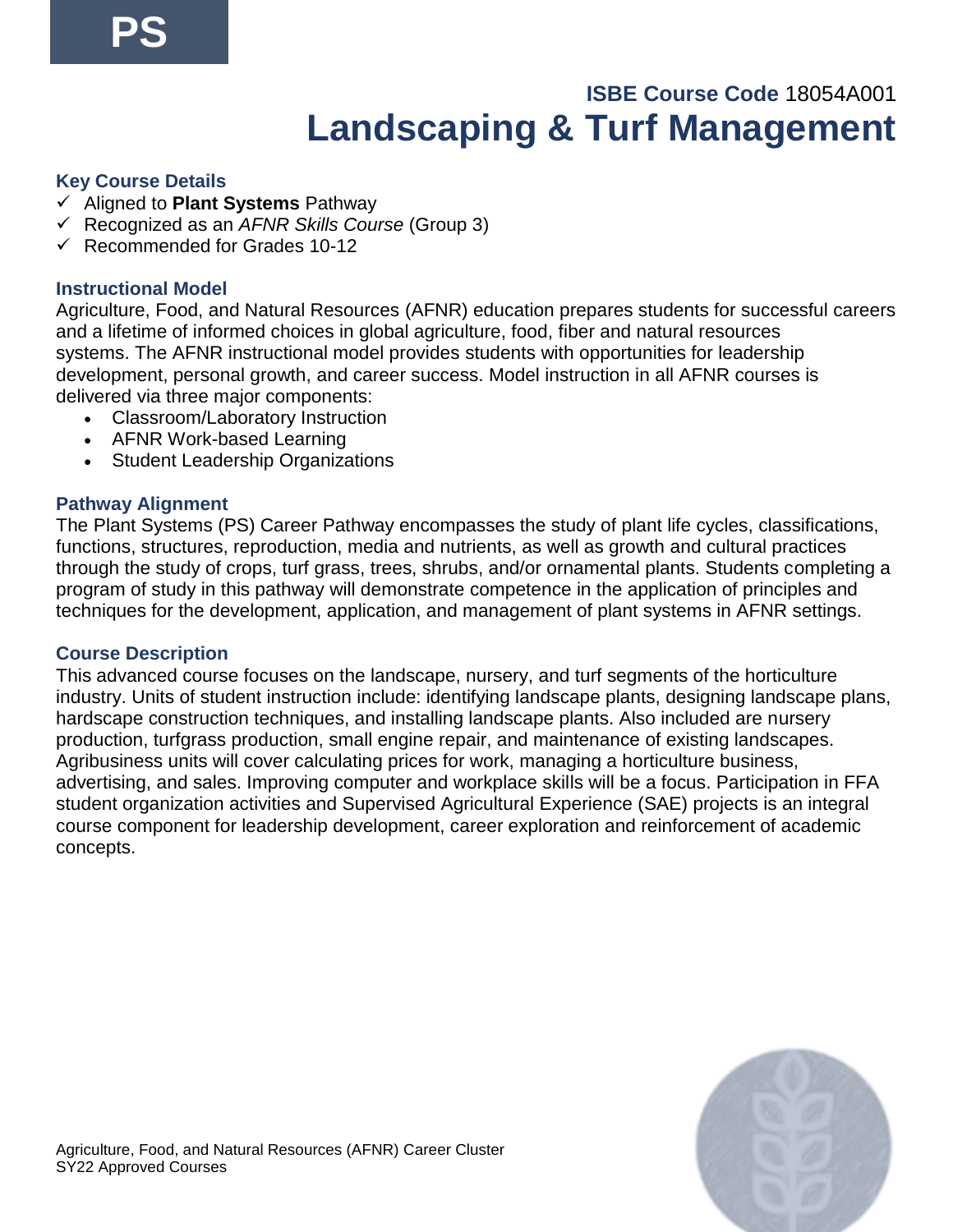## **ISBE Course Code** 18054A001 **Landscaping & Turf Management**

## **Key Course Details**

- ✓ Aligned to **Plant Systems** Pathway
- ✓ Recognized as an *AFNR Skills Course* (Group 3)
- $\checkmark$  Recommended for Grades 10-12

## **Instructional Model**

Agriculture, Food, and Natural Resources (AFNR) education prepares students for successful careers and a lifetime of informed choices in global agriculture, food, fiber and natural resources systems. The AFNR instructional model provides students with opportunities for leadership development, personal growth, and career success. Model instruction in all AFNR courses is delivered via three major components:

- Classroom/Laboratory Instruction
- AFNR Work-based Learning
- Student Leadership Organizations

## **Pathway Alignment**

The Plant Systems (PS) Career Pathway encompasses the study of plant life cycles, classifications, functions, structures, reproduction, media and nutrients, as well as growth and cultural practices through the study of crops, turf grass, trees, shrubs, and/or ornamental plants. Students completing a program of study in this pathway will demonstrate competence in the application of principles and techniques for the development, application, and management of plant systems in AFNR settings.

#### **Course Description**

This advanced course focuses on the landscape, nursery, and turf segments of the horticulture industry. Units of student instruction include: identifying landscape plants, designing landscape plans, hardscape construction techniques, and installing landscape plants. Also included are nursery production, turfgrass production, small engine repair, and maintenance of existing landscapes. Agribusiness units will cover calculating prices for work, managing a horticulture business, advertising, and sales. Improving computer and workplace skills will be a focus. Participation in FFA student organization activities and Supervised Agricultural Experience (SAE) projects is an integral course component for leadership development, career exploration and reinforcement of academic concepts.

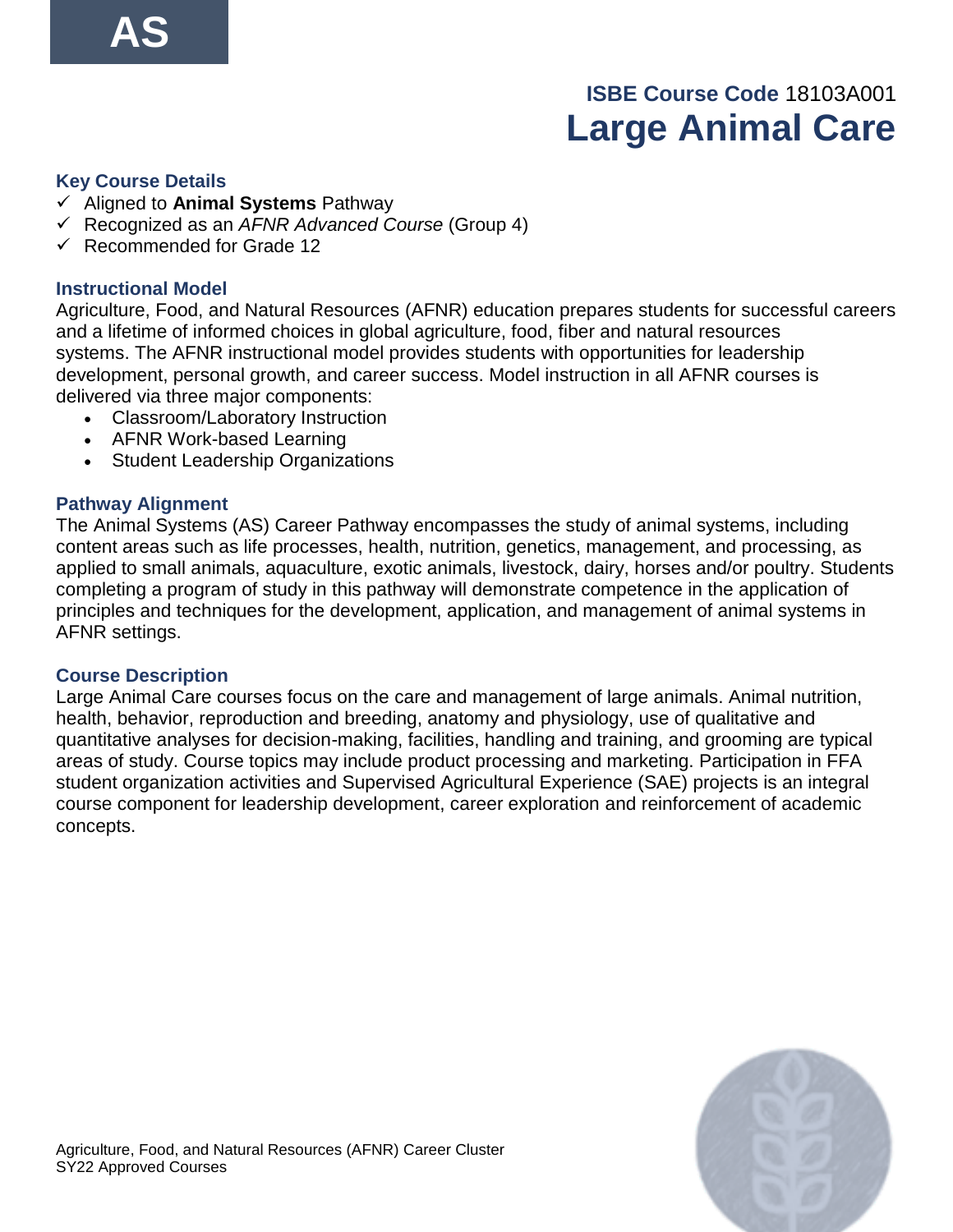## **ISBE Course Code** 18103A001 **Large Animal Care**

#### **Key Course Details**

- ✓ Aligned to **Animal Systems** Pathway
- ✓ Recognized as an *AFNR Advanced Course* (Group 4)
- ✓ Recommended for Grade 12

#### **Instructional Model**

Agriculture, Food, and Natural Resources (AFNR) education prepares students for successful careers and a lifetime of informed choices in global agriculture, food, fiber and natural resources systems. The AFNR instructional model provides students with opportunities for leadership development, personal growth, and career success. Model instruction in all AFNR courses is delivered via three major components:

- Classroom/Laboratory Instruction
- AFNR Work-based Learning
- Student Leadership Organizations

## **Pathway Alignment**

The Animal Systems (AS) Career Pathway encompasses the study of animal systems, including content areas such as life processes, health, nutrition, genetics, management, and processing, as applied to small animals, aquaculture, exotic animals, livestock, dairy, horses and/or poultry. Students completing a program of study in this pathway will demonstrate competence in the application of principles and techniques for the development, application, and management of animal systems in AFNR settings.

#### **Course Description**

Large Animal Care courses focus on the care and management of large animals. Animal nutrition, health, behavior, reproduction and breeding, anatomy and physiology, use of qualitative and quantitative analyses for decision-making, facilities, handling and training, and grooming are typical areas of study. Course topics may include product processing and marketing. Participation in FFA student organization activities and Supervised Agricultural Experience (SAE) projects is an integral course component for leadership development, career exploration and reinforcement of academic concepts.

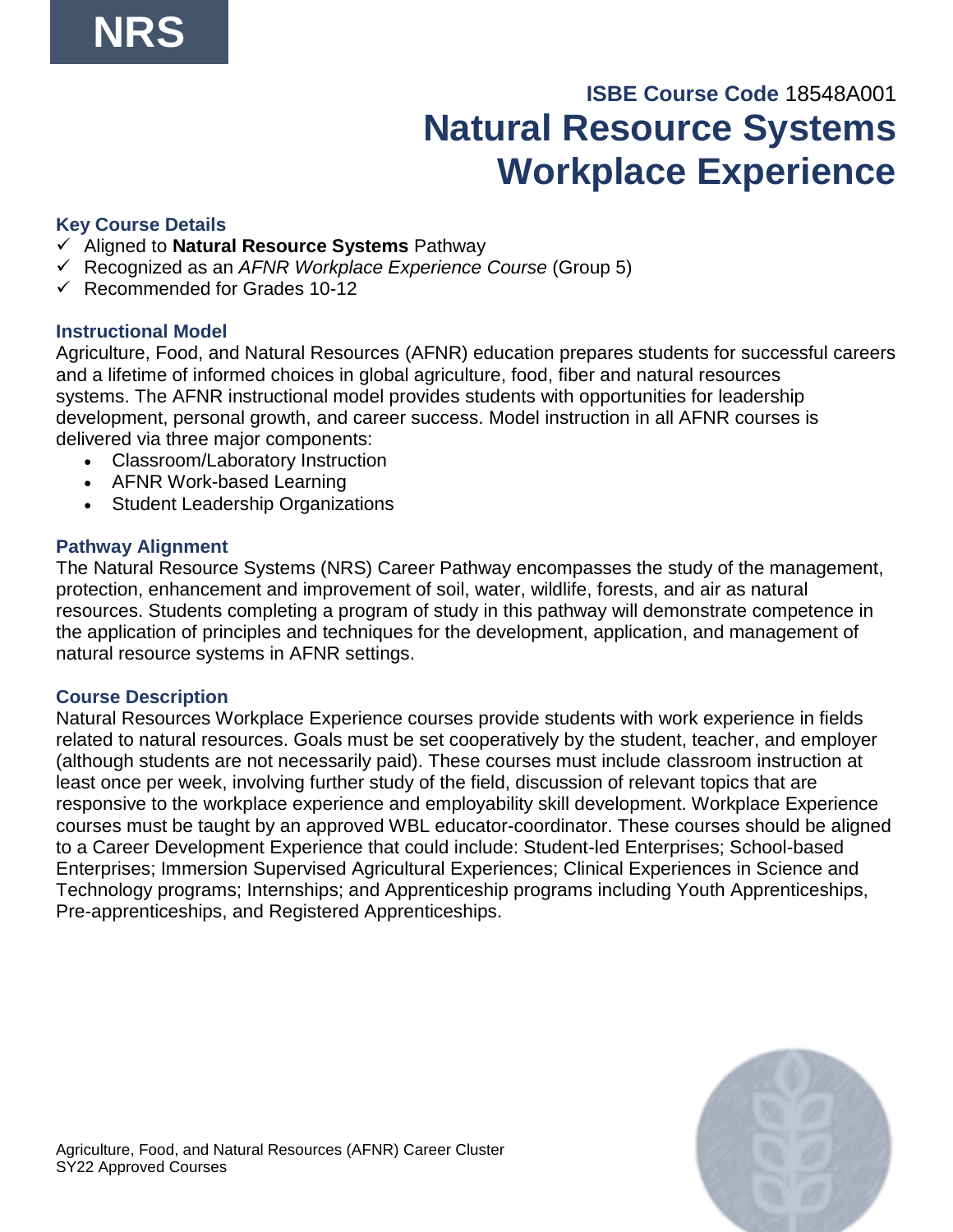## **ISBE Course Code** 18548A001 **Natural Resource Systems Workplace Experience**

## **Key Course Details**

- ✓ Aligned to **Natural Resource Systems** Pathway
- ✓ Recognized as an *AFNR Workplace Experience Course* (Group 5)
- $\checkmark$  Recommended for Grades 10-12

## **Instructional Model**

Agriculture, Food, and Natural Resources (AFNR) education prepares students for successful careers and a lifetime of informed choices in global agriculture, food, fiber and natural resources systems. The AFNR instructional model provides students with opportunities for leadership development, personal growth, and career success. Model instruction in all AFNR courses is delivered via three major components:

- Classroom/Laboratory Instruction
- AFNR Work-based Learning
- Student Leadership Organizations

## **Pathway Alignment**

The Natural Resource Systems (NRS) Career Pathway encompasses the study of the management, protection, enhancement and improvement of soil, water, wildlife, forests, and air as natural resources. Students completing a program of study in this pathway will demonstrate competence in the application of principles and techniques for the development, application, and management of natural resource systems in AFNR settings.

## **Course Description**

Natural Resources Workplace Experience courses provide students with work experience in fields related to natural resources. Goals must be set cooperatively by the student, teacher, and employer (although students are not necessarily paid). These courses must include classroom instruction at least once per week, involving further study of the field, discussion of relevant topics that are responsive to the workplace experience and employability skill development. Workplace Experience courses must be taught by an approved WBL educator-coordinator. These courses should be aligned to a Career Development Experience that could include: Student-led Enterprises; School-based Enterprises; Immersion Supervised Agricultural Experiences; Clinical Experiences in Science and Technology programs; Internships; and Apprenticeship programs including Youth Apprenticeships, Pre-apprenticeships, and Registered Apprenticeships.

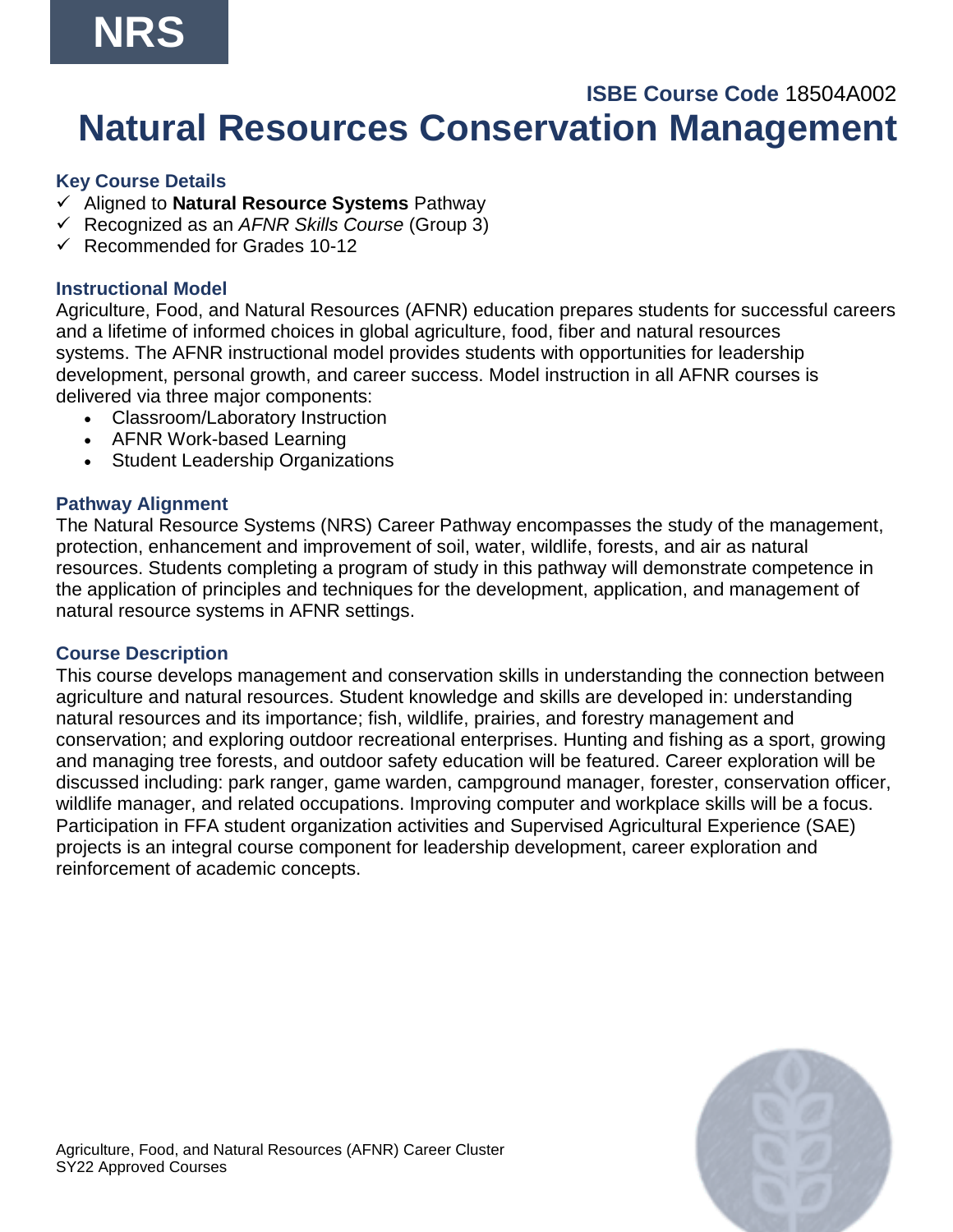# **NRS**

## **ISBE Course Code** 18504A002 **Natural Resources Conservation Management**

## **Key Course Details**

- ✓ Aligned to **Natural Resource Systems** Pathway
- ✓ Recognized as an *AFNR Skills Course* (Group 3)
- $\checkmark$  Recommended for Grades 10-12

## **Instructional Model**

Agriculture, Food, and Natural Resources (AFNR) education prepares students for successful careers and a lifetime of informed choices in global agriculture, food, fiber and natural resources systems. The AFNR instructional model provides students with opportunities for leadership development, personal growth, and career success. Model instruction in all AFNR courses is delivered via three major components:

- Classroom/Laboratory Instruction
- AFNR Work-based Learning
- Student Leadership Organizations

## **Pathway Alignment**

The Natural Resource Systems (NRS) Career Pathway encompasses the study of the management, protection, enhancement and improvement of soil, water, wildlife, forests, and air as natural resources. Students completing a program of study in this pathway will demonstrate competence in the application of principles and techniques for the development, application, and management of natural resource systems in AFNR settings.

## **Course Description**

This course develops management and conservation skills in understanding the connection between agriculture and natural resources. Student knowledge and skills are developed in: understanding natural resources and its importance; fish, wildlife, prairies, and forestry management and conservation; and exploring outdoor recreational enterprises. Hunting and fishing as a sport, growing and managing tree forests, and outdoor safety education will be featured. Career exploration will be discussed including: park ranger, game warden, campground manager, forester, conservation officer, wildlife manager, and related occupations. Improving computer and workplace skills will be a focus. Participation in FFA student organization activities and Supervised Agricultural Experience (SAE) projects is an integral course component for leadership development, career exploration and reinforcement of academic concepts.

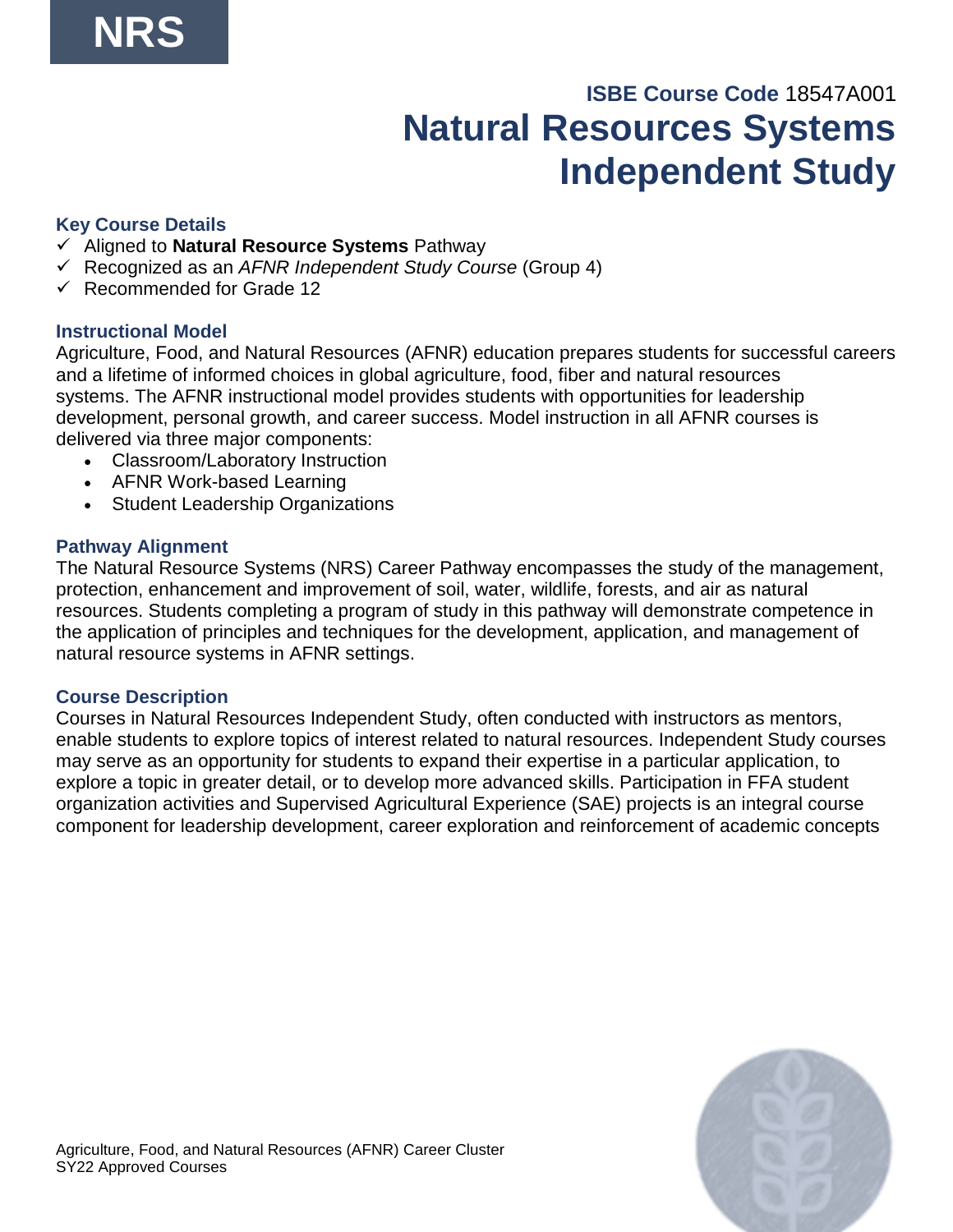## **ISBE Course Code** 18547A001 **Natural Resources Systems Independent Study**

## **Key Course Details**

- ✓ Aligned to **Natural Resource Systems** Pathway
- ✓ Recognized as an *AFNR Independent Study Course* (Group 4)
- ✓ Recommended for Grade 12

## **Instructional Model**

Agriculture, Food, and Natural Resources (AFNR) education prepares students for successful careers and a lifetime of informed choices in global agriculture, food, fiber and natural resources systems. The AFNR instructional model provides students with opportunities for leadership development, personal growth, and career success. Model instruction in all AFNR courses is delivered via three major components:

- Classroom/Laboratory Instruction
- AFNR Work-based Learning
- Student Leadership Organizations

## **Pathway Alignment**

The Natural Resource Systems (NRS) Career Pathway encompasses the study of the management, protection, enhancement and improvement of soil, water, wildlife, forests, and air as natural resources. Students completing a program of study in this pathway will demonstrate competence in the application of principles and techniques for the development, application, and management of natural resource systems in AFNR settings.

## **Course Description**

Courses in Natural Resources Independent Study, often conducted with instructors as mentors, enable students to explore topics of interest related to natural resources. Independent Study courses may serve as an opportunity for students to expand their expertise in a particular application, to explore a topic in greater detail, or to develop more advanced skills. Participation in FFA student organization activities and Supervised Agricultural Experience (SAE) projects is an integral course component for leadership development, career exploration and reinforcement of academic concepts

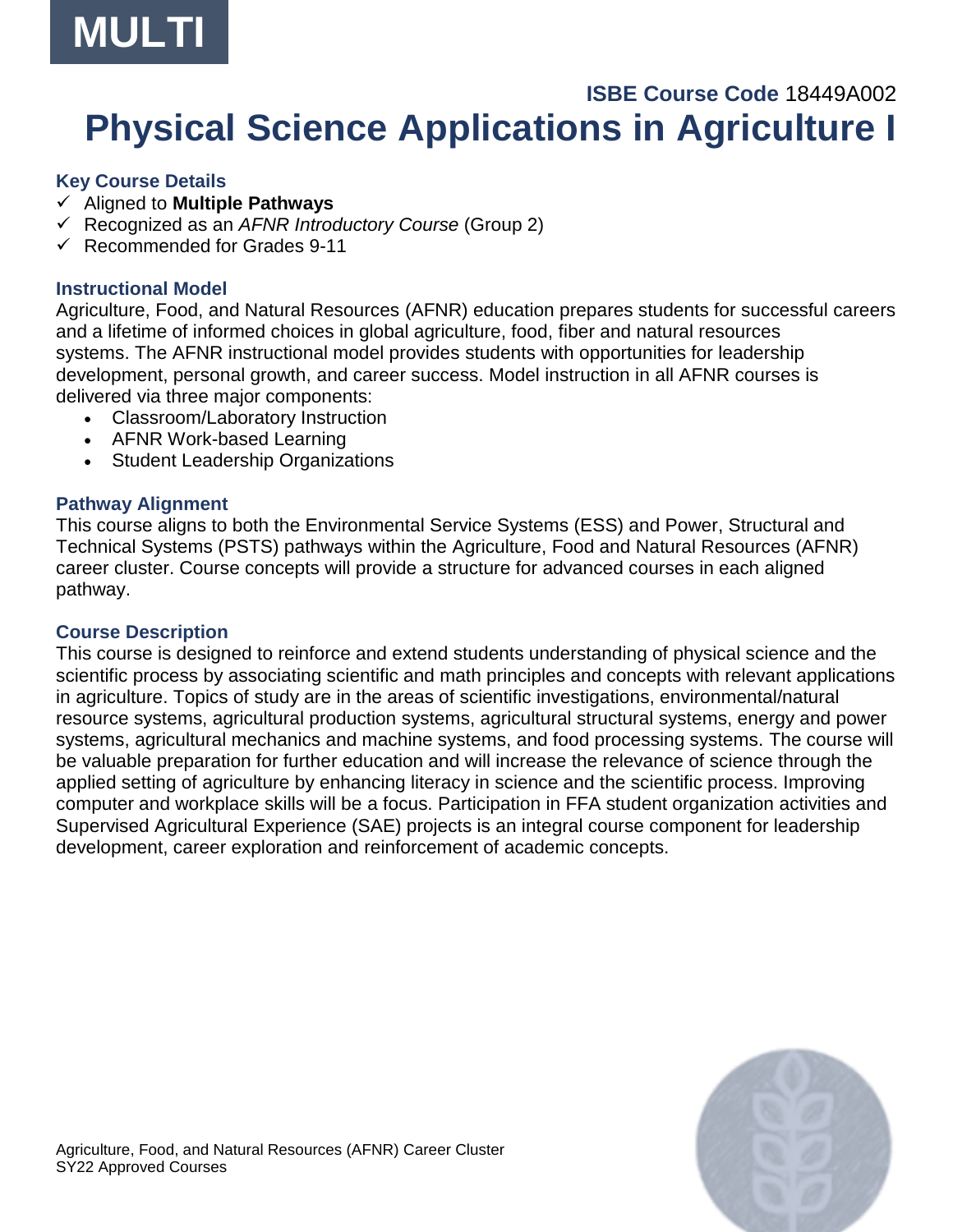

## **ISBE Course Code** 18449A002 **Physical Science Applications in Agriculture I**

#### **Key Course Details**

- ✓ Aligned to **Multiple Pathways**
- ✓ Recognized as an *AFNR Introductory Course* (Group 2)
- $\checkmark$  Recommended for Grades 9-11

## **Instructional Model**

Agriculture, Food, and Natural Resources (AFNR) education prepares students for successful careers and a lifetime of informed choices in global agriculture, food, fiber and natural resources systems. The AFNR instructional model provides students with opportunities for leadership development, personal growth, and career success. Model instruction in all AFNR courses is delivered via three major components:

- Classroom/Laboratory Instruction
- AFNR Work-based Learning
- Student Leadership Organizations

## **Pathway Alignment**

This course aligns to both the Environmental Service Systems (ESS) and Power, Structural and Technical Systems (PSTS) pathways within the Agriculture, Food and Natural Resources (AFNR) career cluster. Course concepts will provide a structure for advanced courses in each aligned pathway.

#### **Course Description**

This course is designed to reinforce and extend students understanding of physical science and the scientific process by associating scientific and math principles and concepts with relevant applications in agriculture. Topics of study are in the areas of scientific investigations, environmental/natural resource systems, agricultural production systems, agricultural structural systems, energy and power systems, agricultural mechanics and machine systems, and food processing systems. The course will be valuable preparation for further education and will increase the relevance of science through the applied setting of agriculture by enhancing literacy in science and the scientific process. Improving computer and workplace skills will be a focus. Participation in FFA student organization activities and Supervised Agricultural Experience (SAE) projects is an integral course component for leadership development, career exploration and reinforcement of academic concepts.

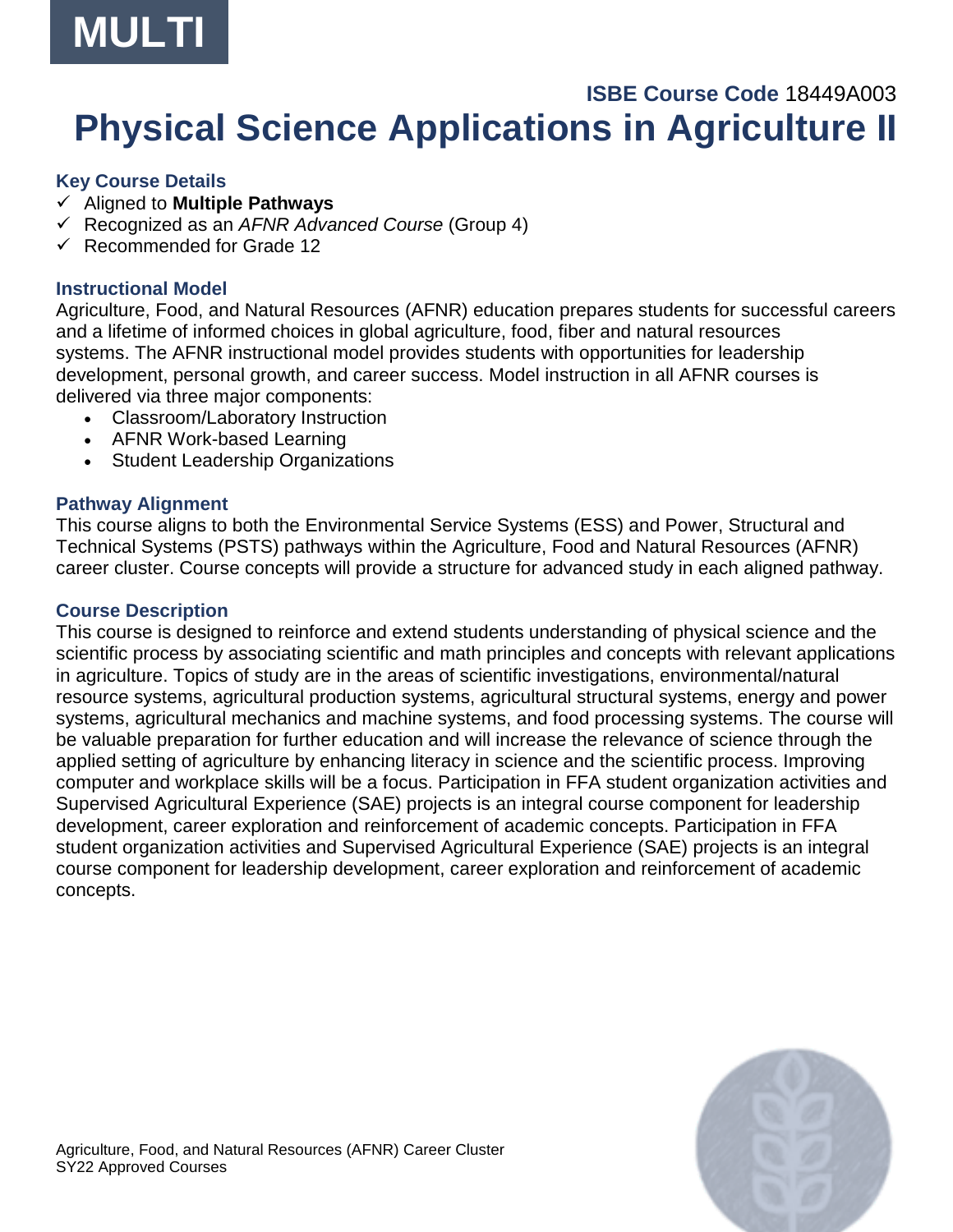

## **ISBE Course Code** 18449A003 **Physical Science Applications in Agriculture II**

## **Key Course Details**

- ✓ Aligned to **Multiple Pathways**
- ✓ Recognized as an *AFNR Advanced Course* (Group 4)
- ✓ Recommended for Grade 12

## **Instructional Model**

Agriculture, Food, and Natural Resources (AFNR) education prepares students for successful careers and a lifetime of informed choices in global agriculture, food, fiber and natural resources systems. The AFNR instructional model provides students with opportunities for leadership development, personal growth, and career success. Model instruction in all AFNR courses is delivered via three major components:

- Classroom/Laboratory Instruction
- AFNR Work-based Learning
- Student Leadership Organizations

## **Pathway Alignment**

This course aligns to both the Environmental Service Systems (ESS) and Power, Structural and Technical Systems (PSTS) pathways within the Agriculture, Food and Natural Resources (AFNR) career cluster. Course concepts will provide a structure for advanced study in each aligned pathway.

## **Course Description**

This course is designed to reinforce and extend students understanding of physical science and the scientific process by associating scientific and math principles and concepts with relevant applications in agriculture. Topics of study are in the areas of scientific investigations, environmental/natural resource systems, agricultural production systems, agricultural structural systems, energy and power systems, agricultural mechanics and machine systems, and food processing systems. The course will be valuable preparation for further education and will increase the relevance of science through the applied setting of agriculture by enhancing literacy in science and the scientific process. Improving computer and workplace skills will be a focus. Participation in FFA student organization activities and Supervised Agricultural Experience (SAE) projects is an integral course component for leadership development, career exploration and reinforcement of academic concepts. Participation in FFA student organization activities and Supervised Agricultural Experience (SAE) projects is an integral course component for leadership development, career exploration and reinforcement of academic concepts.

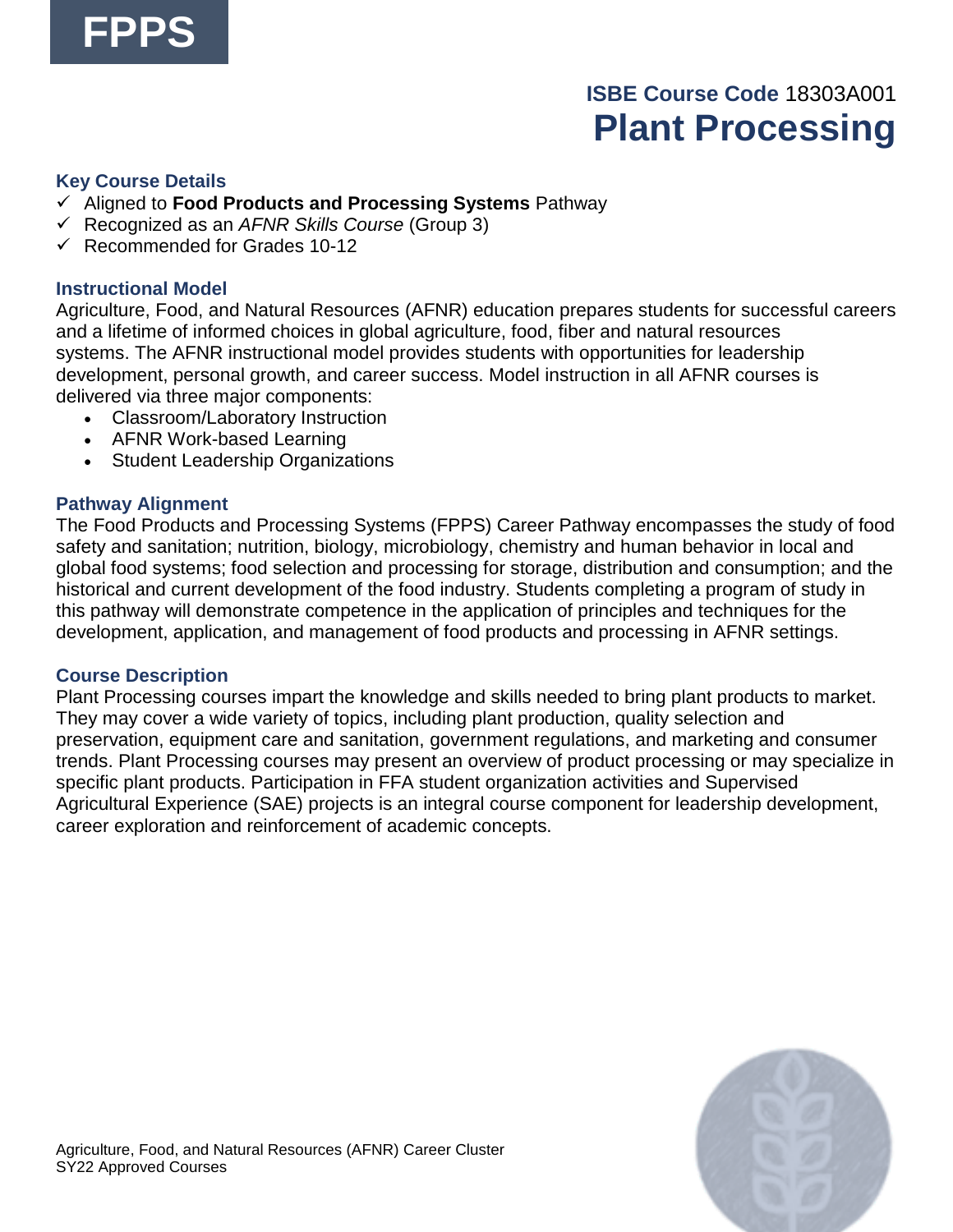## **ISBE Course Code** 18303A001 **Plant Processing**

#### **Key Course Details**

- ✓ Aligned to **Food Products and Processing Systems** Pathway
- ✓ Recognized as an *AFNR Skills Course* (Group 3)
- $\checkmark$  Recommended for Grades 10-12

## **Instructional Model**

Agriculture, Food, and Natural Resources (AFNR) education prepares students for successful careers and a lifetime of informed choices in global agriculture, food, fiber and natural resources systems. The AFNR instructional model provides students with opportunities for leadership development, personal growth, and career success. Model instruction in all AFNR courses is delivered via three major components:

- Classroom/Laboratory Instruction
- AFNR Work-based Learning
- Student Leadership Organizations

## **Pathway Alignment**

The Food Products and Processing Systems (FPPS) Career Pathway encompasses the study of food safety and sanitation; nutrition, biology, microbiology, chemistry and human behavior in local and global food systems; food selection and processing for storage, distribution and consumption; and the historical and current development of the food industry. Students completing a program of study in this pathway will demonstrate competence in the application of principles and techniques for the development, application, and management of food products and processing in AFNR settings.

#### **Course Description**

Plant Processing courses impart the knowledge and skills needed to bring plant products to market. They may cover a wide variety of topics, including plant production, quality selection and preservation, equipment care and sanitation, government regulations, and marketing and consumer trends. Plant Processing courses may present an overview of product processing or may specialize in specific plant products. Participation in FFA student organization activities and Supervised Agricultural Experience (SAE) projects is an integral course component for leadership development, career exploration and reinforcement of academic concepts.

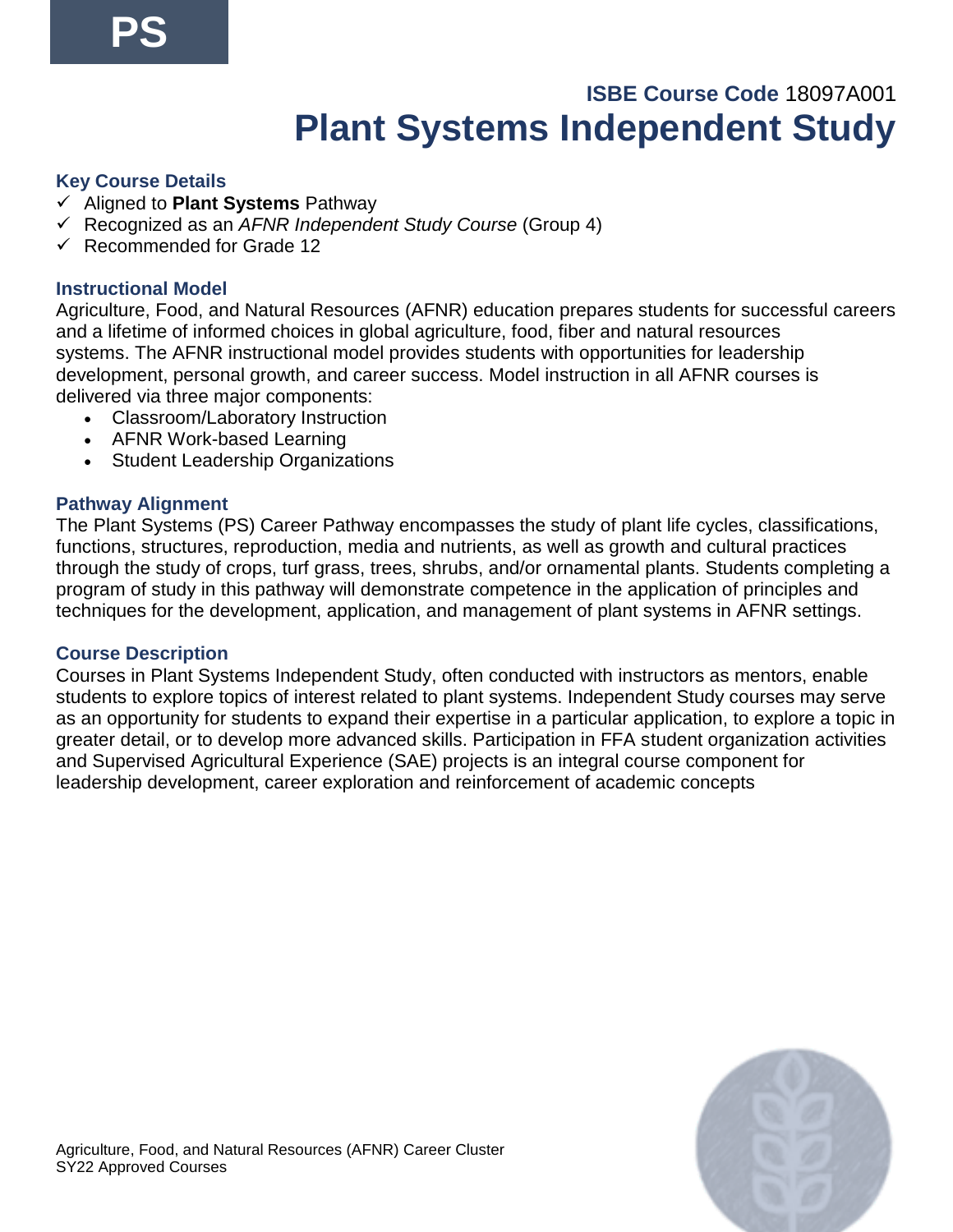## **ISBE Course Code** 18097A001 **Plant Systems Independent Study**

## **Key Course Details**

- ✓ Aligned to **Plant Systems** Pathway
- ✓ Recognized as an *AFNR Independent Study Course* (Group 4)
- ✓ Recommended for Grade 12

## **Instructional Model**

Agriculture, Food, and Natural Resources (AFNR) education prepares students for successful careers and a lifetime of informed choices in global agriculture, food, fiber and natural resources systems. The AFNR instructional model provides students with opportunities for leadership development, personal growth, and career success. Model instruction in all AFNR courses is delivered via three major components:

- Classroom/Laboratory Instruction
- AFNR Work-based Learning
- Student Leadership Organizations

## **Pathway Alignment**

The Plant Systems (PS) Career Pathway encompasses the study of plant life cycles, classifications, functions, structures, reproduction, media and nutrients, as well as growth and cultural practices through the study of crops, turf grass, trees, shrubs, and/or ornamental plants. Students completing a program of study in this pathway will demonstrate competence in the application of principles and techniques for the development, application, and management of plant systems in AFNR settings.

#### **Course Description**

Courses in Plant Systems Independent Study, often conducted with instructors as mentors, enable students to explore topics of interest related to plant systems. Independent Study courses may serve as an opportunity for students to expand their expertise in a particular application, to explore a topic in greater detail, or to develop more advanced skills. Participation in FFA student organization activities and Supervised Agricultural Experience (SAE) projects is an integral course component for leadership development, career exploration and reinforcement of academic concepts

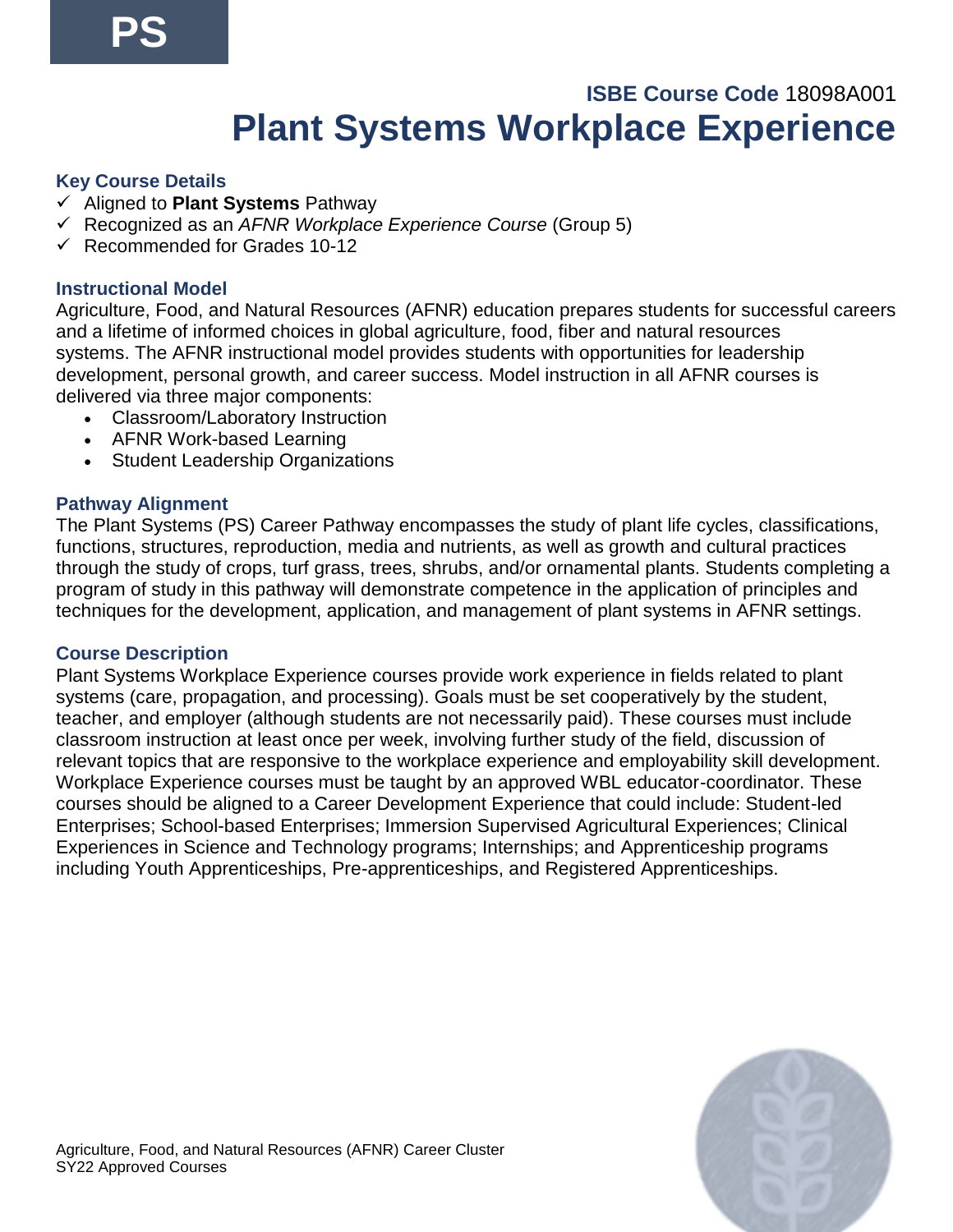## **ISBE Course Code** 18098A001 **Plant Systems Workplace Experience**

## **Key Course Details**

- ✓ Aligned to **Plant Systems** Pathway
- ✓ Recognized as an *AFNR Workplace Experience Course* (Group 5)
- $\checkmark$  Recommended for Grades 10-12

## **Instructional Model**

Agriculture, Food, and Natural Resources (AFNR) education prepares students for successful careers and a lifetime of informed choices in global agriculture, food, fiber and natural resources systems. The AFNR instructional model provides students with opportunities for leadership development, personal growth, and career success. Model instruction in all AFNR courses is delivered via three major components:

- Classroom/Laboratory Instruction
- AFNR Work-based Learning
- Student Leadership Organizations

## **Pathway Alignment**

The Plant Systems (PS) Career Pathway encompasses the study of plant life cycles, classifications, functions, structures, reproduction, media and nutrients, as well as growth and cultural practices through the study of crops, turf grass, trees, shrubs, and/or ornamental plants. Students completing a program of study in this pathway will demonstrate competence in the application of principles and techniques for the development, application, and management of plant systems in AFNR settings.

#### **Course Description**

Plant Systems Workplace Experience courses provide work experience in fields related to plant systems (care, propagation, and processing). Goals must be set cooperatively by the student, teacher, and employer (although students are not necessarily paid). These courses must include classroom instruction at least once per week, involving further study of the field, discussion of relevant topics that are responsive to the workplace experience and employability skill development. Workplace Experience courses must be taught by an approved WBL educator-coordinator. These courses should be aligned to a Career Development Experience that could include: Student-led Enterprises; School-based Enterprises; Immersion Supervised Agricultural Experiences; Clinical Experiences in Science and Technology programs; Internships; and Apprenticeship programs including Youth Apprenticeships, Pre-apprenticeships, and Registered Apprenticeships.

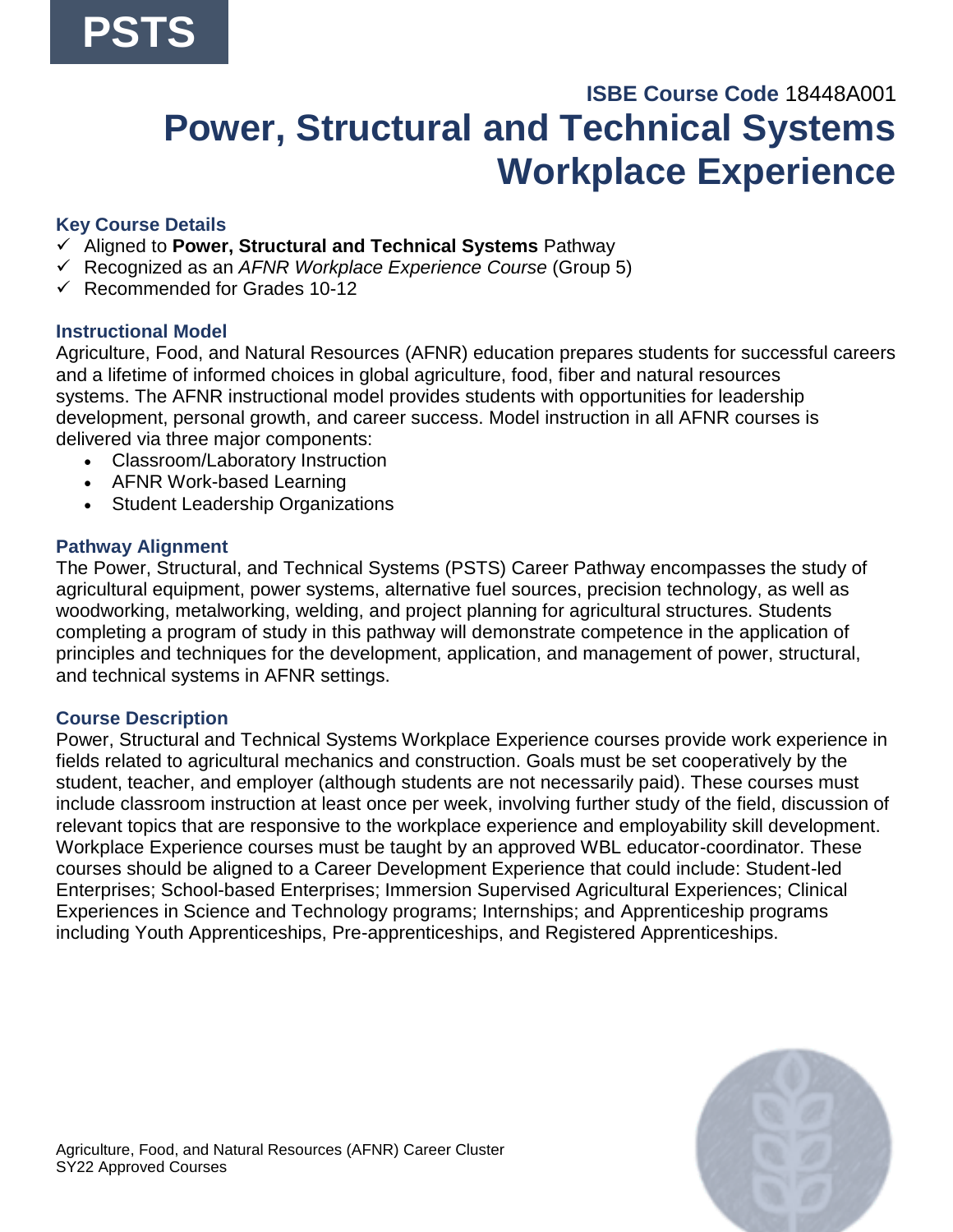## **ISBE Course Code** 18448A001 **Power, Structural and Technical Systems Workplace Experience**

## **Key Course Details**

- ✓ Aligned to **Power, Structural and Technical Systems** Pathway
- ✓ Recognized as an *AFNR Workplace Experience Course* (Group 5)
- $\checkmark$  Recommended for Grades 10-12

## **Instructional Model**

Agriculture, Food, and Natural Resources (AFNR) education prepares students for successful careers and a lifetime of informed choices in global agriculture, food, fiber and natural resources systems. The AFNR instructional model provides students with opportunities for leadership development, personal growth, and career success. Model instruction in all AFNR courses is delivered via three major components:

- Classroom/Laboratory Instruction
- AFNR Work-based Learning
- Student Leadership Organizations

#### **Pathway Alignment**

The Power, Structural, and Technical Systems (PSTS) Career Pathway encompasses the study of agricultural equipment, power systems, alternative fuel sources, precision technology, as well as woodworking, metalworking, welding, and project planning for agricultural structures. Students completing a program of study in this pathway will demonstrate competence in the application of principles and techniques for the development, application, and management of power, structural, and technical systems in AFNR settings.

## **Course Description**

Power, Structural and Technical Systems Workplace Experience courses provide work experience in fields related to agricultural mechanics and construction. Goals must be set cooperatively by the student, teacher, and employer (although students are not necessarily paid). These courses must include classroom instruction at least once per week, involving further study of the field, discussion of relevant topics that are responsive to the workplace experience and employability skill development. Workplace Experience courses must be taught by an approved WBL educator-coordinator. These courses should be aligned to a Career Development Experience that could include: Student-led Enterprises; School-based Enterprises; Immersion Supervised Agricultural Experiences; Clinical Experiences in Science and Technology programs; Internships; and Apprenticeship programs including Youth Apprenticeships, Pre-apprenticeships, and Registered Apprenticeships.

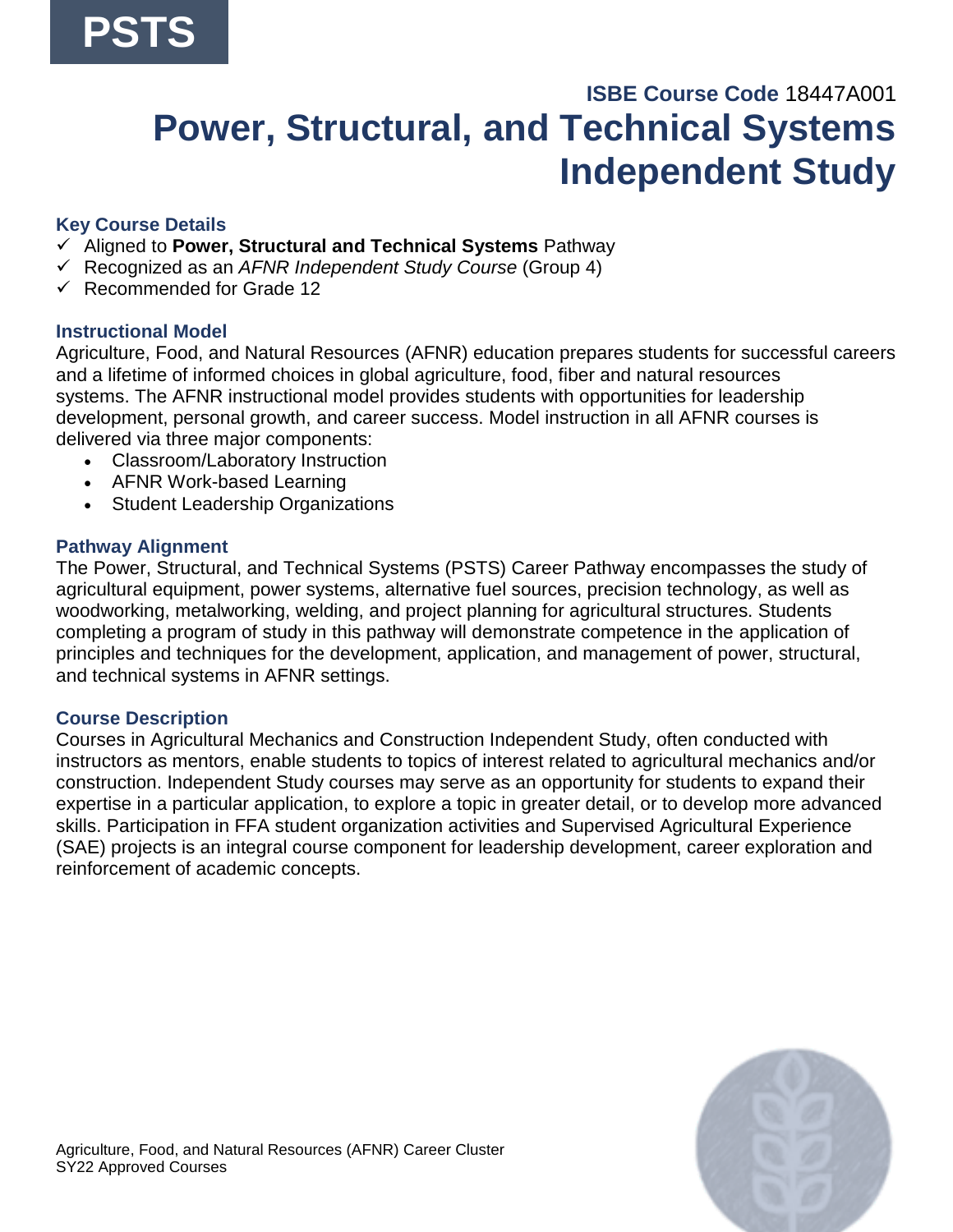## **ISBE Course Code** 18447A001 **Power, Structural, and Technical Systems Independent Study**

## **Key Course Details**

- ✓ Aligned to **Power, Structural and Technical Systems** Pathway
- ✓ Recognized as an *AFNR Independent Study Course* (Group 4)
- ✓ Recommended for Grade 12

## **Instructional Model**

Agriculture, Food, and Natural Resources (AFNR) education prepares students for successful careers and a lifetime of informed choices in global agriculture, food, fiber and natural resources systems. The AFNR instructional model provides students with opportunities for leadership development, personal growth, and career success. Model instruction in all AFNR courses is delivered via three major components:

- Classroom/Laboratory Instruction
- AFNR Work-based Learning
- Student Leadership Organizations

## **Pathway Alignment**

The Power, Structural, and Technical Systems (PSTS) Career Pathway encompasses the study of agricultural equipment, power systems, alternative fuel sources, precision technology, as well as woodworking, metalworking, welding, and project planning for agricultural structures. Students completing a program of study in this pathway will demonstrate competence in the application of principles and techniques for the development, application, and management of power, structural, and technical systems in AFNR settings.

## **Course Description**

Courses in Agricultural Mechanics and Construction Independent Study, often conducted with instructors as mentors, enable students to topics of interest related to agricultural mechanics and/or construction. Independent Study courses may serve as an opportunity for students to expand their expertise in a particular application, to explore a topic in greater detail, or to develop more advanced skills. Participation in FFA student organization activities and Supervised Agricultural Experience (SAE) projects is an integral course component for leadership development, career exploration and reinforcement of academic concepts.

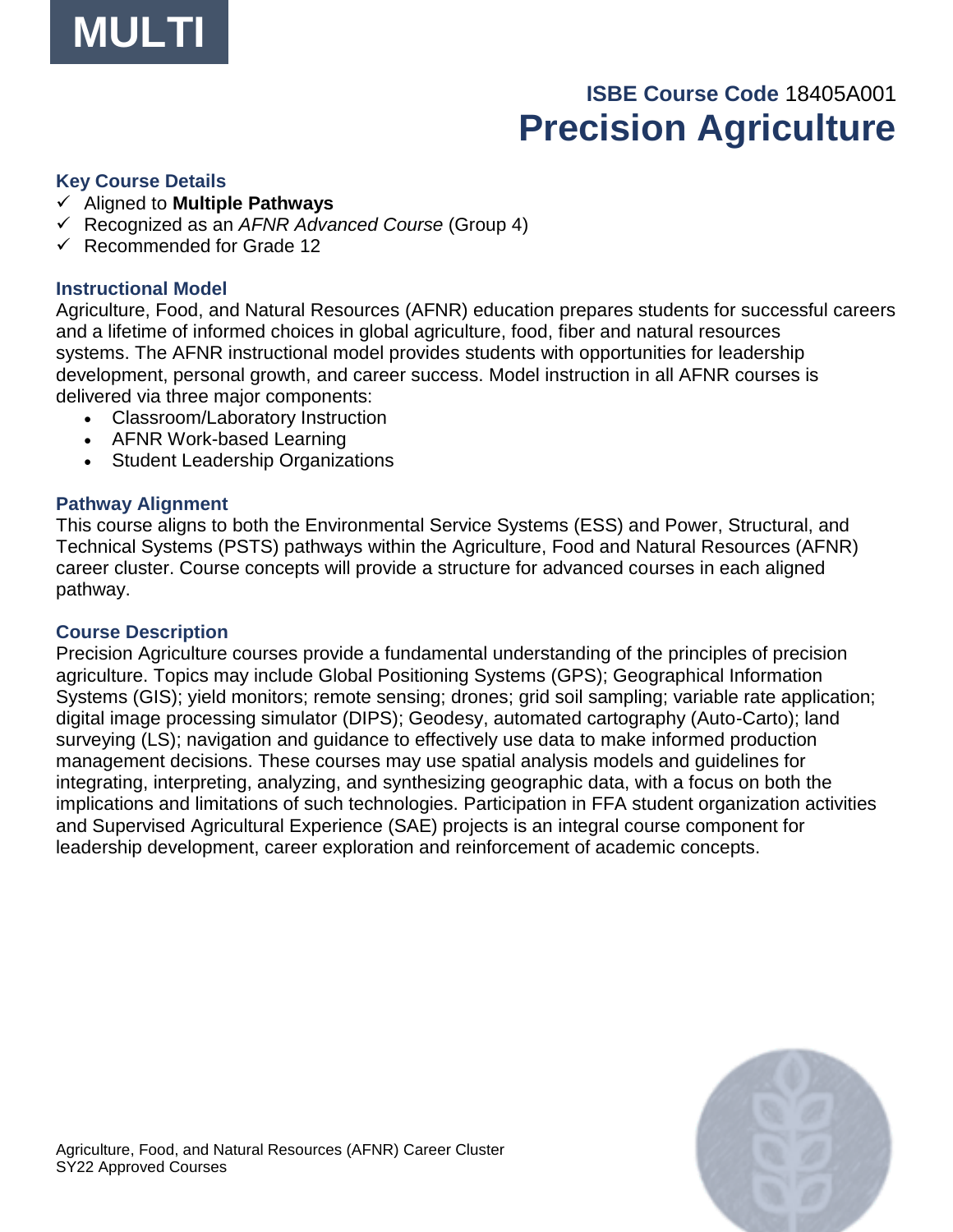

## **ISBE Course Code** 18405A001 **Precision Agriculture**

#### **Key Course Details**

- ✓ Aligned to **Multiple Pathways**
- ✓ Recognized as an *AFNR Advanced Course* (Group 4)
- ✓ Recommended for Grade 12

#### **Instructional Model**

Agriculture, Food, and Natural Resources (AFNR) education prepares students for successful careers and a lifetime of informed choices in global agriculture, food, fiber and natural resources systems. The AFNR instructional model provides students with opportunities for leadership development, personal growth, and career success. Model instruction in all AFNR courses is delivered via three major components:

- Classroom/Laboratory Instruction
- AFNR Work-based Learning
- Student Leadership Organizations

#### **Pathway Alignment**

This course aligns to both the Environmental Service Systems (ESS) and Power, Structural, and Technical Systems (PSTS) pathways within the Agriculture, Food and Natural Resources (AFNR) career cluster. Course concepts will provide a structure for advanced courses in each aligned pathway.

#### **Course Description**

Precision Agriculture courses provide a fundamental understanding of the principles of precision agriculture. Topics may include Global Positioning Systems (GPS); Geographical Information Systems (GIS); yield monitors; remote sensing; drones; grid soil sampling; variable rate application; digital image processing simulator (DIPS); Geodesy, automated cartography (Auto-Carto); land surveying (LS); navigation and guidance to effectively use data to make informed production management decisions. These courses may use spatial analysis models and guidelines for integrating, interpreting, analyzing, and synthesizing geographic data, with a focus on both the implications and limitations of such technologies. Participation in FFA student organization activities and Supervised Agricultural Experience (SAE) projects is an integral course component for leadership development, career exploration and reinforcement of academic concepts.

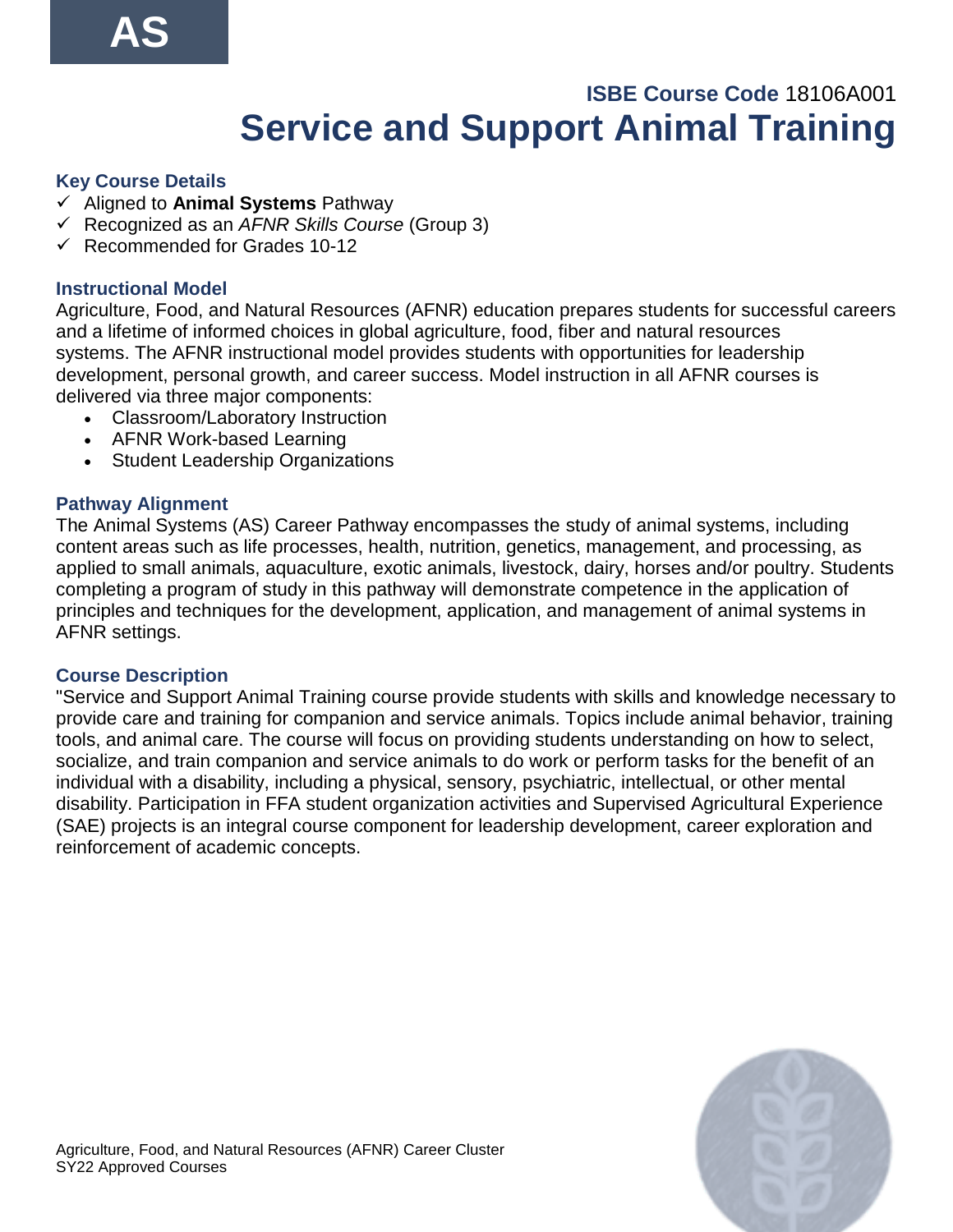## **ISBE Course Code** 18106A001 **Service and Support Animal Training**

## **Key Course Details**

- ✓ Aligned to **Animal Systems** Pathway
- ✓ Recognized as an *AFNR Skills Course* (Group 3)
- $\checkmark$  Recommended for Grades 10-12

## **Instructional Model**

Agriculture, Food, and Natural Resources (AFNR) education prepares students for successful careers and a lifetime of informed choices in global agriculture, food, fiber and natural resources systems. The AFNR instructional model provides students with opportunities for leadership development, personal growth, and career success. Model instruction in all AFNR courses is delivered via three major components:

- Classroom/Laboratory Instruction
- AFNR Work-based Learning
- Student Leadership Organizations

## **Pathway Alignment**

The Animal Systems (AS) Career Pathway encompasses the study of animal systems, including content areas such as life processes, health, nutrition, genetics, management, and processing, as applied to small animals, aquaculture, exotic animals, livestock, dairy, horses and/or poultry. Students completing a program of study in this pathway will demonstrate competence in the application of principles and techniques for the development, application, and management of animal systems in AFNR settings.

#### **Course Description**

"Service and Support Animal Training course provide students with skills and knowledge necessary to provide care and training for companion and service animals. Topics include animal behavior, training tools, and animal care. The course will focus on providing students understanding on how to select, socialize, and train companion and service animals to do work or perform tasks for the benefit of an individual with a disability, including a physical, sensory, psychiatric, intellectual, or other mental disability. Participation in FFA student organization activities and Supervised Agricultural Experience (SAE) projects is an integral course component for leadership development, career exploration and reinforcement of academic concepts.

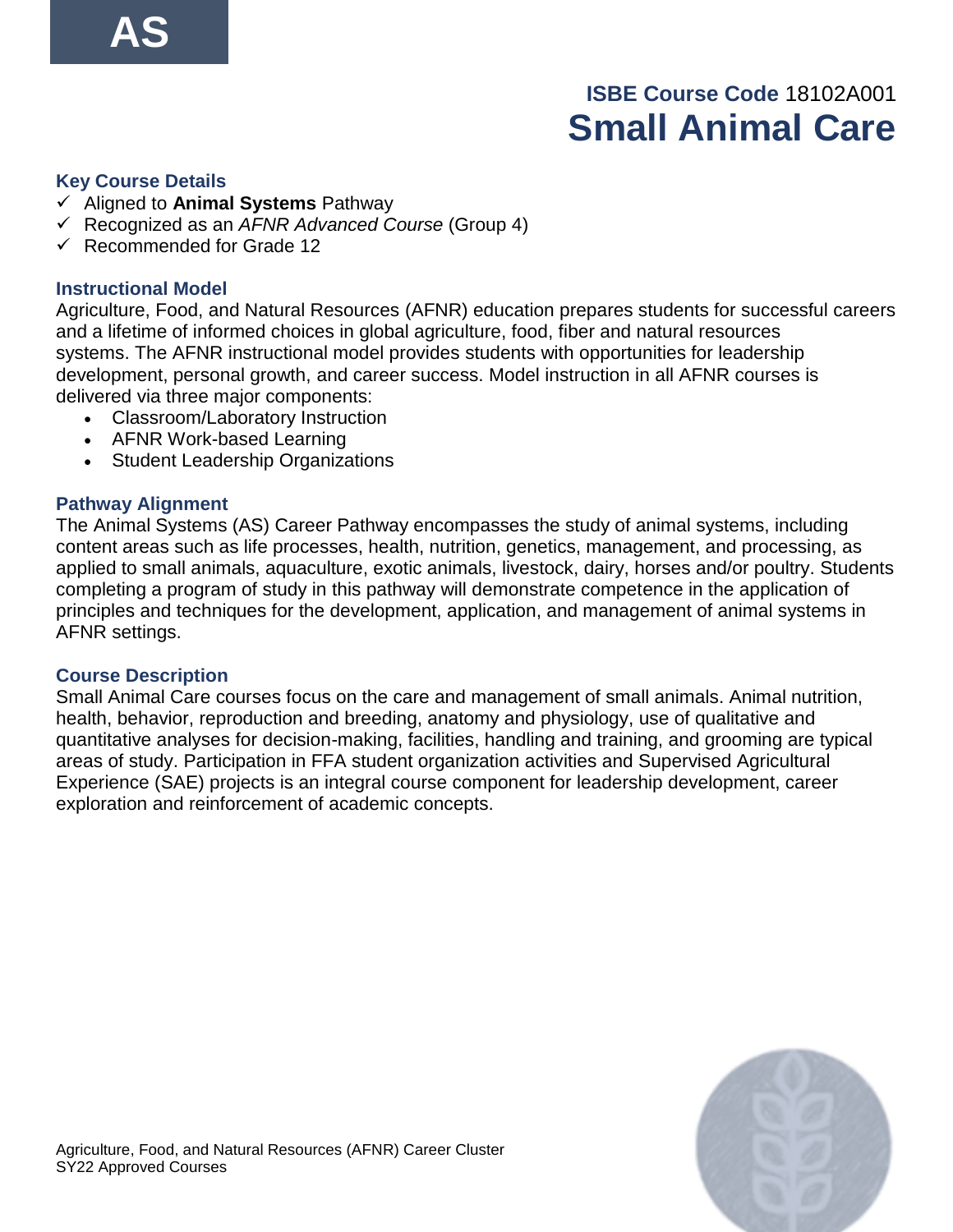## **ISBE Course Code** 18102A001 **Small Animal Care**

#### **Key Course Details**

- ✓ Aligned to **Animal Systems** Pathway
- ✓ Recognized as an *AFNR Advanced Course* (Group 4)
- ✓ Recommended for Grade 12

#### **Instructional Model**

Agriculture, Food, and Natural Resources (AFNR) education prepares students for successful careers and a lifetime of informed choices in global agriculture, food, fiber and natural resources systems. The AFNR instructional model provides students with opportunities for leadership development, personal growth, and career success. Model instruction in all AFNR courses is delivered via three major components:

- Classroom/Laboratory Instruction
- AFNR Work-based Learning
- Student Leadership Organizations

## **Pathway Alignment**

The Animal Systems (AS) Career Pathway encompasses the study of animal systems, including content areas such as life processes, health, nutrition, genetics, management, and processing, as applied to small animals, aquaculture, exotic animals, livestock, dairy, horses and/or poultry. Students completing a program of study in this pathway will demonstrate competence in the application of principles and techniques for the development, application, and management of animal systems in AFNR settings.

#### **Course Description**

Small Animal Care courses focus on the care and management of small animals. Animal nutrition, health, behavior, reproduction and breeding, anatomy and physiology, use of qualitative and quantitative analyses for decision-making, facilities, handling and training, and grooming are typical areas of study. Participation in FFA student organization activities and Supervised Agricultural Experience (SAE) projects is an integral course component for leadership development, career exploration and reinforcement of academic concepts.

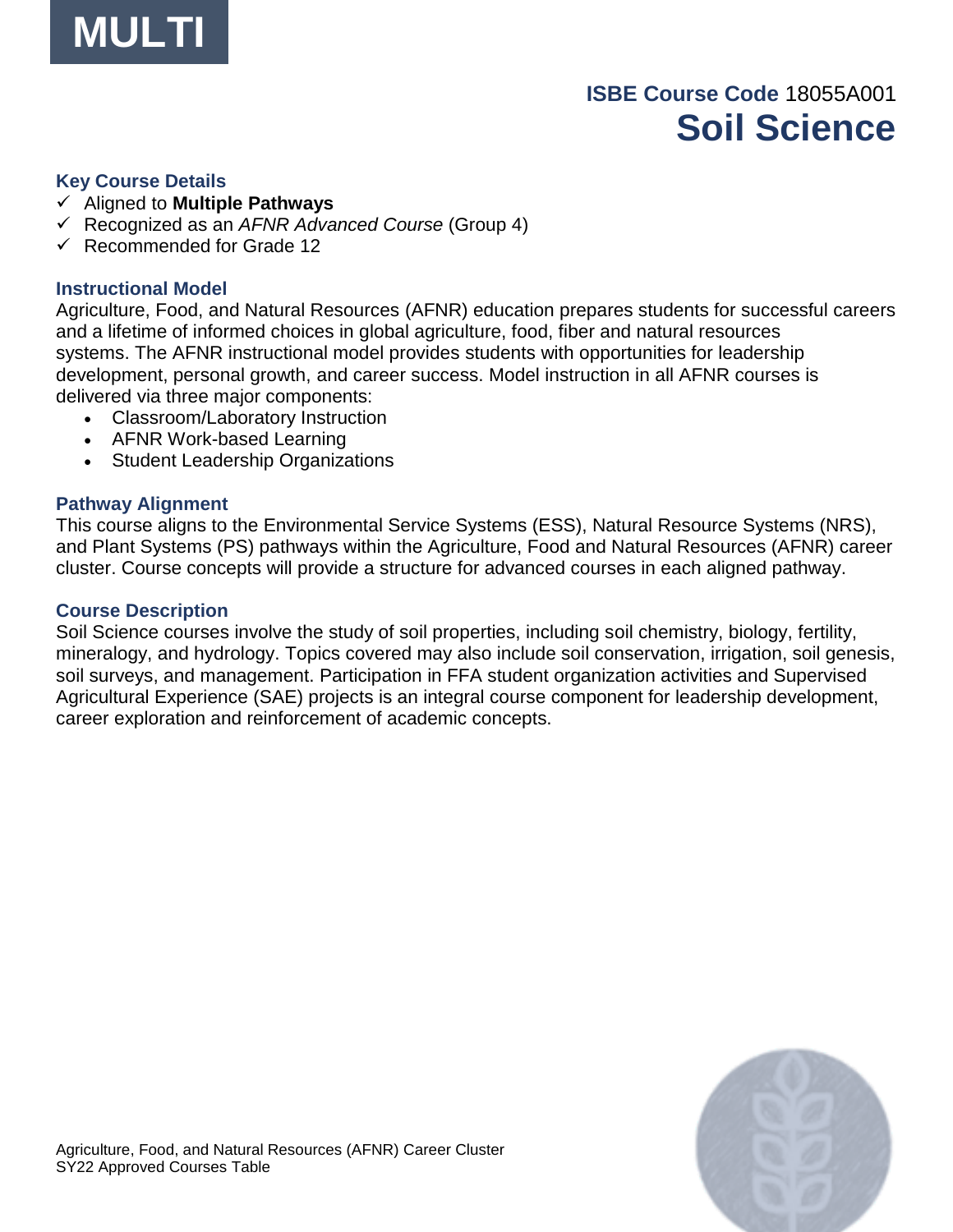

## **ISBE Course Code** 18055A001 **Soil Science**

#### **Key Course Details**

- ✓ Aligned to **Multiple Pathways**
- ✓ Recognized as an *AFNR Advanced Course* (Group 4)
- ✓ Recommended for Grade 12

#### **Instructional Model**

Agriculture, Food, and Natural Resources (AFNR) education prepares students for successful careers and a lifetime of informed choices in global agriculture, food, fiber and natural resources systems. The AFNR instructional model provides students with opportunities for leadership development, personal growth, and career success. Model instruction in all AFNR courses is delivered via three major components:

- Classroom/Laboratory Instruction
- AFNR Work-based Learning
- Student Leadership Organizations

#### **Pathway Alignment**

This course aligns to the Environmental Service Systems (ESS), Natural Resource Systems (NRS), and Plant Systems (PS) pathways within the Agriculture, Food and Natural Resources (AFNR) career cluster. Course concepts will provide a structure for advanced courses in each aligned pathway.

#### **Course Description**

Soil Science courses involve the study of soil properties, including soil chemistry, biology, fertility, mineralogy, and hydrology. Topics covered may also include soil conservation, irrigation, soil genesis, soil surveys, and management. Participation in FFA student organization activities and Supervised Agricultural Experience (SAE) projects is an integral course component for leadership development, career exploration and reinforcement of academic concepts.

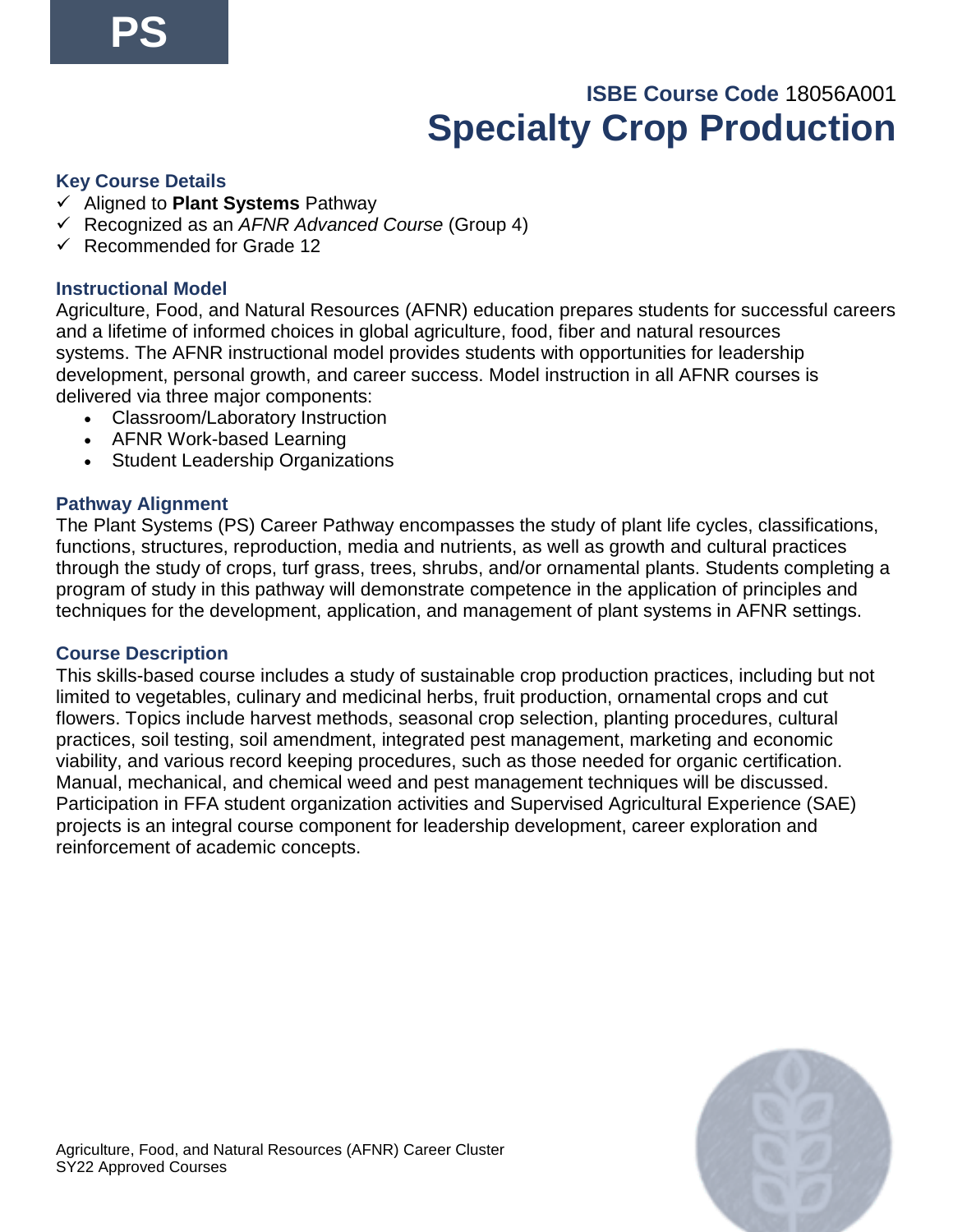## **ISBE Course Code** 18056A001 **Specialty Crop Production**

## **Key Course Details**

- ✓ Aligned to **Plant Systems** Pathway
- ✓ Recognized as an *AFNR Advanced Course* (Group 4)
- ✓ Recommended for Grade 12

## **Instructional Model**

Agriculture, Food, and Natural Resources (AFNR) education prepares students for successful careers and a lifetime of informed choices in global agriculture, food, fiber and natural resources systems. The AFNR instructional model provides students with opportunities for leadership development, personal growth, and career success. Model instruction in all AFNR courses is delivered via three major components:

- Classroom/Laboratory Instruction
- AFNR Work-based Learning
- Student Leadership Organizations

## **Pathway Alignment**

The Plant Systems (PS) Career Pathway encompasses the study of plant life cycles, classifications, functions, structures, reproduction, media and nutrients, as well as growth and cultural practices through the study of crops, turf grass, trees, shrubs, and/or ornamental plants. Students completing a program of study in this pathway will demonstrate competence in the application of principles and techniques for the development, application, and management of plant systems in AFNR settings.

#### **Course Description**

This skills-based course includes a study of sustainable crop production practices, including but not limited to vegetables, culinary and medicinal herbs, fruit production, ornamental crops and cut flowers. Topics include harvest methods, seasonal crop selection, planting procedures, cultural practices, soil testing, soil amendment, integrated pest management, marketing and economic viability, and various record keeping procedures, such as those needed for organic certification. Manual, mechanical, and chemical weed and pest management techniques will be discussed. Participation in FFA student organization activities and Supervised Agricultural Experience (SAE) projects is an integral course component for leadership development, career exploration and reinforcement of academic concepts.

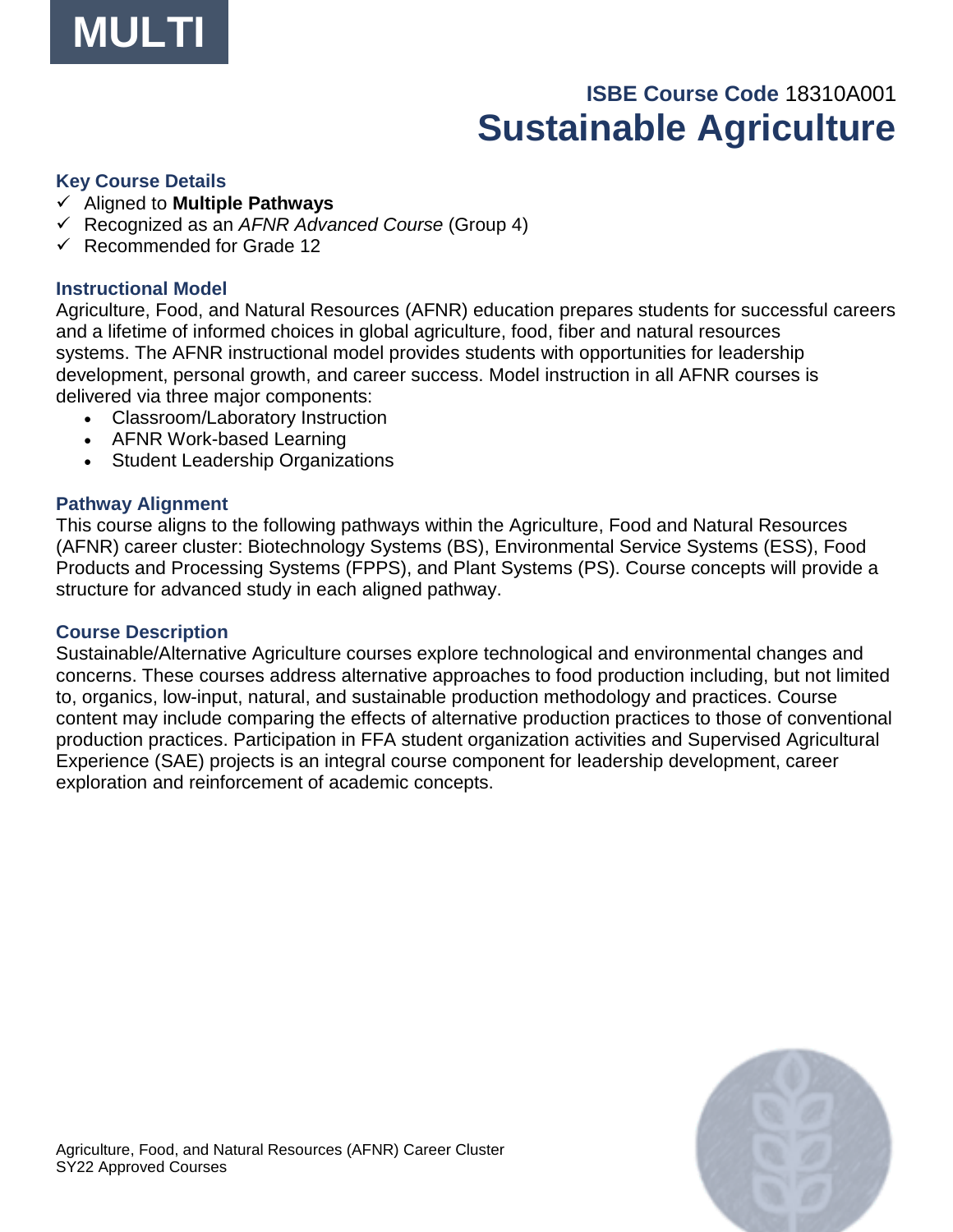

## **ISBE Course Code** 18310A001 **Sustainable Agriculture**

#### **Key Course Details**

- ✓ Aligned to **Multiple Pathways**
- ✓ Recognized as an *AFNR Advanced Course* (Group 4)
- ✓ Recommended for Grade 12

#### **Instructional Model**

Agriculture, Food, and Natural Resources (AFNR) education prepares students for successful careers and a lifetime of informed choices in global agriculture, food, fiber and natural resources systems. The AFNR instructional model provides students with opportunities for leadership development, personal growth, and career success. Model instruction in all AFNR courses is delivered via three major components:

- Classroom/Laboratory Instruction
- AFNR Work-based Learning
- Student Leadership Organizations

#### **Pathway Alignment**

This course aligns to the following pathways within the Agriculture, Food and Natural Resources (AFNR) career cluster: Biotechnology Systems (BS), Environmental Service Systems (ESS), Food Products and Processing Systems (FPPS), and Plant Systems (PS). Course concepts will provide a structure for advanced study in each aligned pathway.

#### **Course Description**

Sustainable/Alternative Agriculture courses explore technological and environmental changes and concerns. These courses address alternative approaches to food production including, but not limited to, organics, low-input, natural, and sustainable production methodology and practices. Course content may include comparing the effects of alternative production practices to those of conventional production practices. Participation in FFA student organization activities and Supervised Agricultural Experience (SAE) projects is an integral course component for leadership development, career exploration and reinforcement of academic concepts.

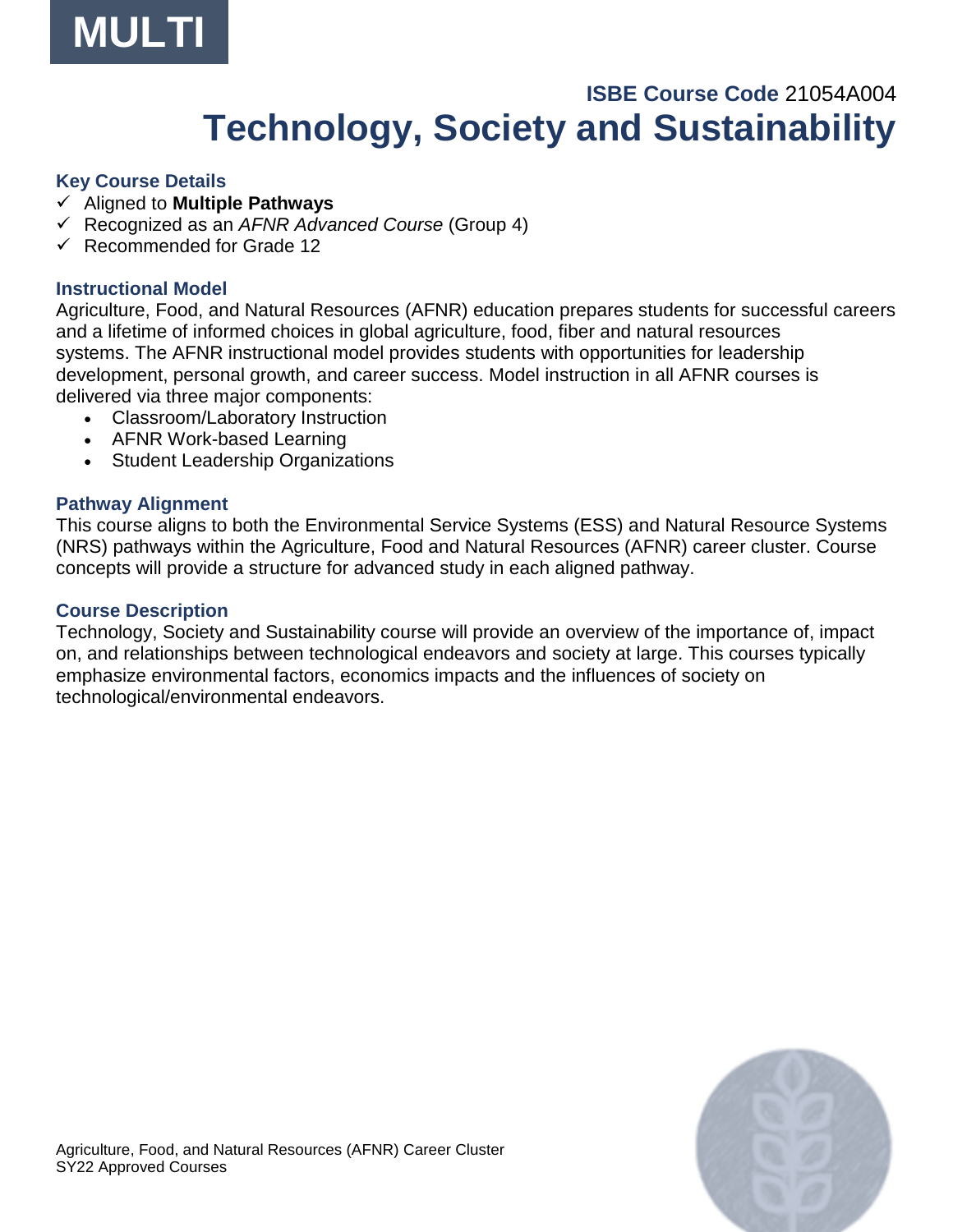

## **ISBE Course Code** 21054A004 **Technology, Society and Sustainability**

#### **Key Course Details**

- ✓ Aligned to **Multiple Pathways**
- ✓ Recognized as an *AFNR Advanced Course* (Group 4)
- ✓ Recommended for Grade 12

#### **Instructional Model**

Agriculture, Food, and Natural Resources (AFNR) education prepares students for successful careers and a lifetime of informed choices in global agriculture, food, fiber and natural resources systems. The AFNR instructional model provides students with opportunities for leadership development, personal growth, and career success. Model instruction in all AFNR courses is delivered via three major components:

- Classroom/Laboratory Instruction
- AFNR Work-based Learning
- Student Leadership Organizations

#### **Pathway Alignment**

This course aligns to both the Environmental Service Systems (ESS) and Natural Resource Systems (NRS) pathways within the Agriculture, Food and Natural Resources (AFNR) career cluster. Course concepts will provide a structure for advanced study in each aligned pathway.

#### **Course Description**

Technology, Society and Sustainability course will provide an overview of the importance of, impact on, and relationships between technological endeavors and society at large. This courses typically emphasize environmental factors, economics impacts and the influences of society on technological/environmental endeavors.

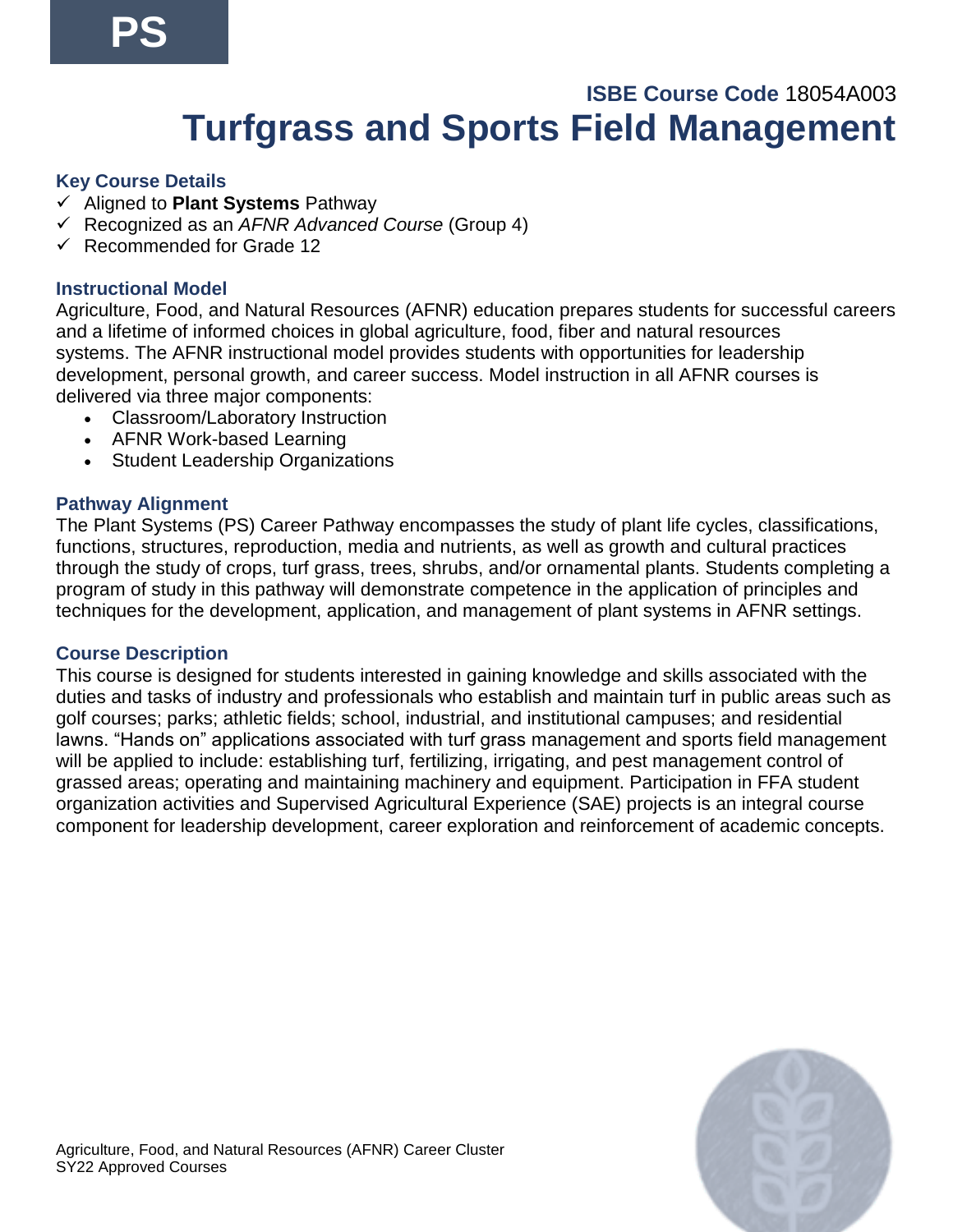## **ISBE Course Code** 18054A003 **Turfgrass and Sports Field Management**

#### **Key Course Details**

- ✓ Aligned to **Plant Systems** Pathway
- ✓ Recognized as an *AFNR Advanced Course* (Group 4)
- ✓ Recommended for Grade 12

## **Instructional Model**

Agriculture, Food, and Natural Resources (AFNR) education prepares students for successful careers and a lifetime of informed choices in global agriculture, food, fiber and natural resources systems. The AFNR instructional model provides students with opportunities for leadership development, personal growth, and career success. Model instruction in all AFNR courses is delivered via three major components:

- Classroom/Laboratory Instruction
- AFNR Work-based Learning
- Student Leadership Organizations

## **Pathway Alignment**

The Plant Systems (PS) Career Pathway encompasses the study of plant life cycles, classifications, functions, structures, reproduction, media and nutrients, as well as growth and cultural practices through the study of crops, turf grass, trees, shrubs, and/or ornamental plants. Students completing a program of study in this pathway will demonstrate competence in the application of principles and techniques for the development, application, and management of plant systems in AFNR settings.

#### **Course Description**

This course is designed for students interested in gaining knowledge and skills associated with the duties and tasks of industry and professionals who establish and maintain turf in public areas such as golf courses; parks; athletic fields; school, industrial, and institutional campuses; and residential lawns. "Hands on" applications associated with turf grass management and sports field management will be applied to include: establishing turf, fertilizing, irrigating, and pest management control of grassed areas; operating and maintaining machinery and equipment. Participation in FFA student organization activities and Supervised Agricultural Experience (SAE) projects is an integral course component for leadership development, career exploration and reinforcement of academic concepts.

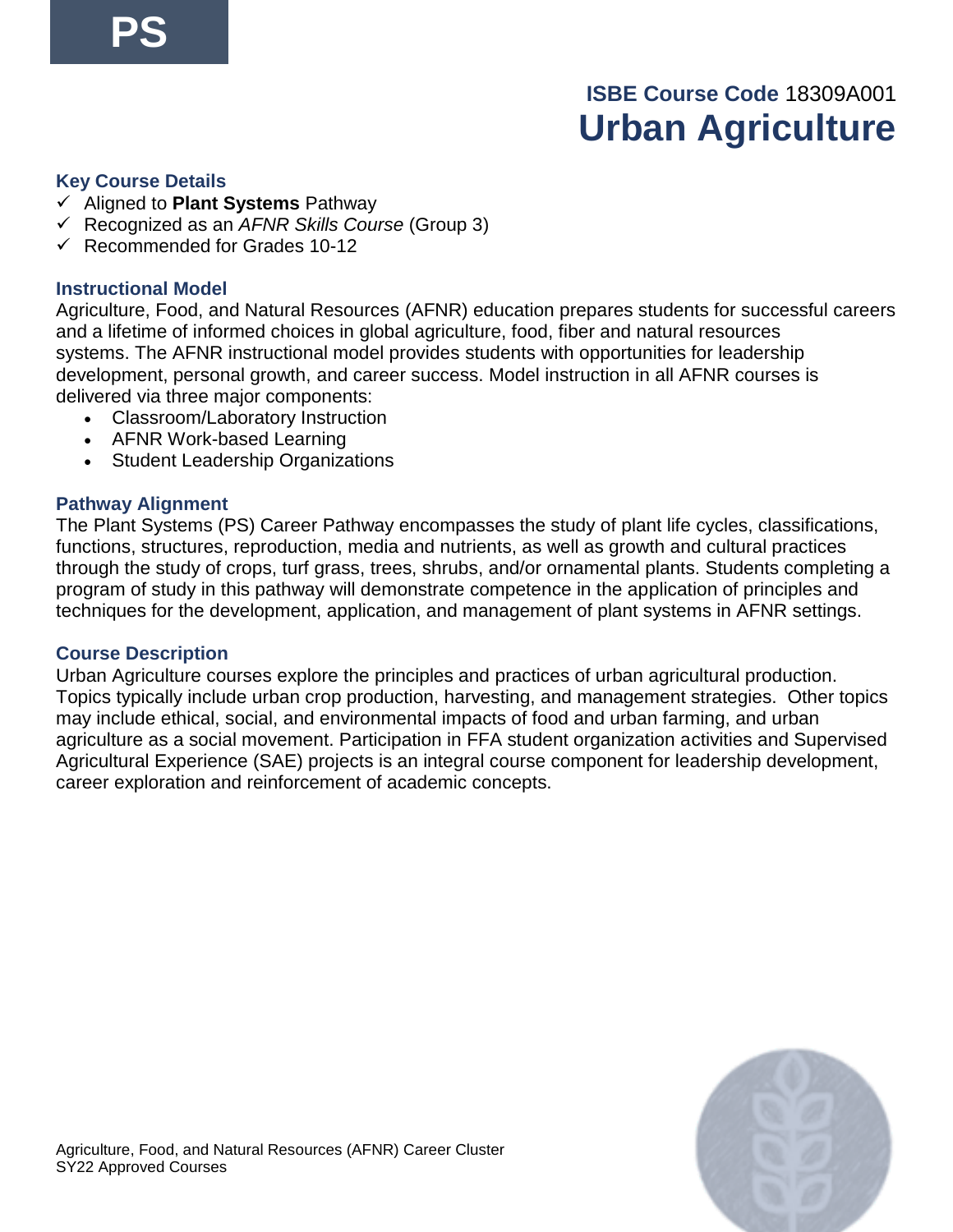## **ISBE Course Code** 18309A001 **Urban Agriculture**

#### **Key Course Details**

- ✓ Aligned to **Plant Systems** Pathway
- ✓ Recognized as an *AFNR Skills Course* (Group 3)
- $\checkmark$  Recommended for Grades 10-12

## **Instructional Model**

Agriculture, Food, and Natural Resources (AFNR) education prepares students for successful careers and a lifetime of informed choices in global agriculture, food, fiber and natural resources systems. The AFNR instructional model provides students with opportunities for leadership development, personal growth, and career success. Model instruction in all AFNR courses is delivered via three major components:

- Classroom/Laboratory Instruction
- AFNR Work-based Learning
- Student Leadership Organizations

## **Pathway Alignment**

The Plant Systems (PS) Career Pathway encompasses the study of plant life cycles, classifications, functions, structures, reproduction, media and nutrients, as well as growth and cultural practices through the study of crops, turf grass, trees, shrubs, and/or ornamental plants. Students completing a program of study in this pathway will demonstrate competence in the application of principles and techniques for the development, application, and management of plant systems in AFNR settings.

#### **Course Description**

Urban Agriculture courses explore the principles and practices of urban agricultural production. Topics typically include urban crop production, harvesting, and management strategies. Other topics may include ethical, social, and environmental impacts of food and urban farming, and urban agriculture as a social movement. Participation in FFA student organization activities and Supervised Agricultural Experience (SAE) projects is an integral course component for leadership development, career exploration and reinforcement of academic concepts.

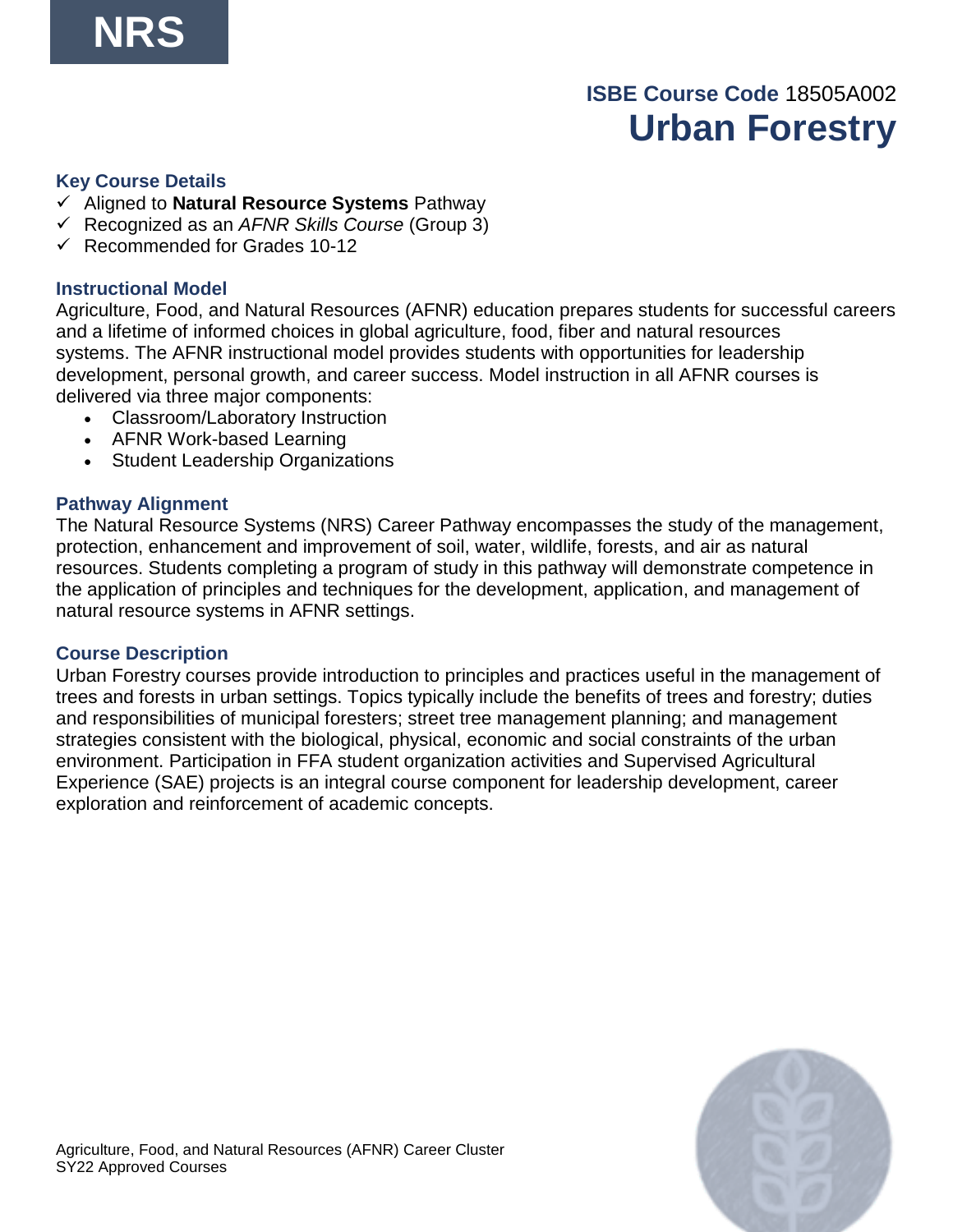## **ISBE Course Code** 18505A002 **Urban Forestry**

#### **Key Course Details**

- ✓ Aligned to **Natural Resource Systems** Pathway
- ✓ Recognized as an *AFNR Skills Course* (Group 3)
- $\checkmark$  Recommended for Grades 10-12

## **Instructional Model**

Agriculture, Food, and Natural Resources (AFNR) education prepares students for successful careers and a lifetime of informed choices in global agriculture, food, fiber and natural resources systems. The AFNR instructional model provides students with opportunities for leadership development, personal growth, and career success. Model instruction in all AFNR courses is delivered via three major components:

- Classroom/Laboratory Instruction
- AFNR Work-based Learning
- Student Leadership Organizations

## **Pathway Alignment**

The Natural Resource Systems (NRS) Career Pathway encompasses the study of the management, protection, enhancement and improvement of soil, water, wildlife, forests, and air as natural resources. Students completing a program of study in this pathway will demonstrate competence in the application of principles and techniques for the development, application, and management of natural resource systems in AFNR settings.

#### **Course Description**

Urban Forestry courses provide introduction to principles and practices useful in the management of trees and forests in urban settings. Topics typically include the benefits of trees and forestry; duties and responsibilities of municipal foresters; street tree management planning; and management strategies consistent with the biological, physical, economic and social constraints of the urban environment. Participation in FFA student organization activities and Supervised Agricultural Experience (SAE) projects is an integral course component for leadership development, career exploration and reinforcement of academic concepts.

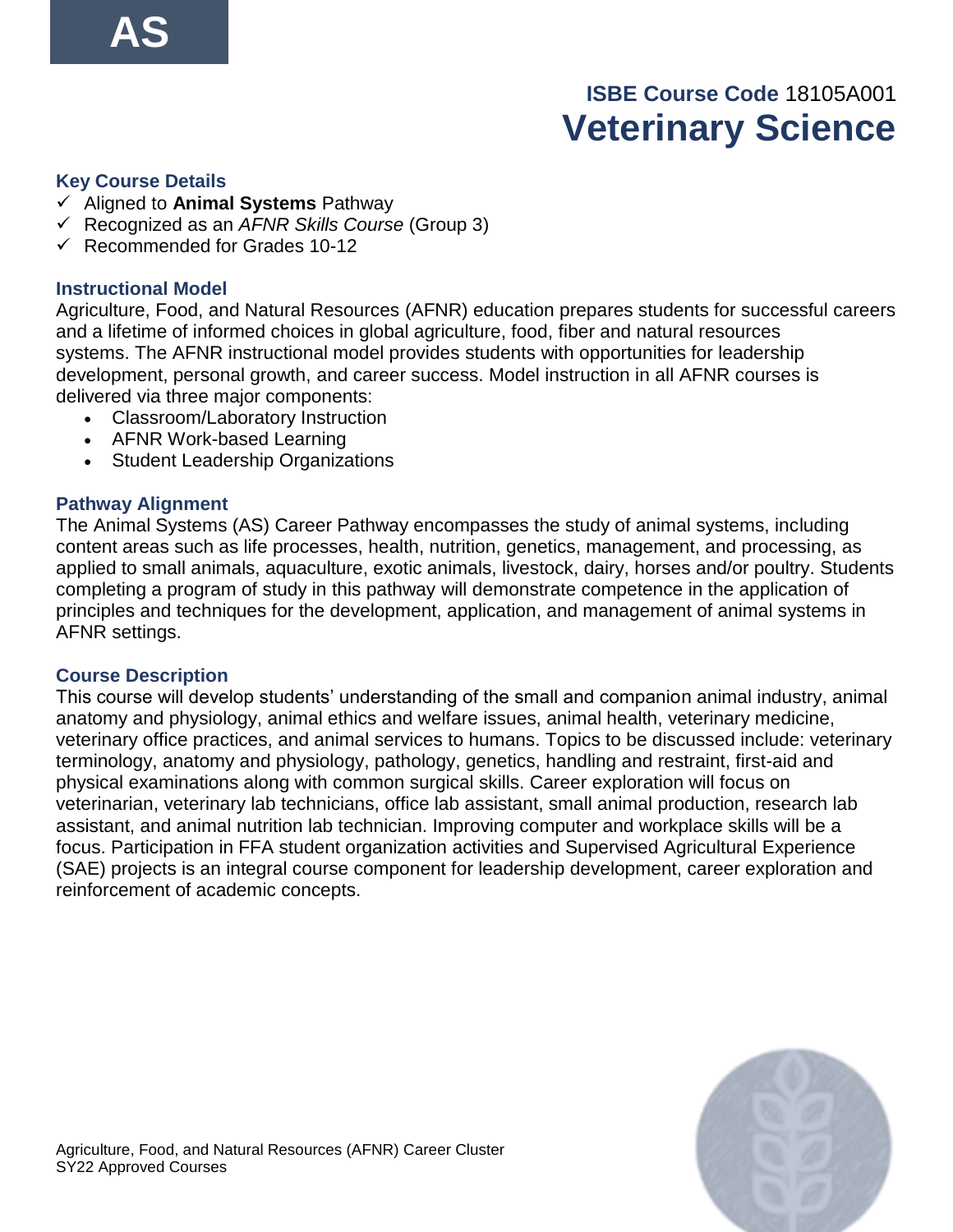## **ISBE Course Code** 18105A001 **Veterinary Science**

#### **Key Course Details**

- ✓ Aligned to **Animal Systems** Pathway
- ✓ Recognized as an *AFNR Skills Course* (Group 3)
- $\checkmark$  Recommended for Grades 10-12

## **Instructional Model**

Agriculture, Food, and Natural Resources (AFNR) education prepares students for successful careers and a lifetime of informed choices in global agriculture, food, fiber and natural resources systems. The AFNR instructional model provides students with opportunities for leadership development, personal growth, and career success. Model instruction in all AFNR courses is delivered via three major components:

- Classroom/Laboratory Instruction
- AFNR Work-based Learning
- Student Leadership Organizations

## **Pathway Alignment**

The Animal Systems (AS) Career Pathway encompasses the study of animal systems, including content areas such as life processes, health, nutrition, genetics, management, and processing, as applied to small animals, aquaculture, exotic animals, livestock, dairy, horses and/or poultry. Students completing a program of study in this pathway will demonstrate competence in the application of principles and techniques for the development, application, and management of animal systems in AFNR settings.

#### **Course Description**

This course will develop students' understanding of the small and companion animal industry, animal anatomy and physiology, animal ethics and welfare issues, animal health, veterinary medicine, veterinary office practices, and animal services to humans. Topics to be discussed include: veterinary terminology, anatomy and physiology, pathology, genetics, handling and restraint, first-aid and physical examinations along with common surgical skills. Career exploration will focus on veterinarian, veterinary lab technicians, office lab assistant, small animal production, research lab assistant, and animal nutrition lab technician. Improving computer and workplace skills will be a focus. Participation in FFA student organization activities and Supervised Agricultural Experience (SAE) projects is an integral course component for leadership development, career exploration and reinforcement of academic concepts.

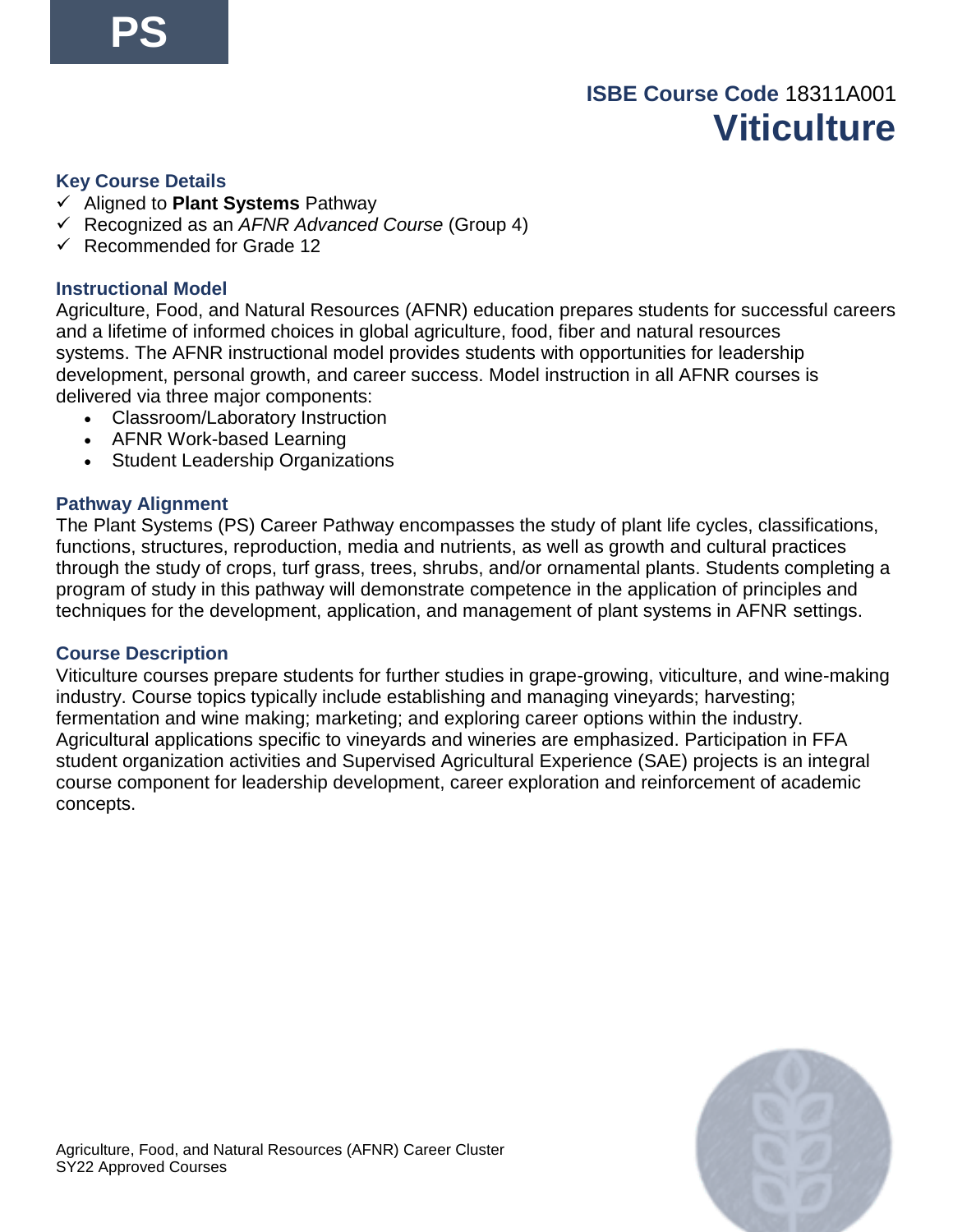## **ISBE Course Code** 18311A001 **Viticulture**

#### **Key Course Details**

- ✓ Aligned to **Plant Systems** Pathway
- ✓ Recognized as an *AFNR Advanced Course* (Group 4)
- ✓ Recommended for Grade 12

## **Instructional Model**

Agriculture, Food, and Natural Resources (AFNR) education prepares students for successful careers and a lifetime of informed choices in global agriculture, food, fiber and natural resources systems. The AFNR instructional model provides students with opportunities for leadership development, personal growth, and career success. Model instruction in all AFNR courses is delivered via three major components:

- Classroom/Laboratory Instruction
- AFNR Work-based Learning
- Student Leadership Organizations

## **Pathway Alignment**

The Plant Systems (PS) Career Pathway encompasses the study of plant life cycles, classifications, functions, structures, reproduction, media and nutrients, as well as growth and cultural practices through the study of crops, turf grass, trees, shrubs, and/or ornamental plants. Students completing a program of study in this pathway will demonstrate competence in the application of principles and techniques for the development, application, and management of plant systems in AFNR settings.

#### **Course Description**

Viticulture courses prepare students for further studies in grape-growing, viticulture, and wine-making industry. Course topics typically include establishing and managing vineyards; harvesting; fermentation and wine making; marketing; and exploring career options within the industry. Agricultural applications specific to vineyards and wineries are emphasized. Participation in FFA student organization activities and Supervised Agricultural Experience (SAE) projects is an integral course component for leadership development, career exploration and reinforcement of academic concepts.

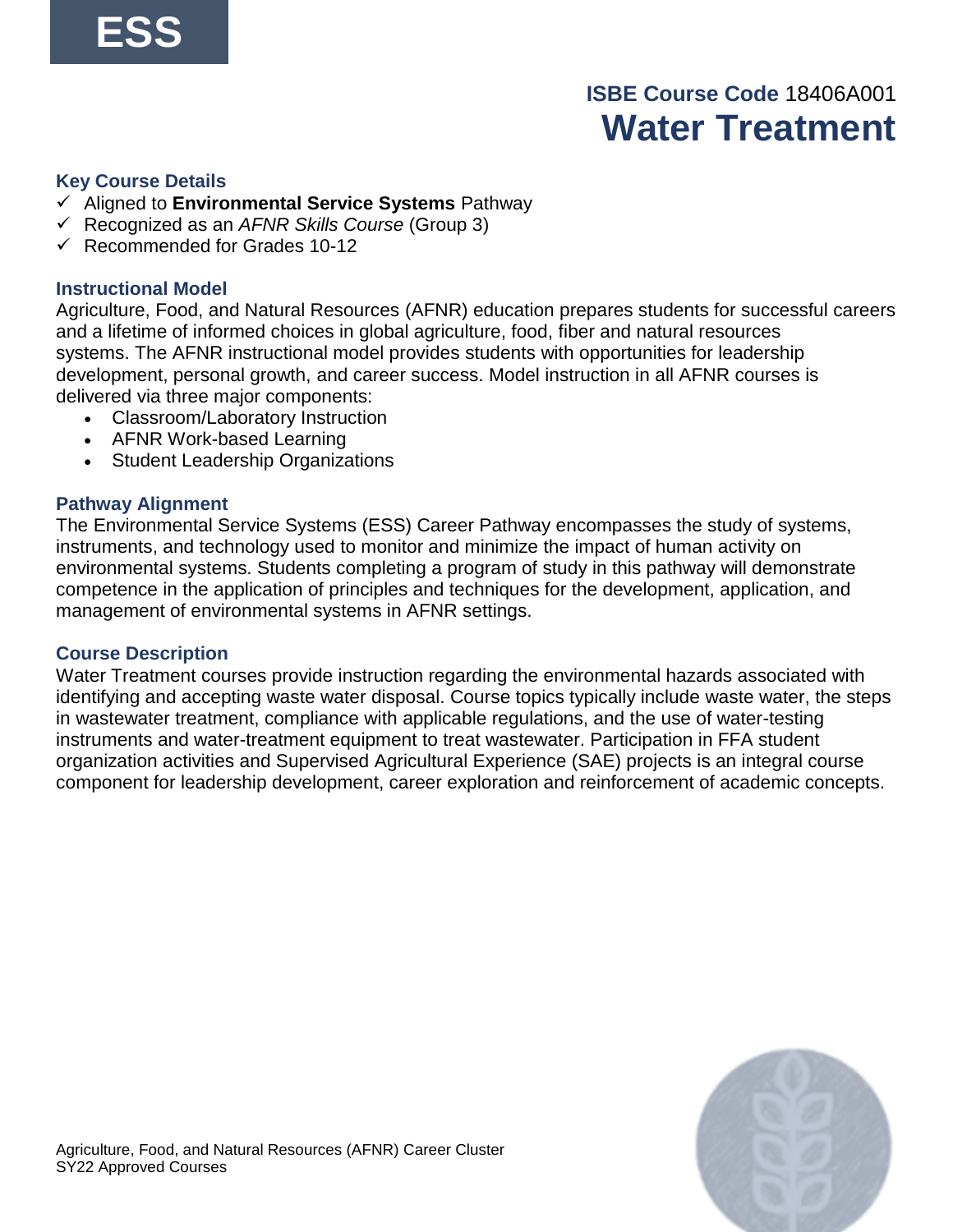## **ISBE Course Code** 18406A001 **Water Treatment**

#### **Key Course Details**

- ✓ Aligned to **Environmental Service Systems** Pathway
- ✓ Recognized as an *AFNR Skills Course* (Group 3)
- $\checkmark$  Recommended for Grades 10-12

## **Instructional Model**

Agriculture, Food, and Natural Resources (AFNR) education prepares students for successful careers and a lifetime of informed choices in global agriculture, food, fiber and natural resources systems. The AFNR instructional model provides students with opportunities for leadership development, personal growth, and career success. Model instruction in all AFNR courses is delivered via three major components:

- Classroom/Laboratory Instruction
- AFNR Work-based Learning
- Student Leadership Organizations

## **Pathway Alignment**

The Environmental Service Systems (ESS) Career Pathway encompasses the study of systems, instruments, and technology used to monitor and minimize the impact of human activity on environmental systems. Students completing a program of study in this pathway will demonstrate competence in the application of principles and techniques for the development, application, and management of environmental systems in AFNR settings.

#### **Course Description**

Water Treatment courses provide instruction regarding the environmental hazards associated with identifying and accepting waste water disposal. Course topics typically include waste water, the steps in wastewater treatment, compliance with applicable regulations, and the use of water-testing instruments and water-treatment equipment to treat wastewater. Participation in FFA student organization activities and Supervised Agricultural Experience (SAE) projects is an integral course component for leadership development, career exploration and reinforcement of academic concepts.